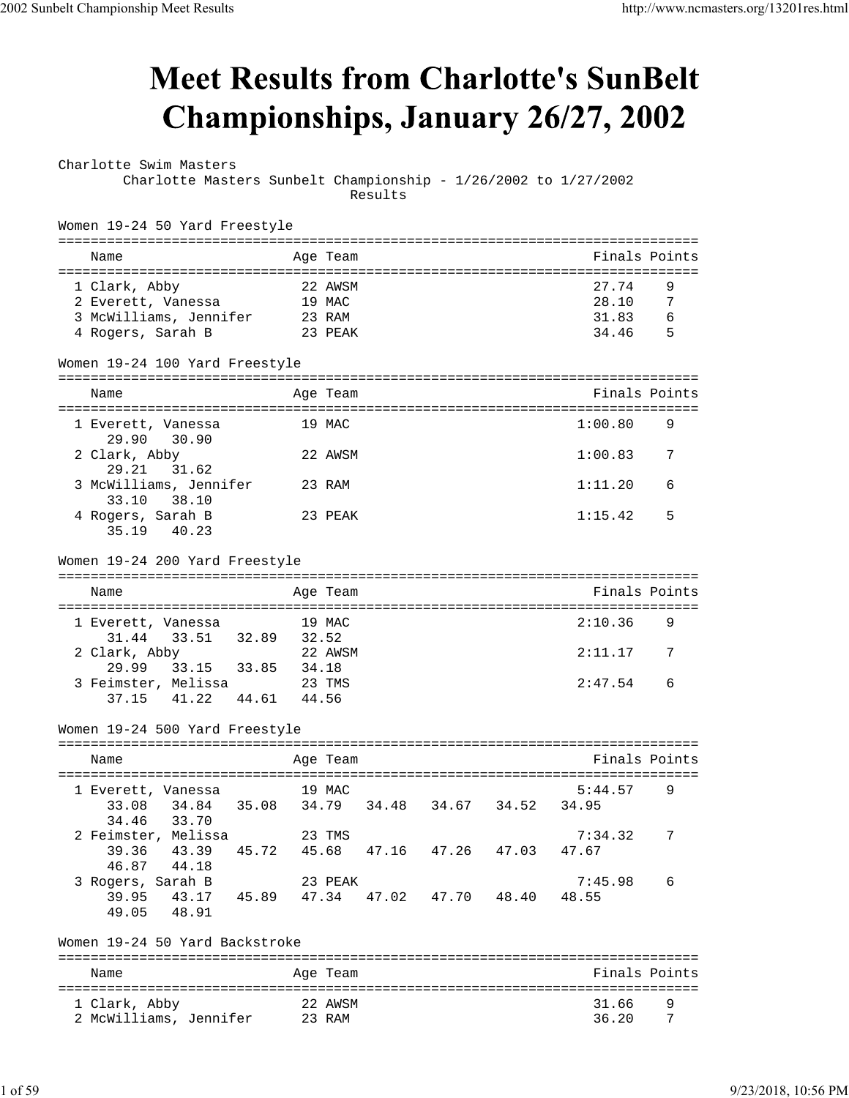## **Meet Results from Charlotte's SunBelt** Championships, January 26/27, 2002

Charlotte Swim Masters Charlotte Masters Sunbelt Championship - 1/26/2002 to 1/27/2002

Results

| Women 19-24 50 Yard Freestyle                                  |        |          |       |                         |       |               |                              |
|----------------------------------------------------------------|--------|----------|-------|-------------------------|-------|---------------|------------------------------|
| Name                                                           |        | Age Team |       |                         |       | Finals Points |                              |
| 1 Clark, Abby                                                  |        | 22 AWSM  |       |                         |       | 27.74         | 9                            |
| 2 Everett, Vanessa                                             |        | 19 MAC   |       |                         |       | 28.10         | -7                           |
| 3 McWilliams, Jennifer 23 RAM                                  |        |          |       |                         |       | 31.83         | 6                            |
| 4 Rogers, Sarah B                                              |        | 23 PEAK  |       |                         |       | 34.46         | - 5                          |
| Women 19-24 100 Yard Freestyle                                 |        |          |       |                         |       |               |                              |
| Name                                                           |        | Age Team |       |                         |       | Finals Points |                              |
| l Everett, Vanessa<br>29.90<br>30.90                           |        | 19 MAC   |       |                         |       | 1:00.80       | 9                            |
| 2 Clark, Abby<br>29.21<br>31.62                                |        | 22 AWSM  |       |                         |       | 1:00.83       | 7                            |
| 3 McWilliams, Jennifer<br>38.10<br>33.10                       | 23 RAM |          |       |                         |       | 1:11.20       | 6                            |
| 4 Rogers, Sarah B<br>35.19 40.23                               |        | 23 PEAK  |       |                         |       | 1:15.42       | 5                            |
| Women 19-24 200 Yard Freestyle                                 |        |          |       |                         |       |               |                              |
| Name                                                           |        | Age Team |       |                         |       | Finals Points |                              |
|                                                                |        |          |       |                         |       |               |                              |
| 1 Everett, Vanessa                                             |        | 19 MAC   |       |                         |       | 2:10.36       | 9                            |
| 33.51 32.89 32.52<br>31.44<br>2 Clark, Abby                    |        | 22 AWSM  |       |                         |       | 2:11.17       | 7                            |
| 29.99 33.15 33.85 34.18                                        |        |          |       |                         |       |               |                              |
| 23 TMS<br>3 Feimster, Melissa<br>37.15 41.22 44.61 44.56       |        |          |       |                         |       | 2:47.54       | 6                            |
| Women 19-24 500 Yard Freestyle                                 |        |          |       |                         |       |               |                              |
|                                                                |        |          |       |                         |       |               |                              |
| Name                                                           |        | Age Team |       |                         |       | Finals Points |                              |
| 19 MAC<br>1 Everett, Vanessa                                   |        |          |       |                         |       | 5:44.57       | 9                            |
| 34.84   35.08   34.79   34.48   34.67   34.52   34.95<br>33.08 |        |          |       |                         |       |               |                              |
| 34.46<br>33.70                                                 |        |          |       |                         |       |               |                              |
| 2 Feimster, Melissa 23 TMS                                     |        |          |       |                         |       | 7:34.32       | $7\phantom{.0}\phantom{.0}7$ |
| 39.36<br>43.39<br>45.72                                        |        |          |       | 45.68 47.16 47.26 47.03 |       | 47.67         |                              |
| 44.18<br>46.87                                                 |        |          |       |                         |       |               |                              |
| 3 Rogers, Sarah B                                              |        | 23 PEAK  |       |                         |       | 7:45.98       | 6                            |
| 39.95<br>43.17<br>45.89<br>49.05<br>48.91                      | 47.34  |          | 47.02 | 47.70                   | 48.40 | 48.55         |                              |
| Women 19-24 50 Yard Backstroke                                 |        |          |       |                         |       |               |                              |
| Name                                                           |        | Age Team |       |                         |       | Finals Points |                              |
|                                                                |        |          |       |                         |       |               |                              |
| 1 Clark, Abby                                                  |        | 22 AWSM  |       |                         |       | 31.66         | 9                            |
| 2 McWilliams, Jennifer                                         |        | 23 RAM   |       |                         |       | 36.20         | 7                            |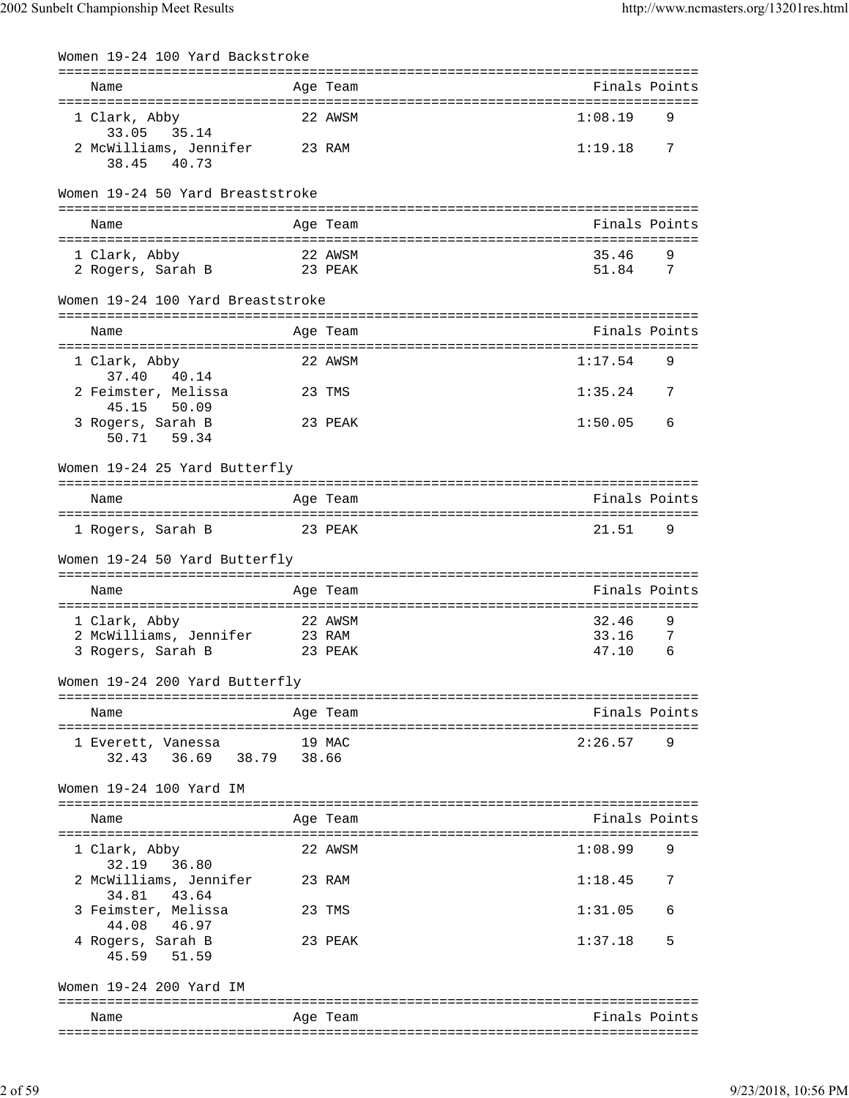| Women 19-24 100 Yard Backstroke                  |                         |                                     |
|--------------------------------------------------|-------------------------|-------------------------------------|
| Name<br>--------------------                     | Age Team<br>=========== | Finals Points                       |
| 1 Clark, Abby<br>33.05<br>35.14                  | 22 AWSM                 | 1:08.19<br>9                        |
| 2 McWilliams, Jennifer<br>38.45<br>40.73         | 23 RAM                  | 1:19.18<br>7                        |
| Women 19-24 50 Yard Breaststroke                 |                         |                                     |
| Name                                             | Age Team                | Finals Points                       |
| 1 Clark, Abby                                    | 22 AWSM                 | 35.46<br>9                          |
| 2 Rogers, Sarah B                                | 23 PEAK                 | 51.84<br>7                          |
| Women 19-24 100 Yard Breaststroke                |                         |                                     |
| Name                                             | Age Team                | Finals Points                       |
| 1 Clark, Abby<br>37.40<br>40.14                  | 22 AWSM                 | 1:17.54<br>9                        |
| 2 Feimster, Melissa<br>45.15<br>50.09            | 23 TMS                  | 1:35.24<br>7                        |
| 3 Rogers, Sarah B<br>50.71 59.34                 | 23 PEAK                 | 1:50.05<br>6                        |
| Women 19-24 25 Yard Butterfly                    |                         | ----------------------------------- |
| Name                                             | Age Team                | Finals Points                       |
| 1 Rogers, Sarah B                                | 23 PEAK                 | 21.51<br>9                          |
| Women 19-24 50 Yard Butterfly                    |                         |                                     |
| Name                                             | Age Team                | Finals Points                       |
| 1 Clark, Abby                                    | 22 AWSM                 | 32.46<br>9                          |
| 2 McWilliams, Jennifer<br>3 Rogers, Sarah B      | 23 RAM<br>23 PEAK       | 33.16<br>7<br>47.10<br>6            |
| Women 19-24 200 Yard Butterfly                   |                         |                                     |
|                                                  |                         |                                     |
| Name                                             | Age Team                | Finals Points                       |
| 1 Everett, Vanessa<br>36.69 38.79 38.66<br>32.43 | 19 MAC                  | 2:26.57<br>9                        |
| Women 19-24 100 Yard IM                          |                         |                                     |
| Name                                             | Age Team                | Finals Points                       |
| 1 Clark, Abby<br>32.19 36.80                     | 22 AWSM                 | 1:08.99<br>9                        |
| 2 McWilliams, Jennifer<br>34.81 43.64            | 23 RAM                  | 1:18.45<br>7                        |
| 3 Feimster, Melissa<br>44.08 46.97               | 23 TMS                  | 1:31.05<br>6                        |
| 4 Rogers, Sarah B<br>45.59 51.59                 | 23 PEAK                 | 5<br>1:37.18                        |
| Women 19-24 200 Yard IM                          |                         |                                     |
| Name                                             | Age Team                | Finals Points                       |
|                                                  |                         |                                     |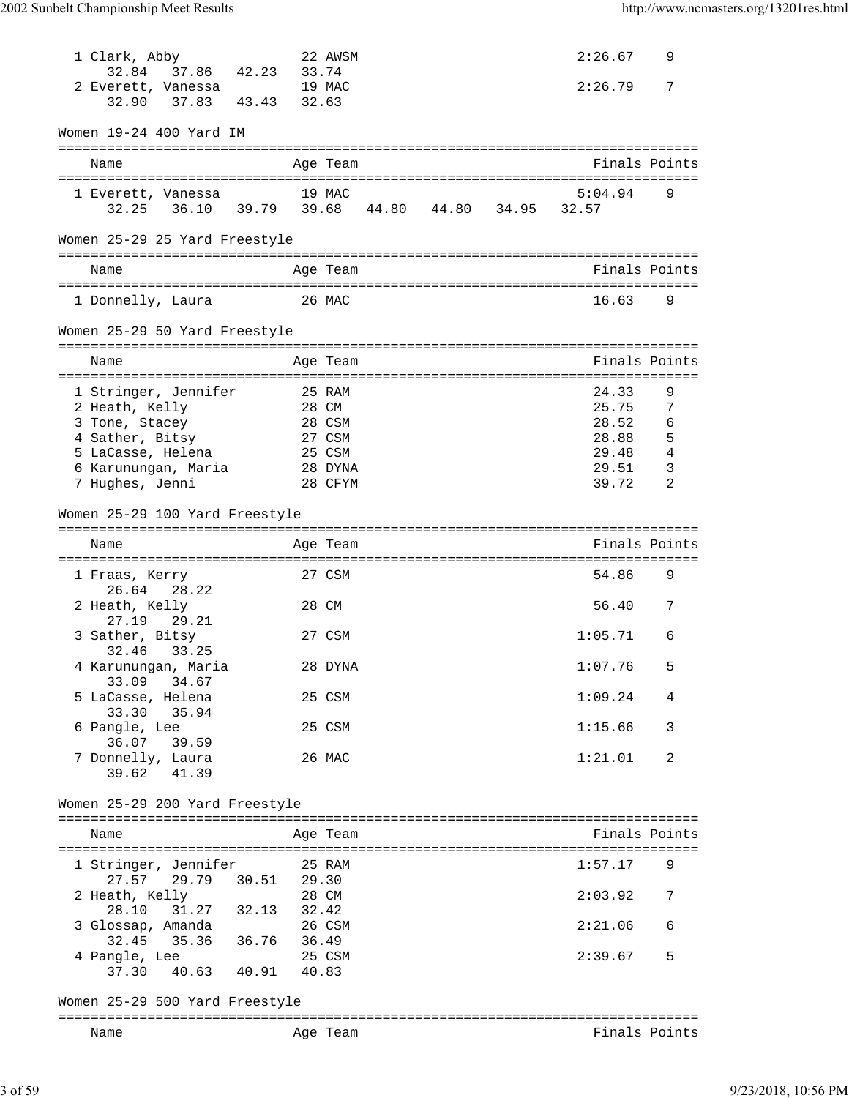| 1 Clark, Abby                                                      |                | 22 AWSM         |  | 2:26.67          | 9              |
|--------------------------------------------------------------------|----------------|-----------------|--|------------------|----------------|
| 37.86 42.23<br>32.84<br>2 Everett, Vanessa<br>37.83 43.43<br>32.90 | 33.74<br>32.63 | 19 MAC          |  | 2:26.79          | 7              |
| Women 19-24 400 Yard IM                                            |                |                 |  |                  |                |
| Name                                                               |                | Age Team        |  | Finals Points    |                |
| 1 Everett, Vanessa<br>32.25 36.10 39.79 39.68 44.80 44.80 34.95    |                | 19 MAC          |  | 5:04.94<br>32.57 | 9              |
| Women 25-29 25 Yard Freestyle                                      |                |                 |  |                  |                |
| Name                                                               |                | Age Team        |  | Finals Points    |                |
| 1 Donnelly, Laura                                                  |                | 26 MAC          |  | 16.63            | 9              |
| Women 25-29 50 Yard Freestyle                                      |                |                 |  |                  |                |
| Name                                                               |                | Age Team        |  | Finals Points    |                |
|                                                                    |                |                 |  | 24.33            |                |
| 1 Stringer, Jennifer<br>2 Heath, Kelly                             |                | 25 RAM<br>28 CM |  | 25.75            | 9<br>7         |
| 3 Tone, Stacey                                                     |                | 28 CSM          |  | 28.52            | 6              |
| 4 Sather, Bitsy                                                    |                | 27 CSM          |  | 28.88            | 5              |
| 5 LaCasse, Helena                                                  |                | 25 CSM          |  | 29.48            | $\overline{4}$ |
| 6 Karunungan, Maria                                                |                | 28 DYNA         |  | 29.51            | 3              |
| 7 Hughes, Jenni                                                    |                | 28 CFYM         |  | 39.72            | 2              |
| Women 25-29 100 Yard Freestyle                                     |                |                 |  |                  |                |
| Name                                                               |                | Age Team        |  | Finals Points    |                |
|                                                                    |                |                 |  |                  |                |
| 1 Fraas, Kerry<br>26.64<br>28.22                                   |                | 27 CSM          |  | 54.86            | 9              |
| 2 Heath, Kelly<br>27.19<br>29.21                                   |                | 28 CM           |  | 56.40            | 7              |
| 3 Sather, Bitsy<br>32.46 33.25                                     |                | 27 CSM          |  | 1:05.71          | 6              |
| 4 Karunungan, Maria<br>34.67<br>33.09                              |                | 28 DYNA         |  | 1:07.76          | 5.             |
| 5 LaCasse, Helena<br>33.30 35.94                                   |                | 25 CSM          |  | 1:09.24          | 4              |
| 6 Pangle, Lee<br>36.07 39.59                                       |                | 25 CSM          |  | 1:15.66          | 3              |
| 7 Donnelly, Laura<br>39.62 41.39                                   |                | 26 MAC          |  | 1:21.01          | 2              |
| Women 25-29 200 Yard Freestyle                                     |                |                 |  |                  |                |
|                                                                    |                |                 |  |                  |                |
| Name                                                               |                | Age Team        |  | Finals Points    |                |
|                                                                    |                |                 |  |                  |                |
| 1 Stringer, Jennifer                                               | 25 RAM         |                 |  | 1:57.17          | 9              |
| 27.57 29.79 30.51 29.30                                            |                |                 |  |                  |                |
| 2 Heath, Kelly                                                     | 28 CM          |                 |  | 2:03.92          | 7              |
| 28.10 31.27 32.13 32.42                                            |                |                 |  |                  |                |
| 3 Glossap, Amanda                                                  |                | 26 CSM          |  | 2:21.06          | 6              |
| 32.45 35.36 36.76 36.49                                            |                |                 |  |                  |                |
| 4 Pangle, Lee                                                      |                | 25 CSM          |  | 2:39.67          | 5              |
| 37.30  40.63  40.91  40.83                                         |                |                 |  |                  |                |
| Women 25-29 500 Yard Freestyle                                     |                |                 |  |                  |                |
| Name                                                               |                | Age Team        |  | Finals Points    |                |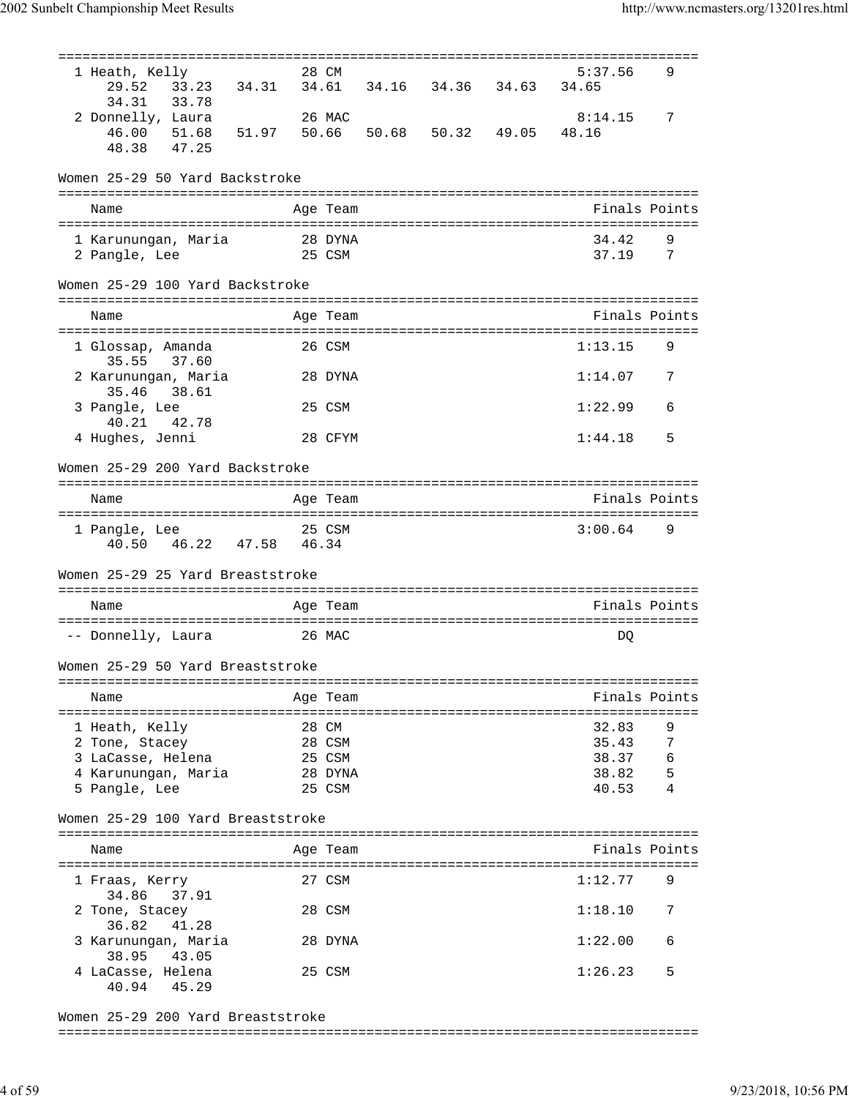| 1 Heath, Kelly                                           |        | 28 CM    |                         | 5:37.56       | 9   |
|----------------------------------------------------------|--------|----------|-------------------------|---------------|-----|
| 33.23 34.31<br>29.52                                     |        |          | 34.61 34.16 34.36 34.63 | 34.65         |     |
| 34.31<br>33.78                                           |        |          |                         |               |     |
|                                                          |        | 26 MAC   |                         | 8:14.15       | 7   |
| 2 Donnelly, Laura                                        |        |          |                         |               |     |
| 46.00 51.68 51.97 50.66 50.68 50.32 49.05<br>48.38 47.25 |        |          |                         | 48.16         |     |
|                                                          |        |          |                         |               |     |
|                                                          |        |          |                         |               |     |
| Women 25-29 50 Yard Backstroke                           |        |          |                         |               |     |
|                                                          |        |          |                         |               |     |
| Name                                                     |        | Age Team |                         | Finals Points |     |
|                                                          |        |          |                         |               |     |
|                                                          |        | 28 DYNA  |                         | 34.42         | 9   |
| 1 Karunungan, Maria                                      |        |          |                         |               |     |
| 2 Pangle, Lee                                            |        | 25 CSM   |                         | 37.19         | - 7 |
|                                                          |        |          |                         |               |     |
| Women 25-29 100 Yard Backstroke                          |        |          |                         |               |     |
|                                                          |        |          |                         |               |     |
| Name                                                     |        | Age Team |                         | Finals Points |     |
|                                                          |        |          |                         |               |     |
| 1 Glossap, Amanda                                        |        | 26 CSM   |                         | 1:13.15       | 9   |
| 35.55 37.60                                              |        |          |                         |               |     |
|                                                          |        |          |                         |               |     |
| 2 Karunungan, Maria                                      |        | 28 DYNA  |                         | 1:14.07       | 7   |
| 35.46<br>38.61                                           |        |          |                         |               |     |
| 3 Pangle, Lee                                            |        | 25 CSM   |                         | 1:22.99       | 6   |
| 40.21 42.78                                              |        |          |                         |               |     |
| 4 Hughes, Jenni                                          |        | 28 CFYM  |                         | 1:44.18       | 5   |
|                                                          |        |          |                         |               |     |
| Women 25-29 200 Yard Backstroke                          |        |          |                         |               |     |
|                                                          |        |          |                         |               |     |
|                                                          |        |          |                         |               |     |
| Name                                                     |        | Age Team |                         | Finals Points |     |
|                                                          |        |          |                         |               |     |
| 1 Pangle, Lee                                            | 25 CSM |          |                         | 3:00.64       | - 9 |
| 40.50  46.22  47.58  46.34                               |        |          |                         |               |     |
|                                                          |        |          |                         |               |     |
| Women 25-29 25 Yard Breaststroke                         |        |          |                         |               |     |
|                                                          |        |          |                         |               |     |
|                                                          |        |          |                         |               |     |
| Name                                                     |        | Age Team |                         | Finals Points |     |
|                                                          |        |          |                         |               |     |
| -- Donnelly, Laura                                       |        | 26 MAC   |                         | DQ            |     |
|                                                          |        |          |                         |               |     |
| Women 25-29 50 Yard Breaststroke                         |        |          |                         |               |     |
|                                                          |        |          |                         |               |     |
| Name                                                     |        | Age Team |                         | Finals Points |     |
|                                                          |        |          |                         |               |     |
|                                                          |        |          |                         |               |     |
| 1 Heath, Kelly                                           |        | 28 CM    |                         | 32.83         | 9   |
| 2 Tone, Stacey                                           |        | 28 CSM   |                         | 35.43         | 7   |
| 3 LaCasse, Helena                                        |        | 25 CSM   |                         | 38.37         | 6   |
| 4 Karunungan, Maria                                      |        | 28 DYNA  |                         | 38.82         | 5   |
| 5 Pangle, Lee                                            |        | 25 CSM   |                         | 40.53         | 4   |
|                                                          |        |          |                         |               |     |
|                                                          |        |          |                         |               |     |
| Women 25-29 100 Yard Breaststroke                        |        |          |                         |               |     |
|                                                          |        |          |                         |               |     |
| Name                                                     |        | Age Team |                         | Finals Points |     |
|                                                          |        |          |                         |               |     |
| 1 Fraas, Kerry                                           |        | 27 CSM   |                         | 1:12.77       | 9   |
| 37.91<br>34.86                                           |        |          |                         |               |     |
| 2 Tone, Stacey                                           |        | 28 CSM   |                         | 1:18.10       | 7   |
| 36.82<br>41.28                                           |        |          |                         |               |     |
|                                                          |        |          |                         |               |     |
| 3 Karunungan, Maria                                      |        | 28 DYNA  |                         | 1:22.00       | 6   |
| 38.95<br>43.05                                           |        |          |                         |               |     |
| 4 LaCasse, Helena                                        |        | 25 CSM   |                         | 1:26.23       | 5   |
| 40.94<br>45.29                                           |        |          |                         |               |     |
|                                                          |        |          |                         |               |     |
| Women 25-29 200 Yard Breaststroke                        |        |          |                         |               |     |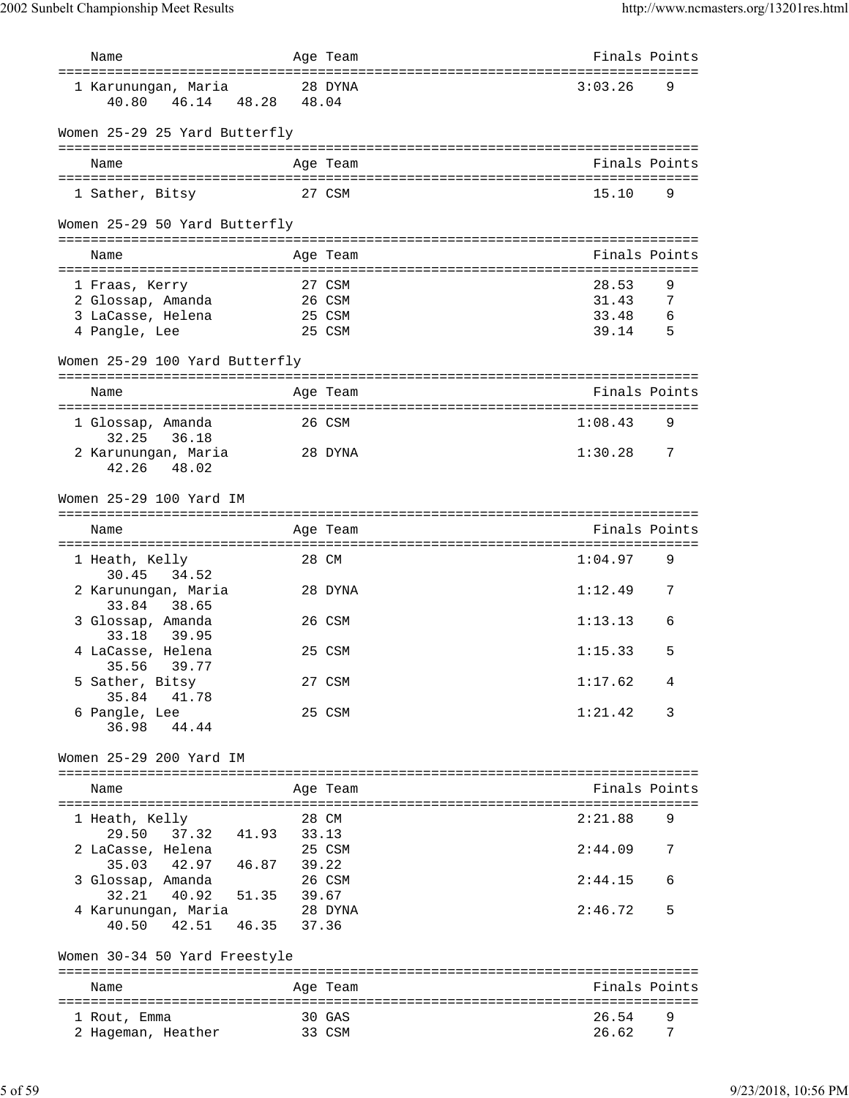| Name                                                    |                                  | Age Team | Finals Points |
|---------------------------------------------------------|----------------------------------|----------|---------------|
| 1 Karunungan, Maria<br>48.28<br>40.80<br>46.14          | 48.04                            | 28 DYNA  | 3:03.26<br>9  |
| Women 25-29 25 Yard Butterfly                           |                                  |          |               |
| Name                                                    |                                  | Age Team | Finals Points |
| 1 Sather, Bitsy                                         |                                  | 27 CSM   | 15.10<br>9    |
| Women 25-29 50 Yard Butterfly                           |                                  |          |               |
| Name                                                    |                                  | Age Team | Finals Points |
|                                                         |                                  | 27 CSM   | 28.53<br>9    |
| 1 Fraas, Kerry<br>2 Glossap, Amanda                     |                                  | 26 CSM   | 31.43<br>7    |
| 3 LaCasse, Helena                                       |                                  | 25 CSM   | 33.48<br>6    |
| 4 Pangle, Lee                                           |                                  | 25 CSM   | 39.14<br>5    |
| Women 25-29 100 Yard Butterfly                          |                                  |          |               |
| Name                                                    |                                  | Age Team | Finals Points |
| 1 Glossap, Amanda<br>32.25<br>36.18                     |                                  | 26 CSM   | 1:08.43<br>9  |
| 2 Karunungan, Maria<br>42.26<br>48.02                   |                                  | 28 DYNA  | 1:30.28<br>7  |
| Women 25-29 100 Yard IM                                 |                                  |          |               |
| Name                                                    |                                  | Age Team | Finals Points |
| 1 Heath, Kelly                                          |                                  | 28 CM    | 1:04.97<br>9  |
| 30.45<br>34.52<br>2 Karunungan, Maria<br>33.84<br>38.65 |                                  | 28 DYNA  | 1:12.49<br>7  |
| 3 Glossap, Amanda<br>33.18<br>39.95                     |                                  | 26 CSM   | 1:13.13<br>6  |
| 4 LaCasse, Helena<br>35.56<br>39.77                     |                                  | 25 CSM   | 1:15.33<br>5  |
| 5 Sather, Bitsy<br>35.84<br>41.78                       |                                  | 27 CSM   | 1:17.62<br>4  |
| 6 Pangle, Lee<br>36.98<br>44.44                         |                                  | 25 CSM   | 1:21.42<br>3  |
| Women 25-29 200 Yard IM                                 |                                  |          |               |
| Name                                                    |                                  | Age Team | Finals Points |
| 1 Heath, Kelly                                          |                                  | 28 CM    | 2:21.88<br>9  |
| 29.50<br>37.32 41.93<br>2 LaCasse, Helena               | 33.13                            | 25 CSM   | 2:44.09<br>7  |
| 35.03<br>42.97<br>46.87<br>3 Glossap, Amanda            | 39.22                            | 26 CSM   | 2:44.15<br>6  |
| 40.92<br>32.21<br>4 Karunungan, Maria<br>40.50<br>42.51 | 51.35<br>39.67<br>46.35<br>37.36 | 28 DYNA  | 2:46.72<br>5  |
| Women 30-34 50 Yard Freestyle                           |                                  |          |               |
|                                                         |                                  |          |               |
| Name                                                    |                                  | Age Team | Finals Points |
| 1 Rout, Emma                                            |                                  | 30 GAS   | 26.54<br>9    |
| 2 Hageman, Heather                                      |                                  | 33 CSM   | 26.62<br>7    |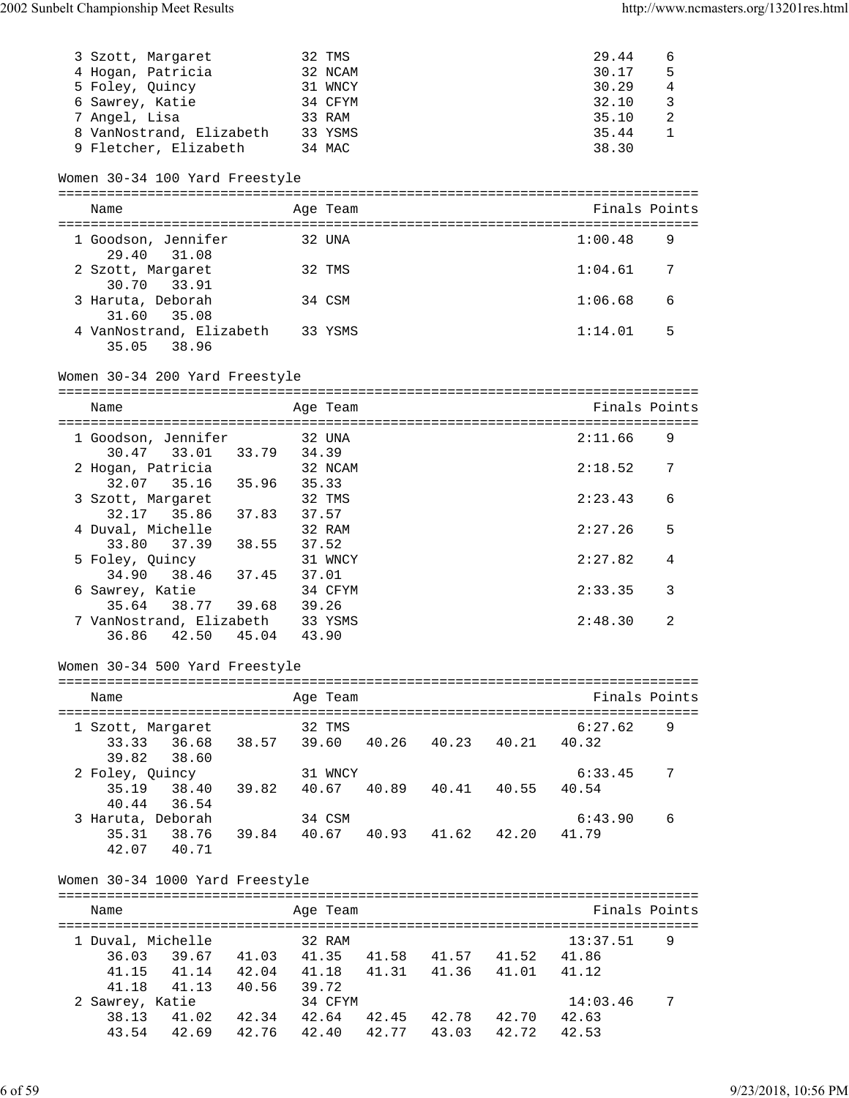| 3 Szott, Margaret                                              |                                           | 32 TMS   |                                     | 29.44            | 6              |
|----------------------------------------------------------------|-------------------------------------------|----------|-------------------------------------|------------------|----------------|
| 4 Hogan, Patricia                                              |                                           | 32 NCAM  |                                     | 30.17            | 5              |
| 5 Foley, Quincy                                                |                                           | 31 WNCY  |                                     | 30.29            | $\overline{4}$ |
| 6 Sawrey, Katie                                                |                                           | 34 CFYM  |                                     | 32.10            | 3              |
| 7 Angel, Lisa                                                  |                                           | 33 RAM   |                                     | 35.10            | 2              |
| 8 VanNostrand, Elizabeth 33 YSMS                               |                                           |          |                                     | 35.44            | $\mathbf{1}$   |
| 9 Fletcher, Elizabeth 34 MAC                                   |                                           |          |                                     | 38.30            |                |
|                                                                |                                           |          |                                     |                  |                |
| Women 30-34 100 Yard Freestyle                                 |                                           |          |                                     |                  |                |
|                                                                |                                           |          |                                     |                  |                |
| Name                                                           |                                           | Age Team |                                     | Finals Points    |                |
|                                                                |                                           |          |                                     |                  |                |
| 1 Goodson, Jennifer                                            |                                           | 32 UNA   |                                     | 1:00.48          | 9              |
| 29.40<br>31.08                                                 |                                           |          |                                     |                  |                |
| 2 Szott, Margaret                                              |                                           | 32 TMS   |                                     | 1:04.61          | 7              |
| 30.70 33.91                                                    |                                           |          |                                     |                  |                |
| 3 Haruta, Deborah                                              |                                           | 34 CSM   |                                     | 1:06.68          | 6              |
| 31.60<br>35.08<br>4 VanNostrand, Elizabeth 33 YSMS             |                                           |          |                                     | 1:14.01          | 5              |
| 35.05 38.96                                                    |                                           |          |                                     |                  |                |
|                                                                |                                           |          |                                     |                  |                |
| Women 30-34 200 Yard Freestyle                                 |                                           |          |                                     |                  |                |
|                                                                |                                           |          |                                     |                  |                |
| Name                                                           |                                           | Age Team |                                     | Finals Points    |                |
|                                                                |                                           |          |                                     |                  |                |
| 1 Goodson, Jennifer                                            |                                           | 32 UNA   |                                     | 2:11.66          | 9              |
| 30.47 33.01 33.79 34.39                                        |                                           |          |                                     |                  |                |
| 2 Hogan, Patricia                                              |                                           | 32 NCAM  |                                     | 2:18.52          | 7              |
| 32.07 35.16 35.96 35.33                                        |                                           |          |                                     |                  |                |
| 3 Szott, Margaret                                              |                                           | 32 TMS   |                                     | 2:23.43          | 6              |
| 32.17 35.86 37.83 37.57                                        |                                           |          |                                     |                  |                |
| 4 Duval, Michelle                                              |                                           | 32 RAM   |                                     | 2:27.26          | 5              |
| $33.80$ $37.39$ $38.55$ $37.52$                                |                                           |          |                                     |                  |                |
| 5 Foley, Quincy                                                |                                           | 31 WNCY  |                                     | 2:27.82          | 4              |
| 34.90                                                          | 38.46 37.45 37.01                         |          |                                     |                  |                |
| 6 Sawrey, Katie                                                |                                           | 34 CFYM  |                                     | 2:33.35          | 3              |
| 35.64 38.77 39.68 39.26                                        |                                           |          |                                     |                  |                |
| 7 VanNostrand, Elizabeth 33 YSMS                               |                                           |          |                                     | 2:48.30          | 2              |
| 36.86 42.50 45.04 43.90                                        |                                           |          |                                     |                  |                |
|                                                                |                                           |          |                                     |                  |                |
| Women 30-34 500 Yard Freestyle                                 |                                           |          |                                     |                  |                |
|                                                                |                                           |          |                                     |                  |                |
| Name                                                           |                                           | Age Team |                                     | Finals Points    |                |
|                                                                |                                           |          |                                     |                  |                |
| 1 Szott, Margaret                                              |                                           | 32 TMS   |                                     | 6:27.62          | 9              |
| 33.33 36.68 38.57 39.60 40.26 40.23 40.21 40.32                |                                           |          |                                     |                  |                |
| 38.60<br>39.82                                                 |                                           |          |                                     |                  |                |
| 2 Foley, Quincy<br>35.19 38.40 39.82 40.67 40.89 40.41 40.55   |                                           | 31 WNCY  |                                     | 6:33.45          | 7              |
| 40.44 36.54                                                    |                                           |          |                                     | 40.54            |                |
|                                                                |                                           |          |                                     |                  |                |
| 3 Haruta, Deborah<br>35.31 38.76 39.84 40.67 40.93 41.62 42.20 |                                           | 34 CSM   |                                     | 6:43.90<br>41.79 | 6              |
| 42.07 40.71                                                    |                                           |          |                                     |                  |                |
|                                                                |                                           |          |                                     |                  |                |
| Women 30-34 1000 Yard Freestyle                                |                                           |          |                                     |                  |                |
|                                                                |                                           |          |                                     |                  |                |
| Name                                                           |                                           | Age Team |                                     | Finals Points    |                |
|                                                                |                                           |          |                                     |                  |                |
| 1 Duval, Michelle 32 RAM                                       |                                           |          |                                     | 13:37.51         | 9              |
| 36.03                                                          | 39.67 41.03 41.35 41.58 41.57 41.52 41.86 |          |                                     |                  |                |
|                                                                |                                           |          | 41.14 42.04 41.18 41.31 41.36 41.01 | 41.12            |                |
|                                                                |                                           |          |                                     |                  |                |
| 41.15<br>41.18<br>41.13 40.56                                  |                                           | 39.72    |                                     |                  |                |
| 2 Sawrey, Katie                                                |                                           | 34 CFYM  |                                     | 14:03.46         | 7              |
| 38.13                                                          | 41.02 42.34 42.64 42.45 42.78 42.70 42.63 |          |                                     |                  |                |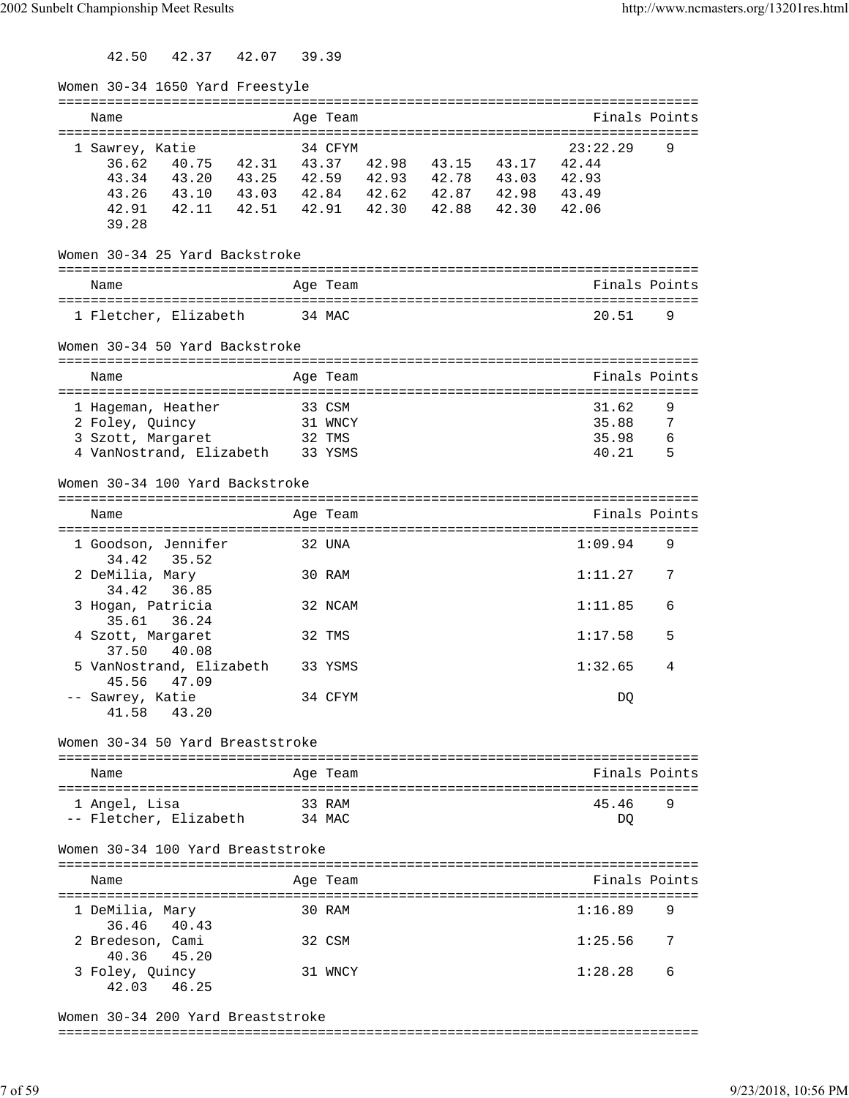42.50 42.37 42.07 39.39

| Women 30-34 1650 Yard Freestyle                 |        |          |                   |                                      |     |
|-------------------------------------------------|--------|----------|-------------------|--------------------------------------|-----|
| Name                                            |        | Age Team |                   | Finals Points                        |     |
|                                                 |        |          |                   |                                      |     |
| 1 Sawrey, Katie                                 |        | 34 CFYM  |                   | 23:22.29                             | 9   |
| 36.62 40.75 42.31 43.37 42.98 43.15 43.17       |        |          |                   | 42.44                                |     |
| 43.34 43.20 43.25 42.59 42.93 42.78 43.03       |        |          |                   | 42.93                                |     |
| 43.26 43.10 43.03 42.84 42.62 42.87 42.98 43.49 |        |          |                   |                                      |     |
| 42.91  42.11  42.51  42.91<br>39.28             |        |          | 42.30 42.88 42.30 | 42.06                                |     |
| Women 30-34 25 Yard Backstroke                  |        |          |                   |                                      |     |
| Name                                            |        | Age Team |                   | Finals Points                        |     |
|                                                 |        |          |                   |                                      |     |
| 1 Fletcher, Elizabeth                           | 34 MAC |          |                   | 20.51                                | 9   |
| Women 30-34 50 Yard Backstroke                  |        |          |                   |                                      |     |
| Name                                            |        | Age Team |                   | Finals Points                        |     |
| 1 Hageman, Heather                              |        | 33 CSM   |                   | 31.62                                | 9   |
| 2 Foley, Quincy                                 |        | 31 WNCY  |                   | 35.88                                | 7   |
| 3 Szott, Margaret                               |        | 32 TMS   |                   | 35.98                                | 6   |
| 4 VanNostrand, Elizabeth                        |        | 33 YSMS  |                   | 40.21                                | - 5 |
| Women 30-34 100 Yard Backstroke                 |        |          |                   |                                      |     |
|                                                 |        |          |                   | Finals Points                        |     |
| Name                                            |        | Age Team |                   | :=================================== |     |
| 1 Goodson, Jennifer<br>34.42<br>35.52           |        | 32 UNA   |                   | 1:09.94                              | 9   |
| 2 DeMilia, Mary<br>36.85<br>34.42               |        | 30 RAM   |                   | 1:11.27                              | 7   |
| 3 Hogan, Patricia<br>35.61<br>36.24             |        | 32 NCAM  |                   | 1:11.85                              | 6   |
| 4 Szott, Margaret<br>37.50<br>40.08             |        | 32 TMS   |                   | 1:17.58                              | 5   |
| 5 VanNostrand, Elizabeth<br>45.56<br>47.09      |        | 33 YSMS  |                   | 1:32.65                              | 4   |
| -- Sawrey, Katie<br>41.58 43.20                 |        | 34 CFYM  |                   | DQ                                   |     |
| Women 30-34 50 Yard Breaststroke                |        |          |                   |                                      |     |
|                                                 |        |          |                   |                                      |     |
| Name                                            |        | Age Team |                   | Finals Points                        |     |
| 1 Angel, Lisa                                   |        | 33 RAM   |                   | 45.46                                | 9   |
| -- Fletcher, Elizabeth                          |        | 34 MAC   |                   | DQ                                   |     |
|                                                 |        |          |                   |                                      |     |
| Women 30-34 100 Yard Breaststroke               |        |          |                   |                                      |     |
| Name                                            |        | Age Team |                   | Finals Points                        |     |
| 1 DeMilia, Mary                                 |        | 30 RAM   |                   | 1:16.89                              | 9   |
| 40.43<br>36.46                                  |        |          |                   |                                      |     |
| 2 Bredeson, Cami<br>40.36<br>45.20              |        | 32 CSM   |                   | 1:25.56                              | 7   |
| 3 Foley, Quincy<br>42.03<br>46.25               |        | 31 WNCY  |                   | 1:28.28                              | 6   |
|                                                 |        |          |                   |                                      |     |

Women 30-34 200 Yard Breaststroke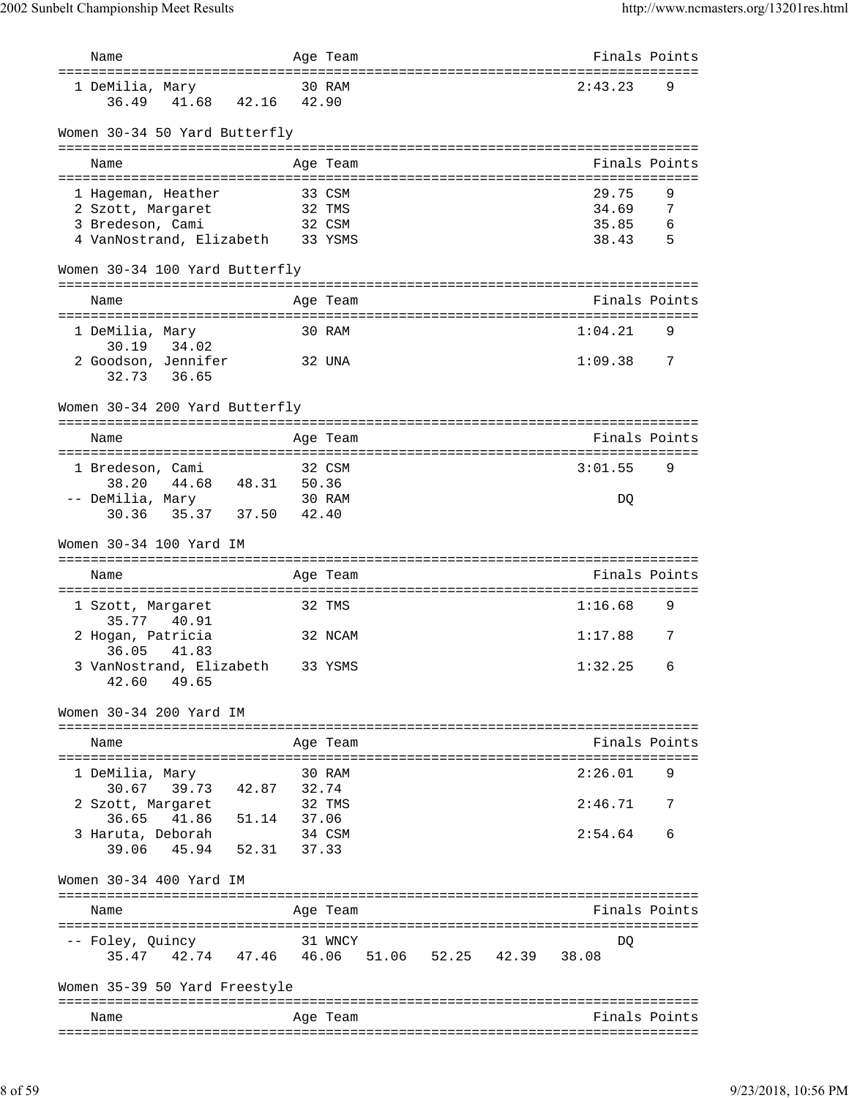| Name                                          |        | Age Team |  | Finals Points                               |     |
|-----------------------------------------------|--------|----------|--|---------------------------------------------|-----|
| ===================================           |        |          |  | :===============================<br>2:43.23 | 9   |
| 1 DeMilia, Mary<br>41.68 42.16 42.90<br>36.49 |        | 30 RAM   |  |                                             |     |
|                                               |        |          |  |                                             |     |
| Women 30-34 50 Yard Butterfly                 |        |          |  |                                             |     |
|                                               |        |          |  |                                             |     |
| Name                                          |        | Age Team |  | Finals Points                               |     |
| 1 Hageman, Heather                            |        | 33 CSM   |  | 29.75                                       | 9   |
| 2 Szott, Margaret                             |        | 32 TMS   |  | 34.69                                       | 7   |
| 3 Bredeson, Cami                              |        | 32 CSM   |  | 35.85                                       | - 6 |
| 4 VanNostrand, Elizabeth 33 YSMS              |        |          |  | 38.43                                       | - 5 |
| Women 30-34 100 Yard Butterfly                |        |          |  |                                             |     |
|                                               |        |          |  | Finals Points                               |     |
| Name                                          |        | Age Team |  |                                             |     |
| 1 DeMilia, Mary<br>30.19 34.02                |        | 30 RAM   |  | 1:04.21                                     | 9   |
| 2 Goodson, Jennifer                           | 32 UNA |          |  | 1:09.38                                     | 7   |
| 32.73 36.65                                   |        |          |  |                                             |     |
|                                               |        |          |  |                                             |     |
| Women 30-34 200 Yard Butterfly                |        |          |  |                                             |     |
| Name                                          |        | Age Team |  | Finals Points                               |     |
|                                               |        |          |  |                                             |     |
| 1 Bredeson, Cami                              |        | 32 CSM   |  | 3:01.55                                     | 9   |
| 44.68<br>48.31 50.36<br>38.20                 |        |          |  |                                             |     |
| -- DeMilia, Mary<br>35.37 37.50<br>30.36      | 42.40  | 30 RAM   |  | DQ                                          |     |
|                                               |        |          |  |                                             |     |
| Women 30-34 100 Yard IM                       |        |          |  |                                             |     |
| Name                                          |        | Age Team |  | Finals Points                               |     |
|                                               |        |          |  |                                             |     |
| 1 Szott, Margaret                             |        | 32 TMS   |  | 1:16.68                                     | 9   |
| 35.77<br>40.91<br>2 Hogan, Patricia           |        | 32 NCAM  |  | 1:17.88                                     | 7   |
| 41.83<br>36.05                                |        |          |  |                                             |     |
| 3 VanNostrand, Elizabeth 33 YSMS              |        |          |  | 1:32.25                                     | 6   |
| 42.60 49.65                                   |        |          |  |                                             |     |
|                                               |        |          |  |                                             |     |
| Women 30-34 200 Yard IM                       |        |          |  | -------------------------------             |     |
| Name                                          |        | Age Team |  | Finals Points                               |     |
|                                               |        |          |  |                                             |     |
| 1 DeMilia, Mary                               |        | 30 RAM   |  | 2:26.01                                     | 9   |
| 39.73 42.87 32.74<br>30.67                    |        |          |  |                                             |     |
| 2 Szott, Margaret<br>36.65 41.86 51.14 37.06  |        | 32 TMS   |  | 2:46.71                                     |     |
| 3 Haruta, Deborah                             | 34 CSM |          |  | 2:54.64                                     | 6   |
| 39.06 45.94 52.31 37.33                       |        |          |  |                                             |     |
|                                               |        |          |  |                                             |     |
| Women 30-34 400 Yard IM                       |        |          |  |                                             |     |
| Name                                          |        | Age Team |  | Finals Points                               |     |
| =====================================         |        |          |  | --------                                    |     |
| -- Foley, Quincy                              |        | 31 WNCY  |  | DQ                                          |     |
| 35.47 42.74 47.46 46.06 51.06 52.25 42.39     |        |          |  | 38.08                                       |     |
| Women 35-39 50 Yard Freestyle                 |        |          |  |                                             |     |
| Name                                          |        | Age Team |  | Finals Points                               |     |
|                                               |        |          |  |                                             |     |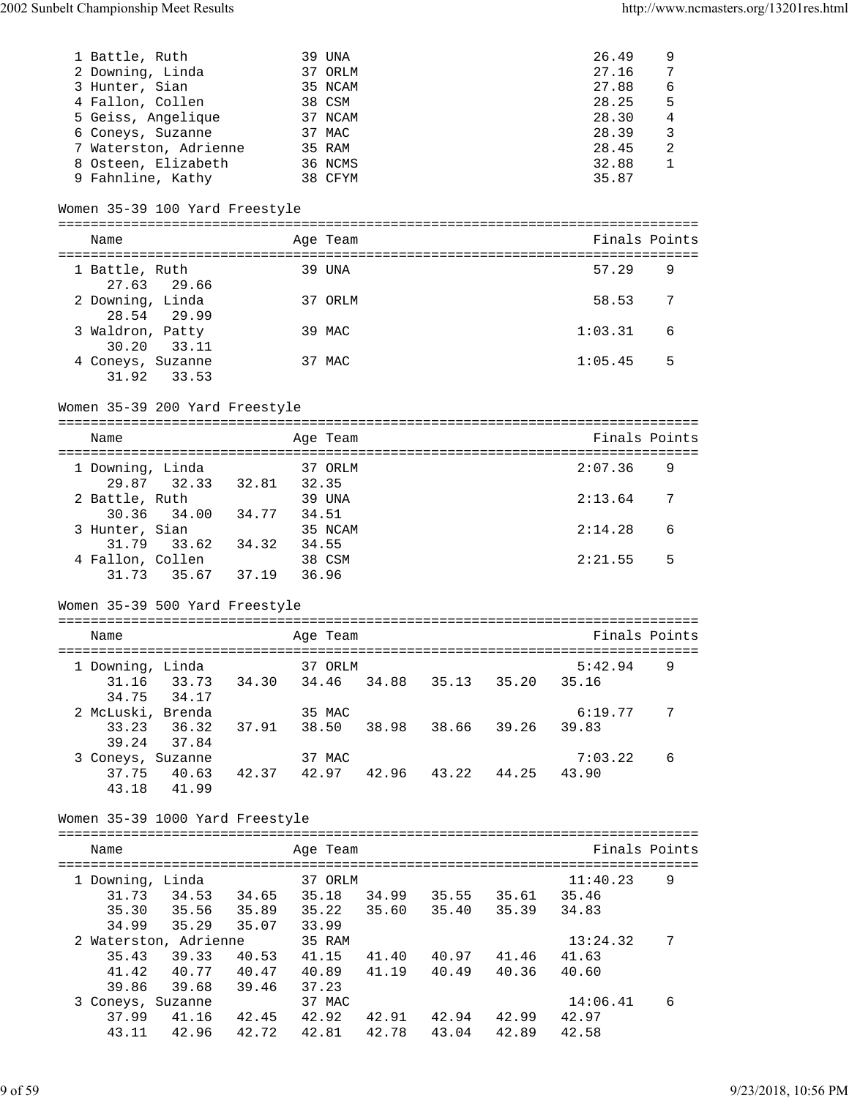| 1 Battle, Ruth    |                                                                                   |         |        | 39 UNA   |                               | 26.49         | 9              |
|-------------------|-----------------------------------------------------------------------------------|---------|--------|----------|-------------------------------|---------------|----------------|
| 2 Downing, Linda  |                                                                                   |         |        | 37 ORLM  |                               | 27.16         | 7              |
| 3 Hunter, Sian    |                                                                                   |         |        | 35 NCAM  |                               | 27.88         | $\epsilon$     |
| 4 Fallon, Collen  |                                                                                   |         |        | 38 CSM   |                               | 28.25         | 5              |
|                   | 5 Geiss, Angelique                                                                |         |        | 37 NCAM  |                               | 28.30         | $\overline{4}$ |
| 6 Coneys, Suzanne |                                                                                   |         |        | 37 MAC   |                               | 28.39         | 3              |
|                   | 7 Waterston, Adrienne                                                             |         |        | 35 RAM   |                               | 28.45         | $\sqrt{2}$     |
|                   | 8 Osteen, Elizabeth                                                               | 36 NCMS |        |          |                               | 32.88         | 1              |
|                   | 9 Fahnline, Kathy                                                                 |         |        | 38 CFYM  |                               | 35.87         |                |
|                   |                                                                                   |         |        |          |                               |               |                |
|                   | Women 35-39 100 Yard Freestyle                                                    |         |        |          |                               |               |                |
|                   |                                                                                   |         |        |          |                               |               |                |
| Name              |                                                                                   |         |        | Age Team |                               | Finals Points |                |
|                   |                                                                                   |         |        |          |                               |               |                |
| 1 Battle, Ruth    |                                                                                   |         |        | 39 UNA   |                               | 57.29         | 9              |
|                   | 27.63 29.66                                                                       |         |        |          |                               |               |                |
| 2 Downing, Linda  |                                                                                   |         |        | 37 ORLM  |                               | 58.53         | 7              |
|                   | 28.54 29.99                                                                       |         |        |          |                               |               |                |
| 3 Waldron, Patty  |                                                                                   |         |        | 39 MAC   |                               | 1:03.31       | 6              |
| 30.20             | 33.11                                                                             |         |        |          |                               |               |                |
|                   |                                                                                   |         |        |          |                               |               |                |
|                   | 4 Coneys, Suzanne                                                                 |         |        | 37 MAC   |                               | 1:05.45       | 5              |
| 31.92             | 33.53                                                                             |         |        |          |                               |               |                |
|                   |                                                                                   |         |        |          |                               |               |                |
|                   | Women 35-39 200 Yard Freestyle                                                    |         |        |          |                               |               |                |
|                   |                                                                                   |         |        |          |                               |               |                |
| Name              |                                                                                   |         |        | Age Team |                               | Finals Points |                |
|                   |                                                                                   |         |        |          |                               |               |                |
| 1 Downing, Linda  |                                                                                   |         |        | 37 ORLM  |                               | 2:07.36       | 9              |
|                   | 29.87 32.33 32.81 32.35                                                           |         |        |          |                               |               |                |
| 2 Battle, Ruth    |                                                                                   |         |        | 39 UNA   |                               | 2:13.64       | 7              |
| 30.36             | 34.00 34.77 34.51                                                                 |         |        |          |                               |               |                |
| 3 Hunter, Sian    |                                                                                   |         |        | 35 NCAM  |                               | 2:14.28       | 6              |
|                   |                                                                                   |         |        |          |                               |               |                |
|                   |                                                                                   |         |        |          |                               |               |                |
|                   | mter, Sian<br>31.79 33.62 34.32 34.55<br>30.001<br>4 Fallon, Collen               |         | 38 CSM |          |                               | 2:21.55       | 5              |
|                   | 31.73 35.67 37.19 36.96                                                           |         |        |          |                               |               |                |
|                   |                                                                                   |         |        |          |                               |               |                |
|                   | Women 35-39 500 Yard Freestyle                                                    |         |        |          |                               |               |                |
|                   |                                                                                   |         |        |          |                               |               |                |
| Name              |                                                                                   |         |        | Age Team |                               | Finals Points |                |
|                   |                                                                                   |         |        |          |                               |               |                |
|                   | 1 Downing, Linda 37 ORLM                                                          |         |        |          |                               | $5:42.94$ 9   |                |
|                   |                                                                                   |         |        |          |                               | 35.16         |                |
|                   | 31.16 33.73 34.30 34.46 34.88 35.13 35.20<br>34.75 34.17                          |         |        |          |                               |               |                |
|                   | 2 McLuski, Brenda                                                                 |         |        | 35 MAC   |                               | 6:19.77       | 7              |
| 33.23             | 36.32 37.91 38.50 38.98 38.66 39.26                                               |         |        |          |                               | 39.83         |                |
|                   | $39.24$ $37.84$                                                                   |         |        |          |                               |               |                |
|                   |                                                                                   |         |        | 37 MAC   |                               | 7:03.22       | 6              |
|                   | 3 Coneys, Suzanne<br>37.75 40.63 42.37 42.97 42.96 43.22 44.25                    |         |        |          |                               | 43.90         |                |
|                   |                                                                                   |         |        |          |                               |               |                |
|                   | 43.18 41.99                                                                       |         |        |          |                               |               |                |
|                   |                                                                                   |         |        |          |                               |               |                |
|                   | Women 35-39 1000 Yard Freestyle                                                   |         |        |          |                               |               |                |
|                   |                                                                                   |         |        |          |                               |               |                |
| Name              |                                                                                   |         |        | Age Team |                               | Finals Points |                |
|                   |                                                                                   |         |        |          |                               |               |                |
| 1 Downing, Linda  |                                                                                   |         |        | 37 ORLM  |                               | 11:40.23      | 9              |
|                   | 31.73 34.53 34.65 35.18 34.99 35.55 35.61 35.46                                   |         |        |          |                               |               |                |
|                   |                                                                                   |         |        |          |                               | 34.83         |                |
|                   |                                                                                   |         |        |          |                               |               |                |
|                   | 2 Waterston, Adrienne                                                             |         |        | 35 RAM   |                               | 13:24.32      | 7              |
| 35.43             | 39.33                                                                             |         |        |          | 40.53 41.15 41.40 40.97 41.46 | 41.63         |                |
|                   | 41.42 40.77 40.47 40.89                                                           |         |        |          | 41.19  40.49  40.36           | 40.60         |                |
|                   | 39.86 39.68 39.46                                                                 |         | 37.23  |          |                               |               |                |
|                   | 3 Coneys, Suzanne                                                                 |         |        | 37 MAC   |                               | 14:06.41      | 6              |
|                   | 37.99  41.16  42.45  42.92  42.91  42.94  42.99  42.97<br>43.11 42.96 42.72 42.81 |         |        |          | 42.78 43.04 42.89             | 42.58         |                |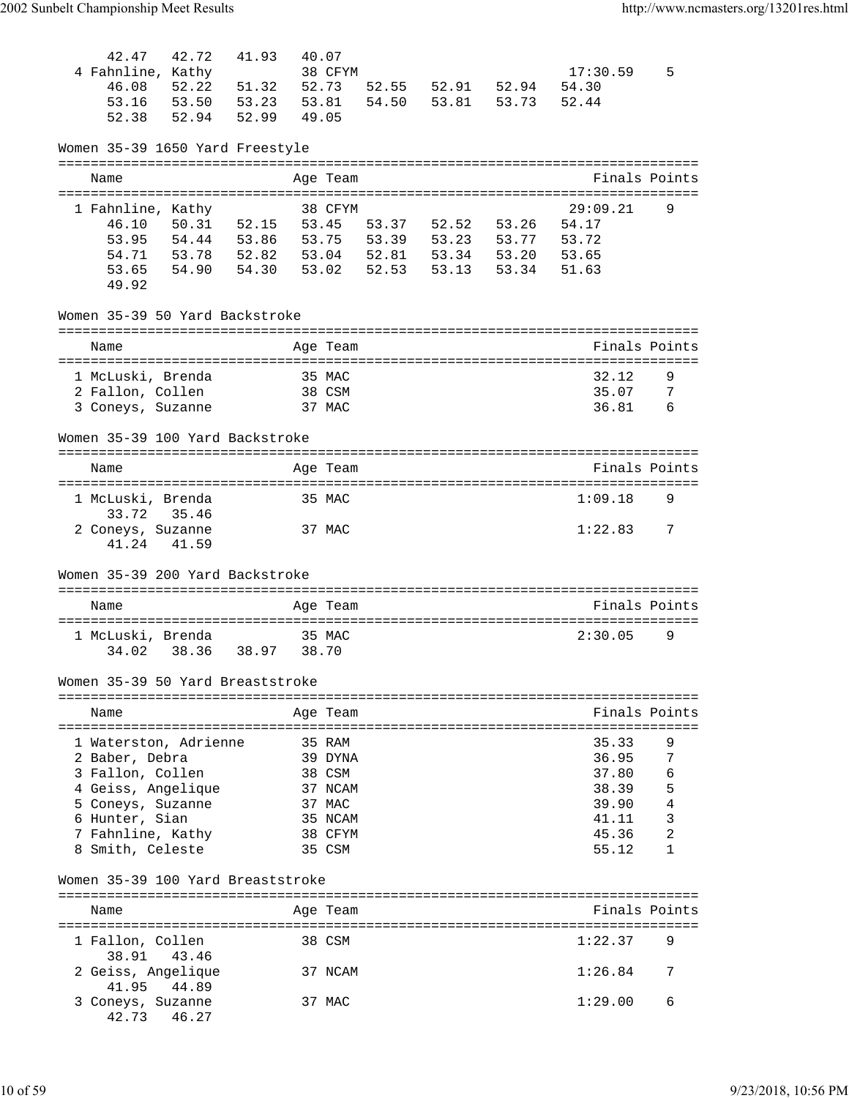| 42.47<br>42.72<br>4 Fahnline, Kathy<br>46.08<br>52.22<br>53.50<br>53.16<br>52.38<br>52.94                                  | 41.93<br>51.32<br>52.73<br>53.23<br>53.81<br>52.99 | 40.07<br>38 CFYM<br>49.05  | 54.50          | 52.55 52.91 52.94<br>53.81 53.73                                 |       | 17:30.59<br>54.30<br>52.44                           | 5           |
|----------------------------------------------------------------------------------------------------------------------------|----------------------------------------------------|----------------------------|----------------|------------------------------------------------------------------|-------|------------------------------------------------------|-------------|
| Women 35-39 1650 Yard Freestyle<br>===============================                                                         |                                                    |                            |                |                                                                  |       |                                                      |             |
| Name<br>-----------------------                                                                                            | ================                                   | Age Team                   |                |                                                                  |       | Finals Points                                        |             |
| 1 Fahnline, Kathy<br>50.31 52.15<br>46.10<br>54.44 53.86<br>53.95<br>53.78 52.82<br>54.71<br>53.65<br>54.90 54.30<br>49.92 | 53.75<br>53.04<br>53.02                            | 38 CFYM<br>53.45           | 53.39<br>52.53 | 53.37 52.52<br>53.23 53.77<br>52.81  53.34  53.20<br>53.13 53.34 | 53.26 | 29:09.21<br>54.17<br>53.72<br>53.65<br>51.63         | 9           |
| Women 35-39 50 Yard Backstroke                                                                                             |                                                    |                            |                |                                                                  |       |                                                      |             |
| Name                                                                                                                       |                                                    | Age Team                   |                |                                                                  |       | Finals Points<br>===============                     |             |
| 1 McLuski, Brenda<br>2 Fallon, Collen<br>3 Coneys, Suzanne                                                                 |                                                    | 35 MAC<br>38 CSM<br>37 MAC |                |                                                                  |       | 32.12<br>35.07<br>36.81                              | 9<br>7<br>6 |
| Women 35-39 100 Yard Backstroke                                                                                            |                                                    |                            |                |                                                                  |       |                                                      |             |
| Name                                                                                                                       |                                                    | Age Team                   |                |                                                                  |       | Finals Points                                        |             |
| 1 McLuski, Brenda<br>33.72<br>35.46                                                                                        |                                                    | 35 MAC                     |                |                                                                  |       | 1:09.18                                              | 9           |
| 2 Coneys, Suzanne<br>41.24<br>41.59                                                                                        |                                                    | 37 MAC                     |                |                                                                  |       | 1:22.83                                              | 7           |
| Women 35-39 200 Yard Backstroke                                                                                            |                                                    |                            |                |                                                                  |       |                                                      |             |
| Name                                                                                                                       |                                                    | Age Team                   |                |                                                                  |       | -----------------------------------<br>Finals Points |             |
|                                                                                                                            |                                                    |                            |                |                                                                  |       |                                                      |             |
| 1 McLuski, Brenda<br>38.36<br>34.02                                                                                        | 38.97<br>38.70                                     | 35 MAC                     |                |                                                                  |       | 2:30.05                                              | 9           |
| Women 35-39 50 Yard Breaststroke                                                                                           |                                                    |                            |                |                                                                  |       |                                                      |             |
| Name                                                                                                                       |                                                    | Age Team                   |                |                                                                  |       | Finals Points                                        |             |
| 1 Waterston, Adrienne<br>2 Baber, Debra                                                                                    |                                                    | 35 RAM<br>39 DYNA          |                |                                                                  |       | 35.33<br>36.95                                       | 9<br>7      |
| 3 Fallon, Collen<br>4 Geiss, Angelique                                                                                     |                                                    | 38 CSM<br>37 NCAM          |                |                                                                  |       | 37.80<br>38.39                                       | 6<br>5      |
| 5 Coneys, Suzanne                                                                                                          |                                                    | 37 MAC                     |                |                                                                  |       | 39.90                                                | 4           |
| 6 Hunter, Sian                                                                                                             |                                                    | 35 NCAM<br>38 CFYM         |                |                                                                  |       | 41.11<br>45.36                                       | 3<br>2      |
| 7 Fahnline, Kathy<br>8 Smith, Celeste                                                                                      |                                                    | 35 CSM                     |                |                                                                  |       | 55.12                                                | 1           |
| Women 35-39 100 Yard Breaststroke                                                                                          |                                                    |                            |                |                                                                  |       |                                                      |             |
| Name                                                                                                                       |                                                    | Age Team                   |                |                                                                  |       | Finals Points                                        |             |
|                                                                                                                            |                                                    |                            |                |                                                                  |       |                                                      |             |
| 1 Fallon, Collen<br>38.91 43.46                                                                                            |                                                    | 38 CSM                     |                |                                                                  |       | 1:22.37                                              | 9           |
| 2 Geiss, Angelique<br>44.89<br>41.95                                                                                       |                                                    | 37 NCAM                    |                |                                                                  |       | 1:26.84                                              | 7           |
| 3 Coneys, Suzanne<br>46.27<br>42.73                                                                                        |                                                    | 37 MAC                     |                |                                                                  |       | 1:29.00                                              | 6           |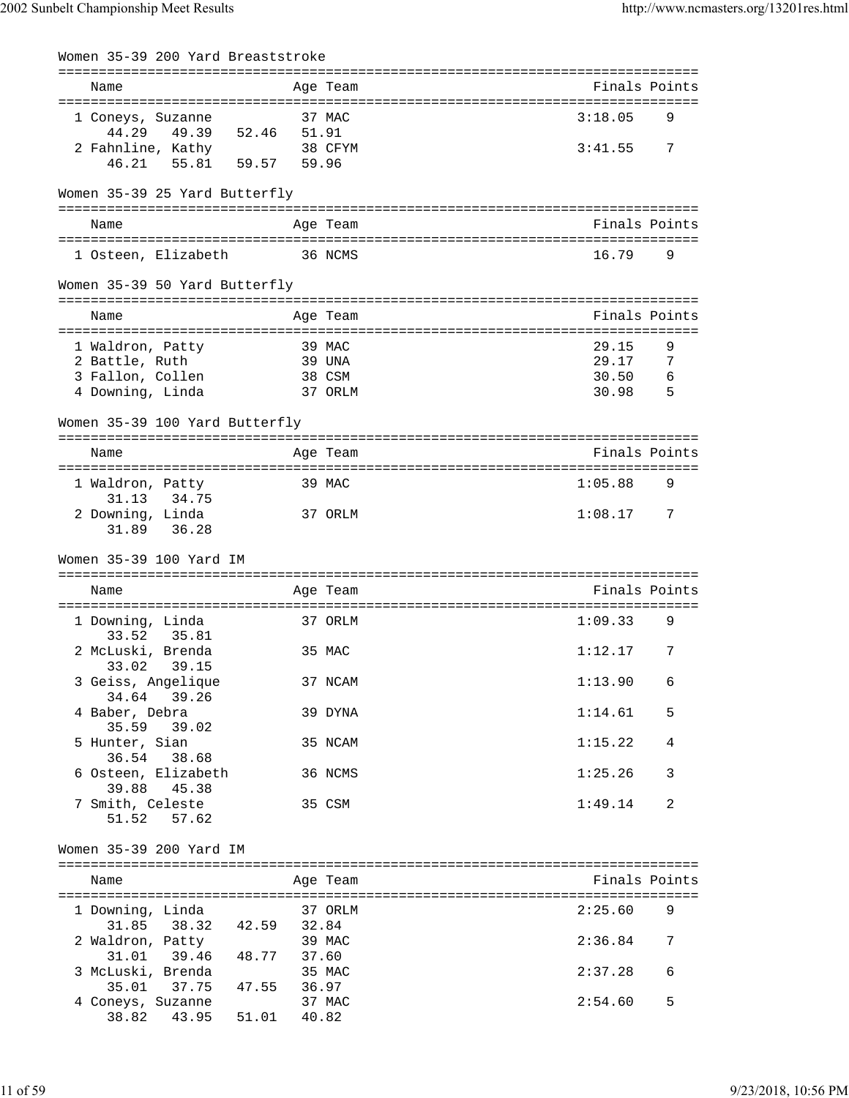| Women 35-39 200 Yard Breaststroke                                    |                           |                                   |
|----------------------------------------------------------------------|---------------------------|-----------------------------------|
| Name                                                                 | Age Team                  | Finals Points                     |
| 1 Coneys, Suzanne                                                    | 37 MAC                    | 3:18.05<br>9                      |
| 44.29<br>49.39<br>52.46<br>2 Fahnline, Kathy<br>55.81 59.57<br>46.21 | 51.91<br>38 CFYM<br>59.96 | 3:41.55<br>7                      |
| Women 35-39 25 Yard Butterfly                                        |                           |                                   |
|                                                                      |                           |                                   |
| Name                                                                 | Age Team                  | Finals Points                     |
| 1 Osteen, Elizabeth                                                  | 36 NCMS                   | 16.79<br>9                        |
| Women 35-39 50 Yard Butterfly                                        |                           |                                   |
| Name                                                                 | Age Team                  | Finals Points                     |
| 1 Waldron, Patty                                                     | 39 MAC                    | 29.15<br>9                        |
| 2 Battle, Ruth                                                       | 39 UNA                    | 29.17<br>7                        |
| 3 Fallon, Collen                                                     | 38 CSM                    | 30.50<br>6                        |
| 4 Downing, Linda                                                     | 37 ORLM                   | 5<br>30.98                        |
| Women 35-39 100 Yard Butterfly                                       |                           |                                   |
| Name                                                                 | Age Team                  | Finals Points                     |
|                                                                      |                           |                                   |
| 1 Waldron, Patty<br>31.13<br>34.75                                   | 39 MAC                    | 1:05.88<br>9                      |
| 2 Downing, Linda<br>31.89<br>36.28                                   | 37 ORLM                   | 1:08.17<br>7                      |
|                                                                      |                           |                                   |
| Women 35-39 100 Yard IM                                              |                           |                                   |
| :========================                                            | =====================     | :================================ |
| Name                                                                 | Age Team                  | Finals Points                     |
| 1 Downing, Linda<br>33.52                                            | 37 ORLM                   | 1:09.33<br>9                      |
| 35.81<br>2 McLuski, Brenda                                           | 35 MAC                    | 1:12.17<br>7                      |
| 33.02 39.15<br>3 Geiss, Angelique                                    | 37 NCAM                   | 1:13.90<br>6                      |
| 34.64<br>39.26<br>4 Baber, Debra                                     | 39 DYNA                   | 1:14.61<br>5                      |
| 35.59<br>39.02<br>5 Hunter, Sian                                     | 35 NCAM                   | 1:15.22<br>4                      |
| 36.54 38.68<br>6 Osteen, Elizabeth                                   | 36 NCMS                   | 1:25.26<br>3                      |
| 39.88 45.38<br>7 Smith, Celeste                                      | 35 CSM                    | 1:49.14<br>2                      |
| 51.52<br>57.62                                                       |                           |                                   |
| Women 35-39 200 Yard IM                                              |                           |                                   |
| Name                                                                 | Age Team                  | Finals Points                     |
| 1 Downing, Linda                                                     | 37 ORLM                   | 2:25.60<br>9                      |
| 31.85 38.32 42.59 32.84<br>2 Waldron, Patty                          | 39 MAC                    | 2:36.84<br>7                      |
| 31.01 39.46 48.77<br>3 McLuski, Brenda                               | 37.60<br>35 MAC           | 6<br>2:37.28                      |
| 37.75 47.55 36.97<br>35.01<br>4 Coneys, Suzanne                      | 37 MAC                    | 2:54.60<br>5                      |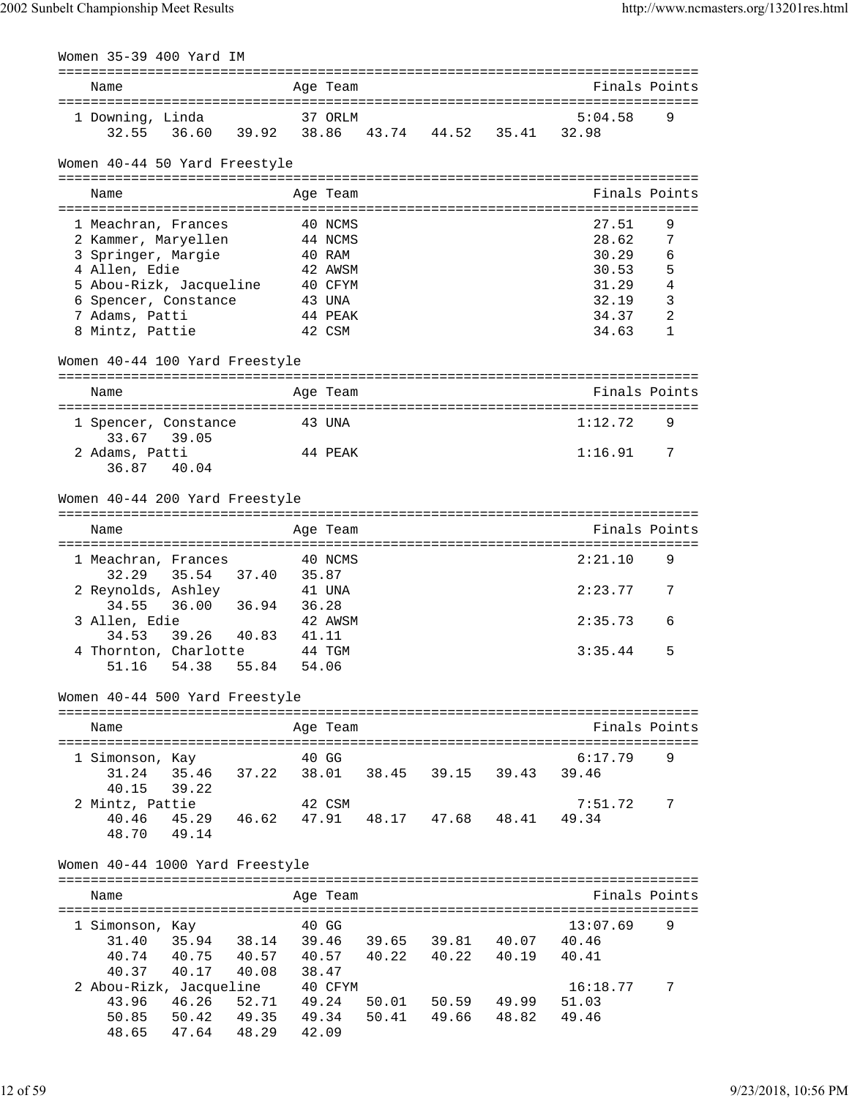| Women 35-39 400 Yard IM                    |       |                    |       |                                       |       |               |                |
|--------------------------------------------|-------|--------------------|-------|---------------------------------------|-------|---------------|----------------|
| Name                                       |       | Age Team           |       |                                       |       | Finals Points |                |
|                                            |       |                    |       |                                       |       |               |                |
| 1 Downing, Linda                           |       | 37 ORLM            |       |                                       |       | 5:04.58       | 9              |
| 32.55<br>36.60                             |       |                    |       | 39.92 38.86 43.74 44.52 35.41         |       | 32.98         |                |
|                                            |       |                    |       |                                       |       |               |                |
| Women 40-44 50 Yard Freestyle              |       |                    |       |                                       |       |               |                |
|                                            |       |                    |       |                                       |       |               |                |
| Name                                       |       | Age Team           |       |                                       |       | Finals Points |                |
|                                            |       |                    |       |                                       |       | 27.51         | 9              |
| 1 Meachran, Frances<br>2 Kammer, Maryellen |       | 40 NCMS<br>44 NCMS |       |                                       |       | 28.62         | 7              |
| 3 Springer, Margie                         |       | 40 RAM             |       |                                       |       | 30.29         | 6              |
| 4 Allen, Edie                              |       | 42 AWSM            |       |                                       |       | 30.53         | 5              |
| 5 Abou-Rizk, Jacqueline                    |       | 40 CFYM            |       |                                       |       | 31.29         | $\overline{4}$ |
| 6 Spencer, Constance                       |       | 43 UNA             |       |                                       |       | 32.19         | $\overline{3}$ |
| 7 Adams, Patti                             |       | 44 PEAK            |       |                                       |       | 34.37         | $\overline{2}$ |
| 8 Mintz, Pattie                            |       | 42 CSM             |       |                                       |       | 34.63         | 1              |
|                                            |       |                    |       |                                       |       |               |                |
| Women 40-44 100 Yard Freestyle             |       |                    |       |                                       |       |               |                |
|                                            |       |                    |       |                                       |       |               |                |
| Name                                       |       | Age Team           |       |                                       |       | Finals Points |                |
| 1 Spencer, Constance                       |       | 43 UNA             |       |                                       |       | 1:12.72       | 9              |
| 33.67<br>39.05                             |       |                    |       |                                       |       |               |                |
| 2 Adams, Patti                             |       | 44 PEAK            |       |                                       |       | 1:16.91       | 7              |
| 36.87<br>40.04                             |       |                    |       |                                       |       |               |                |
|                                            |       |                    |       |                                       |       |               |                |
| Women 40-44 200 Yard Freestyle             |       |                    |       |                                       |       |               |                |
|                                            |       |                    |       |                                       |       |               |                |
| Name                                       |       | Age Team           |       |                                       |       | Finals Points |                |
|                                            |       |                    |       |                                       |       |               |                |
| 1 Meachran, Frances                        |       | 40 NCMS            |       |                                       |       | 2:21.10       | 9              |
| 35.54<br>32.29<br>37.40                    | 35.87 |                    |       |                                       |       |               | 7              |
| 2 Reynolds, Ashley<br>36.00 36.94<br>34.55 | 36.28 | 41 UNA             |       |                                       |       | 2:23.77       |                |
| 3 Allen, Edie                              |       | 42 AWSM            |       |                                       |       | 2:35.73       | 6              |
| 34.53<br>39.26 40.83                       | 41.11 |                    |       |                                       |       |               |                |
| 4 Thornton, Charlotte                      |       | 44 TGM             |       |                                       |       | 3:35.44       | 5              |
| 51.16<br>54.38<br>55.84                    |       | 54.06              |       |                                       |       |               |                |
|                                            |       |                    |       |                                       |       |               |                |
| Women 40-44 500 Yard Freestyle             |       |                    |       |                                       |       |               |                |
| ------------------------------             |       |                    |       | ===================================== |       |               |                |
| Name                                       |       | Age Team           |       |                                       |       | Finals Points |                |
|                                            |       |                    |       |                                       |       |               |                |
| 1 Simonson, Kay                            |       | 40 GG              |       |                                       |       | 6:17.79       | 9              |
| 31.24 35.46<br>37.22                       |       | 38.01              |       | 38.45 39.15 39.43                     |       | 39.46         |                |
| 39.22<br>40.15                             |       |                    |       |                                       |       |               |                |
| 2 Mintz, Pattie                            |       | 42 CSM             |       |                                       |       | 7:51.72       | 7              |
| 40.46<br>45.29<br>46.62                    |       | 47.91              |       | 48.17 47.68 48.41                     |       | 49.34         |                |
| 48.70<br>49.14                             |       |                    |       |                                       |       |               |                |
| Women 40-44 1000 Yard Freestyle            |       |                    |       |                                       |       |               |                |
|                                            |       |                    |       |                                       |       |               |                |
| Name                                       |       | Age Team           |       |                                       |       | Finals Points |                |
|                                            |       |                    |       |                                       |       |               |                |
| 1 Simonson, Kay                            |       | 40 GG              |       |                                       |       | 13:07.69      | 9              |
| 35.94<br>31.40<br>38.14                    |       | 39.46              |       | 39.65 39.81                           | 40.07 | 40.46         |                |
| 40.74<br>40.75<br>40.57                    |       | 40.57              | 40.22 | 40.22                                 | 40.19 | 40.41         |                |
| 40.17<br>40.37<br>40.08                    |       | 38.47              |       |                                       |       |               |                |
| 2 Abou-Rizk, Jacqueline                    |       | 40 CFYM            |       |                                       |       | 16:18.77      | 7              |
| 46.26<br>43.96<br>52.71                    | 49.24 |                    | 50.01 | 50.59 49.99                           |       | 51.03         |                |
| 50.85<br>50.42<br>49.35                    |       | 49.34              | 50.41 | 49.66                                 | 48.82 | 49.46         |                |
| 48.65<br>47.64<br>48.29                    | 42.09 |                    |       |                                       |       |               |                |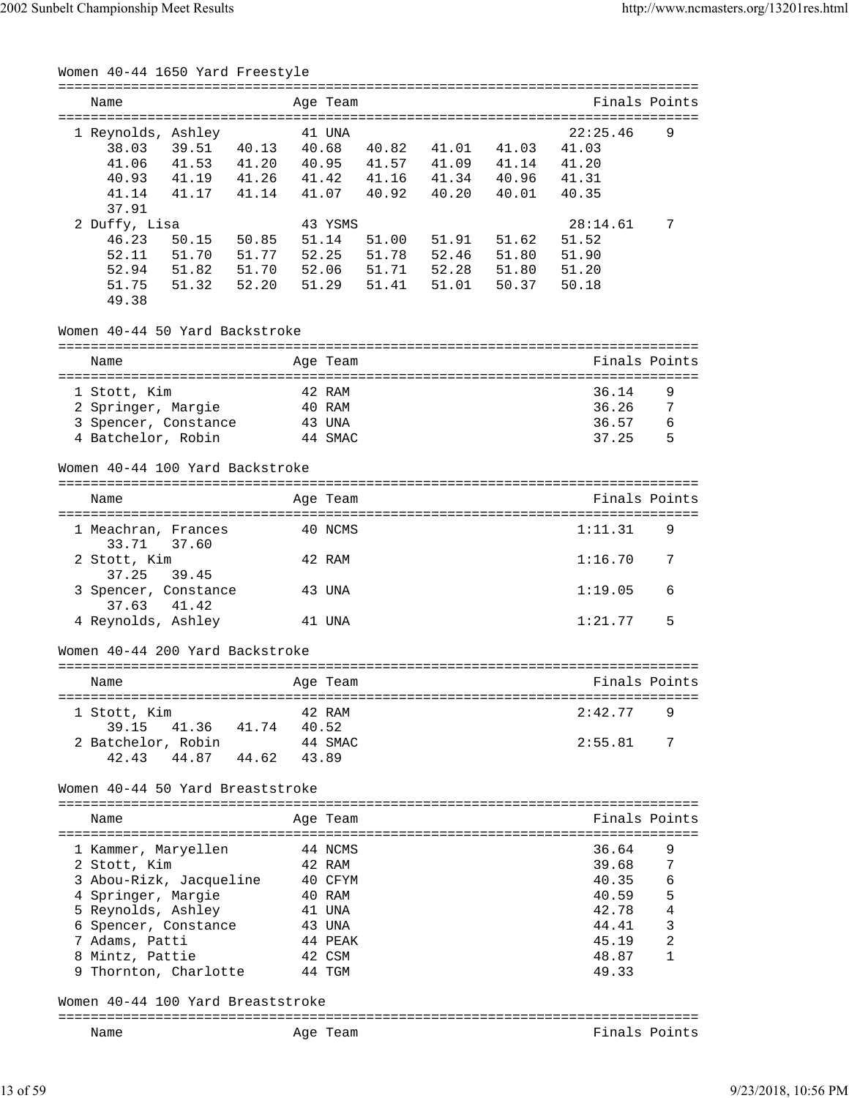| Women 40-44 1650 Yard Freestyle                   |                                                                                                                     |          |       |                            |       |               |               |
|---------------------------------------------------|---------------------------------------------------------------------------------------------------------------------|----------|-------|----------------------------|-------|---------------|---------------|
| Name                                              |                                                                                                                     | Age Team |       |                            |       | Finals Points |               |
| 1 Reynolds, Ashley                                |                                                                                                                     | 41 UNA   |       |                            |       | 22:25.46      | 9             |
| 39.51 40.13<br>38.03                              |                                                                                                                     |          |       | 40.68  40.82  41.01  41.03 |       | 41.03         |               |
| 41.53 41.20 40.95 41.57 41.09 41.14<br>41.06      |                                                                                                                     |          |       |                            |       | 41.20         |               |
| 41.19  41.26  41.42  41.16  41.34  40.96<br>40.93 |                                                                                                                     |          |       |                            |       | 41.31         |               |
| 41.14<br>41.17 41.14                              |                                                                                                                     | 41.07    | 40.92 | 40.20                      | 40.01 | 40.35         |               |
| 37.91                                             |                                                                                                                     |          |       |                            |       |               |               |
|                                                   |                                                                                                                     |          |       |                            |       |               |               |
| 2 Duffy, Lisa                                     |                                                                                                                     | 43 YSMS  |       |                            |       | 28:14.61      | 7             |
| 46.23<br>50.15 50.85                              |                                                                                                                     | 51.14    | 51.00 | 51.91                      | 51.62 | 51.52         |               |
| 52.11<br>51.70                                    | 51.77<br>52.25                                                                                                      |          | 51.78 | 52.46                      | 51.80 | 51.90         |               |
| 52.94<br>51.82                                    | 51.70<br>52.06                                                                                                      |          |       | 51.71 52.28                | 51.80 | 51.20         |               |
| 51.75<br>51.32                                    | 52.20<br>51.29                                                                                                      |          | 51.41 | 51.01                      | 50.37 | 50.18         |               |
| 49.38                                             |                                                                                                                     |          |       |                            |       |               |               |
| Women 40-44 50 Yard Backstroke                    |                                                                                                                     |          |       |                            |       |               |               |
| Name                                              |                                                                                                                     | Age Team |       |                            |       | Finals Points |               |
|                                                   |                                                                                                                     |          |       |                            |       |               |               |
| 1 Stott, Kim                                      |                                                                                                                     | 42 RAM   |       |                            |       | 36.14         | 9             |
| 2 Springer, Margie                                |                                                                                                                     | 40 RAM   |       |                            |       | 36.26         | 7             |
| 3 Spencer, Constance                              |                                                                                                                     | 43 UNA   |       |                            |       | 36.57         | 6             |
| 4 Batchelor, Robin                                |                                                                                                                     | 44 SMAC  |       |                            |       | 37.25         | 5             |
| Women 40-44 100 Yard Backstroke                   |                                                                                                                     |          |       |                            |       |               |               |
| Name                                              |                                                                                                                     | Age Team |       |                            |       | Finals Points |               |
|                                                   |                                                                                                                     |          |       |                            |       |               |               |
| 1 Meachran, Frances<br>37.60<br>33.71             |                                                                                                                     | 40 NCMS  |       |                            |       | 1:11.31       | 9             |
| 2 Stott, Kim<br>37.25<br>39.45                    |                                                                                                                     | 42 RAM   |       |                            |       | 1:16.70       | 7             |
| 3 Spencer, Constance<br>37.63<br>41.42            |                                                                                                                     | 43 UNA   |       |                            |       | 1:19.05       | 6             |
| 4 Reynolds, Ashley                                |                                                                                                                     | 41 UNA   |       |                            |       | 1:21.77       | 5             |
| Women 40-44 200 Yard Backstroke                   |                                                                                                                     |          |       |                            |       |               |               |
| Name                                              | and the Superior Press, and the Superior Press, and the Superior Press, and the Superior Press, and the Superior Pr |          |       |                            |       |               | Finals Points |
|                                                   |                                                                                                                     |          |       |                            |       |               |               |
| 1 Stott, Kim                                      |                                                                                                                     | 42 RAM   |       |                            |       | 2:42.77       | 9             |
| 39.15<br>41.36 41.74                              |                                                                                                                     | 40.52    |       |                            |       |               |               |
| 2 Batchelor, Robin                                |                                                                                                                     | 44 SMAC  |       |                            |       | 2:55.81       | 7             |
| 44.87 44.62<br>42.43                              | 43.89                                                                                                               |          |       |                            |       |               |               |
| Women 40-44 50 Yard Breaststroke                  |                                                                                                                     |          |       |                            |       |               |               |
|                                                   |                                                                                                                     |          |       |                            |       |               |               |
| Name                                              |                                                                                                                     | Age Team |       |                            |       | Finals Points |               |
| 1 Kammer, Maryellen                               |                                                                                                                     | 44 NCMS  |       |                            |       | 36.64         | 9             |
| 2 Stott, Kim                                      |                                                                                                                     | 42 RAM   |       |                            |       | 39.68         | 7             |
| 3 Abou-Rizk, Jacqueline                           |                                                                                                                     | 40 CFYM  |       |                            |       | 40.35         | 6             |
| 4 Springer, Margie                                |                                                                                                                     | 40 RAM   |       |                            |       | 40.59         | 5             |
| 5 Reynolds, Ashley                                |                                                                                                                     | 41 UNA   |       |                            |       | 42.78         | $\sqrt{4}$    |
|                                                   |                                                                                                                     |          |       |                            |       | 44.41         | $\mathbf{3}$  |
| 6 Spencer, Constance                              |                                                                                                                     | 43 UNA   |       |                            |       |               |               |
| 7 Adams, Patti                                    |                                                                                                                     | 44 PEAK  |       |                            |       | 45.19         | 2             |
| 8 Mintz, Pattie                                   |                                                                                                                     | 42 CSM   |       |                            |       | 48.87         | 1             |
| 9 Thornton, Charlotte                             |                                                                                                                     | 44 TGM   |       |                            |       | 49.33         |               |
| Women 40-44 100 Yard Breaststroke                 |                                                                                                                     |          |       |                            |       |               |               |
| Name                                              |                                                                                                                     | Age Team |       |                            |       | Finals Points |               |
|                                                   |                                                                                                                     |          |       |                            |       |               |               |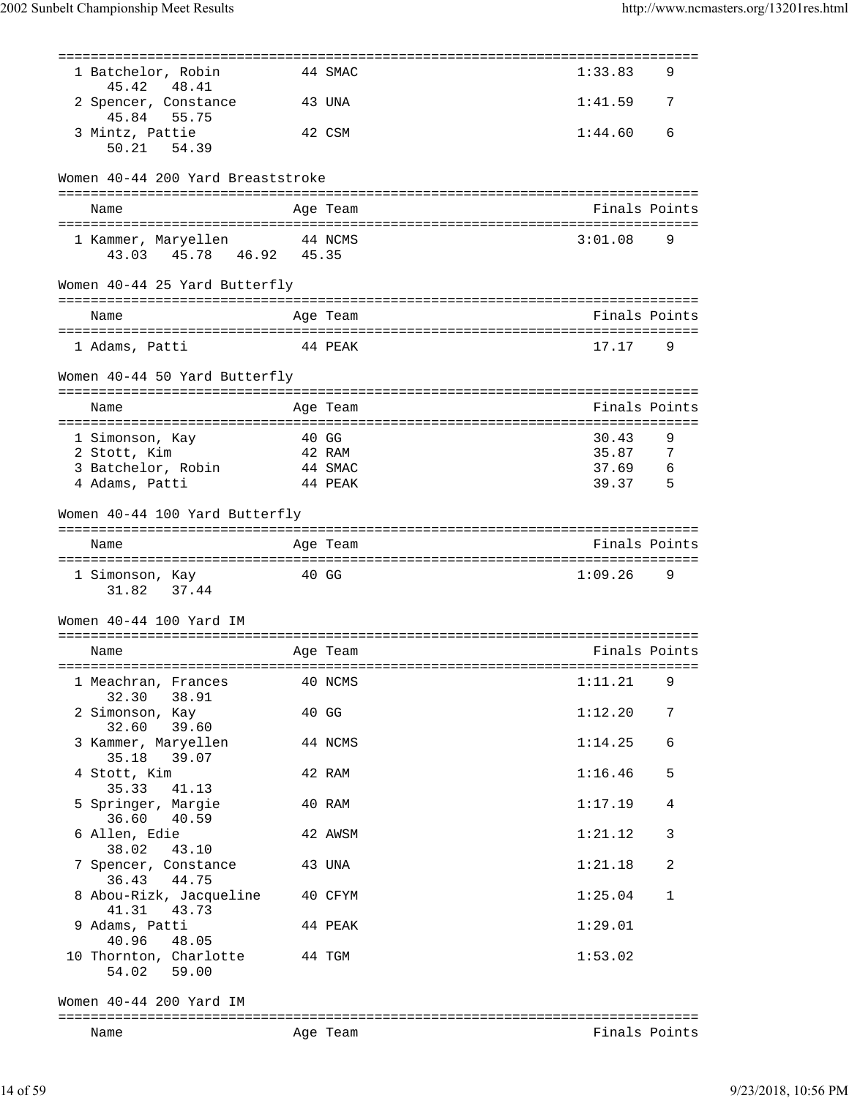| Name                                                              |                  | Age Team                                    | Finals Points      |        |
|-------------------------------------------------------------------|------------------|---------------------------------------------|--------------------|--------|
| Women 40-44 200 Yard IM                                           |                  |                                             |                    |        |
| 54.02 59.00                                                       |                  |                                             |                    |        |
| 40.96<br>48.05<br>10 Thornton, Charlotte                          |                  | 44 TGM                                      | 1:53.02            |        |
| 41.31<br>43.73<br>9 Adams, Patti                                  |                  | 40 CFYM<br>44 PEAK                          | 1:29.01            |        |
| 7 Spencer, Constance<br>36.43<br>44.75<br>8 Abou-Rizk, Jacqueline |                  | 43 UNA                                      | 1:21.18<br>1:25.04 | 2<br>1 |
| 6 Allen, Edie<br>38.02<br>43.10                                   |                  | 42 AWSM                                     | 1:21.12            | 3      |
| 5 Springer, Margie<br>36.60<br>40.59                              |                  | 40 RAM                                      | 1:17.19            | 4      |
| 4 Stott, Kim<br>35.33<br>41.13                                    |                  | 42 RAM                                      | 1:16.46            | 5      |
| 3 Kammer, Maryellen<br>35.18<br>39.07                             |                  | 44 NCMS                                     | 1:14.25            | 6      |
| 2 Simonson, Kay<br>39.60<br>32.60                                 |                  | 40 GG                                       | 1:12.20            | 7      |
| 1 Meachran, Frances<br>32.30<br>38.91                             |                  | 40 NCMS                                     | 1:11.21            | 9      |
| Name                                                              |                  | Age Team                                    | Finals Points      |        |
|                                                                   |                  |                                             |                    |        |
| 37.44<br>31.82<br>Women 40-44 100 Yard IM                         |                  |                                             |                    |        |
| 1 Simonson, Kay                                                   |                  | 40 GG                                       | 1:09.26            | 9      |
| Name                                                              |                  | Age Team                                    | Finals Points      |        |
| Women 40-44 100 Yard Butterfly                                    |                  |                                             |                    |        |
| 4 Adams, Patti                                                    |                  | 44 PEAK                                     | 39.37              | 5      |
| 3 Batchelor, Robin                                                |                  | 44 SMAC                                     | 37.69              | 6      |
| 2 Stott, Kim                                                      |                  | 42 RAM                                      | 35.87              | 7      |
| 1 Simonson, Kay                                                   |                  | 40 GG                                       | 30.43              | 9      |
| Name                                                              |                  | Age Team                                    | Finals Points      |        |
|                                                                   |                  |                                             |                    |        |
| Women 40-44 50 Yard Butterfly                                     |                  |                                             |                    |        |
| 1 Adams, Patti                                                    |                  | 44 PEAK                                     | 17.17              | 9      |
| Name                                                              |                  | Age Team                                    | Finals Points      |        |
| Women 40-44 25 Yard Butterfly                                     |                  |                                             |                    |        |
| 1 Kammer, Maryellen<br>45.78 46.92<br>43.03                       | 44 NCMS<br>45.35 |                                             | 3:01.08            | 9      |
| Name                                                              |                  | Age Team                                    | Finals Points      |        |
|                                                                   |                  |                                             |                    |        |
| Women 40-44 200 Yard Breaststroke                                 |                  |                                             |                    |        |
| 3 Mintz, Pattie<br>50.21 54.39                                    |                  | 42 CSM                                      | 1:44.60            | 6      |
| 2 Spencer, Constance<br>45.84<br>55.75                            |                  | 43 UNA                                      | 1:41.59            | 7      |
| 45.42<br>48.41                                                    |                  |                                             |                    |        |
| 1 Batchelor, Robin                                                |                  | ================================<br>44 SMAC | 1:33.83            | 9      |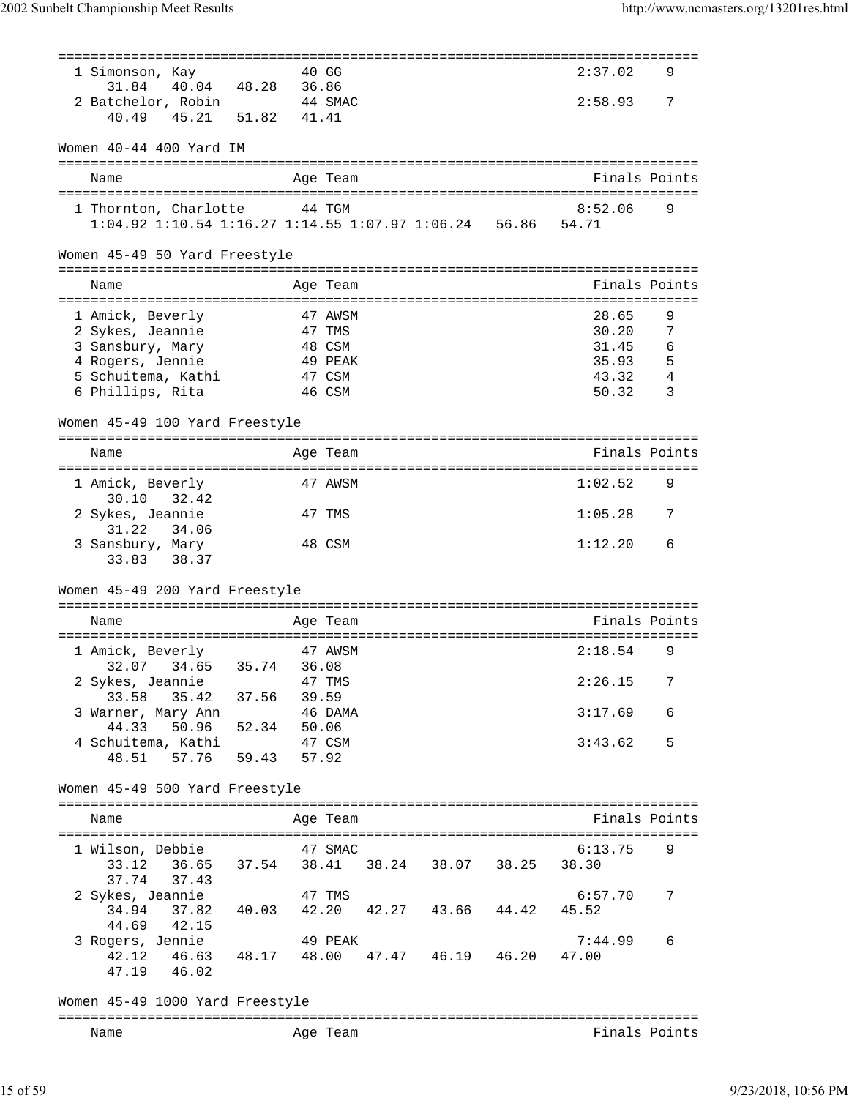| -------------------------------------                 |                                     |          |  | ---------------------------       |   |
|-------------------------------------------------------|-------------------------------------|----------|--|-----------------------------------|---|
| 1 Simonson, Kay                                       |                                     | 40 GG    |  | 2:37.02                           | 9 |
| 31.84                                                 | 40.04 48.28 36.86                   |          |  |                                   |   |
| 2 Batchelor, Robin                                    |                                     | 44 SMAC  |  | 2:58.93                           | 7 |
| 45.21 51.82<br>40.49                                  |                                     | 41.41    |  |                                   |   |
|                                                       |                                     |          |  |                                   |   |
| Women 40-44 400 Yard IM                               |                                     |          |  |                                   |   |
|                                                       |                                     |          |  |                                   |   |
|                                                       |                                     |          |  |                                   |   |
| Name                                                  |                                     | Age Team |  | Finals Points                     |   |
|                                                       |                                     |          |  |                                   |   |
| 1 Thornton, Charlotte                                 |                                     | 44 TGM   |  | 8:52.06                           | 9 |
| 1:04.92 1:10.54 1:16.27 1:14.55 1:07.97 1:06.24 56.86 |                                     |          |  | 54.71                             |   |
|                                                       |                                     |          |  |                                   |   |
| Women 45-49 50 Yard Freestyle                         |                                     |          |  |                                   |   |
|                                                       |                                     |          |  |                                   |   |
| Name                                                  |                                     | Age Team |  | Finals Points                     |   |
| :=======================                              | =================                   |          |  |                                   |   |
| 1 Amick, Beverly                                      |                                     | 47 AWSM  |  | 28.65                             | 9 |
| 2 Sykes, Jeannie                                      |                                     | 47 TMS   |  | 30.20                             | 7 |
| 3 Sansbury, Mary                                      |                                     | 48 CSM   |  | 31.45                             | 6 |
| 4 Rogers, Jennie                                      |                                     | 49 PEAK  |  | 35.93                             | 5 |
| 5 Schuitema, Kathi                                    |                                     | 47 CSM   |  | 43.32                             | 4 |
| 6 Phillips, Rita                                      |                                     | 46 CSM   |  | 50.32                             | 3 |
|                                                       |                                     |          |  |                                   |   |
| Women 45-49 100 Yard Freestyle                        |                                     |          |  |                                   |   |
|                                                       |                                     |          |  | ------------------------------    |   |
| Name                                                  |                                     | Age Team |  | Finals Points                     |   |
|                                                       |                                     |          |  | ================================= |   |
| 1 Amick, Beverly<br>30.10<br>32.42                    |                                     | 47 AWSM  |  | 1:02.52                           | 9 |
| 2 Sykes, Jeannie                                      |                                     | 47 TMS   |  | 1:05.28                           | 7 |
| 31.22<br>34.06                                        |                                     |          |  |                                   |   |
| 3 Sansbury, Mary                                      |                                     | 48 CSM   |  | 1:12.20                           | 6 |
| 33.83<br>38.37                                        |                                     |          |  |                                   |   |
|                                                       |                                     |          |  |                                   |   |
| Women 45-49 200 Yard Freestyle                        |                                     |          |  |                                   |   |
|                                                       |                                     |          |  |                                   |   |
| Name                                                  |                                     | Age Team |  | Finals Points                     |   |
|                                                       |                                     |          |  |                                   |   |
| 1 Amick, Beverly                                      |                                     | 47 AWSM  |  | 2:18.54                           | 9 |
| 34.65<br>32.07                                        | 35.74                               | 36.08    |  |                                   |   |
| 2 Sykes, Jeannie                                      |                                     | 47 TMS   |  | 2:26.15                           | 7 |
| 33.58<br>35.42 37.56                                  |                                     | 39.59    |  |                                   |   |
| 3 Warner, Mary Ann                                    |                                     | 46 DAMA  |  | 3:17.69                           | 6 |
| 44.33                                                 | 50.96 52.34 50.06                   |          |  |                                   |   |
| 4 Schuitema, Kathi                                    |                                     | 47 CSM   |  | 3:43.62                           | 5 |
| 57.76 59.43<br>48.51                                  | 57.92                               |          |  |                                   |   |
|                                                       |                                     |          |  |                                   |   |
| Women 45-49 500 Yard Freestyle                        |                                     |          |  |                                   |   |
|                                                       |                                     |          |  |                                   |   |
|                                                       |                                     |          |  |                                   |   |
| Name                                                  |                                     | Age Team |  | Finals Points                     |   |
|                                                       |                                     |          |  |                                   | 9 |
| 1 Wilson, Debbie                                      |                                     | 47 SMAC  |  | 6:13.75                           |   |
| 33.12 36.65 37.54 38.41 38.24 38.07 38.25             |                                     |          |  | 38.30                             |   |
| 37.74 37.43                                           |                                     |          |  |                                   |   |
| 2 Sykes, Jeannie                                      |                                     | 47 TMS   |  | 6:57.70                           | 7 |
| 34.94                                                 | 37.82 40.03 42.20 42.27 43.66 44.42 |          |  | 45.52                             |   |
| 44.69<br>42.15                                        |                                     |          |  |                                   |   |
| 3 Rogers, Jennie                                      |                                     | 49 PEAK  |  | 7:44.99                           | 6 |
| 42.12 46.63 48.17 48.00 47.47 46.19 46.20             |                                     |          |  | 47.00                             |   |
| 47.19 46.02                                           |                                     |          |  |                                   |   |
|                                                       |                                     |          |  |                                   |   |
| Women 45-49 1000 Yard Freestyle                       |                                     |          |  |                                   |   |
|                                                       |                                     |          |  |                                   |   |
| Name                                                  |                                     | Age Team |  | Finals Points                     |   |
|                                                       |                                     |          |  |                                   |   |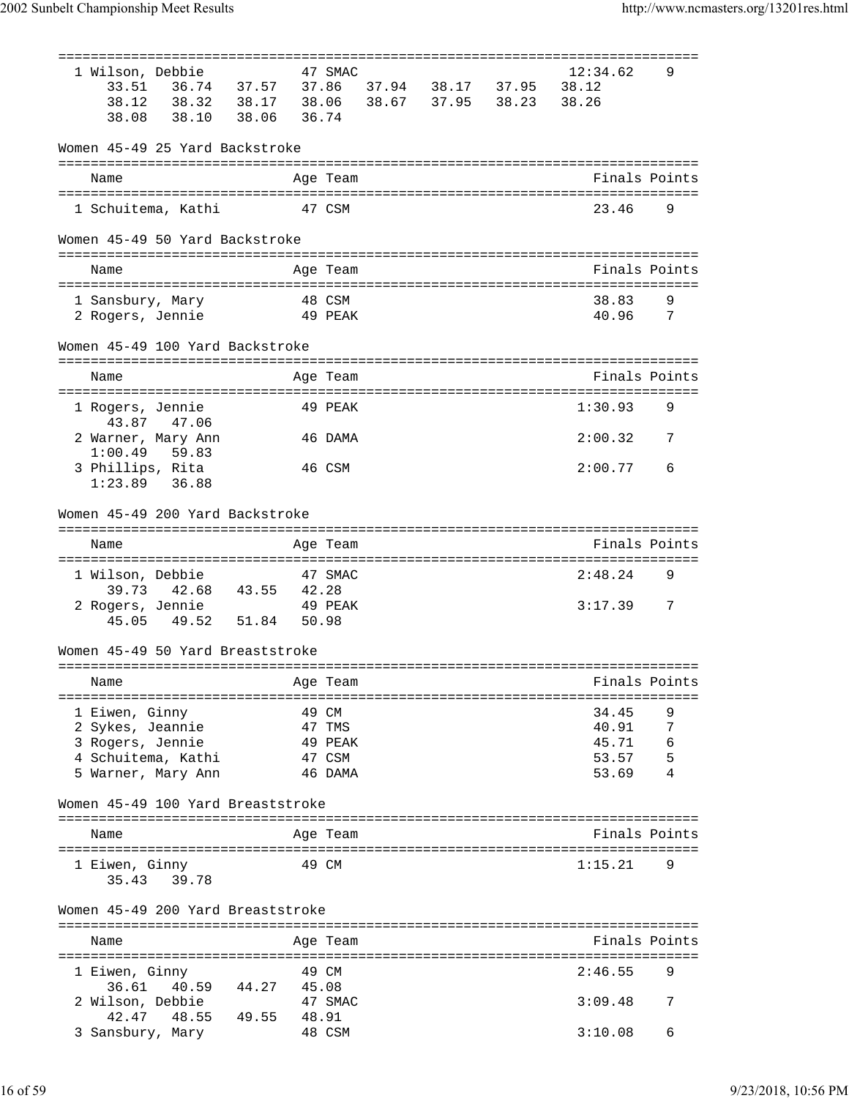| 1 Wilson, Debbie                              |         | 47 SMAC  |                                                    | 12:34.62      | 9 |
|-----------------------------------------------|---------|----------|----------------------------------------------------|---------------|---|
| 33.51<br>، د. <i>، ۱</i> 36.74<br>38.32 38.17 |         |          | 37.86 37.94 38.17 37.95<br>38.06 38.67 37.95 38.23 | 38.12         |   |
| 38.12                                         |         |          |                                                    | 38.26         |   |
| 38.08<br>38.10<br>38.06                       | 36.74   |          |                                                    |               |   |
| Women 45-49 25 Yard Backstroke                |         |          |                                                    |               |   |
|                                               |         |          |                                                    |               |   |
| Name                                          |         | Age Team |                                                    | Finals Points |   |
|                                               | 47 CSM  |          |                                                    | 23.46         | 9 |
| 1 Schuitema, Kathi                            |         |          |                                                    |               |   |
| Women 45-49 50 Yard Backstroke                |         |          |                                                    |               |   |
| Name                                          |         | Age Team |                                                    | Finals Points |   |
| 1 Sansbury, Mary                              |         | 48 CSM   |                                                    | 38.83         | 9 |
| 2 Rogers, Jennie<br>49 PEAK                   |         |          |                                                    | 40.96         | 7 |
|                                               |         |          |                                                    |               |   |
| Women 45-49 100 Yard Backstroke               |         |          |                                                    |               |   |
| Name                                          |         | Age Team |                                                    | Finals Points |   |
|                                               |         |          |                                                    |               |   |
| 1 Rogers, Jennie                              |         | 49 PEAK  |                                                    | 1:30.93       | 9 |
| 43.87 47.06                                   |         |          |                                                    |               |   |
| 2 Warner, Mary Ann<br>1:00.49<br>59.83        |         | 46 DAMA  |                                                    | 2:00.32       | 7 |
| 3 Phillips, Rita                              |         | 46 CSM   |                                                    | 2:00.77       | 6 |
| $1:23.89$ 36.88                               |         |          |                                                    |               |   |
|                                               |         |          |                                                    |               |   |
| Women 45-49 200 Yard Backstroke               |         |          |                                                    |               |   |
|                                               |         |          |                                                    | Finals Points |   |
| Name                                          |         | Age Team |                                                    |               |   |
| 1 Wilson, Debbie                              |         | 47 SMAC  |                                                    | 2:48.24       | 9 |
| 39.73 42.68 43.55 42.28                       |         |          |                                                    |               |   |
| 2 Rogers, Jennie                              | 49 PEAK |          |                                                    | 3:17.39       | 7 |
| 49.52 51.84<br>45.05                          | 50.98   |          |                                                    |               |   |
| Women 45-49 50 Yard Breaststroke              |         |          |                                                    |               |   |
| Name                                          |         | Age Team |                                                    | Finals Points |   |
|                                               |         |          |                                                    |               |   |
| 1 Eiwen, Ginny                                |         | 49 CM    |                                                    | 34.45         | 9 |
| 2 Sykes, Jeannie                              |         | 47 TMS   |                                                    | 40.91         | 7 |
| 3 Rogers, Jennie                              |         | 49 PEAK  |                                                    | 45.71         | 6 |
| 4 Schuitema, Kathi                            |         | 47 CSM   |                                                    | 53.57         | 5 |
| 5 Warner, Mary Ann                            |         | 46 DAMA  |                                                    | 53.69         | 4 |
| Women 45-49 100 Yard Breaststroke             |         |          |                                                    |               |   |
| Name                                          |         | Age Team |                                                    | Finals Points |   |
|                                               |         |          |                                                    |               |   |
| 1 Eiwen, Ginny<br>35.43 39.78                 |         | 49 CM    |                                                    | 1:15.21       | 9 |
|                                               |         |          |                                                    |               |   |
| Women 45-49 200 Yard Breaststroke             |         |          |                                                    |               |   |
| Name                                          |         | Age Team |                                                    | Finals Points |   |
|                                               |         |          |                                                    |               |   |
| 1 Eiwen, Ginny                                |         | 49 CM    |                                                    | 2:46.55       | 9 |
| 40.59<br>44.27<br>36.61                       | 45.08   |          |                                                    |               |   |
| 2 Wilson, Debbie<br>42.47                     |         | 47 SMAC  |                                                    | 3:09.48       | 7 |
| 48.55<br>49.55<br>3 Sansbury, Mary            | 48.91   | 48 CSM   |                                                    | 3:10.08       | 6 |
|                                               |         |          |                                                    |               |   |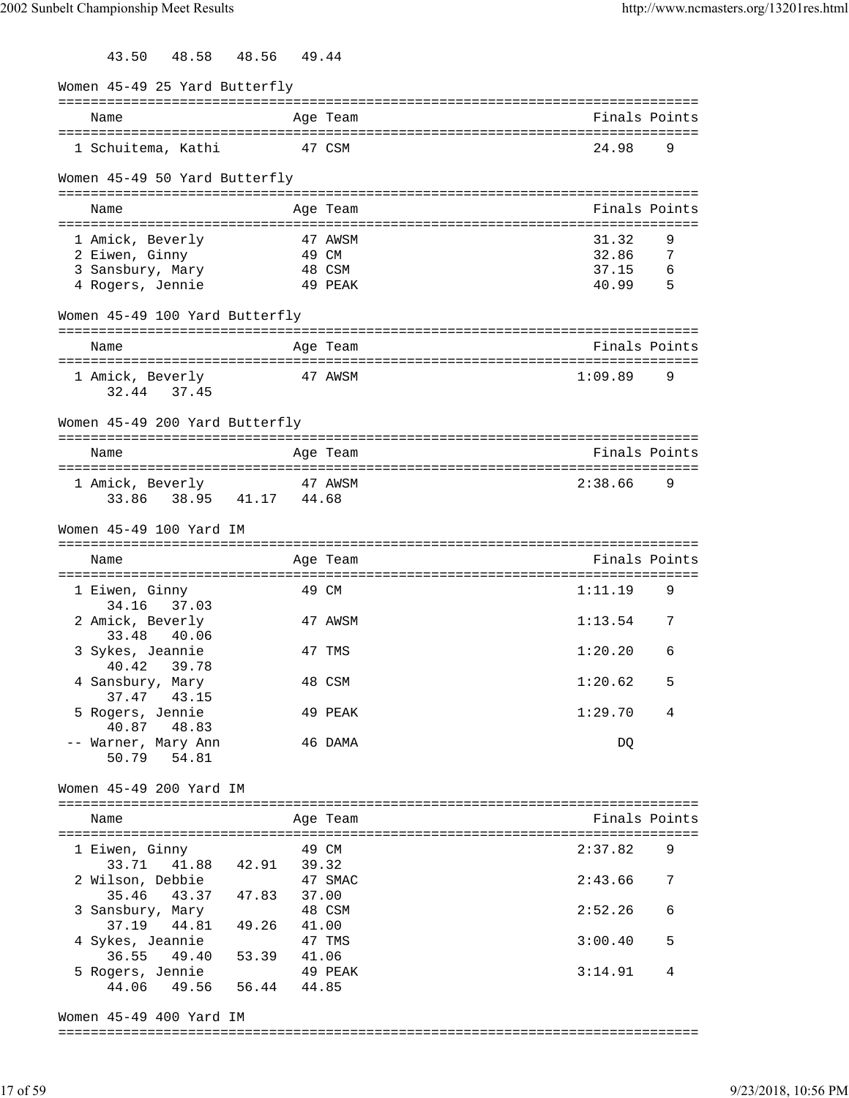| 48.58<br>43.50                            | 48.56             | 49.44 |          |                                                |     |
|-------------------------------------------|-------------------|-------|----------|------------------------------------------------|-----|
| Women 45-49 25 Yard Butterfly             |                   |       |          |                                                |     |
| Name                                      |                   |       | Age Team | =============================<br>Finals Points |     |
| 1 Schuitema, Kathi                        |                   |       | 47 CSM   | 24.98                                          | 9   |
| Women 45-49 50 Yard Butterfly             |                   |       |          |                                                |     |
| Name                                      |                   |       | Age Team | Finals Points                                  |     |
| 1 Amick, Beverly                          |                   |       | 47 AWSM  | 31.32                                          | 9   |
| 2 Eiwen, Ginny                            |                   | 49 CM |          | 32.86                                          | 7   |
| 3 Sansbury, Mary                          |                   |       | 48 CSM   | 37.15                                          | 6   |
| 4 Rogers, Jennie                          |                   |       | 49 PEAK  | 40.99                                          | - 5 |
| Women 45-49 100 Yard Butterfly            |                   |       |          |                                                |     |
| Name                                      |                   |       | Age Team | Finals Points                                  |     |
|                                           |                   |       |          |                                                |     |
| 1 Amick, Beverly                          |                   |       | 47 AWSM  | 1:09.89                                        | 9   |
| 32.44 37.45                               |                   |       |          |                                                |     |
| Women 45-49 200 Yard Butterfly            |                   |       |          |                                                |     |
| Name                                      |                   |       | Age Team | Finals Points                                  |     |
|                                           |                   |       |          |                                                |     |
| 1 Amick, Beverly                          |                   |       | 47 AWSM  | 2:38.66                                        | 9   |
| 33.86                                     | 38.95 41.17 44.68 |       |          |                                                |     |
| Women 45-49 100 Yard IM                   |                   |       |          |                                                |     |
|                                           |                   |       |          |                                                |     |
| Name                                      |                   |       | Age Team | Finals Points                                  |     |
|                                           |                   |       |          |                                                |     |
| 1 Eiwen, Ginny<br>34.16<br>37.03          |                   |       | 49 CM    | 1:11.19                                        | 9   |
| 2 Amick, Beverly                          |                   |       | 47 AWSM  | 1:13.54                                        | 7   |
| 33.48<br>40.06                            |                   |       |          |                                                |     |
| 3 Sykes, Jeannie                          |                   |       | 47 TMS   | 1:20.20                                        | 6   |
| 40.42 39.78<br>4 Sansbury, Mary           |                   |       | 48 CSM   | 1:20.62                                        | 5   |
| 37.47<br>43.15                            |                   |       |          |                                                |     |
| 5 Rogers, Jennie                          |                   |       | 49 PEAK  | 1:29.70                                        | 4   |
| 40.87 48.83<br>-- Warner, Mary Ann        |                   |       | 46 DAMA  | DQ                                             |     |
| 50.79 54.81                               |                   |       |          |                                                |     |
|                                           |                   |       |          |                                                |     |
| Women 45-49 200 Yard IM                   |                   |       |          |                                                |     |
| Name                                      |                   |       | Age Team | Finals Points                                  |     |
|                                           |                   |       |          |                                                |     |
| 1 Eiwen, Ginny<br>33.71 41.88 42.91 39.32 |                   |       | 49 CM    | 2:37.82                                        | 9   |
| 2 Wilson, Debbie                          |                   |       | 47 SMAC  | 2:43.66                                        | 7   |
| 35.46 43.37 47.83 37.00                   |                   |       |          |                                                |     |
| 3 Sansbury, Mary                          |                   |       | 48 CSM   | 2:52.26                                        | 6   |
| 37.19                                     | 44.81 49.26 41.00 |       |          |                                                |     |
| 4 Sykes, Jeannie<br>36.55                 | 49.40 53.39 41.06 |       | 47 TMS   | 3:00.40                                        | 5   |
| 5 Rogers, Jennie                          |                   |       | 49 PEAK  | 3:14.91                                        | 4   |
| 44.06 49.56 56.44 44.85                   |                   |       |          |                                                |     |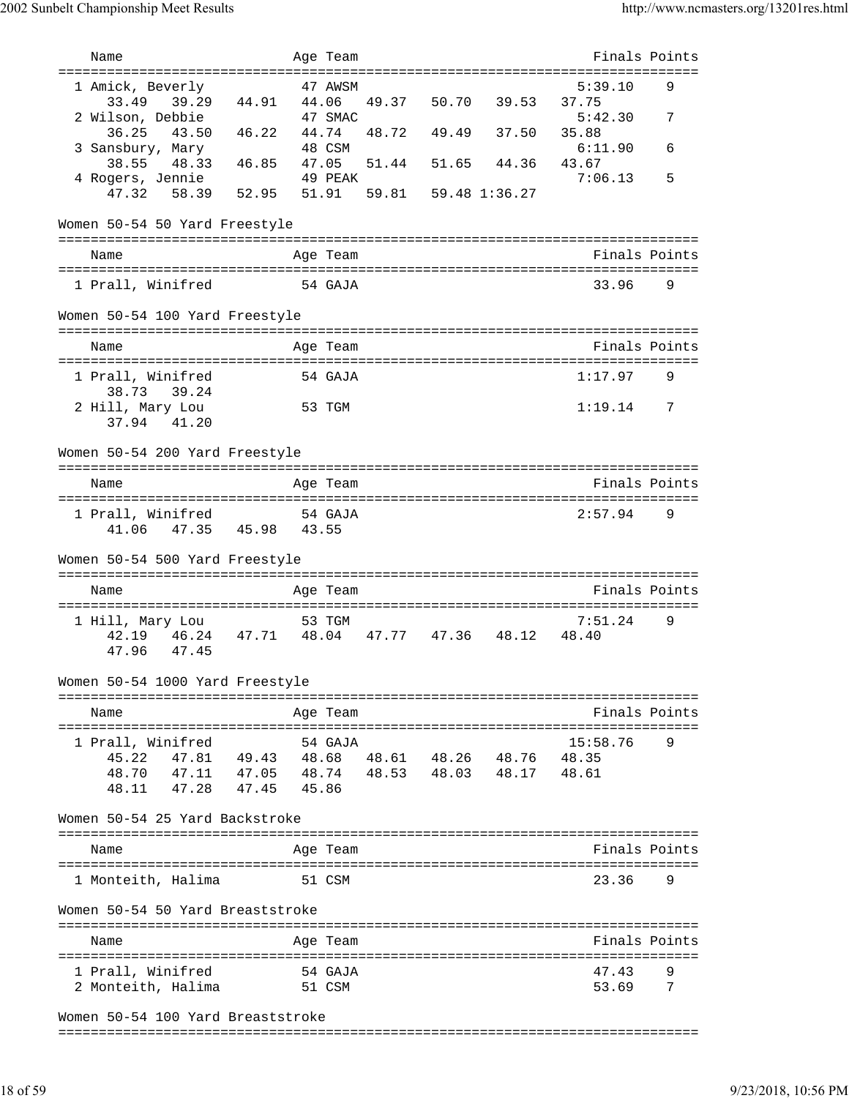| Name                                                     |       | Age Team |       |                     |       | Finals Points                        |     |
|----------------------------------------------------------|-------|----------|-------|---------------------|-------|--------------------------------------|-----|
| ===================================                      |       |          |       |                     |       |                                      |     |
| 1 Amick, Beverly                                         |       | 47 AWSM  |       |                     |       | 5:39.10                              | 9   |
| 33.49<br>39.29<br>44.91 44.06                            |       |          |       | 49.37 50.70 39.53   |       | 37.75                                |     |
| 2 Wilson, Debbie                                         |       | 47 SMAC  |       |                     |       | 5:42.30                              | 7   |
| 36.25<br>43.50<br>46.22                                  | 44.74 |          | 48.72 | 49.49               | 37.50 | 35.88                                |     |
| 3 Sansbury, Mary<br>46.85<br>48.33<br>38.55              | 47.05 | 48 CSM   | 51.44 | 51.65 44.36         |       | 6:11.90<br>43.67                     | 6   |
| 4 Rogers, Jennie                                         |       | 49 PEAK  |       |                     |       | 7:06.13                              | 5   |
| 52.95 51.91<br>47.32<br>58.39                            |       |          |       | 59.81 59.48 1:36.27 |       |                                      |     |
|                                                          |       |          |       |                     |       |                                      |     |
| Women 50-54 50 Yard Freestyle                            |       |          |       |                     |       |                                      |     |
|                                                          |       |          |       |                     |       |                                      |     |
| Name                                                     |       | Age Team |       |                     |       | Finals Points                        |     |
|                                                          |       |          |       |                     |       |                                      |     |
| 1 Prall, Winifred                                        |       | 54 GAJA  |       |                     |       | 33.96                                | 9   |
|                                                          |       |          |       |                     |       |                                      |     |
| Women 50-54 100 Yard Freestyle                           |       |          |       |                     |       |                                      |     |
|                                                          |       |          |       |                     |       |                                      |     |
| Name                                                     |       | Age Team |       |                     |       | Finals Points                        |     |
|                                                          |       |          |       |                     |       |                                      |     |
| 1 Prall, Winifred                                        |       | 54 GAJA  |       |                     |       | 1:17.97                              | 9   |
| 38.73<br>39.24                                           |       |          |       |                     |       |                                      |     |
| 2 Hill, Mary Lou                                         |       | 53 TGM   |       |                     |       | 1:19.14                              | - 7 |
| 37.94<br>41.20                                           |       |          |       |                     |       |                                      |     |
|                                                          |       |          |       |                     |       |                                      |     |
| Women 50-54 200 Yard Freestyle                           |       |          |       |                     |       |                                      |     |
| Name                                                     |       | Age Team |       |                     |       | Finals Points                        |     |
|                                                          |       |          |       |                     |       | :=================================== |     |
| 1 Prall, Winifred                                        |       | 54 GAJA  |       |                     |       | 2:57.94                              | 9   |
| 41.06 47.35 45.98 43.55                                  |       |          |       |                     |       |                                      |     |
|                                                          |       |          |       |                     |       |                                      |     |
| Women 50-54 500 Yard Freestyle                           |       |          |       |                     |       |                                      |     |
|                                                          |       |          |       |                     |       |                                      |     |
| Name                                                     |       | Age Team |       |                     |       | Finals Points                        |     |
|                                                          |       |          |       |                     |       |                                      |     |
| 1 Hill, Mary Lou                                         |       | 53 TGM   |       |                     |       | 7:51.24                              | 9   |
| 42.19  46.24  47.71  48.04  47.77  47.36  48.12          |       |          |       |                     |       | 48.40                                |     |
| 47.96<br>47.45                                           |       |          |       |                     |       |                                      |     |
|                                                          |       |          |       |                     |       |                                      |     |
| Women 50-54 1000 Yard Freestyle                          |       |          |       |                     |       |                                      |     |
| Name                                                     |       | Age Team |       |                     |       | Finals Points                        |     |
|                                                          |       |          |       |                     |       |                                      |     |
| 1 Prall, Winifred                                        |       | 54 GAJA  |       |                     |       | 15:58.76                             | 9   |
| 47.81  49.43  48.68  48.61  48.26  48.76  48.35<br>45.22 |       |          |       |                     |       |                                      |     |
| 48.70 47.11 47.05 48.74 48.53 48.03 48.17 48.61          |       |          |       |                     |       |                                      |     |
| 48.11 47.28 47.45 45.86                                  |       |          |       |                     |       |                                      |     |
|                                                          |       |          |       |                     |       |                                      |     |
| Women 50-54 25 Yard Backstroke                           |       |          |       |                     |       |                                      |     |
|                                                          |       |          |       |                     |       |                                      |     |
| Name                                                     |       | Age Team |       |                     |       | Finals Points                        |     |
|                                                          |       |          |       |                     |       |                                      |     |
| 1 Monteith, Halima                                       |       | 51 CSM   |       |                     |       | 23.36                                | 9   |
|                                                          |       |          |       |                     |       |                                      |     |
| Women 50-54 50 Yard Breaststroke                         |       |          |       |                     |       |                                      |     |
|                                                          |       |          |       |                     |       |                                      |     |
|                                                          |       |          |       |                     |       |                                      |     |
| Name                                                     |       | Age Team |       |                     |       | Finals Points                        |     |
|                                                          |       |          |       |                     |       |                                      |     |
| 1 Prall, Winifred                                        |       | 54 GAJA  |       |                     |       | 47.43                                | 9   |
| 2 Monteith, Halima                                       |       | 51 CSM   |       |                     |       | 53.69                                | 7   |

Women 50-54 100 Yard Breaststroke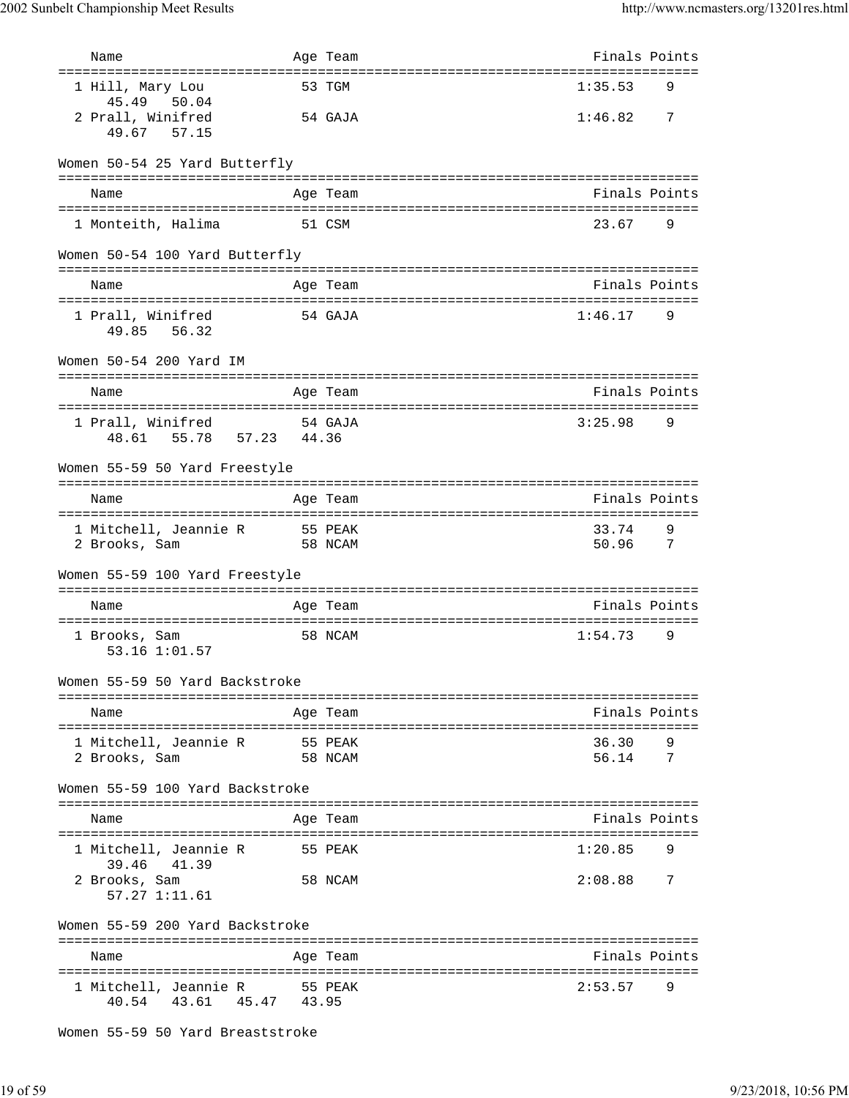| Name                                                                   |       | Age Team           | Finals Points                                         |          |
|------------------------------------------------------------------------|-------|--------------------|-------------------------------------------------------|----------|
| ===================================<br>1 Hill, Mary Lou<br>45.49 50.04 |       | 53 TGM             | ======================<br>1:35.53                     | 9        |
| 2 Prall, Winifred<br>49.67<br>57.15                                    |       | 54 GAJA            | 1:46.82                                               | 7        |
| Women 50-54 25 Yard Butterfly                                          |       |                    |                                                       |          |
| Name                                                                   |       | Age Team           | Finals Points                                         |          |
| 1 Monteith, Halima                                                     |       | 51 CSM             | 23.67                                                 | 9        |
| Women 50-54 100 Yard Butterfly                                         |       |                    |                                                       |          |
| Name                                                                   |       | Age Team           | Finals Points                                         |          |
| 1 Prall, Winifred<br>49.85 56.32                                       |       | 54 GAJA            | 1:46.17                                               | 9        |
| Women 50-54 200 Yard IM                                                |       |                    |                                                       |          |
| Name                                                                   |       | Age Team           | Finals Points                                         |          |
| 1 Prall, Winifred<br>48.61 55.78 57.23 44.36                           |       | 54 GAJA            | 3:25.98                                               | 9        |
| Women 55-59 50 Yard Freestyle                                          |       |                    |                                                       |          |
| Name                                                                   |       | Age Team           | Finals Points                                         |          |
| 1 Mitchell, Jeannie R 55 PEAK<br>2 Brooks, Sam                         |       | 58 NCAM            | ===================================<br>33.74<br>50.96 | 9<br>- 7 |
| Women 55-59 100 Yard Freestyle                                         |       |                    |                                                       |          |
| Name                                                                   |       | Age Team           | Finals Points                                         |          |
| 1 Brooks, Sam<br>53.16 1:01.57                                         |       | 58 NCAM            | 1:54.73                                               | 9        |
| Women 55-59 50 Yard Backstroke                                         |       |                    |                                                       |          |
| Name                                                                   |       | Age Team           | Finals Points                                         |          |
| 1 Mitchell, Jeannie R<br>2 Brooks, Sam                                 |       | 55 PEAK<br>58 NCAM | 36.30<br>56.14                                        | 9<br>7   |
| Women 55-59 100 Yard Backstroke                                        |       |                    |                                                       |          |
| Name                                                                   |       | Age Team           | Finals Points                                         |          |
| 1 Mitchell, Jeannie R                                                  |       | 55 PEAK            | 1:20.85                                               | 9        |
| 39.46<br>41.39<br>2 Brooks, Sam<br>57.27 1:11.61                       |       | 58 NCAM            | 2:08.88                                               | 7        |
| Women 55-59 200 Yard Backstroke                                        |       |                    |                                                       |          |
| Name                                                                   |       | Age Team           | Finals Points                                         |          |
| 1 Mitchell, Jeannie R<br>40.54 43.61 45.47                             | 43.95 | 55 PEAK            | 2:53.57                                               | 9        |

Women 55-59 50 Yard Breaststroke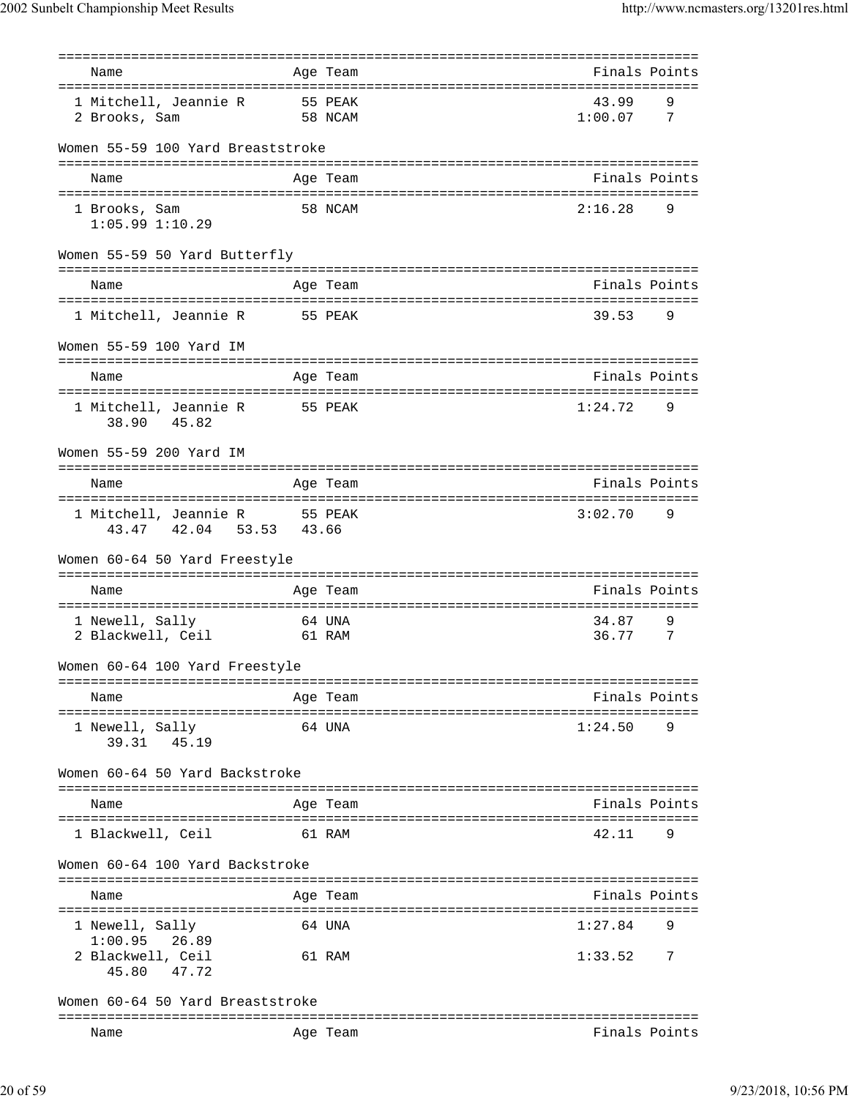|                                         |         | ========= | ================================  |
|-----------------------------------------|---------|-----------|-----------------------------------|
| Name                                    |         | Age Team  | Finals Points                     |
| 1 Mitchell, Jeannie R                   | 55 PEAK |           | 43.99<br>9                        |
| 2 Brooks, Sam                           |         | 58 NCAM   | 1:00.07<br>- 7                    |
| Women 55-59 100 Yard Breaststroke       |         |           |                                   |
| Name                                    |         | Age Team  | Finals Points                     |
|                                         |         |           |                                   |
| 1 Brooks, Sam<br>$1:05.99$ $1:10.29$    |         | 58 NCAM   | 2:16.28<br>9                      |
| Women 55-59 50 Yard Butterfly           |         |           | ================================= |
| Name                                    |         | Age Team  | Finals Points                     |
| 1 Mitchell, Jeannie R 55 PEAK           |         |           | 39.53<br>9                        |
| Women 55-59 100 Yard IM                 |         |           |                                   |
| Name                                    |         | Age Team  | Finals Points                     |
| 1 Mitchell, Jeannie R<br>38.90<br>45.82 | 55 PEAK |           | 1:24.72<br>9                      |
| Women 55-59 200 Yard IM                 |         |           |                                   |
| -----------------------------           |         |           | ================================= |
| Name                                    |         | Age Team  | Finals Points                     |
| 1 Mitchell, Jeannie R 55 PEAK           |         |           | 3:02.70<br>9                      |
| 42.04 53.53 43.66<br>43.47              |         |           |                                   |
| Women 60-64 50 Yard Freestyle           |         |           |                                   |
| Name                                    |         | Age Team  | Finals Points                     |
| 1 Newell, Sally                         | 64 UNA  |           | 34.87<br>9                        |
| 2 Blackwell, Ceil 61 RAM                |         |           | 36.77<br>7                        |
| Women 60-64 100 Yard Freestyle          |         |           |                                   |
| Name                                    |         | Age Team  | Finals Points                     |
| 1 Newell, Sally                         |         | 64 UNA    | 1:24.50<br>9                      |
| 39.31<br>45.19                          |         |           |                                   |
| Women 60-64 50 Yard Backstroke          |         |           |                                   |
| Name                                    |         | Age Team  | Finals Points                     |
| 1 Blackwell, Ceil                       |         | 61 RAM    | 42.11<br>9                        |
| Women 60-64 100 Yard Backstroke         |         |           |                                   |
|                                         |         |           |                                   |
| Name                                    |         | Age Team  | Finals Points                     |
| 1 Newell, Sally                         |         | 64 UNA    | 1:27.84<br>9                      |
| 1:00.95<br>26.89<br>2 Blackwell, Ceil   |         | 61 RAM    | 1:33.52<br>7                      |
| 45.80<br>47.72                          |         |           |                                   |
| Women 60-64 50 Yard Breaststroke        |         |           |                                   |
| Name                                    |         | Age Team  | Finals Points                     |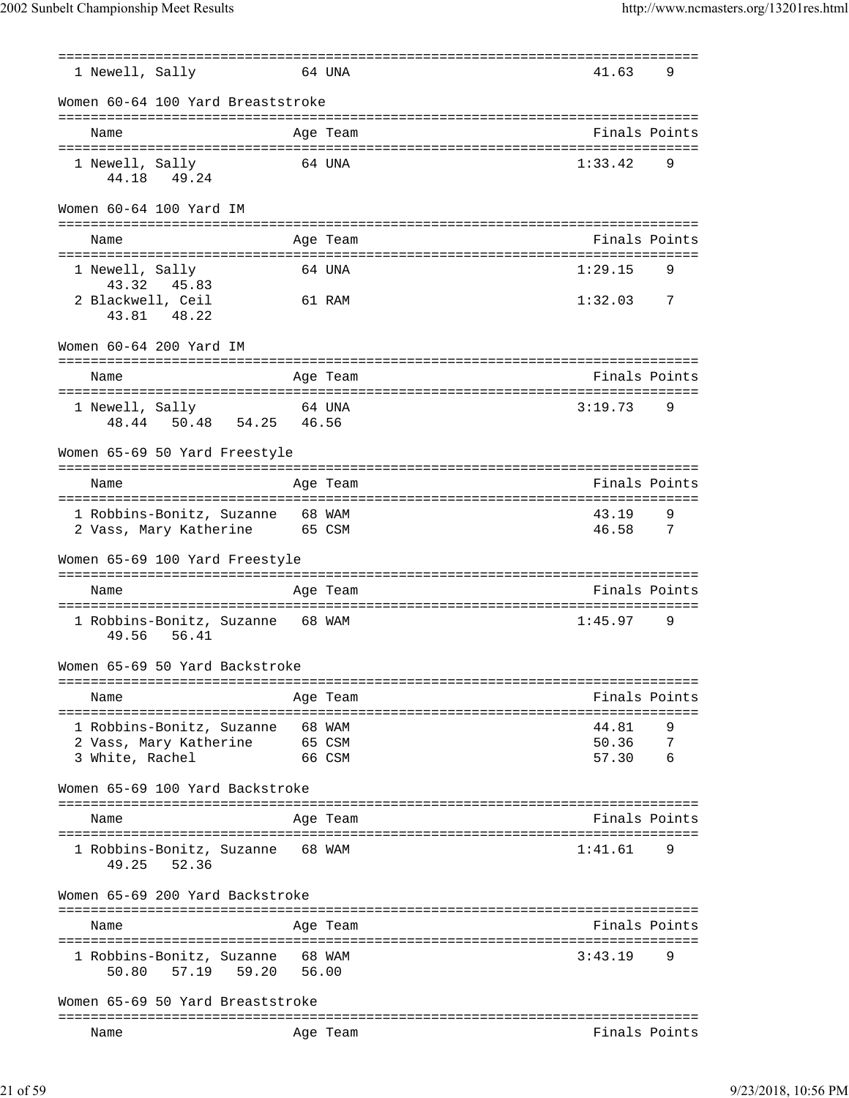| 1 Newell, Sally                                       |                 | 64 UNA                                                 | 41.63          | 9      |
|-------------------------------------------------------|-----------------|--------------------------------------------------------|----------------|--------|
| Women 60-64 100 Yard Breaststroke                     |                 |                                                        |                |        |
| Name                                                  |                 | Age Team                                               | Finals Points  |        |
| 1 Newell, Sally                                       |                 | 64 UNA                                                 | 1:33.42        | 9      |
| 44.18 49.24                                           |                 |                                                        |                |        |
| Women 60-64 100 Yard IM                               |                 |                                                        |                |        |
| Name                                                  |                 | ------------------------------<br>Age Team             | Finals Points  |        |
| ==================================<br>1 Newell, Sally |                 | =================================<br>64 UNA            | 1:29.15        | 9      |
| 43.32<br>45.83                                        |                 |                                                        |                |        |
| 2 Blackwell, Ceil                                     |                 | 61 RAM                                                 | 1:32.03        | 7      |
| 43.81 48.22                                           |                 |                                                        |                |        |
| Women 60-64 200 Yard IM                               |                 |                                                        |                |        |
| Name                                                  |                 | Age Team                                               | Finals Points  |        |
|                                                       |                 |                                                        |                |        |
| 1 Newell, Sally                                       |                 | 64 UNA                                                 | 3:19.73        | 9      |
| 48.44 50.48 54.25 46.56                               |                 |                                                        |                |        |
| Women 65-69 50 Yard Freestyle                         |                 |                                                        |                |        |
|                                                       |                 | =================================<br>==========        |                |        |
| Name                                                  |                 | Age Team                                               | Finals Points  |        |
| 1 Robbins-Bonitz, Suzanne 68 WAM                      |                 |                                                        | 43.19          | 9      |
| 2 Vass, Mary Katherine                                | 65 CSM          |                                                        | 46.58          | 7      |
| Women 65-69 100 Yard Freestyle                        |                 |                                                        |                |        |
| Name                                                  |                 | Age Team                                               | Finals Points  |        |
| 1 Robbins-Bonitz, Suzanne                             | 68 WAM          |                                                        | 1:45.97        | 9      |
| 49.56<br>56.41                                        |                 |                                                        |                |        |
| Women 65-69 50 Yard Backstroke                        |                 |                                                        |                |        |
| Name                                                  |                 | Age Team                                               | Finals Points  |        |
| -----------------------------------                   |                 | ------------                                           |                |        |
| 1 Robbins-Bonitz, Suzanne<br>2 Vass, Mary Katherine   | 65 CSM          | 68 WAM                                                 | 44.81<br>50.36 | 9<br>7 |
| 3 White, Rachel                                       |                 | 66 CSM                                                 | 57.30          | 6      |
| Women 65-69 100 Yard Backstroke                       |                 |                                                        |                |        |
|                                                       |                 |                                                        |                |        |
| Name                                                  |                 | Age Team                                               | Finals Points  |        |
| 1 Robbins-Bonitz, Suzanne                             |                 | 68 WAM                                                 | 1:41.61        | 9      |
| 52.36<br>49.25                                        |                 |                                                        |                |        |
| Women 65-69 200 Yard Backstroke                       |                 |                                                        |                |        |
| Name                                                  |                 | ===============<br>Age Team                            | Finals Points  |        |
|                                                       |                 | ===================<br>------------------------------- |                |        |
| 1 Robbins-Bonitz, Suzanne<br>59.20<br>50.80<br>57.19  | 68 WAM<br>56.00 |                                                        | 3:43.19        | 9      |
| Women 65-69 50 Yard Breaststroke                      |                 |                                                        |                |        |
| Name                                                  |                 | Age Team                                               | Finals Points  |        |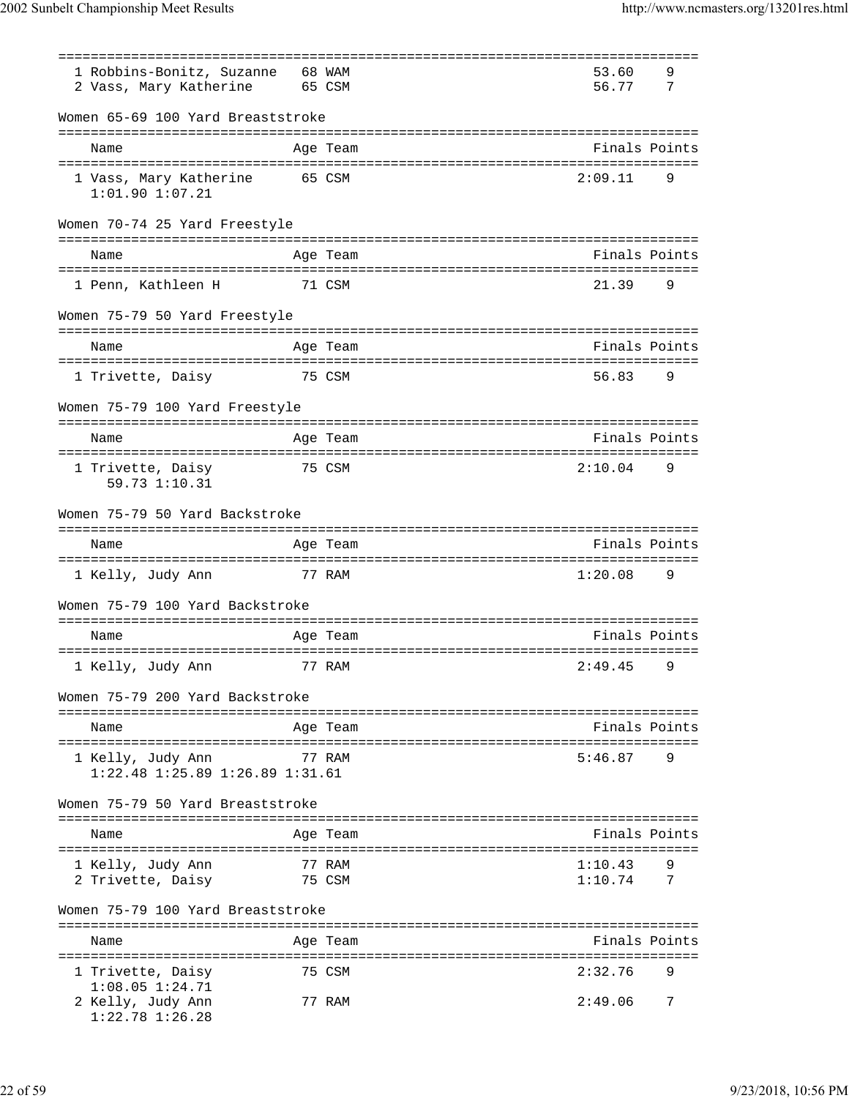|                                                                 |                  | =====================================              |                    |        |
|-----------------------------------------------------------------|------------------|----------------------------------------------------|--------------------|--------|
| 1 Robbins-Bonitz, Suzanne<br>2 Vass, Mary Katherine             | 68 WAM<br>65 CSM |                                                    | 53.60<br>56.77     | 9<br>7 |
| Women 65-69 100 Yard Breaststroke                               |                  |                                                    |                    |        |
| Name                                                            |                  | Age Team                                           | Finals Points      |        |
| 1 Vass, Mary Katherine<br>$1:01.90$ $1:07.21$                   | 65 CSM           |                                                    | 2:09.11            | 9      |
| Women 70-74 25 Yard Freestyle                                   |                  |                                                    |                    |        |
| Name                                                            |                  | Age Team                                           | Finals Points      |        |
| 1 Penn, Kathleen H                                              |                  | 71 CSM                                             | 21.39              | 9      |
| Women 75-79 50 Yard Freestyle                                   |                  |                                                    |                    |        |
| Name                                                            |                  | Age Team                                           | Finals Points      |        |
| 75 CSM<br>1 Trivette, Daisy                                     |                  |                                                    | 56.83              | 9      |
| Women 75-79 100 Yard Freestyle                                  |                  |                                                    |                    |        |
| Name                                                            |                  | Age Team                                           | Finals Points      |        |
| 1 Trivette, Daisy<br>59.73 1:10.31                              |                  | 75 CSM                                             | 2:10.04            | 9      |
| Women 75-79 50 Yard Backstroke                                  |                  |                                                    |                    |        |
| Name                                                            |                  | Age Team                                           | Finals Points      |        |
| 1 Kelly, Judy Ann                                               |                  | 77 RAM                                             | 1:20.08            | 9      |
| Women 75-79 100 Yard Backstroke                                 |                  |                                                    |                    |        |
| Name                                                            |                  | Age Team                                           | Finals Points      |        |
| 1 Kelly, Judy Ann                                               |                  | 77 RAM                                             | 2:49.45            | 9      |
| Women 75-79 200 Yard Backstroke                                 |                  |                                                    |                    |        |
| ------------------------------<br>Name                          |                  | ======================================<br>Age Team | Finals Points      |        |
| 1 Kelly, Judy Ann<br>$1:22.48$ $1:25.89$ $1:26.89$ $1:31.61$    |                  | 77 RAM                                             | 5:46.87            | 9      |
| Women 75-79 50 Yard Breaststroke                                |                  |                                                    |                    |        |
| Name                                                            |                  | Age Team                                           | Finals Points      |        |
|                                                                 |                  |                                                    |                    |        |
| 1 Kelly, Judy Ann<br>2 Trivette, Daisy                          |                  | 77 RAM<br>75 CSM                                   | 1:10.43<br>1:10.74 | 9<br>7 |
| Women 75-79 100 Yard Breaststroke                               |                  |                                                    |                    |        |
| Name                                                            |                  | Age Team                                           | Finals Points      |        |
| 1 Trivette, Daisy                                               |                  | 75 CSM                                             | 2:32.76            | 9      |
| $1:08.05$ $1:24.71$<br>2 Kelly, Judy Ann<br>$1:22.78$ $1:26.28$ |                  | 77 RAM                                             | 2:49.06            | 7      |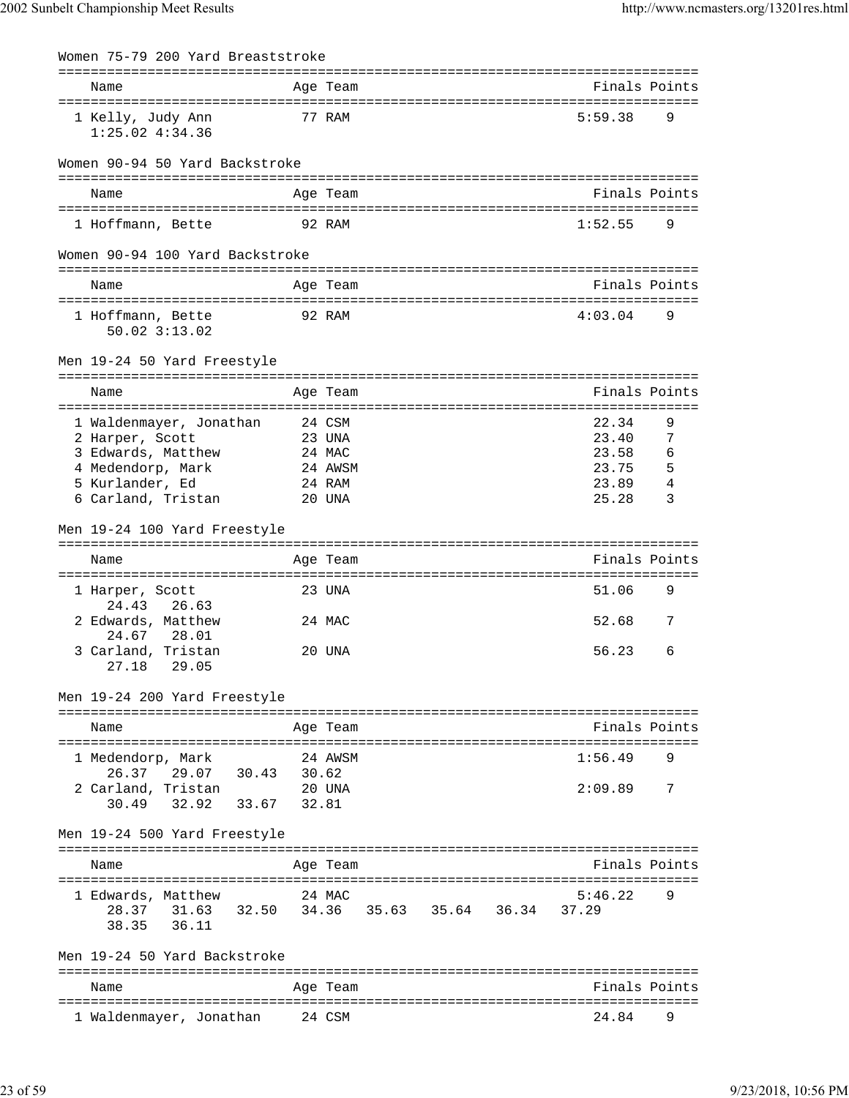| Women 75-79 200 Yard Breaststroke                        |                  |                         |  |                                                         |   |
|----------------------------------------------------------|------------------|-------------------------|--|---------------------------------------------------------|---|
| Name                                                     |                  | Age Team                |  | Finals Points                                           |   |
| 1 Kelly, Judy Ann<br>$1:25.02$ $4:34.36$                 |                  | 77 RAM                  |  | 5:59.38                                                 | 9 |
| Women 90-94 50 Yard Backstroke                           |                  |                         |  |                                                         |   |
| Name                                                     |                  | Age Team                |  | Finals Points                                           |   |
|                                                          |                  |                         |  |                                                         |   |
| 1 Hoffmann, Bette                                        |                  | 92 RAM                  |  | 1:52.55                                                 | 9 |
| Women 90-94 100 Yard Backstroke                          |                  |                         |  |                                                         |   |
| Name                                                     |                  | Age Team                |  | Finals Points                                           |   |
| 1 Hoffmann, Bette<br>$50.02$ $3:13.02$                   |                  | 92 RAM                  |  | 4:03.04                                                 | 9 |
| Men 19-24 50 Yard Freestyle                              |                  |                         |  |                                                         |   |
| Name                                                     | ================ | Age Team                |  | =================================<br>Finals Points      |   |
| 1 Waldenmayer, Jonathan                                  |                  | 24 CSM                  |  | 22.34                                                   | 9 |
| 2 Harper, Scott                                          |                  | 23 UNA                  |  | 23.40                                                   | 7 |
| 3 Edwards, Matthew                                       |                  | 24 MAC                  |  | 23.58                                                   | 6 |
| 4 Medendorp, Mark                                        |                  | 24 AWSM                 |  | 23.75                                                   | 5 |
| 5 Kurlander, Ed                                          |                  | 24 RAM                  |  | 23.89                                                   | 4 |
| 6 Carland, Tristan                                       |                  | 20 UNA                  |  | 25.28                                                   | 3 |
| Men 19-24 100 Yard Freestyle                             |                  |                         |  |                                                         |   |
| Name                                                     |                  | Age Team                |  | Finals Points                                           |   |
| 1 Harper, Scott                                          |                  | =============<br>23 UNA |  | ================<br>51.06                               | 9 |
| 24.43<br>26.63<br>2 Edwards, Matthew                     |                  | 24 MAC                  |  | 52.68                                                   | 7 |
| 24.67<br>28.01                                           |                  |                         |  |                                                         |   |
| 3 Carland, Tristan<br>27.18 29.05                        |                  | 20 UNA                  |  | 56.23                                                   | 6 |
| Men 19-24 200 Yard Freestyle                             |                  |                         |  |                                                         |   |
| Name                                                     |                  | Age Team                |  | Finals Points                                           |   |
|                                                          |                  |                         |  |                                                         |   |
| 1 Medendorp, Mark                                        |                  | 24 AWSM                 |  | 1:56.49                                                 | 9 |
| 26.37 29.07 30.43<br>2 Carland, Tristan                  | 30.62            | 20 UNA                  |  | 2:09.89                                                 | 7 |
| 30.49 32.92                                              | 33.67 32.81      |                         |  |                                                         |   |
| Men 19-24 500 Yard Freestyle                             |                  |                         |  |                                                         |   |
| Name                                                     |                  | Age Team                |  | ======================================<br>Finals Points |   |
|                                                          |                  |                         |  |                                                         |   |
| 1 Edwards, Matthew                                       |                  | 24 MAC                  |  | 5:46.22                                                 | 9 |
| 28.37 31.63 32.50 34.36 35.63 35.64 36.34<br>38.35 36.11 |                  |                         |  | 37.29                                                   |   |
| Men 19-24 50 Yard Backstroke                             |                  |                         |  |                                                         |   |
| Name                                                     |                  | Age Team                |  | Finals Points                                           |   |
|                                                          |                  |                         |  |                                                         |   |
| 1 Waldenmayer, Jonathan                                  |                  | 24 CSM                  |  | 24.84                                                   | 9 |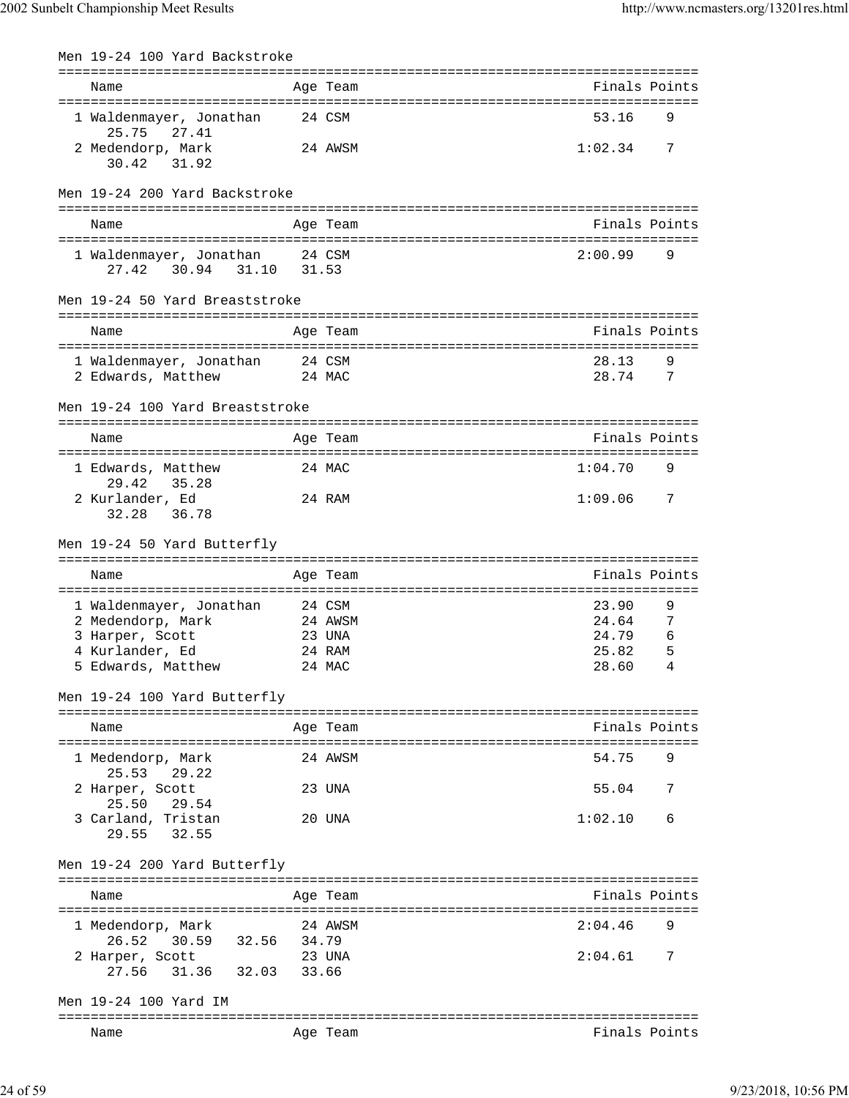| Men 19-24 100 Yard Backstroke                   |        |                                           |                             |                |
|-------------------------------------------------|--------|-------------------------------------------|-----------------------------|----------------|
| Name                                            |        | =============================<br>Age Team | Finals Points               |                |
| 1 Waldenmayer, Jonathan<br>27.41<br>25.75       |        | 24 CSM                                    | 53.16                       | 9              |
| 2 Medendorp, Mark<br>30.42 31.92                |        | 24 AWSM                                   | 1:02.34                     | 7              |
| Men 19-24 200 Yard Backstroke                   |        |                                           |                             |                |
| Name                                            |        | Age Team                                  | Finals Points               |                |
|                                                 |        |                                           |                             |                |
| 1 Waldenmayer, Jonathan<br>30.94 31.10<br>27.42 | 24 CSM | 31.53                                     | 2:00.99                     | 9              |
| Men 19-24 50 Yard Breaststroke                  |        |                                           |                             |                |
| Name                                            |        | Age Team                                  | Finals Points               |                |
| 1 Waldenmayer, Jonathan                         | 24 CSM |                                           | 28.13                       | 9              |
| 2 Edwards, Matthew                              |        | 24 MAC                                    | 28.74                       | 7              |
| Men 19-24 100 Yard Breaststroke                 |        |                                           |                             |                |
| Name                                            |        | Age Team                                  | Finals Points               |                |
| 1 Edwards, Matthew<br>29.42<br>35.28            |        | 24 MAC                                    | 1:04.70                     | 9              |
| 2 Kurlander, Ed<br>32.28<br>36.78               |        | 24 RAM                                    | 1:09.06                     | $\overline{7}$ |
| Men 19-24 50 Yard Butterfly                     |        |                                           |                             |                |
| Name                                            |        | Age Team                                  | Finals Points               |                |
|                                                 |        |                                           |                             |                |
| 1 Waldenmayer, Jonathan                         |        | 24 CSM                                    | 23.90<br>24.64              | 9              |
| 2 Medendorp, Mark<br>3 Harper, Scott            |        | 24 AWSM<br>23 UNA                         | 24.79                       | 7<br>6         |
| 4 Kurlander, Ed                                 |        | 24 RAM                                    | 25.82                       | 5              |
| 5 Edwards, Matthew                              |        | 24 MAC                                    | 28.60                       | 4              |
| Men 19-24 100 Yard Butterfly                    |        |                                           | =========================== |                |
| Name                                            |        | Aqe Team                                  | Finals Points               |                |
| 1 Medendorp, Mark<br>25.53<br>29.22             |        | 24 AWSM                                   | 54.75                       | 9              |
| 2 Harper, Scott<br>25.50<br>29.54               |        | 23 UNA                                    | 55.04                       | 7              |
| 3 Carland, Tristan<br>29.55<br>32.55            |        | 20 UNA                                    | 1:02.10                     | 6              |
| Men 19-24 200 Yard Butterfly                    |        |                                           |                             |                |
| Name<br>=====================<br>========       |        | Aqe Team                                  | Finals Points<br>========   |                |
| 1 Medendorp, Mark<br>26.52<br>32.56<br>30.59    | 34.79  | 24 AWSM                                   | 2:04.46                     | 9              |
| 2 Harper, Scott<br>32.03<br>27.56<br>31.36      | 33.66  | 23 UNA                                    | 2:04.61                     | 7              |
| Men 19-24 100 Yard IM                           |        |                                           |                             |                |
| Name                                            |        | Age Team                                  | Finals Points               |                |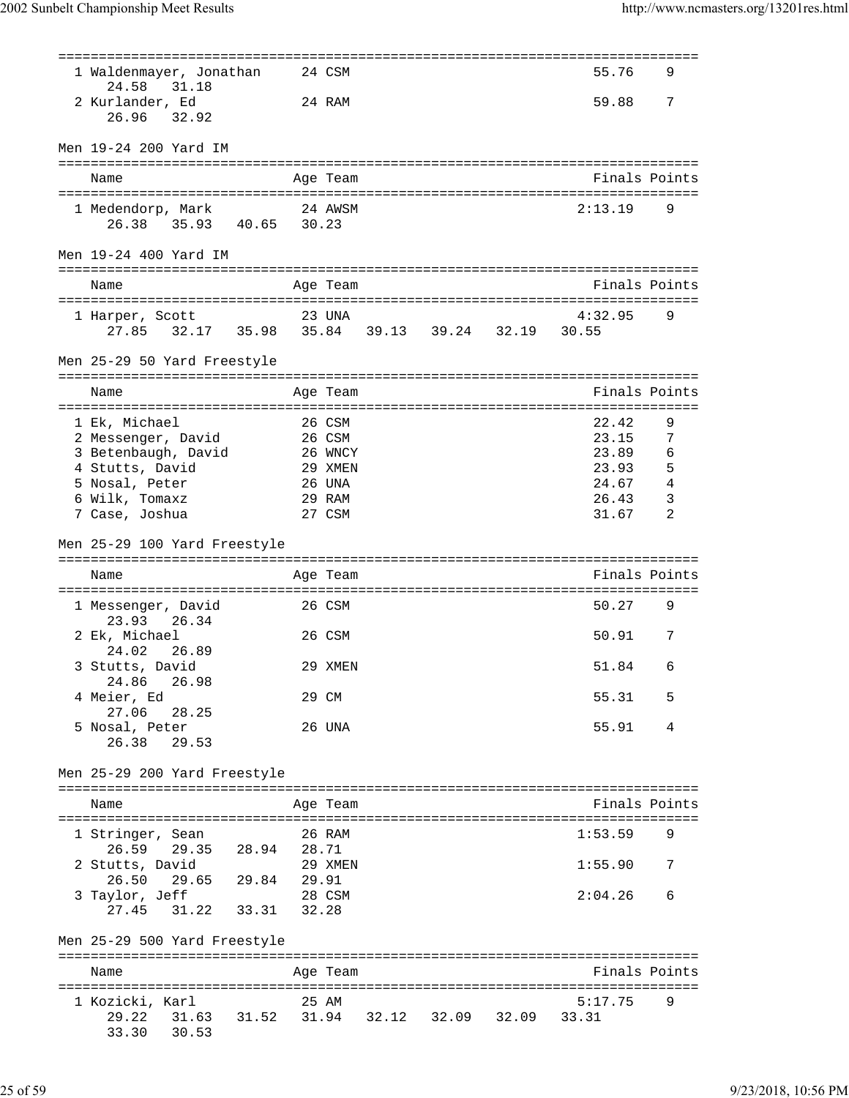| 1 Waldenmayer, Jonathan<br>31.18<br>24.58                          |             | 24 CSM          |       |       |       | 55.76            | 9 |
|--------------------------------------------------------------------|-------------|-----------------|-------|-------|-------|------------------|---|
| 2 Kurlander, Ed<br>32.92<br>26.96                                  |             | 24 RAM          |       |       |       | 59.88            | 7 |
| Men 19-24 200 Yard IM                                              |             |                 |       |       |       |                  |   |
| Name                                                               |             | Age Team        |       |       |       | Finals Points    |   |
|                                                                    |             |                 |       |       |       |                  |   |
| 1 Medendorp, Mark<br>26.38 35.93 40.65 30.23                       |             | 24 AWSM         |       |       |       | 2:13.19          | 9 |
| Men 19-24 400 Yard IM                                              |             |                 |       |       |       |                  |   |
|                                                                    |             |                 |       |       |       |                  |   |
| Name                                                               |             | Age Team        |       |       |       | Finals Points    |   |
| 1 Harper, Scott<br>27.85 32.17 35.98 35.84 39.13 39.24 32.19 30.55 |             | 23 UNA          |       |       |       | 4:32.95          | 9 |
| Men 25-29 50 Yard Freestyle                                        |             |                 |       |       |       |                  |   |
| Name                                                               |             | Age Team        |       |       |       | Finals Points    |   |
| 1 Ek, Michael                                                      |             | 26 CSM          |       |       |       | 22.42            | 9 |
| 2 Messenger, David                                                 |             | 26 CSM          |       |       |       | 23.15            | 7 |
| 3 Betenbaugh, David                                                |             | 26 WNCY         |       |       |       | 23.89            | 6 |
| 4 Stutts, David                                                    |             | 29 XMEN         |       |       |       | 23.93            | 5 |
| 5 Nosal, Peter                                                     |             | 26 UNA          |       |       |       | 24.67            | 4 |
| 6 Wilk, Tomaxz                                                     |             | 29 RAM          |       |       |       | 26.43            | 3 |
| 7 Case, Joshua                                                     |             | 27 CSM          |       |       |       | 31.67            | 2 |
| Men 25-29 100 Yard Freestyle                                       |             |                 |       |       |       |                  |   |
| Name                                                               |             | Age Team        |       |       |       | Finals Points    |   |
|                                                                    |             |                 |       |       |       |                  |   |
| 1 Messenger, David<br>26.34<br>23.93                               |             | 26 CSM          |       |       |       | 50.27            | 9 |
| 2 Ek, Michael<br>26.89<br>24.02                                    |             | 26 CSM          |       |       |       | 50.91            | 7 |
| 3 Stutts, David                                                    |             | 29 XMEN         |       |       |       | 51.84            | 6 |
| 24.86<br>26.98                                                     |             |                 |       |       |       |                  |   |
| 4 Meier, Ed                                                        |             | 29 CM           |       |       |       | 55.31            | 5 |
| 27.06<br>28.25                                                     |             |                 |       |       |       |                  |   |
| 5 Nosal, Peter<br>26.38<br>29.53                                   |             | 26 UNA          |       |       |       | 55.91            | 4 |
|                                                                    |             |                 |       |       |       |                  |   |
| Men 25-29 200 Yard Freestyle                                       |             |                 |       |       |       |                  |   |
| Name                                                               |             | Age Team        |       |       |       | Finals Points    |   |
| 1 Stringer, Sean                                                   |             | 26 RAM          |       |       |       | 1:53.59          | 9 |
| 26.59<br>29.35                                                     | 28.94       | 28.71           |       |       |       |                  |   |
| 2 Stutts, David                                                    |             | 29 XMEN         |       |       |       | 1:55.90          | 7 |
| 26.50<br>29.65<br>29.84                                            |             | 29.91<br>28 CSM |       |       |       | 2:04.26          | 6 |
| 3 Taylor, Jeff<br>31.22<br>27.45                                   | 33.31       | 32.28           |       |       |       |                  |   |
| Men 25-29 500 Yard Freestyle                                       |             |                 |       |       |       |                  |   |
| Name                                                               |             | Age Team        |       |       |       | Finals Points    |   |
|                                                                    |             |                 |       |       |       |                  |   |
| 1 Kozicki, Karl<br>29.22<br>31.63                                  | 31.52 31.94 | 25 AM           | 32.12 | 32.09 | 32.09 | 5:17.75<br>33.31 | 9 |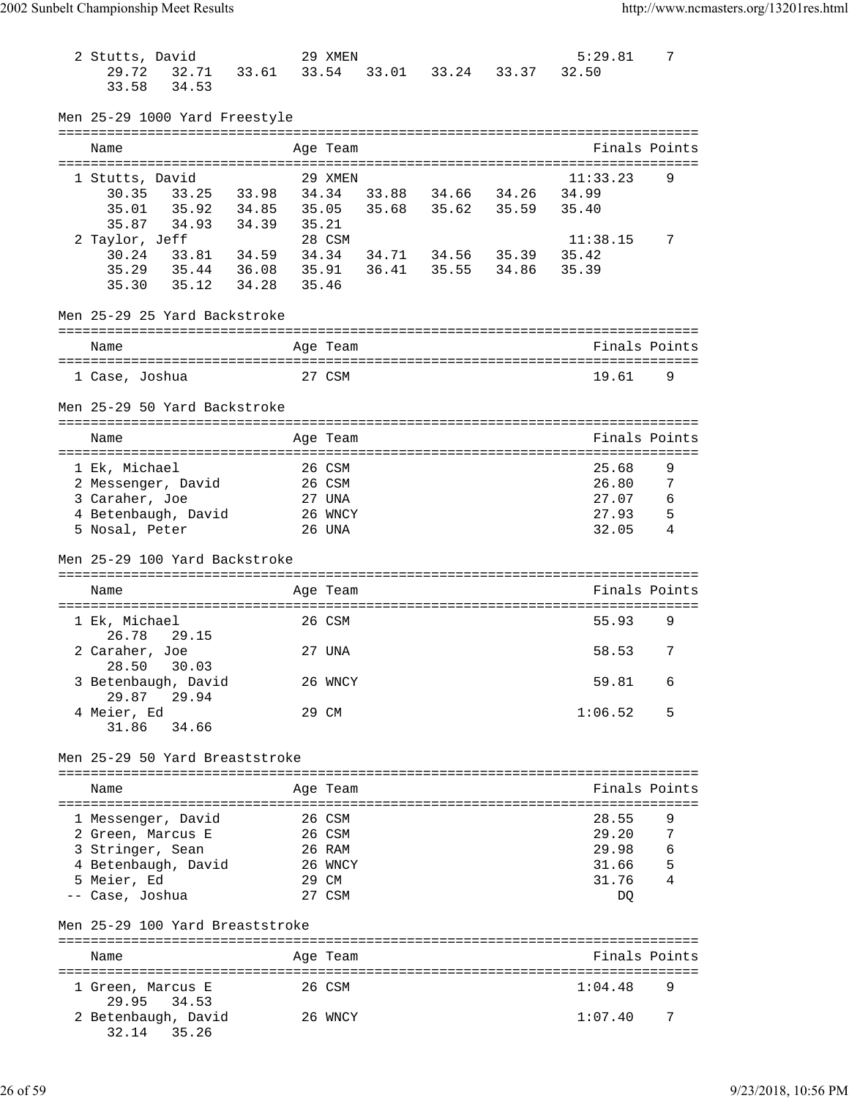| 2 Stutts, David                    |                   |       | 29 XMEN  |             |                   |       | 5:29.81       | 7 |
|------------------------------------|-------------------|-------|----------|-------------|-------------------|-------|---------------|---|
| 29.72                              | 32.71 33.61       | 33.54 |          |             | 33.01 33.24 33.37 |       | 32.50         |   |
| 34.53<br>33.58                     |                   |       |          |             |                   |       |               |   |
|                                    |                   |       |          |             |                   |       |               |   |
| Men 25-29 1000 Yard Freestyle      |                   |       |          |             |                   |       |               |   |
|                                    |                   |       |          |             |                   |       |               |   |
| Name                               |                   |       | Age Team |             |                   |       | Finals Points |   |
|                                    |                   |       |          |             |                   |       |               |   |
| 1 Stutts, David                    |                   |       | 29 XMEN  |             |                   |       | 11:33.23      | 9 |
| 30.35                              | 33.25 33.98       |       | 34.34    |             | 33.88 34.66 34.26 |       | 34.99         |   |
| 35.01<br>35.92                     | 34.85             | 35.05 |          | 35.68       | 35.62 35.59       |       | 35.40         |   |
| 35.87<br>34.93                     | 34.39             | 35.21 |          |             |                   |       |               |   |
| 2 Taylor, Jeff                     |                   |       | 28 CSM   |             |                   |       | 11:38.15      | 7 |
|                                    |                   |       |          |             |                   |       |               |   |
| 30.24                              | 33.81 34.59 34.34 |       |          |             | 34.71 34.56 35.39 |       | 35.42         |   |
| 35.29 35.44 36.08 35.91            |                   |       |          | 36.41 35.55 |                   | 34.86 | 35.39         |   |
| 35.12<br>35.30                     | 34.28             | 35.46 |          |             |                   |       |               |   |
|                                    |                   |       |          |             |                   |       |               |   |
| Men 25-29 25 Yard Backstroke       |                   |       |          |             |                   |       |               |   |
|                                    |                   |       |          |             |                   |       |               |   |
| Name                               |                   |       | Age Team |             |                   |       | Finals Points |   |
|                                    |                   |       |          |             |                   |       |               |   |
| 1 Case, Joshua                     |                   |       | 27 CSM   |             |                   |       | 19.61         | 9 |
|                                    |                   |       |          |             |                   |       |               |   |
| Men 25-29 50 Yard Backstroke       |                   |       |          |             |                   |       |               |   |
|                                    |                   |       |          |             |                   |       |               |   |
| Name                               |                   |       | Age Team |             |                   |       | Finals Points |   |
|                                    |                   |       |          |             |                   |       |               |   |
| 1 Ek, Michael                      |                   |       | 26 CSM   |             |                   |       | 25.68         | 9 |
| 2 Messenger, David                 |                   |       | 26 CSM   |             |                   |       | 26.80         | 7 |
| 3 Caraher, Joe                     |                   |       | 27 UNA   |             |                   |       | 27.07         | 6 |
| 4 Betenbaugh, David                |                   |       | 26 WNCY  |             |                   |       | 27.93         | 5 |
|                                    |                   |       |          |             |                   |       | 32.05         | 4 |
| 5 Nosal, Peter                     |                   |       | 26 UNA   |             |                   |       |               |   |
|                                    |                   |       |          |             |                   |       |               |   |
|                                    |                   |       |          |             |                   |       |               |   |
| Men 25-29 100 Yard Backstroke      |                   |       |          |             |                   |       |               |   |
|                                    |                   |       |          |             |                   |       |               |   |
| Name                               |                   |       | Age Team |             |                   |       | Finals Points |   |
|                                    |                   |       |          |             |                   |       |               |   |
| 1 Ek, Michael                      |                   |       | 26 CSM   |             |                   |       | 55.93         | 9 |
| 26.78<br>29.15                     |                   |       |          |             |                   |       |               |   |
| 2 Caraher, Joe                     |                   |       | 27 UNA   |             |                   |       | 58.53         | 7 |
| 30.03<br>28.50                     |                   |       |          |             |                   |       |               |   |
| 3 Betenbaugh, David                |                   |       | 26 WNCY  |             |                   |       | 59.81         | 6 |
| 29.87<br>29.94                     |                   |       |          |             |                   |       |               |   |
|                                    |                   |       |          |             |                   |       |               | 5 |
| 4 Meier, Ed                        |                   |       | 29 CM    |             |                   |       | 1:06.52       |   |
| 31.86<br>34.66                     |                   |       |          |             |                   |       |               |   |
|                                    |                   |       |          |             |                   |       |               |   |
| Men 25-29 50 Yard Breaststroke     |                   |       |          |             |                   |       |               |   |
|                                    |                   |       |          |             |                   |       |               |   |
| Name                               |                   |       | Age Team |             |                   |       | Finals Points |   |
|                                    |                   |       |          |             |                   |       |               |   |
| 1 Messenger, David                 |                   |       | 26 CSM   |             |                   |       | 28.55         | 9 |
| 2 Green, Marcus E                  |                   |       | 26 CSM   |             |                   |       | 29.20         | 7 |
| 3 Stringer, Sean                   |                   |       | 26 RAM   |             |                   |       | 29.98         | 6 |
| 4 Betenbaugh, David                |                   |       | 26 WNCY  |             |                   |       | 31.66         | 5 |
| 5 Meier, Ed                        |                   |       | 29 CM    |             |                   |       | 31.76         | 4 |
| -- Case, Joshua                    |                   |       | 27 CSM   |             |                   |       | DQ            |   |
|                                    |                   |       |          |             |                   |       |               |   |
|                                    |                   |       |          |             |                   |       |               |   |
| Men 25-29 100 Yard Breaststroke    |                   |       |          |             |                   |       |               |   |
|                                    |                   |       |          |             |                   |       |               |   |
| Name                               |                   |       | Age Team |             |                   |       | Finals Points |   |
|                                    |                   |       |          |             |                   |       |               |   |
| 1 Green, Marcus E                  |                   |       | 26 CSM   |             |                   |       | 1:04.48       | 9 |
| 29.95<br>34.53                     |                   |       |          |             |                   |       |               |   |
| 2 Betenbaugh, David<br>32.14 35.26 |                   |       | 26 WNCY  |             |                   |       | 1:07.40       | 7 |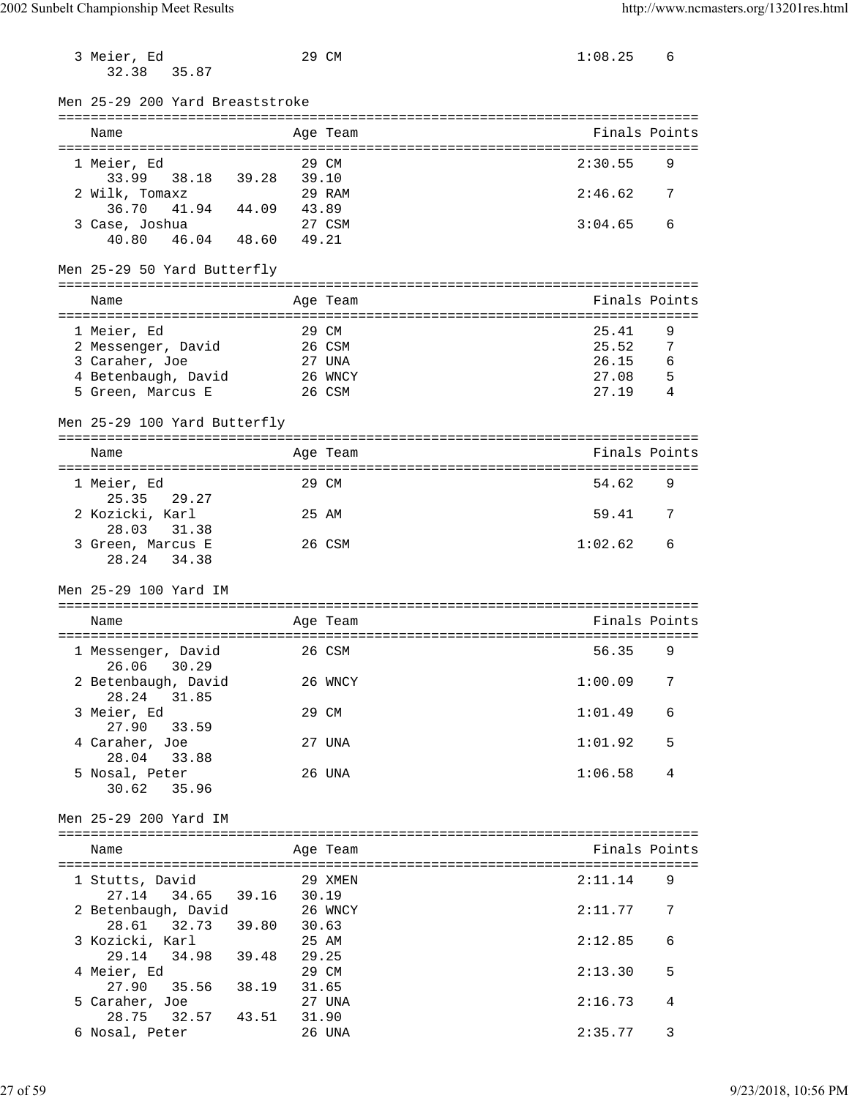| 3 Meier, Ed<br>32.38<br>35.87                                                                   |                         | 29 CM                                          | 1:08.25                                   | 6                     |
|-------------------------------------------------------------------------------------------------|-------------------------|------------------------------------------------|-------------------------------------------|-----------------------|
| Men 25-29 200 Yard Breaststroke                                                                 |                         |                                                |                                           |                       |
| Name                                                                                            |                         | Age Team                                       | Finals Points                             |                       |
| 1 Meier, Ed                                                                                     |                         | 29 CM                                          | 2:30.55                                   | 9                     |
| 33.99<br>38.18<br>2 Wilk, Tomaxz<br>36.70 41.94<br>44.09                                        | 39.28<br>39.10<br>43.89 | 29 RAM                                         | 2:46.62                                   | 7                     |
| 3 Case, Joshua<br>40.80<br>46.04 48.60                                                          | 49.21                   | 27 CSM                                         | 3:04.65                                   | 6                     |
| Men 25-29 50 Yard Butterfly                                                                     |                         |                                                |                                           |                       |
| Name                                                                                            |                         | Age Team                                       | Finals Points                             |                       |
| 1 Meier, Ed<br>2 Messenger, David<br>3 Caraher, Joe<br>4 Betenbaugh, David<br>5 Green, Marcus E |                         | 29 CM<br>26 CSM<br>27 UNA<br>26 WNCY<br>26 CSM | 25.41<br>25.52<br>26.15<br>27.08<br>27.19 | 9<br>7<br>6<br>5<br>4 |
| Men 25-29 100 Yard Butterfly                                                                    |                         |                                                |                                           |                       |
| Name                                                                                            |                         | Age Team                                       | Finals Points                             |                       |
| 1 Meier, Ed<br>29.27                                                                            |                         | 29 CM                                          | 54.62                                     | 9                     |
| 25.35<br>2 Kozicki, Karl<br>31.38<br>28.03                                                      |                         | 25 AM                                          | 59.41                                     | 7                     |
| 3 Green, Marcus E<br>28.24<br>34.38                                                             |                         | 26 CSM                                         | 1:02.62                                   | 6                     |
| Men 25-29 100 Yard IM                                                                           |                         |                                                |                                           |                       |
| Name                                                                                            |                         | Age Team                                       | Finals Points                             |                       |
| 1 Messenger, David<br>26.06 30.29                                                               |                         | 26 CSM                                         | 56.35                                     | 9                     |
| 2 Betenbaugh, David<br>28.24<br>31.85                                                           |                         | 26 WNCY                                        | 1:00.09                                   | 7                     |
| 3 Meier, Ed<br>27.90<br>33.59                                                                   |                         | 29 CM                                          | 1:01.49                                   | 6                     |
| 4 Caraher, Joe<br>28.04<br>33.88                                                                |                         | 27 UNA                                         | 1:01.92                                   | 5                     |
| 5 Nosal, Peter<br>30.62<br>35.96                                                                |                         | 26 UNA                                         | 1:06.58                                   | 4                     |
| Men 25-29 200 Yard IM                                                                           |                         |                                                |                                           |                       |
| Name                                                                                            |                         | Age Team                                       | Finals Points                             |                       |
| 1 Stutts, David                                                                                 |                         | 29 XMEN                                        | 2:11.14                                   | 9                     |
| 27.14 34.65 39.16<br>2 Betenbaugh, David<br>28.61 32.73                                         | 30.19<br>39.80<br>30.63 | 26 WNCY                                        | 2:11.77                                   | 7                     |
| 3 Kozicki, Karl<br>34.98 39.48<br>29.14                                                         |                         | 25 AM<br>29.25                                 | 2:12.85                                   | 6                     |
| 4 Meier, Ed                                                                                     |                         | 29 CM                                          | 2:13.30                                   | 5                     |
| 27.90<br>35.56<br>5 Caraher, Joe<br>32.57<br>43.51                                              | 38.19                   | 31.65<br>27 UNA                                | 2:16.73                                   | 4                     |
| 28.75<br>6 Nosal, Peter                                                                         |                         | 31.90<br>26 UNA                                | 2:35.77                                   | 3                     |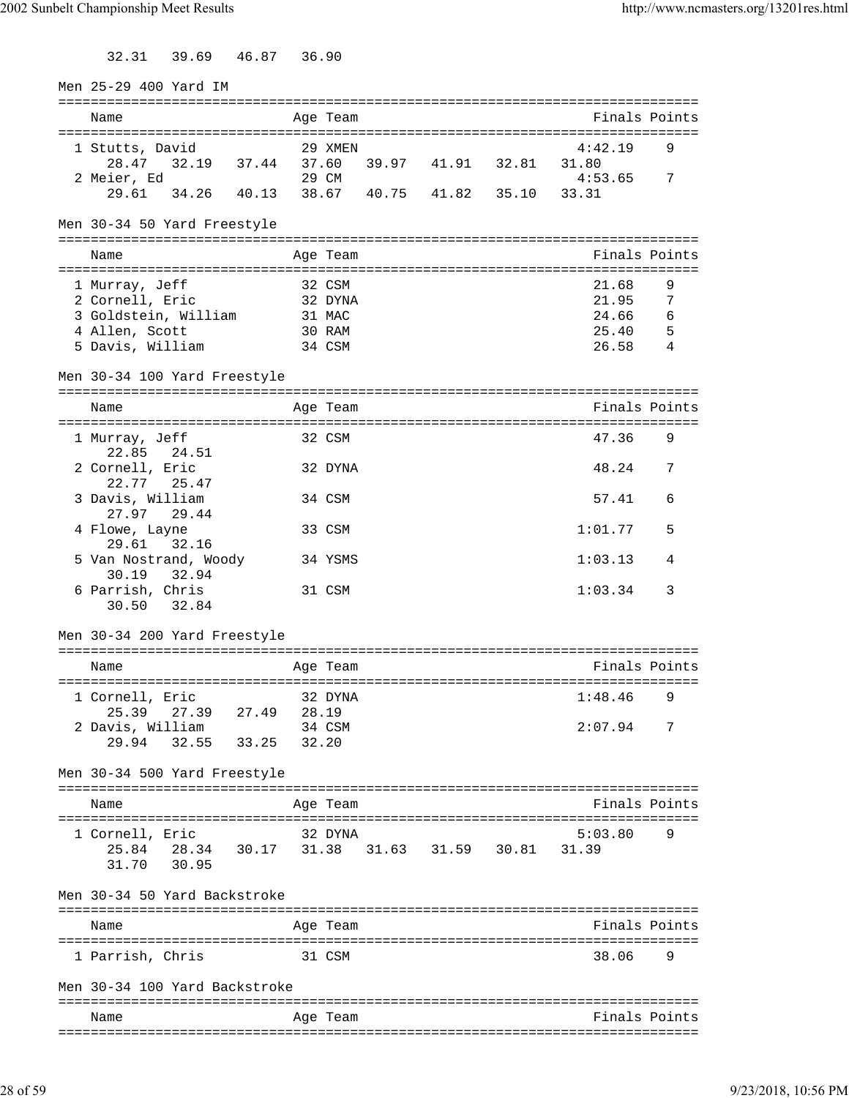32.31 39.69 46.87 36.90

| Men 25-29 400 Yard IM                                           |        |                 |                   |                                                  |   |
|-----------------------------------------------------------------|--------|-----------------|-------------------|--------------------------------------------------|---|
| Name                                                            |        | Age Team        |                   | ===============================<br>Finals Points |   |
|                                                                 |        |                 |                   |                                                  |   |
| 1 Stutts, David<br>32.19 37.44 37.60 39.97 41.91 32.81<br>28.47 |        | 29 XMEN         |                   | 4:42.19<br>31.80                                 | 9 |
| 2 Meier, Ed                                                     |        | 29 CM           |                   | 4:53.65                                          | 7 |
| 34.26 40.13 38.67 40.75 41.82 35.10<br>29.61                    |        |                 |                   | 33.31                                            |   |
| Men 30-34 50 Yard Freestyle                                     |        |                 |                   |                                                  |   |
|                                                                 |        |                 |                   |                                                  |   |
| Name                                                            |        | Age Team        |                   | Finals Points                                    |   |
| 1 Murray, Jeff                                                  | 32 CSM |                 |                   | 21.68                                            | 9 |
| 2 Cornell, Eric                                                 |        | 32 DYNA         |                   | 21.95                                            | 7 |
| 3 Goldstein, William                                            | 31 MAC |                 |                   | 24.66                                            | 6 |
| 4 Allen, Scott                                                  |        | 30 RAM          |                   | 25.40                                            | 5 |
| 5 Davis, William                                                |        | 34 CSM          |                   | 26.58                                            | 4 |
| Men 30-34 100 Yard Freestyle                                    |        |                 |                   |                                                  |   |
| Name                                                            |        | Age Team        |                   | Finals Points                                    |   |
|                                                                 |        |                 |                   |                                                  |   |
| 1 Murray, Jeff<br>22.85<br>24.51                                |        | 32 CSM          |                   | 47.36                                            | 9 |
| 2 Cornell, Eric<br>22.77<br>25.47                               |        | 32 DYNA         |                   | 48.24                                            | 7 |
| 3 Davis, William<br>29.44<br>27.97                              |        | 34 CSM          |                   | 57.41                                            | 6 |
| 4 Flowe, Layne<br>29.61<br>32.16                                |        | 33 CSM          |                   | 1:01.77                                          | 5 |
| 5 Van Nostrand, Woody<br>30.19<br>32.94                         |        | 34 YSMS         |                   | 1:03.13                                          | 4 |
| 6 Parrish, Chris                                                |        | 31 CSM          |                   | 1:03.34                                          | 3 |
| 32.84<br>30.50                                                  |        |                 |                   |                                                  |   |
| Men 30-34 200 Yard Freestyle                                    |        |                 |                   |                                                  |   |
| Name                                                            |        | Age Team        |                   | Finals Points                                    |   |
|                                                                 |        |                 |                   |                                                  |   |
| 1 Cornell, Eric                                                 |        | 32 DYNA         |                   | 1:48.46                                          | 9 |
| 25.39<br>27.39<br>27.49<br>2 Davis, William                     |        | 28.19<br>34 CSM |                   | 2:07.94                                          | 7 |
| 32.55<br>33.25<br>29.94                                         |        | 32.20           |                   |                                                  |   |
|                                                                 |        |                 |                   |                                                  |   |
| Men 30-34 500 Yard Freestyle                                    |        |                 |                   |                                                  |   |
| Name                                                            |        | Age Team        |                   | Finals Points                                    |   |
|                                                                 |        |                 |                   |                                                  |   |
| 1 Cornell, Eric                                                 |        | 32 DYNA         |                   | 5:03.80                                          | 9 |
| 25.84 28.34 30.17 31.38<br>31.70<br>30.95                       |        |                 | 31.63 31.59 30.81 | 31.39                                            |   |
|                                                                 |        |                 |                   |                                                  |   |
| Men 30-34 50 Yard Backstroke                                    |        |                 |                   |                                                  |   |
| Name                                                            |        | Age Team        |                   | ----------------------------<br>Finals Points    |   |
|                                                                 |        |                 |                   |                                                  |   |
| 1 Parrish, Chris                                                |        | 31 CSM          |                   | 38.06                                            | 9 |
| Men 30-34 100 Yard Backstroke                                   |        |                 |                   |                                                  |   |
| Name                                                            |        | Age Team        |                   | Finals Points                                    |   |
|                                                                 |        |                 |                   |                                                  |   |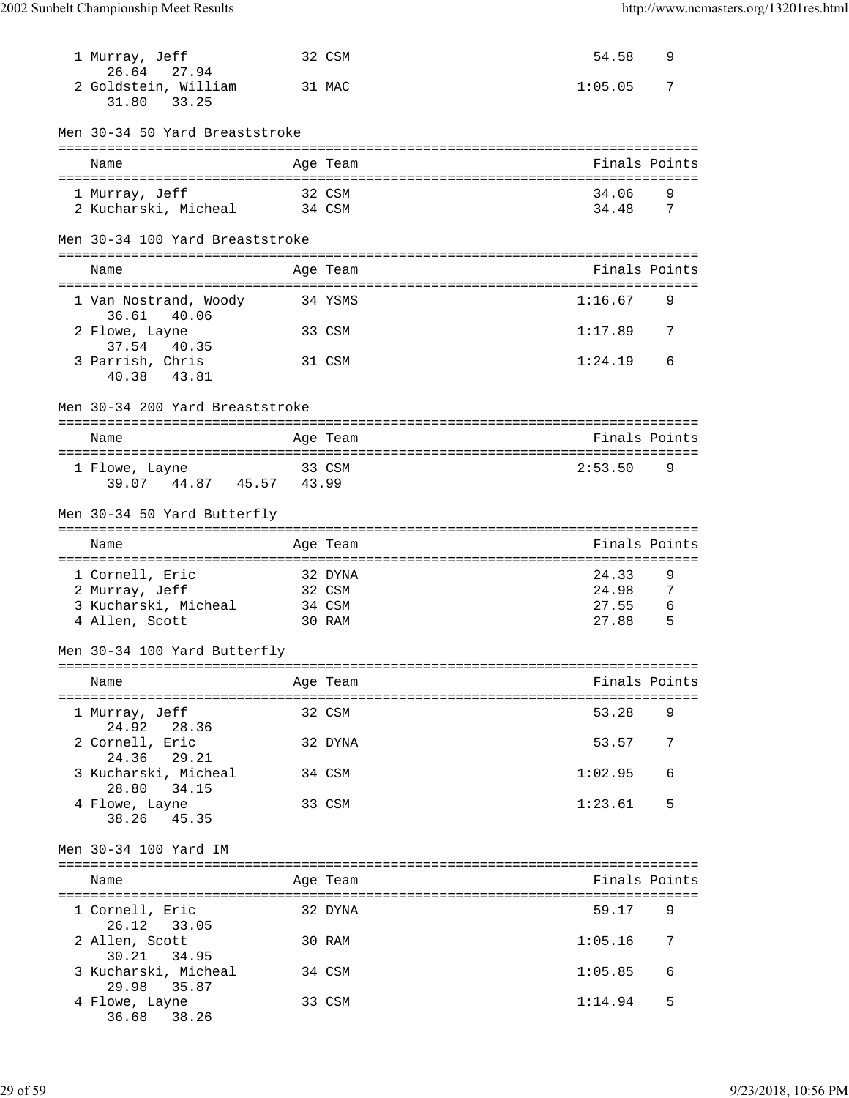| 1 Murray, Jeff<br>26.64 27.94                                               |        | 32 CSM                                | 54.58                                                 | 9                |
|-----------------------------------------------------------------------------|--------|---------------------------------------|-------------------------------------------------------|------------------|
| 2 Goldstein, William<br>31.80<br>33.25                                      |        | 31 MAC                                | 1:05.05                                               | 7                |
| Men 30-34 50 Yard Breaststroke                                              |        |                                       |                                                       |                  |
| Name                                                                        |        | Age Team                              | Finals Points                                         |                  |
| 1 Murray, Jeff<br>2 Kucharski, Micheal                                      | 34 CSM | 32 CSM                                | 34.06<br>34.48                                        | 9<br>7           |
| Men 30-34 100 Yard Breaststroke                                             |        |                                       |                                                       |                  |
| Name                                                                        |        | Age Team                              | Finals Points                                         |                  |
| 1 Van Nostrand, Woody<br>36.61 40.06                                        |        | 34 YSMS                               | 1:16.67                                               | 9                |
| 2 Flowe, Layne                                                              |        | 33 CSM                                | 1:17.89                                               | 7                |
| 37.54<br>40.35<br>3 Parrish, Chris<br>43.81<br>40.38                        |        | 31 CSM                                | 1:24.19                                               | 6                |
| Men 30-34 200 Yard Breaststroke                                             |        |                                       |                                                       |                  |
| Name                                                                        |        | Age Team                              | Finals Points                                         |                  |
| 1 Flowe, Layne<br>39.07 44.87 45.57                                         | 43.99  | 33 CSM                                | 2:53.50                                               | 9                |
| Men 30-34 50 Yard Butterfly                                                 |        |                                       |                                                       |                  |
|                                                                             |        |                                       |                                                       |                  |
| Name                                                                        |        | Age Team                              | Finals Points                                         |                  |
| 1 Cornell, Eric<br>2 Murray, Jeff<br>3 Kucharski, Micheal<br>4 Allen, Scott |        | 32 DYNA<br>32 CSM<br>34 CSM<br>30 RAM | :================<br>24.33<br>24.98<br>27.55<br>27.88 | 9<br>7<br>6<br>5 |
| Men 30-34 100 Yard Butterfly                                                |        |                                       |                                                       |                  |
| Name                                                                        |        | Age Team                              | Finals Points                                         |                  |
| 1 Murray, Jeff                                                              |        | 32 CSM                                | 53.28                                                 | 9                |
| 24.92 28.36<br>2 Cornell, Eric                                              |        | 32 DYNA                               | 53.57                                                 | 7                |
| 24.36<br>29.21<br>3 Kucharski, Micheal                                      |        | 34 CSM                                | 1:02.95                                               | 6                |
| 28.80<br>34.15<br>4 Flowe, Layne<br>38.26 45.35                             |        | 33 CSM                                | 1:23.61                                               | 5                |
| Men 30-34 100 Yard IM                                                       |        |                                       |                                                       |                  |
| Name                                                                        |        | Age Team                              | Finals Points                                         |                  |
| 1 Cornell, Eric                                                             |        | 32 DYNA                               | 59.17                                                 | 9                |
| 26.12 33.05<br>2 Allen, Scott                                               |        | 30 RAM                                | 1:05.16                                               | 7                |
| 34.95<br>30.21<br>3 Kucharski, Micheal<br>35.87<br>29.98                    |        | 34 CSM                                | 1:05.85                                               | 6                |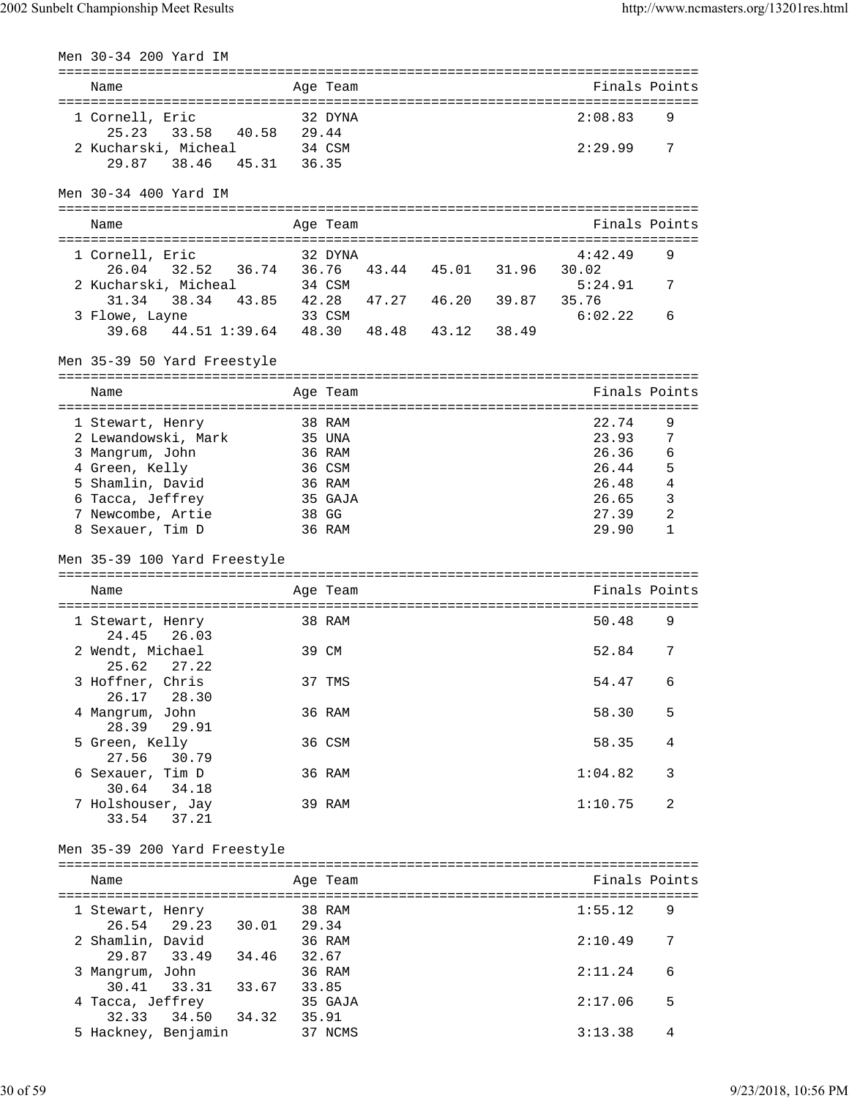| Men 30-34 200 Yard IM                   |       |                         |       |             |       |                                  |                |
|-----------------------------------------|-------|-------------------------|-------|-------------|-------|----------------------------------|----------------|
| =============================<br>Name   |       | ===========<br>Age Team |       |             |       | -------------------------------- | Finals Points  |
|                                         |       |                         |       |             |       |                                  |                |
| 1 Cornell, Eric                         |       | 32 DYNA                 |       |             |       | 2:08.83                          | 9              |
| 25.23<br>33.58<br>40.58                 | 29.44 |                         |       |             |       |                                  |                |
| 2 Kucharski, Micheal                    |       | 34 CSM                  |       |             |       | 2:29.99                          | 7              |
| 38.46 45.31<br>29.87                    | 36.35 |                         |       |             |       |                                  |                |
| Men 30-34 400 Yard IM                   |       |                         |       |             |       |                                  |                |
| Name                                    |       |                         |       |             |       |                                  | Finals Points  |
|                                         |       | Age Team                |       |             |       |                                  |                |
| 1 Cornell, Eric                         |       | 32 DYNA                 |       |             |       | 4:42.49                          | 9              |
| 32.52<br>36.74<br>26.04                 | 36.76 |                         |       | 43.44 45.01 | 31.96 | 30.02                            |                |
| 2 Kucharski, Micheal                    |       | 34 CSM                  |       |             |       | 5:24.91                          | 7              |
| 38.34 43.85<br>31.34                    | 42.28 |                         | 47.27 | 46.20 39.87 |       | 35.76                            |                |
| 3 Flowe, Layne                          |       | 33 CSM                  |       |             |       | 6:02.22                          | 6              |
| 39.68 44.51 1:39.64 48.30 48.48         |       |                         |       | 43.12 38.49 |       |                                  |                |
| Men 35-39 50 Yard Freestyle             |       |                         |       |             |       |                                  |                |
|                                         |       |                         |       |             |       |                                  |                |
| Name                                    |       | Age Team                |       |             |       |                                  | Finals Points  |
| 1 Stewart, Henry                        |       | 38 RAM                  |       |             |       | 22.74                            | 9              |
| 2 Lewandowski, Mark                     |       | 35 UNA                  |       |             |       | 23.93                            | 7              |
| 3 Mangrum, John                         |       | 36 RAM                  |       |             |       | 26.36                            | 6              |
| 4 Green, Kelly                          |       | 36 CSM                  |       |             |       | 26.44                            | 5              |
| 5 Shamlin, David                        |       | 36 RAM                  |       |             |       | 26.48                            | $\overline{4}$ |
| 6 Tacca, Jeffrey                        |       | 35 GAJA                 |       |             |       | 26.65                            | 3              |
| 7 Newcombe, Artie                       |       | 38 GG                   |       |             |       | 27.39                            | 2              |
| 8 Sexauer, Tim D                        |       | 36 RAM                  |       |             |       | 29.90                            | 1              |
| Men 35-39 100 Yard Freestyle            |       |                         |       |             |       |                                  |                |
|                                         |       |                         |       |             |       |                                  |                |
| Name                                    |       | Age Team                |       |             |       |                                  | Finals Points  |
| 1 Stewart, Henry                        |       | 38 RAM                  |       |             |       | 50.48                            | 9              |
| 26.03<br>24.45                          |       |                         |       |             |       |                                  |                |
| 2 Wendt, Michael                        |       | 39 CM                   |       |             |       | 52.84                            | 7              |
| 25.62<br>27.22                          |       |                         |       |             |       |                                  |                |
| 3 Hoffner, Chris<br>26.17<br>28.30      |       | 37 TMS                  |       |             |       | 54.47                            | 6              |
| 4 Mangrum, John                         |       | 36 RAM                  |       |             |       | 58.30                            | 5              |
| 28.39<br>29.91                          |       |                         |       |             |       |                                  |                |
| 5 Green, Kelly                          |       | 36 CSM                  |       |             |       | 58.35                            | 4              |
| 27.56<br>30.79<br>6 Sexauer, Tim D      |       | 36 RAM                  |       |             |       | 1:04.82                          | 3              |
| 30.64<br>34.18                          |       |                         |       |             |       |                                  |                |
| 7 Holshouser, Jay                       |       | 39 RAM                  |       |             |       | 1:10.75                          | 2              |
| 33.54<br>37.21                          |       |                         |       |             |       |                                  |                |
| Men 35-39 200 Yard Freestyle            |       |                         |       |             |       |                                  |                |
|                                         |       |                         |       |             |       |                                  |                |
| Name                                    |       | Age Team                |       |             |       |                                  | Finals Points  |
|                                         |       |                         |       |             |       |                                  |                |
| 1 Stewart, Henry                        |       | 38 RAM                  |       |             |       | 1:55.12                          | 9              |
| 26.54<br>29.23<br>30.01                 | 29.34 |                         |       |             |       |                                  |                |
| 2 Shamlin, David<br>29.87               |       | 36 RAM                  |       |             |       | 2:10.49                          | 7              |
| 33.49 34.46                             | 32.67 | 36 RAM                  |       |             |       | 2:11.24                          | 6              |
| 3 Mangrum, John<br>33.31 33.67<br>30.41 | 33.85 |                         |       |             |       |                                  |                |
| 4 Tacca, Jeffrey                        |       | 35 GAJA                 |       |             |       | 2:17.06                          | 5              |
| 32.33<br>34.50<br>34.32                 | 35.91 |                         |       |             |       |                                  |                |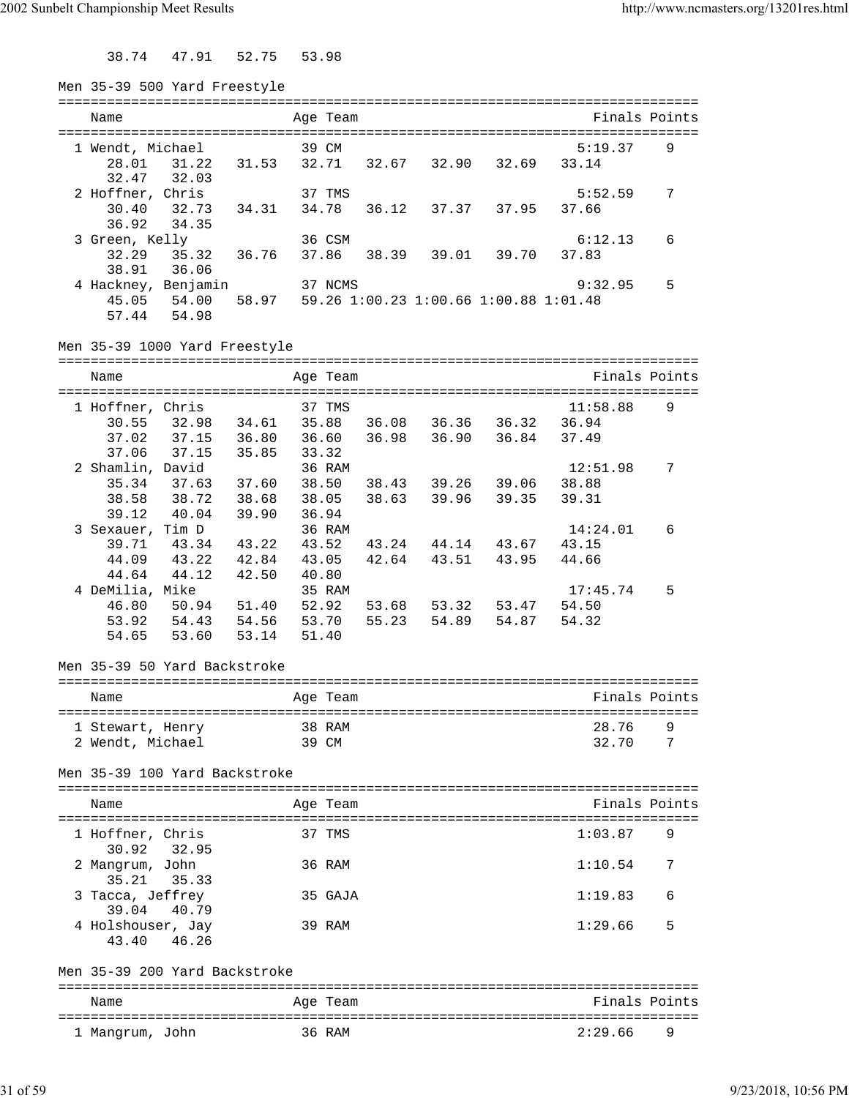38.74 47.91 52.75 53.98

| Men 35-39 500 Yard Freestyle       |                |                 |       |                   |                                       |                                               |   |
|------------------------------------|----------------|-----------------|-------|-------------------|---------------------------------------|-----------------------------------------------|---|
| Name                               |                | Age Team        |       |                   |                                       | ============================<br>Finals Points |   |
|                                    |                |                 |       |                   |                                       |                                               |   |
| 1 Wendt, Michael                   |                | 39 CM           |       |                   |                                       | 5:19.37                                       | 9 |
| 28.01 31.22                        | 31.53          | 32.71           |       | 32.67 32.90       | 32.69                                 | 33.14                                         |   |
| 32.03<br>32.47                     |                |                 |       |                   |                                       |                                               |   |
| 2 Hoffner, Chris                   |                | 37 TMS          |       |                   |                                       | 5:52.59                                       | 7 |
| 30.40<br>32.73 34.31               |                | 34.78           |       |                   | 36.12 37.37 37.95                     | 37.66                                         |   |
| 36.92<br>34.35                     |                |                 |       |                   |                                       |                                               |   |
| 3 Green, Kelly<br>32.29            |                | 36 CSM          |       |                   |                                       | 6:12.13<br>37.83                              | 6 |
| 35.32 36.76<br>36.06<br>38.91      |                | 37.86           |       |                   | 38.39 39.01 39.70                     |                                               |   |
| 4 Hackney, Benjamin                |                | 37 NCMS         |       |                   |                                       | 9:32.95                                       | 5 |
| 45.05 54.00                        | 58.97          |                 |       |                   | 59.26 1:00.23 1:00.66 1:00.88 1:01.48 |                                               |   |
| 54.98<br>57.44                     |                |                 |       |                   |                                       |                                               |   |
| Men 35-39 1000 Yard Freestyle      |                |                 |       |                   |                                       |                                               |   |
|                                    |                |                 |       |                   |                                       |                                               |   |
| Name                               |                | Age Team        |       |                   |                                       | Finals Points                                 |   |
|                                    |                |                 |       |                   |                                       |                                               |   |
| 1 Hoffner, Chris                   |                | 37 TMS<br>35.88 |       |                   |                                       | 11:58.88                                      | 9 |
| 32.98 34.61<br>30.55               |                |                 |       |                   | 36.08 36.36 36.32                     | 36.94                                         |   |
| 37.02<br>37.15<br>37.15            | 36.80          |                 |       |                   | 36.60 36.98 36.90 36.84               | 37.49                                         |   |
| 37.06                              | 35.85          | 33.32<br>36 RAM |       |                   |                                       | 12:51.98                                      | 7 |
| 2 Shamlin, David                   |                |                 |       |                   |                                       |                                               |   |
| 35.34<br>37.63 37.60               |                |                 |       |                   | 38.50 38.43 39.26 39.06               | 38.88                                         |   |
| 38.58 38.72<br>39.12               | 38.68<br>39.90 | 38.05<br>36.94  |       | 38.63 39.96       | 39.35                                 | 39.31                                         |   |
| 40.04<br>3 Sexauer, Tim D          |                | 36 RAM          |       |                   |                                       | 14:24.01                                      |   |
| 39.71 43.34 43.22                  |                |                 |       |                   | 43.52 43.24 44.14 43.67               | 43.15                                         | 6 |
| 43.22 42.84<br>44.09               |                |                 |       | 43.05 42.64 43.51 | 43.95                                 | 44.66                                         |   |
| 44.64<br>44.12                     | 42.50          | 40.80           |       |                   |                                       |                                               |   |
| 4 DeMilia, Mike                    |                | 35 RAM          |       |                   |                                       | 17:45.74                                      | 5 |
| 46.80<br>50.94 51.40               |                | 52.92           |       |                   | 53.68 53.32 53.47                     | 54.50                                         |   |
| 53.92<br>54.43                     | 54.56          | 53.70           | 55.23 |                   | 54.89 54.87                           | 54.32                                         |   |
| 53.60<br>54.65                     | 53.14          | 51.40           |       |                   |                                       |                                               |   |
|                                    |                |                 |       |                   |                                       |                                               |   |
| Men 35-39 50 Yard Backstroke       |                |                 |       |                   |                                       |                                               |   |
| Name                               |                | Age Team        |       |                   |                                       | Finals Points                                 |   |
|                                    |                |                 |       |                   |                                       |                                               |   |
| 1 Stewart, Henry                   |                | 38 RAM          |       |                   |                                       | 28.76                                         | 9 |
| 2 Wendt, Michael                   |                | 39 CM           |       |                   |                                       | 32.70                                         | 7 |
|                                    |                |                 |       |                   |                                       |                                               |   |
| Men 35-39 100 Yard Backstroke      |                |                 |       |                   |                                       |                                               |   |
|                                    |                |                 |       |                   |                                       | Finals Points                                 |   |
| Name                               |                | Age Team        |       |                   |                                       |                                               |   |
| 1 Hoffner, Chris                   |                | 37 TMS          |       |                   |                                       | 1:03.87                                       | 9 |
| 30.92<br>32.95                     |                |                 |       |                   |                                       |                                               |   |
| 2 Mangrum, John                    |                | 36 RAM          |       |                   |                                       | 1:10.54                                       | 7 |
| 35.21<br>35.33                     |                |                 |       |                   |                                       |                                               |   |
| 3 Tacca, Jeffrey<br>39.04<br>40.79 |                | 35 GAJA         |       |                   |                                       | 1:19.83                                       | 6 |
| 4 Holshouser, Jay                  |                | 39 RAM          |       |                   |                                       | 1:29.66                                       | 5 |
| 46.26<br>43.40                     |                |                 |       |                   |                                       |                                               |   |
| Men 35-39 200 Yard Backstroke      |                |                 |       |                   |                                       |                                               |   |
| Name                               |                | Age Team        |       |                   |                                       | Finals Points                                 |   |
|                                    |                |                 |       |                   |                                       |                                               |   |
| 1 Mangrum, John                    |                | 36 RAM          |       |                   |                                       | 2:29.66                                       | 9 |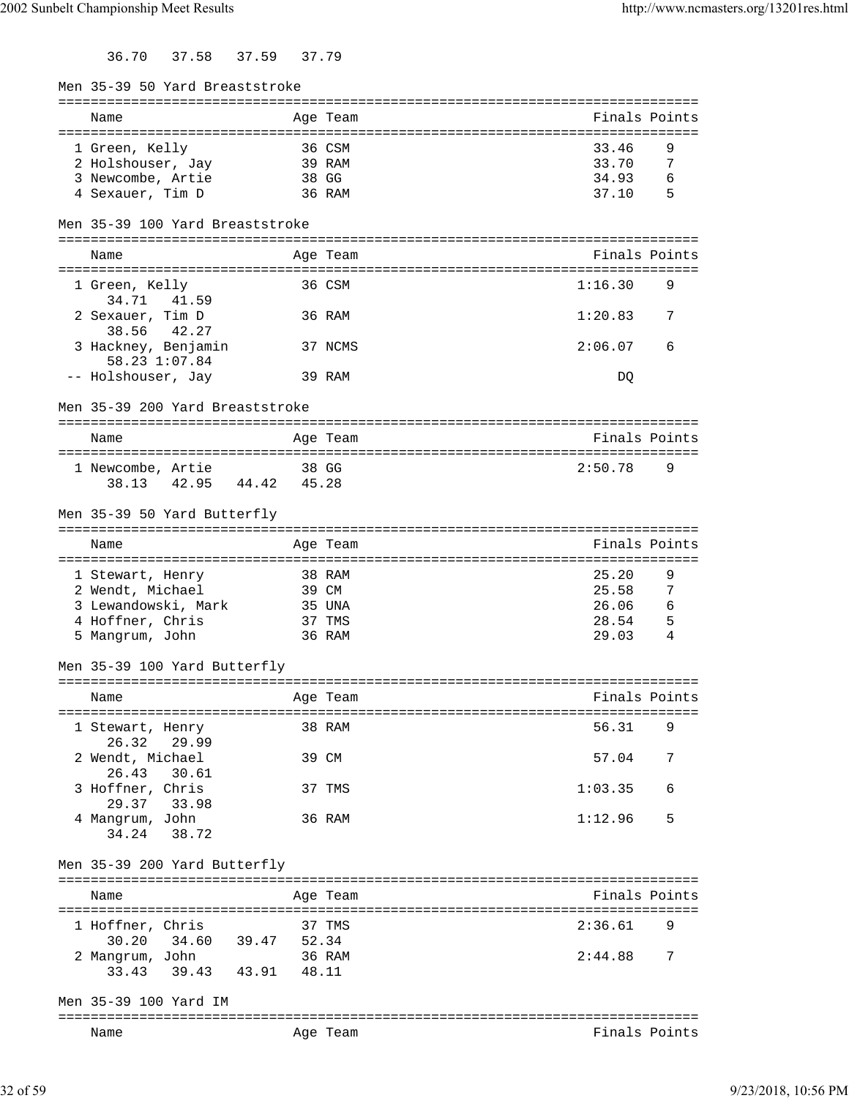36.70 37.58 37.59 37.79

| Men 35-39 50 Yard Breaststroke     |       |          |               |     |
|------------------------------------|-------|----------|---------------|-----|
| Name                               |       |          | Finals Points |     |
|                                    |       | Age Team |               |     |
| 1 Green, Kelly                     |       | 36 CSM   | 33.46         | 9   |
| 2 Holshouser, Jay                  |       | 39 RAM   | 33.70         | 7   |
| 3 Newcombe, Artie                  | 38 GG |          | 34.93         | 6   |
| 4 Sexauer, Tim D                   |       | 36 RAM   | 37.10         | - 5 |
|                                    |       |          |               |     |
| Men 35-39 100 Yard Breaststroke    |       |          |               |     |
| Name                               |       | Age Team | Finals Points |     |
|                                    |       |          |               |     |
| 1 Green, Kelly                     |       | 36 CSM   | 1:16.30       | 9   |
| 34.71 41.59                        |       |          |               |     |
| 2 Sexauer, Tim D                   |       | 36 RAM   | 1:20.83       | 7   |
| 38.56 42.27                        |       |          |               |     |
| 3 Hackney, Benjamin                |       | 37 NCMS  | 2:06.07       | 6   |
| 58.23 1:07.84                      |       |          |               |     |
| -- Holshouser, Jay                 |       | 39 RAM   | DQ            |     |
| Men 35-39 200 Yard Breaststroke    |       |          |               |     |
|                                    |       |          |               |     |
| Name                               |       | Age Team | Finals Points |     |
|                                    |       |          |               |     |
| 1 Newcombe, Artie                  |       | 38 GG    | 2:50.78       | 9   |
| 38.13 42.95 44.42                  | 45.28 |          |               |     |
| Men 35-39 50 Yard Butterfly        |       |          |               |     |
|                                    |       |          |               |     |
| Name                               |       | Age Team | Finals Points |     |
|                                    |       |          |               |     |
| 1 Stewart, Henry                   |       | 38 RAM   | 25.20         | 9   |
| 2 Wendt, Michael                   |       | 39 CM    | 25.58         | -7  |
| 3 Lewandowski, Mark                |       | 35 UNA   | 26.06         | - 6 |
| 4 Hoffner, Chris                   |       | 37 TMS   | 28.54         | - 5 |
| 5 Mangrum, John                    |       | 36 RAM   | 29.03         | 4   |
| Men 35-39 100 Yard Butterfly       |       |          |               |     |
|                                    |       |          |               |     |
| Name<br>Age Team                   |       |          | Finals Points |     |
|                                    |       |          |               |     |
| 1 Stewart, Henry                   |       | 38 RAM   | 56.31         | 9   |
| 26.32<br>29.99                     |       |          |               |     |
| 2 Wendt, Michael                   |       | 39 CM    | 57.04         | 7   |
| 26.43<br>30.61<br>3 Hoffner, Chris |       |          | 1:03.35       | 6   |
| 29.37 33.98                        |       | 37 TMS   |               |     |
| 4 Mangrum, John                    |       | 36 RAM   | 1:12.96       | 5   |
| 34.24<br>38.72                     |       |          |               |     |
|                                    |       |          |               |     |
| Men 35-39 200 Yard Butterfly       |       |          |               |     |
|                                    |       |          |               |     |
| Name                               |       | Age Team | Finals Points |     |
| 1 Hoffner, Chris                   |       | 37 TMS   | 2:36.61       |     |
| 30.20 34.60 39.47 52.34            |       |          |               |     |
| 2 Mangrum, John                    |       | 36 RAM   | 2:44.88       | 7   |
| 33.43 39.43 43.91 48.11            |       |          |               |     |
|                                    |       |          |               |     |
| Men 35-39 100 Yard IM              |       |          |               |     |
|                                    |       |          |               |     |
| Name                               |       | Age Team | Finals Points |     |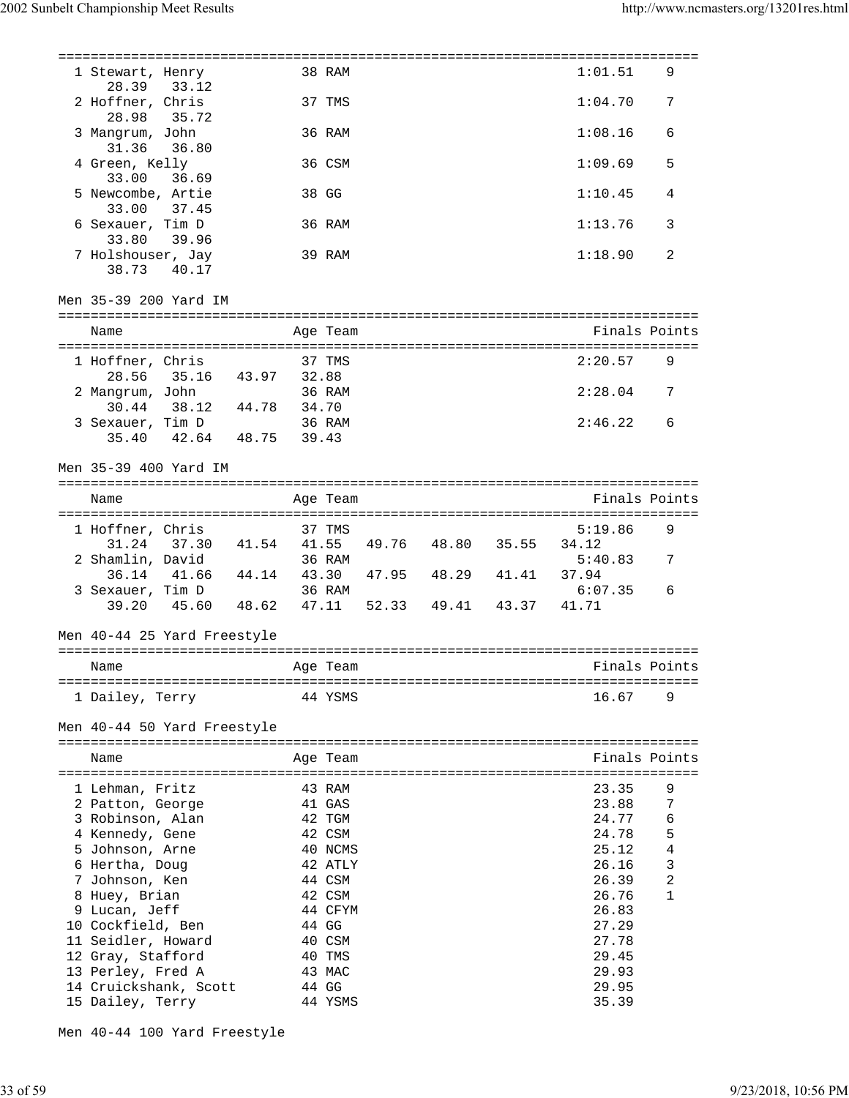| 1 Stewart, Henry<br>33.12<br>28.39  |             |       | 38 RAM   |                     | 1:01.51       | 9              |
|-------------------------------------|-------------|-------|----------|---------------------|---------------|----------------|
| 2 Hoffner, Chris<br>28.98<br>35.72  |             |       | 37 TMS   |                     | 1:04.70       | 7              |
| 3 Mangrum, John<br>31.36 36.80      |             |       | 36 RAM   |                     | 1:08.16       | 6              |
| 4 Green, Kelly<br>33.00<br>36.69    |             |       | 36 CSM   |                     | 1:09.69       | 5              |
| 5 Newcombe, Artie<br>33.00<br>37.45 |             |       | 38 GG    |                     | 1:10.45       | 4              |
| 6 Sexauer, Tim D<br>33.80<br>39.96  |             |       | 36 RAM   |                     | 1:13.76       | 3              |
| 7 Holshouser, Jay<br>38.73<br>40.17 |             |       | 39 RAM   |                     | 1:18.90       | 2              |
| Men 35-39 200 Yard IM               |             |       |          |                     |               |                |
| Name                                |             |       | Age Team |                     | Finals Points |                |
|                                     |             |       | 37 TMS   |                     |               |                |
| 1 Hoffner, Chris<br>28.56           |             |       |          |                     | 2:20.57       | 9              |
| 35.16 43.97                         |             | 32.88 |          |                     |               |                |
| 2 Mangrum, John                     |             |       | 36 RAM   |                     | 2:28.04       | -7             |
| 30.44<br>38.12                      | 44.78       | 34.70 |          |                     |               |                |
| 3 Sexauer, Tim D                    |             |       | 36 RAM   |                     | 2:46.22       | 6              |
| 35.40<br>42.64                      | 48.75       | 39.43 |          |                     |               |                |
| Men 35-39 400 Yard IM               |             |       |          |                     |               |                |
|                                     |             |       |          |                     |               |                |
| Name                                |             |       | Age Team |                     | Finals Points |                |
|                                     |             |       |          |                     |               |                |
| 1 Hoffner, Chris                    |             |       | 37 TMS   |                     | 5:19.86       | 9              |
| 31.24<br>37.30                      | 41.54 41.55 |       |          | 49.76 48.80 35.55   | 34.12         |                |
| 2 Shamlin, David                    |             |       | 36 RAM   |                     | 5:40.83       | 7              |
| 36.14<br>41.66                      | 44.14       | 43.30 |          | 47.95  48.29  41.41 | 37.94         |                |
| 3 Sexauer, Tim D                    |             |       | 36 RAM   |                     | 6:07.35       | 6              |
| 39.20<br>45.60                      | 48.62       | 47.11 |          | 52.33 49.41 43.37   | 41.71         |                |
| Men 40-44 25 Yard Freestyle         |             |       |          |                     |               |                |
| Name                                |             |       | Age Team |                     | Finals Points |                |
|                                     |             |       |          |                     |               |                |
| 1 Dailey, Terry                     |             |       | 44 YSMS  |                     | 16.67         | 9              |
| Men 40-44 50 Yard Freestyle         |             |       |          |                     |               |                |
| Name                                |             |       | Age Team |                     | Finals Points |                |
| 1 Lehman, Fritz                     |             |       | 43 RAM   |                     | 23.35         | 9              |
| 2 Patton, George                    |             |       | 41 GAS   |                     | 23.88         | 7              |
|                                     |             |       |          |                     |               |                |
| 3 Robinson, Alan                    |             |       | 42 TGM   |                     | 24.77         | 6              |
| 4 Kennedy, Gene                     |             |       | 42 CSM   |                     | 24.78         | 5              |
| 5 Johnson, Arne                     |             |       | 40 NCMS  |                     | 25.12         | 4              |
| 6 Hertha, Doug                      |             |       | 42 ATLY  |                     | 26.16         | $\mathbf{3}$   |
| 7 Johnson, Ken                      |             |       | 44 CSM   |                     | 26.39         | $\overline{2}$ |
| 8 Huey, Brian                       |             |       | 42 CSM   |                     | 26.76         | 1              |
| 9 Lucan, Jeff                       |             |       | 44 CFYM  |                     | 26.83         |                |
| 10 Cockfield, Ben                   |             |       | 44 GG    |                     | 27.29         |                |
| 11 Seidler, Howard                  |             |       | 40 CSM   |                     | 27.78         |                |
|                                     |             |       | 40 TMS   |                     | 29.45         |                |
| 12 Gray, Stafford                   |             |       |          |                     |               |                |
| 13 Perley, Fred A                   |             |       | 43 MAC   |                     | 29.93         |                |
| 14 Cruickshank, Scott               |             |       | 44 GG    |                     | 29.95         |                |
| 15 Dailey, Terry                    |             |       | 44 YSMS  |                     | 35.39         |                |
|                                     |             |       |          |                     |               |                |

Men 40-44 100 Yard Freestyle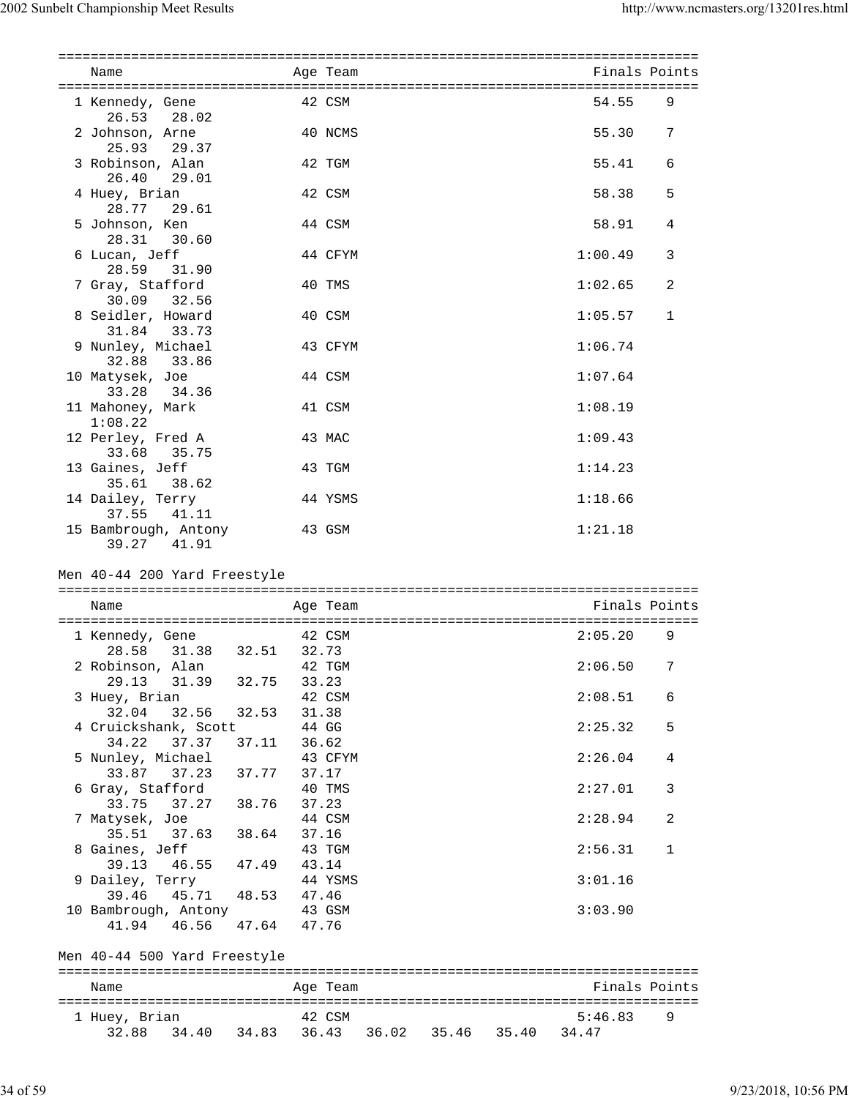| Name                                                   |                      | Age Team |  | Finals Points |              |
|--------------------------------------------------------|----------------------|----------|--|---------------|--------------|
| 1 Kennedy, Gene                                        |                      | 42 CSM   |  | 54.55         | 9            |
| 26.53<br>28.02                                         |                      |          |  |               |              |
| 2 Johnson, Arne                                        |                      | 40 NCMS  |  | 55.30         | 7            |
| 25.93<br>29.37                                         |                      |          |  |               |              |
| 3 Robinson, Alan                                       |                      | 42 TGM   |  | 55.41         | 6            |
| 26.40<br>29.01                                         |                      |          |  |               |              |
| 4 Huey, Brian                                          |                      | 42 CSM   |  | 58.38         | 5            |
| 28.77<br>29.61                                         |                      |          |  |               |              |
| 5 Johnson, Ken                                         |                      | 44 CSM   |  | 58.91         | 4            |
| 30.60<br>28.31                                         |                      |          |  |               |              |
| 6 Lucan, Jeff                                          |                      | 44 CFYM  |  | 1:00.49       | 3            |
| 28.59<br>31.90                                         |                      |          |  |               |              |
| 7 Gray, Stafford                                       |                      | 40 TMS   |  | 1:02.65       | 2            |
| 30.09 32.56                                            |                      |          |  |               |              |
| 8 Seidler, Howard                                      |                      | 40 CSM   |  | 1:05.57       | 1            |
| 31.84<br>33.73                                         |                      |          |  |               |              |
| 9 Nunley, Michael                                      |                      | 43 CFYM  |  | 1:06.74       |              |
| 32.88<br>33.86                                         |                      |          |  |               |              |
| 10 Matysek, Joe                                        |                      | 44 CSM   |  | 1:07.64       |              |
| 33.28<br>34.36                                         |                      |          |  |               |              |
| 11 Mahoney, Mark                                       |                      | 41 CSM   |  | 1:08.19       |              |
| 1:08.22                                                | 43 MAC               |          |  |               |              |
| 12 Perley, Fred A<br>33.68<br>35.75                    |                      |          |  | 1:09.43       |              |
| 13 Gaines, Jeff                                        |                      | 43 TGM   |  | 1:14.23       |              |
| 38.62<br>35.61                                         |                      |          |  |               |              |
| 14 Dailey, Terry                                       |                      | 44 YSMS  |  | 1:18.66       |              |
| 37.55<br>41.11                                         |                      |          |  |               |              |
| 15 Bambrough, Antony                                   | 43 GSM               |          |  | 1:21.18       |              |
| 39.27 41.91                                            |                      |          |  |               |              |
|                                                        |                      |          |  |               |              |
| Men 40-44 200 Yard Freestyle<br>Name                   |                      | Age Team |  | Finals Points |              |
|                                                        |                      |          |  |               |              |
| 1 Kennedy, Gene                                        | 42 CSM               |          |  | 2:05.20       | 9            |
| 28.58 31.38                                            | 32.51 32.73          |          |  |               |              |
| 2 Robinson, Alan                                       |                      | 42 TGM   |  | 2:06.50       | 7            |
| 29.13<br>31.39                                         | 32.75<br>33.23       |          |  |               |              |
| 3 Huey, Brian                                          |                      | 42 CSM   |  | 2:08.51       | 6            |
| 32.04                                                  | 32.56 32.53<br>31.38 |          |  |               |              |
| 4 Cruickshank, Scott                                   | 44 GG                |          |  | 2:25.32       | 5            |
| 34.22<br>37.37                                         | 37.11<br>36.62       |          |  |               |              |
| 5 Nunley, Michael                                      |                      | 43 CFYM  |  | 2:26.04       | 4            |
| 33.87 37.23 37.77                                      | 37.17                |          |  |               |              |
| 6 Gray, Stafford                                       | 40 TMS               |          |  | 2:27.01       | 3            |
| 33.75                                                  | 37.27 38.76<br>37.23 |          |  | 2:28.94       | 2            |
| 7 Matysek, Joe                                         | 37.16                | 44 CSM   |  |               |              |
| 35.51 37.63 38.64<br>8 Gaines, Jeff                    |                      | 43 TGM   |  | 2:56.31       | $\mathbf{1}$ |
| 39.13 46.55 47.49                                      | 43.14                |          |  |               |              |
| 9 Dailey, Terry                                        |                      | 44 YSMS  |  | 3:01.16       |              |
| 39.46                                                  | 45.71 48.53 47.46    |          |  |               |              |
| 10 Bambrough, Antony                                   | 43 GSM               |          |  | 3:03.90       |              |
| 41.94 46.56 47.64                                      | 47.76                |          |  |               |              |
|                                                        |                      |          |  |               |              |
| Men 40-44 500 Yard Freestyle                           |                      |          |  |               |              |
|                                                        |                      |          |  |               |              |
| Name                                                   |                      | Age Team |  | Finals Points |              |
|                                                        |                      |          |  |               |              |
| 1 Huey, Brian                                          | 42 CSM               |          |  | 5:46.83       | 9            |
| 32.88  34.40  34.83  36.43  36.02  35.46  35.40  34.47 |                      |          |  |               |              |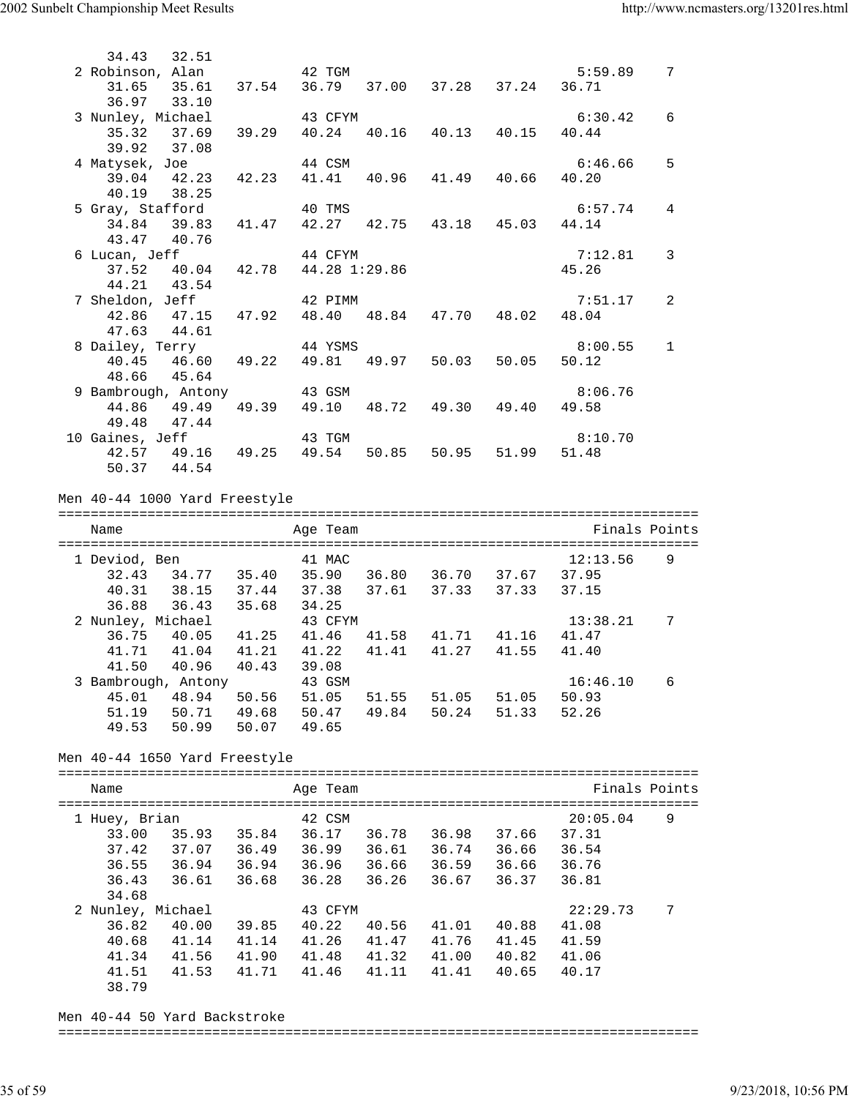| 34.43<br>32.51                                                                      |       |                               |       |       |                   |               |                 |
|-------------------------------------------------------------------------------------|-------|-------------------------------|-------|-------|-------------------|---------------|-----------------|
| 2 Robinson, Alan                                                                    |       | 42 TGM                        |       |       |                   | 5:59.89       | $7\overline{ }$ |
| 31.65 35.61                                                                         | 37.54 | 36.79 37.00 37.28 37.24       |       |       |                   | 36.71         |                 |
| 36.97 33.10                                                                         |       |                               |       |       |                   |               |                 |
| 3 Nunley, Michael                                                                   |       | 43 CFYM                       |       |       |                   | 6:30.42       | 6               |
| $35.32$ $37.69$ $39.29$                                                             |       | 40.24 40.16 40.13 40.15 40.44 |       |       |                   |               |                 |
| 39.92 37.08                                                                         |       |                               |       |       |                   |               |                 |
| 4 Matysek, Joe                                                                      |       | 44 CSM                        |       |       |                   | 6:46.66       | 5               |
| 39.04 42.23                                                                         | 42.23 | 41.41                         |       |       | 40.96 41.49 40.66 | 40.20         |                 |
| 40.19 38.25                                                                         |       |                               |       |       |                   |               |                 |
| 5 Gray, Stafford                                                                    |       | 40 TMS                        |       |       |                   | 6:57.74       | 4               |
| 34.84 39.83                                                                         | 41.47 | 42.27 42.75 43.18 45.03       |       |       |                   | 44.14         |                 |
| 43.47 40.76                                                                         |       |                               |       |       |                   |               |                 |
| 6 Lucan, Jeff                                                                       |       | 44 CFYM                       |       |       |                   | 7:12.81       | 3               |
| can, Jeff                       44 CFYM<br>37.52    40.04    42.78    44.28 1:29.86 |       |                               |       |       |                   | 45.26         |                 |
| 44.21 43.54                                                                         |       |                               |       |       |                   |               |                 |
| 7 Sheldon, Jeff                                                                     |       | 42 PIMM                       |       |       |                   | 7:51.17       | 2               |
| 42.86 47.15 47.92                                                                   |       | 48.40                         |       |       | 48.84 47.70 48.02 | 48.04         |                 |
| 47.63 44.61                                                                         |       |                               |       |       |                   |               |                 |
| 8 Dailey, Terry                                                                     |       | 44 YSMS                       |       |       |                   | 8:00.55       | $\mathbf{1}$    |
| 40.45 46.60                                                                         | 49.22 | 49.81                         | 49.97 | 50.03 | 50.05             | 50.12         |                 |
| 48.66 45.64                                                                         |       |                               |       |       |                   |               |                 |
| 9 Bambrough, Antony                                                                 |       | 43 GSM                        |       |       |                   | 8:06.76       |                 |
| 44.86 49.49 49.39 49.10 48.72 49.30 49.40                                           |       |                               |       |       |                   | 49.58         |                 |
| 49.48 47.44                                                                         |       |                               |       |       |                   |               |                 |
| 10 Gaines, Jeff                                                                     |       | 43 TGM                        |       |       |                   | 8:10.70       |                 |
| 42.57 49.16 49.25 49.54 50.85 50.95 51.99                                           |       |                               |       |       |                   | 51.48         |                 |
| 50.37 44.54                                                                         |       |                               |       |       |                   |               |                 |
|                                                                                     |       |                               |       |       |                   |               |                 |
| Men 40-44 1000 Yard Freestyle                                                       |       |                               |       |       |                   |               |                 |
|                                                                                     |       |                               |       |       |                   |               |                 |
| Name                                                                                |       | Age Team                      |       |       |                   | Finals Points |                 |
| 1 Deviod, Ben                                                                       |       | 41 MAC                        |       |       |                   | 12:13.56      | 9               |
| 32.43 34.77 35.40 35.90 36.80 36.70 37.67 37.95                                     |       |                               |       |       |                   |               |                 |
| 40.31 38.15 37.44 37.38 37.61 37.33 37.33                                           |       |                               |       |       |                   | 37.15         |                 |
| 36.88 36.43 35.68                                                                   |       | 34.25                         |       |       |                   |               |                 |
| 2 Nunley, Michael                                                                   |       | 43 CFYM                       |       |       |                   | 13:38.21      | 7               |
| 36.75 40.05 41.25 41.46 41.58 41.71 41.16                                           |       |                               |       |       |                   | 41.47         |                 |
| 41.71  41.04  41.21                                                                 |       | 41.22                         | 41.41 |       | 41.27 41.55       | 41.40         |                 |
| 41.50 40.96                                                                         | 40.43 | 39.08                         |       |       |                   |               |                 |
| 3 Bambrough, Antony                                                                 |       | 43 GSM                        |       |       |                   | 16:46.10      | 6               |
|                                                                                     |       |                               |       |       |                   |               |                 |

Men 40-44 1650 Yard Freestyle

49.53 50.99 50.07 49.65

| Name                                                           |                                  |                                  | Age Team                                    |                                  |                                  |                                  | Finals Points                                |   |
|----------------------------------------------------------------|----------------------------------|----------------------------------|---------------------------------------------|----------------------------------|----------------------------------|----------------------------------|----------------------------------------------|---|
| 1 Huey, Brian<br>33.00<br>37.42<br>36.55<br>36.43<br>34.68     | 35.93<br>37.07<br>36.94<br>36.61 | 35.84<br>36.49<br>36.94<br>36.68 | 42 CSM<br>36.17<br>36.99<br>36.96<br>36.28  | 36.78<br>36.61<br>36.66<br>36.26 | 36.98<br>36.74<br>36.59<br>36.67 | 37.66<br>36.66<br>36.66<br>36.37 | 20:05.04<br>37.31<br>36.54<br>36.76<br>36.81 | 9 |
| 2 Nunley, Michael<br>36.82<br>40.68<br>41.34<br>41.51<br>38.79 | 40.00<br>41.14<br>41.56<br>41.53 | 39.85<br>41.14<br>41.90<br>41.71 | 43 CFYM<br>40.22<br>41.26<br>41.48<br>41.46 | 40.56<br>41.47<br>41.32<br>41.11 | 41.01<br>41.76<br>41.00<br>41.41 | 40.88<br>41.45<br>40.82<br>40.65 | 22:29.73<br>41.08<br>41.59<br>41.06<br>40.17 | 7 |

 45.01 48.94 50.56 51.05 51.55 51.05 51.05 50.93 51.19 50.71 49.68 50.47 49.84 50.24 51.33 52.26

Men 40-44 50 Yard Backstroke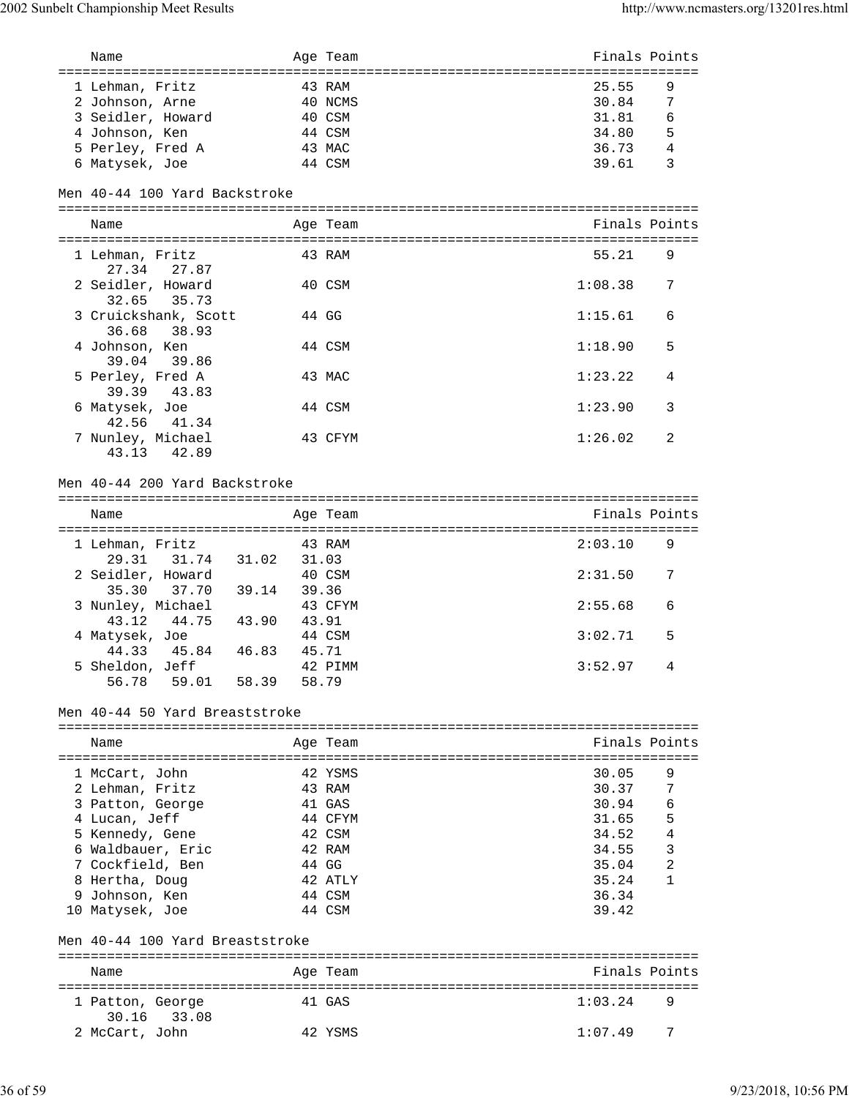| Name                             |       | Age Team | Finals Points |                |
|----------------------------------|-------|----------|---------------|----------------|
|                                  |       |          |               |                |
| 1 Lehman, Fritz                  |       | 43 RAM   | 25.55         | 9              |
| 2 Johnson, Arne                  |       | 40 NCMS  | 30.84         | 7              |
| 3 Seidler, Howard                |       | 40 CSM   | 31.81         | 6              |
| 4 Johnson, Ken                   |       | 44 CSM   | 34.80         | 5              |
| 5 Perley, Fred A                 |       | 43 MAC   | 36.73         | $\overline{4}$ |
| 6 Matysek, Joe                   |       | 44 CSM   | 39.61         | 3              |
|                                  |       |          |               |                |
| Men 40-44 100 Yard Backstroke    |       |          |               |                |
|                                  |       |          |               |                |
| Name                             |       | Age Team | Finals Points |                |
|                                  |       |          |               |                |
| 1 Lehman, Fritz                  |       | 43 RAM   | 55.21         | 9              |
| 27.34<br>27.87                   |       |          |               |                |
| 2 Seidler, Howard                |       | 40 CSM   | 1:08.38       | 7              |
| 35.73<br>32.65                   |       |          |               |                |
| 3 Cruickshank, Scott             |       | 44 GG    | 1:15.61       | 6              |
| 36.68<br>38.93                   |       |          |               |                |
| 4 Johnson, Ken                   |       | 44 CSM   | 1:18.90       | 5              |
| 39.04<br>39.86                   |       |          |               |                |
| 5 Perley, Fred A                 |       | 43 MAC   | 1:23.22       | 4              |
| 39.39<br>43.83                   |       |          |               |                |
| 6 Matysek, Joe                   |       | 44 CSM   | 1:23.90       | 3              |
| 42.56<br>41.34                   |       |          |               |                |
| 7 Nunley, Michael                |       | 43 CFYM  | 1:26.02       | 2              |
| 43.13<br>42.89                   |       |          |               |                |
|                                  |       |          |               |                |
| Men 40-44 200 Yard Backstroke    |       |          |               |                |
|                                  |       |          |               |                |
|                                  |       |          | Finals Points |                |
| Name                             |       | Age Team |               |                |
| 1 Lehman, Fritz                  |       | 43 RAM   | 2:03.10       | 9              |
|                                  |       |          |               |                |
|                                  |       |          |               |                |
| 29.31<br>31.74 31.02             | 31.03 |          |               |                |
| 2 Seidler, Howard                |       | 40 CSM   | 2:31.50       | 7              |
| 37.70 39.14<br>35.30             | 39.36 |          |               |                |
| 3 Nunley, Michael                |       | 43 CFYM  | 2:55.68       | 6              |
| 43.12<br>44.75 43.90             | 43.91 |          |               |                |
| 4 Matysek, Joe                   |       | 44 CSM   | 3:02.71       | 5              |
| 45.84 46.83<br>44.33             | 45.71 |          |               |                |
| 5 Sheldon, Jeff                  |       | 42 PIMM  | 3:52.97       | 4              |
| 59.01<br>56.78                   | 58.39 | 58.79    |               |                |
|                                  |       |          |               |                |
| Men 40-44 50 Yard Breaststroke   |       |          |               |                |
|                                  |       |          |               |                |
| Name                             |       | Age Team | Finals Points |                |
|                                  |       |          |               |                |
| 1 McCart, John                   |       | 42 YSMS  | 30.05         | 9              |
| 2 Lehman, Fritz                  |       | 43 RAM   | 30.37         | 7              |
| 3 Patton, George                 |       | 41 GAS   | 30.94         | 6              |
| 4 Lucan, Jeff                    |       | 44 CFYM  | 31.65         | 5              |
| 5 Kennedy, Gene                  |       | 42 CSM   | 34.52         | 4              |
| 6 Waldbauer, Eric                |       | 42 RAM   | 34.55         | 3              |
| 7 Cockfield, Ben                 |       | 44 GG    | 35.04         | $\overline{2}$ |
| 8 Hertha, Doug                   |       | 42 ATLY  | 35.24         | 1              |
| 9 Johnson, Ken                   |       | 44 CSM   | 36.34         |                |
| 10 Matysek, Joe                  |       | 44 CSM   | 39.42         |                |
|                                  |       |          |               |                |
| Men 40-44 100 Yard Breaststroke  |       |          |               |                |
|                                  |       |          |               |                |
| Name                             |       | Age Team | Finals Points |                |
|                                  |       |          |               |                |
| 1 Patton, George                 |       | 41 GAS   | 1:03.24       | 9              |
| 33.08<br>30.16<br>2 McCart, John |       | 42 YSMS  | 1:07.49       | 7              |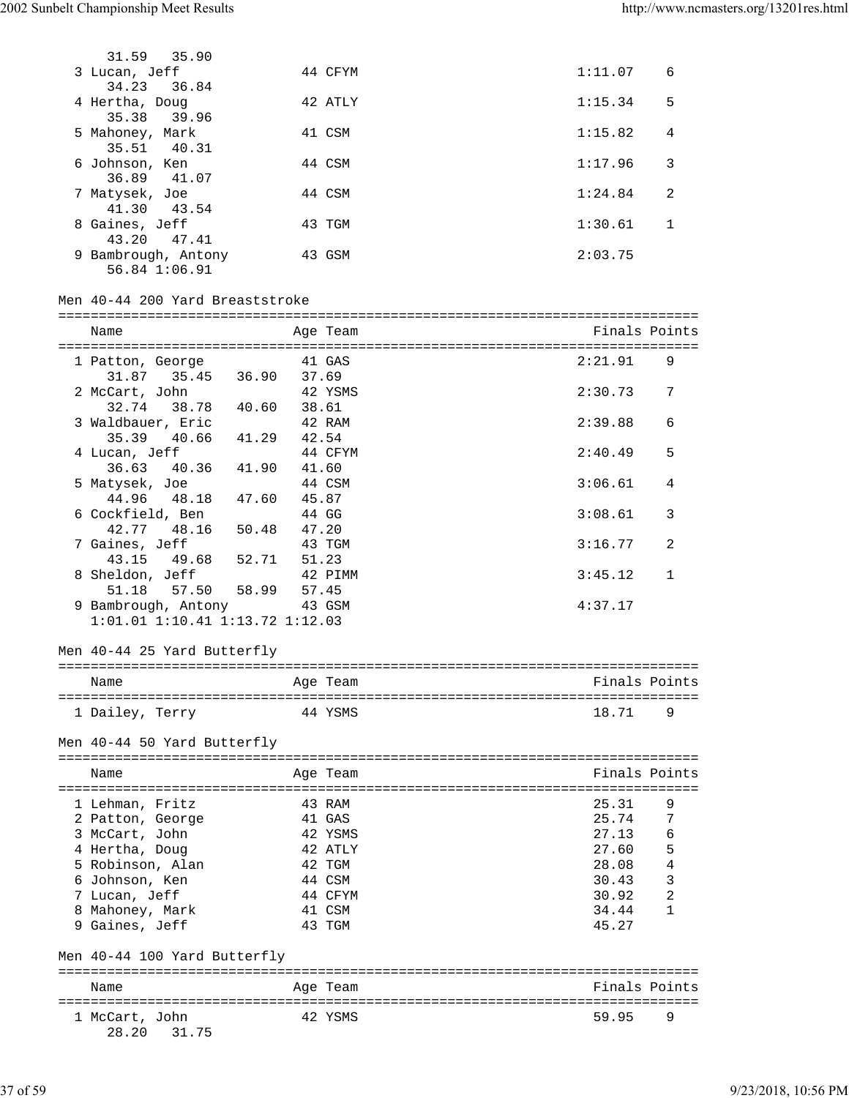| 31.59 35.90                                            |                |          |                  |              |
|--------------------------------------------------------|----------------|----------|------------------|--------------|
| 3 Lucan, Jeff<br>34.23<br>36.84                        |                | 44 CFYM  | 1:11.07          | 6            |
| 4 Hertha, Doug<br>35.38<br>39.96                       |                | 42 ATLY  | 1:15.34          | 5            |
| 5 Mahoney, Mark<br>35.51 40.31                         |                | 41 CSM   | 1:15.82          | 4            |
| 6 Johnson, Ken<br>36.89 41.07                          |                | 44 CSM   | 1:17.96          | 3            |
| 7 Matysek, Joe<br>41.30 43.54                          |                | 44 CSM   | 1:24.84          | 2            |
| 8 Gaines, Jeff<br>43.20  47.41                         |                | 43 TGM   | 1:30.61          | 1            |
| 9 Bambrough, Antony<br>56.84 1:06.91                   |                | 43 GSM   | 2:03.75          |              |
| Men 40-44 200 Yard Breaststroke                        |                |          |                  |              |
| Name                                                   |                | Age Team | Finals Points    |              |
|                                                        |                |          |                  |              |
| 1 Patton, George<br>31.87 35.45 36.90 37.69            |                | 41 GAS   | 2:21.91          | 9            |
| 2 McCart, John<br>32.74 38.78 40.60                    | 38.61          | 42 YSMS  | 2:30.73          | 7            |
| 3 Waldbauer, Eric<br>35.39 40.66                       | 41.29 42.54    | 42 RAM   | 2:39.88          | 6            |
| 4 Lucan, Jeff<br>40.36 41.90<br>36.63                  | 41.60          | 44 CFYM  | 2:40.49          | 5            |
| 5 Matysek, Joe<br>44.96 48.18<br>47.60                 | 45.87          | 44 CSM   | 3:06.61          | 4            |
| 6 Cockfield, Ben<br>42.77 48.16<br>50.48               | 44 GG<br>47.20 |          | 3:08.61          | 3            |
| 7 Gaines, Jeff<br>52.71<br>43.15 49.68                 | 51.23          | 43 TGM   | 3:16.77          | 2            |
| 8 Sheldon, Jeff<br>51.18   57.50   58.99               | 57.45          | 42 PIMM  | 3:45.12          | $\mathbf{1}$ |
| 9 Bambrough, Antony<br>1:01.01 1:10.41 1:13.72 1:12.03 |                | 43 GSM   | 4:37.17          |              |
| Men 40-44 25 Yard Butterfly                            |                |          |                  |              |
| Name                                                   |                | Age Team | Finals Points    |              |
| 1 Dailey, Terry                                        |                | 44 YSMS  | 18.71            | 9            |
| Men 40-44 50 Yard Butterfly                            |                |          | :=============== |              |
| Name<br>==================================             |                | Age Team | Finals Points    |              |
| 1 Lehman, Fritz                                        |                | 43 RAM   | 25.31            | 9            |
| 2 Patton, George                                       |                | 41 GAS   | 25.74            | 7            |
| 3 McCart, John                                         |                | 42 YSMS  | 27.13            | 6            |
| 4 Hertha, Doug                                         |                | 42 ATLY  | 27.60            | 5            |
| 5 Robinson, Alan                                       |                | 42 TGM   | 28.08            | 4            |
| 6 Johnson, Ken                                         |                | 44 CSM   | 30.43            | 3            |
| 7 Lucan, Jeff                                          |                | 44 CFYM  | 30.92            | 2            |
| 8 Mahoney, Mark                                        |                | 41 CSM   | 34.44            | 1            |
| 9 Gaines, Jeff                                         |                | 43 TGM   | 45.27            |              |
| Men 40-44 100 Yard Butterfly                           |                |          |                  |              |
| Name                                                   |                | Age Team | Finals Points    |              |
|                                                        |                |          |                  |              |
| 1 McCart, John<br>31.75<br>28.20                       |                | 42 YSMS  | 59.95            | 9            |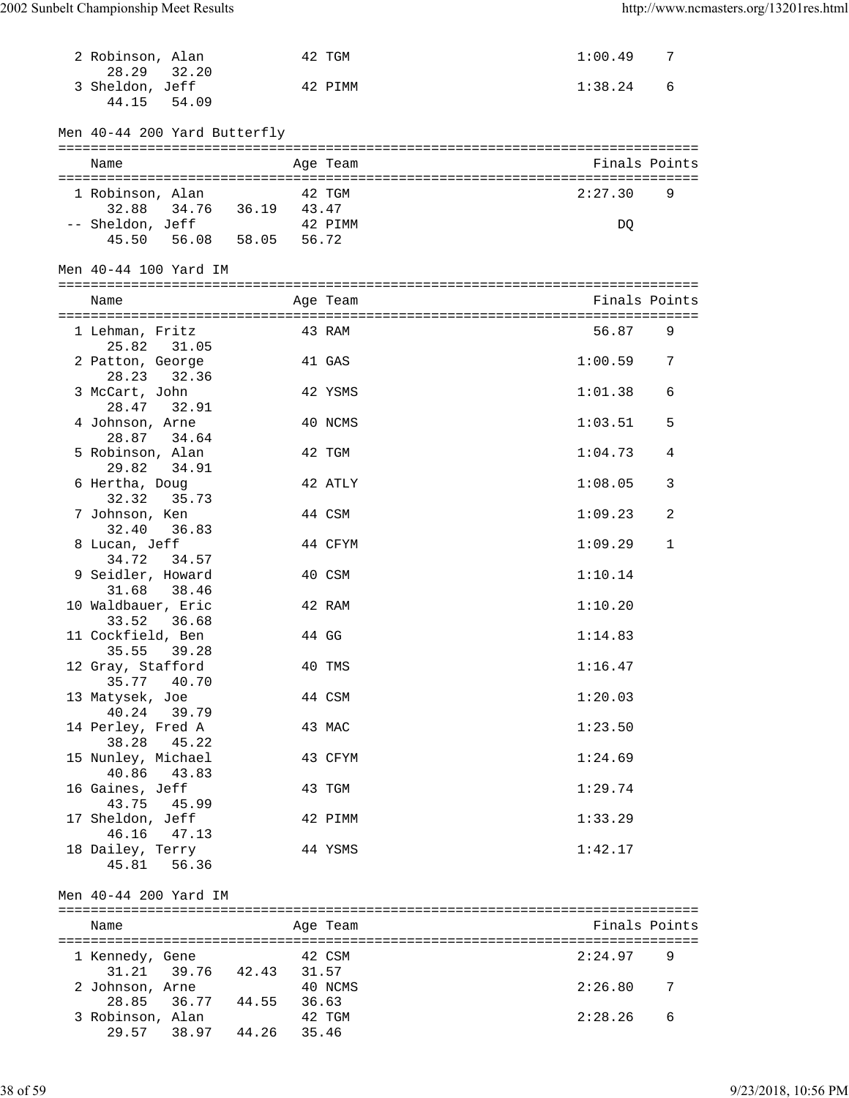| 2 Robinson, Alan                               |        | 42 TGM   | 1:00.49       | 7 |
|------------------------------------------------|--------|----------|---------------|---|
| 28.29 32.20<br>3 Sheldon, Jeff                 |        |          | 1:38.24       |   |
| 44.15 54.09                                    |        | 42 PIMM  |               | 6 |
|                                                |        |          |               |   |
| Men 40-44 200 Yard Butterfly                   |        |          |               |   |
| Name                                           |        | Age Team | Finals Points |   |
|                                                |        |          |               |   |
| 1 Robinson, Alan                               |        | 42 TGM   | 2:27.30       | 9 |
| 34.76 36.19 43.47<br>32.88<br>-- Sheldon, Jeff |        | 42 PIMM  |               |   |
| 45.50 56.08 58.05 56.72                        |        |          | DQ            |   |
|                                                |        |          |               |   |
| Men 40-44 100 Yard IM                          |        |          |               |   |
| Name                                           |        | Age Team | Finals Points |   |
|                                                |        | 43 RAM   | 56.87         | 9 |
| 1 Lehman, Fritz<br>25.82<br>31.05              |        |          |               |   |
| 2 Patton, George                               |        | 41 GAS   | 1:00.59       | 7 |
| 32.36<br>28.23                                 |        |          |               |   |
| 3 McCart, John<br>28.47 32.91                  |        | 42 YSMS  | 1:01.38       | 6 |
| 4 Johnson, Arne                                |        | 40 NCMS  | 1:03.51       | 5 |
| 28.87 34.64                                    |        |          |               |   |
| 5 Robinson, Alan<br>29.82<br>34.91             |        | 42 TGM   | 1:04.73       | 4 |
| 6 Hertha, Doug                                 |        | 42 ATLY  | 1:08.05       | 3 |
| 35.73<br>32.32                                 |        |          |               |   |
| 7 Johnson, Ken                                 |        | 44 CSM   | 1:09.23       | 2 |
| 32.40<br>36.83<br>8 Lucan, Jeff                |        | 44 CFYM  | 1:09.29       | 1 |
| 34.72<br>34.57                                 |        |          |               |   |
| 9 Seidler, Howard                              |        | 40 CSM   | 1:10.14       |   |
| 31.68<br>38.46<br>10 Waldbauer, Eric           |        | 42 RAM   | 1:10.20       |   |
| 33.52<br>36.68                                 |        |          |               |   |
| 11 Cockfield, Ben                              |        | 44 GG    | 1:14.83       |   |
| 35.55<br>39.28                                 |        |          |               |   |
| 12 Gray, Stafford<br>35.77 40.70               |        | 40 TMS   | 1:16.47       |   |
| 13 Matysek, Joe                                |        | 44 CSM   | 1:20.03       |   |
| 40.24<br>39.79                                 |        |          |               |   |
| 14 Perley, Fred A<br>38.28<br>45.22            |        | 43 MAC   | 1:23.50       |   |
| 15 Nunley, Michael                             |        | 43 CFYM  | 1:24.69       |   |
| 40.86<br>43.83                                 |        |          |               |   |
| 16 Gaines, Jeff<br>43.75                       |        | 43 TGM   | 1:29.74       |   |
| 45.99<br>17 Sheldon, Jeff                      |        | 42 PIMM  | 1:33.29       |   |
| 46.16 47.13                                    |        |          |               |   |
| 18 Dailey, Terry                               |        | 44 YSMS  | 1:42.17       |   |
| 45.81 56.36                                    |        |          |               |   |
| Men 40-44 200 Yard IM                          |        |          |               |   |
| Name                                           |        | Age Team | Finals Points |   |
|                                                |        |          |               |   |
| 1 Kennedy, Gene                                | 42 CSM |          | 2:24.97       | 9 |
| 39.76 42.43 31.57<br>31.21<br>2 Johnson, Arne  |        | 40 NCMS  | 2:26.80       | 7 |
| 28.85 36.77 44.55 36.63                        |        |          |               |   |
| 3 Robinson, Alan                               |        | 42 TGM   | 2:28.26       | 6 |
| 29.57 38.97 44.26 35.46                        |        |          |               |   |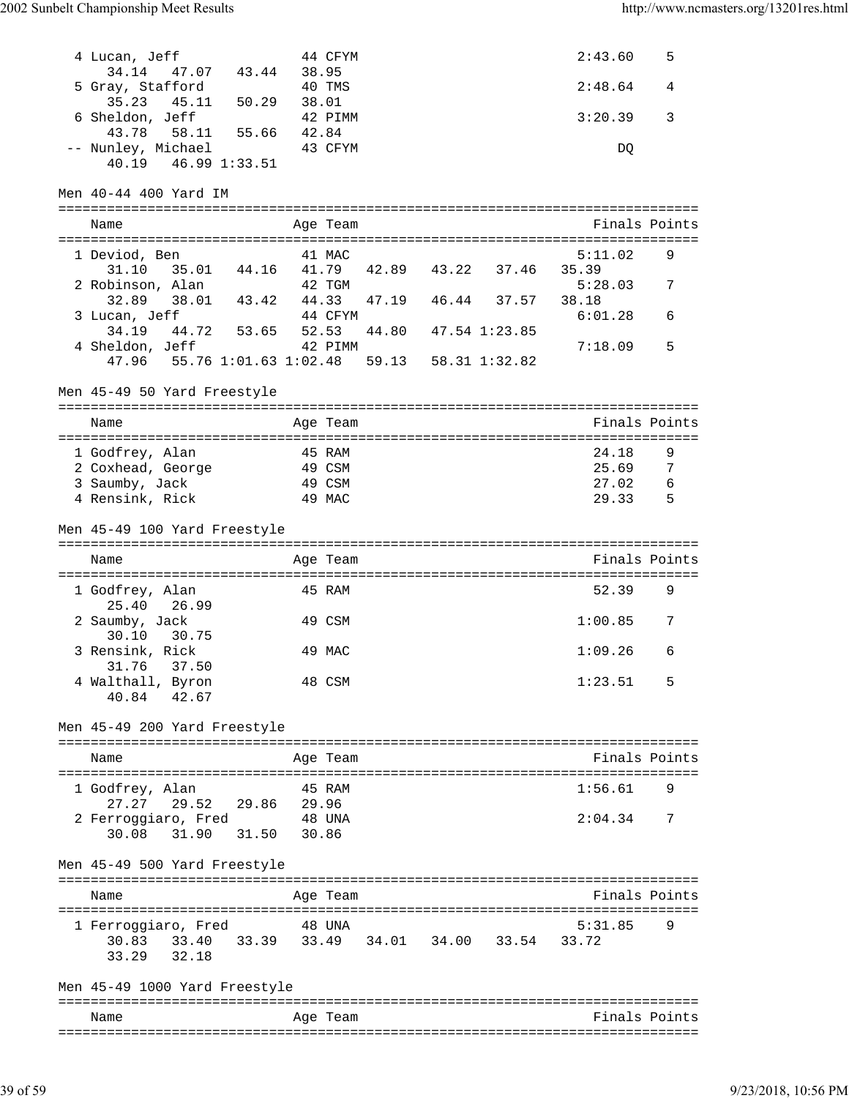| 4 Lucan, Jeff<br>47.07 43.44 38.95<br>34.14<br>5 Gray, Stafford 40 TM<br>35.23 45.11 50.29 38.01<br>6 Sheldon, Jeff 42 PI |         | 44 CFYM<br>40 TMS<br>42 PIMM |                     | 2:43.60<br>2:48.64<br>3:20.39 | 5<br>4<br>3   |
|---------------------------------------------------------------------------------------------------------------------------|---------|------------------------------|---------------------|-------------------------------|---------------|
| 43.78 58.11 55.66 42.84<br>-- Nunley, Michael<br>40.19  46.99  1:33.51                                                    |         | 43 CFYM                      |                     | DQ                            |               |
| Men 40-44 400 Yard IM                                                                                                     |         |                              |                     |                               |               |
| Name                                                                                                                      |         | Age Team                     |                     | Finals Points                 |               |
| 1 Deviod, Ben<br>31.10<br>35.01 44.16 41.79 42.89 43.22 37.46 35.39                                                       |         | 41 MAC                       |                     | 5:11.02                       | 9             |
| 2 Robinson, Alan<br>3 Lucan, Jeff                                                                                         |         | 42 TGM<br>44 CFYM            | 47.19  46.44  37.57 | 5:28.03<br>38.18<br>6:01.28   | 7<br>6        |
| 44.72 53.65 52.53<br>34.19<br>4 Sheldon, Jeff                                                                             | 42 PIMM |                              | 44.80 47.54 1:23.85 | 7:18.09                       | 5             |
| 47.96  55.76  1:01.63  1:02.48  59.13  58.31  1:32.82<br>Men 45-49 50 Yard Freestyle                                      |         |                              |                     |                               |               |
| Name                                                                                                                      |         | Age Team                     |                     |                               | Finals Points |
| 1 Godfrey, Alan                                                                                                           |         | 45 RAM                       |                     | 24.18                         | 9             |
| 2 Coxhead, George                                                                                                         |         | 49 CSM                       |                     | 25.69                         | - 7           |
| 3 Saumby, Jack                                                                                                            |         | 49 CSM                       |                     | 27.02                         | - 6           |
| 4 Rensink, Rick                                                                                                           |         | 49 MAC                       |                     | 29.33                         | - 5           |
| Men 45-49 100 Yard Freestyle                                                                                              |         |                              |                     |                               |               |
|                                                                                                                           |         |                              |                     |                               |               |
| Name                                                                                                                      |         | Age Team                     |                     | Finals Points                 |               |
| 1 Godfrey, Alan<br>25.40 26.99                                                                                            |         | 45 RAM                       |                     | 52.39                         | 9             |
| 2 Saumby, Jack<br>30.10 30.75                                                                                             |         | 49 CSM                       |                     | 1:00.85                       | 7             |
| 3 Rensink, Rick                                                                                                           |         | 49 MAC                       |                     | 1:09.26                       | 6             |
| 31.76 37.50<br>4 Walthall, Byron<br>42.67<br>40.84                                                                        |         | 48 CSM                       |                     | 1:23.51                       | .5            |
| Men 45-49 200 Yard Freestyle                                                                                              |         |                              |                     |                               |               |
| Name                                                                                                                      |         | Age Team                     |                     | Finals Points                 |               |
| 1 Godfrey, Alan                                                                                                           |         | 45 RAM                       |                     | 1:56.61                       | 9             |
| 27.27<br>29.52 29.86 29.96<br>2 Ferroggiaro, Fred 548 UNA<br>31.90 31.50<br>30.08                                         | 30.86   |                              |                     | 2:04.34                       | 7             |
| Men 45-49 500 Yard Freestyle                                                                                              |         |                              |                     |                               |               |
| Name                                                                                                                      |         | Age Team                     |                     | Finals Points                 |               |
|                                                                                                                           |         |                              |                     |                               | 9             |
| 1 Ferroggiaro, Fred<br>30.83 33.40 33.39 33.49 34.01 34.00 33.54 33.72<br>33.29 32.18                                     |         | 48 UNA                       |                     | 5:31.85                       |               |
| Men 45-49 1000 Yard Freestyle                                                                                             |         |                              |                     |                               |               |
| Name                                                                                                                      |         | Age Team                     |                     |                               | Finals Points |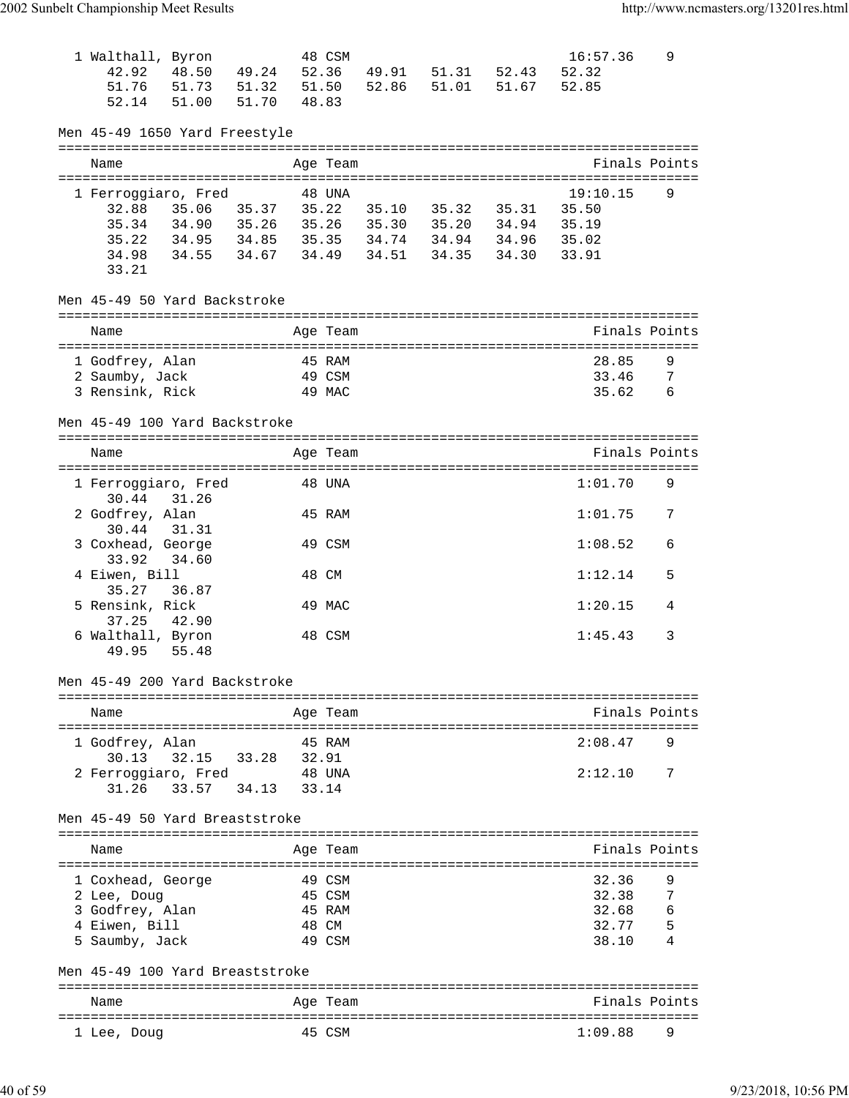| 1 Walthall, Byron<br>42.92        | 48.50                                                                | 49.24 52.36 |       | 48 CSM           |       | 49.91 51.31 52.43       | 16:57.36<br>52.32 | 9      |
|-----------------------------------|----------------------------------------------------------------------|-------------|-------|------------------|-------|-------------------------|-------------------|--------|
| 51.76                             | 51.73 51.32                                                          |             |       | 51.50            | 52.86 | 51.01 51.67             | 52.85             |        |
| 52.14                             | 51.00                                                                | 51.70       | 48.83 |                  |       |                         |                   |        |
| Men 45-49 1650 Yard Freestyle     |                                                                      |             |       |                  |       |                         |                   |        |
| Name                              |                                                                      |             |       | Age Team         |       |                         | Finals Points     |        |
| 1 Ferroggiaro, Fred               |                                                                      |             |       | 48 UNA           |       |                         | 19:10.15          | 9      |
|                                   | 32.88 35.06 35.37                                                    |             |       |                  |       | 35.22 35.10 35.32 35.31 | 35.50             |        |
| 35.34                             | 34.90 35.26 35.26 35.30 35.20 34.94                                  |             |       |                  |       |                         | 35.19             |        |
| 35.22<br>34.98                    | 34.95 34.85 35.35 34.74 34.94 34.96 35.02<br>34.55 34.67 34.49 34.51 |             |       |                  |       | 34.35 34.30             | 33.91             |        |
| 33.21                             |                                                                      |             |       |                  |       |                         |                   |        |
| Men 45-49 50 Yard Backstroke      |                                                                      |             |       |                  |       |                         |                   |        |
| Name                              |                                                                      |             |       | Age Team         |       |                         | Finals Points     |        |
|                                   |                                                                      |             |       |                  |       |                         |                   |        |
| 1 Godfrey, Alan                   |                                                                      |             |       | 45 RAM<br>49 CSM |       |                         | 28.85<br>33.46    | 9      |
| 2 Saumby, Jack<br>3 Rensink, Rick |                                                                      |             |       | 49 MAC           |       |                         | 35.62             | 7<br>6 |
|                                   |                                                                      |             |       |                  |       |                         |                   |        |
| Men 45-49 100 Yard Backstroke     |                                                                      |             |       |                  |       |                         |                   |        |
| Name                              |                                                                      |             |       | Age Team         |       |                         | Finals Points     |        |
|                                   |                                                                      |             |       |                  |       |                         |                   | 9      |
| 1 Ferroggiaro, Fred<br>30.44      | 31.26                                                                |             |       | 48 UNA           |       |                         | 1:01.70           |        |
| 2 Godfrey, Alan<br>30.44          | 31.31                                                                |             |       | 45 RAM           |       |                         | 1:01.75           | 7      |
| 3 Coxhead, George<br>33.92        | 34.60                                                                |             |       | 49 CSM           |       |                         | 1:08.52           | 6      |
| 4 Eiwen, Bill                     |                                                                      |             |       | 48 CM            |       |                         | 1:12.14           | 5      |
| 35.27<br>5 Rensink, Rick          | 36.87                                                                |             |       | 49 MAC           |       |                         | 1:20.15           | 4      |
| 37.25<br>6 Walthall, Byron        | 42.90                                                                |             |       | 48 CSM           |       |                         | 1:45.43           | 3      |
| 49.95                             | 55.48                                                                |             |       |                  |       |                         |                   |        |
| Men 45-49 200 Yard Backstroke     |                                                                      |             |       |                  |       |                         |                   |        |
| Name                              |                                                                      |             |       | Age Team         |       |                         | Finals Points     |        |
|                                   |                                                                      |             |       |                  |       |                         |                   |        |
| 1 Godfrey, Alan<br>30.13          | 32.15                                                                | 33.28       | 32.91 | 45 RAM           |       |                         | 2:08.47           | 9      |
| 2 Ferroggiaro, Fred               |                                                                      |             |       | 48 UNA           |       |                         | 2:12.10           | 7      |
| 31.26                             | 33.57                                                                | 34.13       | 33.14 |                  |       |                         |                   |        |
| Men 45-49 50 Yard Breaststroke    |                                                                      |             |       |                  |       |                         |                   |        |
| Name                              |                                                                      |             |       | Age Team         |       |                         | Finals Points     |        |
|                                   |                                                                      |             |       |                  |       |                         |                   |        |
| 1 Coxhead, George<br>2 Lee, Doug  |                                                                      |             |       | 49 CSM<br>45 CSM |       |                         | 32.36<br>32.38    | 9<br>7 |
| 3 Godfrey, Alan                   |                                                                      |             |       | 45 RAM           |       |                         | 32.68             | 6      |
| 4 Eiwen, Bill                     |                                                                      |             |       | 48 CM            |       |                         | 32.77             | 5      |
| 5 Saumby, Jack                    |                                                                      |             |       | 49 CSM           |       |                         | 38.10             |        |
| Men 45-49 100 Yard Breaststroke   |                                                                      |             |       |                  |       |                         |                   |        |
| Name                              |                                                                      |             |       | Age Team         |       |                         | Finals Points     |        |
| 1 Lee, Doug                       |                                                                      |             |       | 45 CSM           |       |                         | 1:09.88           | 9      |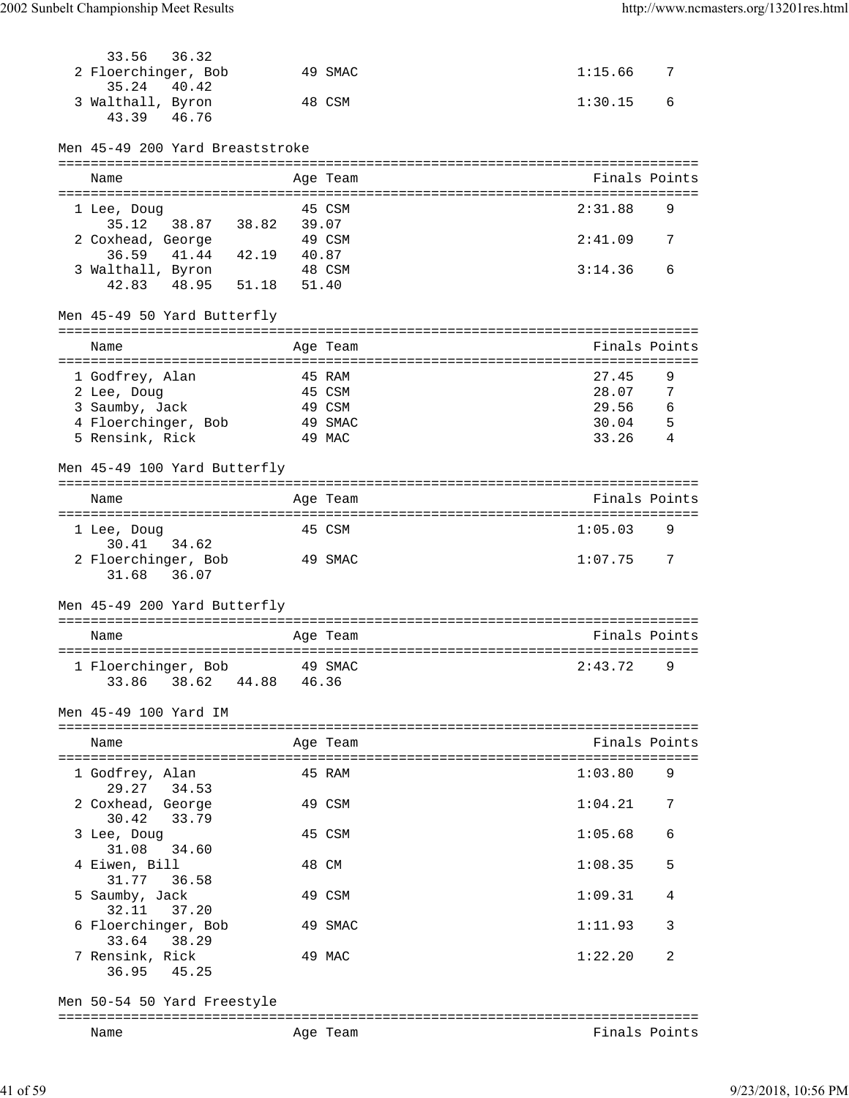| 36.32<br>33.56                                 |            |                  |                          |  |
|------------------------------------------------|------------|------------------|--------------------------|--|
| 2 Floerchinger, Bob                            |            | 49 SMAC          | 1:15.66<br>7             |  |
| 35.24<br>40.42<br>3 Walthall, Byron            |            | 48 CSM           | 1:30.15<br>6             |  |
| 46.76<br>43.39                                 |            |                  |                          |  |
| Men 45-49 200 Yard Breaststroke                |            |                  |                          |  |
| Name                                           |            | Age Team         | Finals Points            |  |
|                                                |            | 45 CSM           | 2:31.88<br>9             |  |
| 1 Lee, Doug<br>35.12 38.87 38.82               | 39.07      |                  |                          |  |
| 2 Coxhead, George                              |            | 49 CSM           | 2:41.09<br>7             |  |
| 36.59 41.44 42.19 40.87<br>3 Walthall, Byron   |            | 48 CSM           | 3:14.36<br>6             |  |
| 51.18<br>42.83 48.95                           | 51.40      |                  |                          |  |
| Men 45-49 50 Yard Butterfly                    |            |                  |                          |  |
| Name                                           |            | Age Team         | Finals Points            |  |
|                                                |            |                  |                          |  |
| 1 Godfrey, Alan                                |            | 45 RAM           | 27.45<br>9               |  |
| 2 Lee, Doug<br>3 Saumby, Jack                  |            | 45 CSM<br>49 CSM | 28.07<br>7<br>29.56<br>6 |  |
| 4 Floerchinger, Bob                            |            | 49 SMAC          | 30.04<br>- 5             |  |
| 5 Rensink, Rick                                |            | 49 MAC           | 33.26<br>-4              |  |
| Men 45-49 100 Yard Butterfly                   |            |                  |                          |  |
| Name                                           |            | Age Team         | Finals Points            |  |
| 1 Lee, Doug                                    |            | 45 CSM           | 1:05.03<br>9             |  |
| 30.41<br>34.62                                 |            |                  |                          |  |
| 2 Floerchinger, Bob<br>31.68 36.07             |            | 49 SMAC          | 1:07.75<br>- 7           |  |
| Men 45-49 200 Yard Butterfly                   |            |                  |                          |  |
| Name                                           |            | Age Team         | Finals Points            |  |
|                                                | ========== |                  |                          |  |
| 1 Floerchinger, Bob<br>33.86<br>38.62<br>44.88 | 46.36      | 49 SMAC          | 2:43.72<br>9             |  |
| Men 45-49 100 Yard IM                          |            |                  |                          |  |
|                                                |            |                  |                          |  |
| Name                                           |            | Age Team         | Finals Points            |  |
| 1 Godfrey, Alan<br>29.27 34.53                 |            | 45 RAM           | 1:03.80<br>9             |  |
| 2 Coxhead, George<br>30.42<br>33.79            |            | 49 CSM           | 1:04.21<br>7             |  |
| 3 Lee, Doug                                    |            | 45 CSM           | 1:05.68<br>6             |  |
| 31.08<br>34.60<br>4 Eiwen, Bill                |            | 48 CM            | 1:08.35<br>5             |  |
| 31.77<br>36.58<br>5 Saumby, Jack               |            | 49 CSM           | 1:09.31<br>4             |  |
| 32.11<br>37.20<br>6 Floerchinger, Bob          |            | 49 SMAC          | 1:11.93<br>3             |  |
| 33.64<br>38.29<br>7 Rensink, Rick              |            | 49 MAC           | 1:22.20<br>2             |  |
| 36.95<br>45.25                                 |            |                  |                          |  |
| Men 50-54 50 Yard Freestyle                    |            |                  |                          |  |
| Name                                           |            | Age Team         | Finals Points            |  |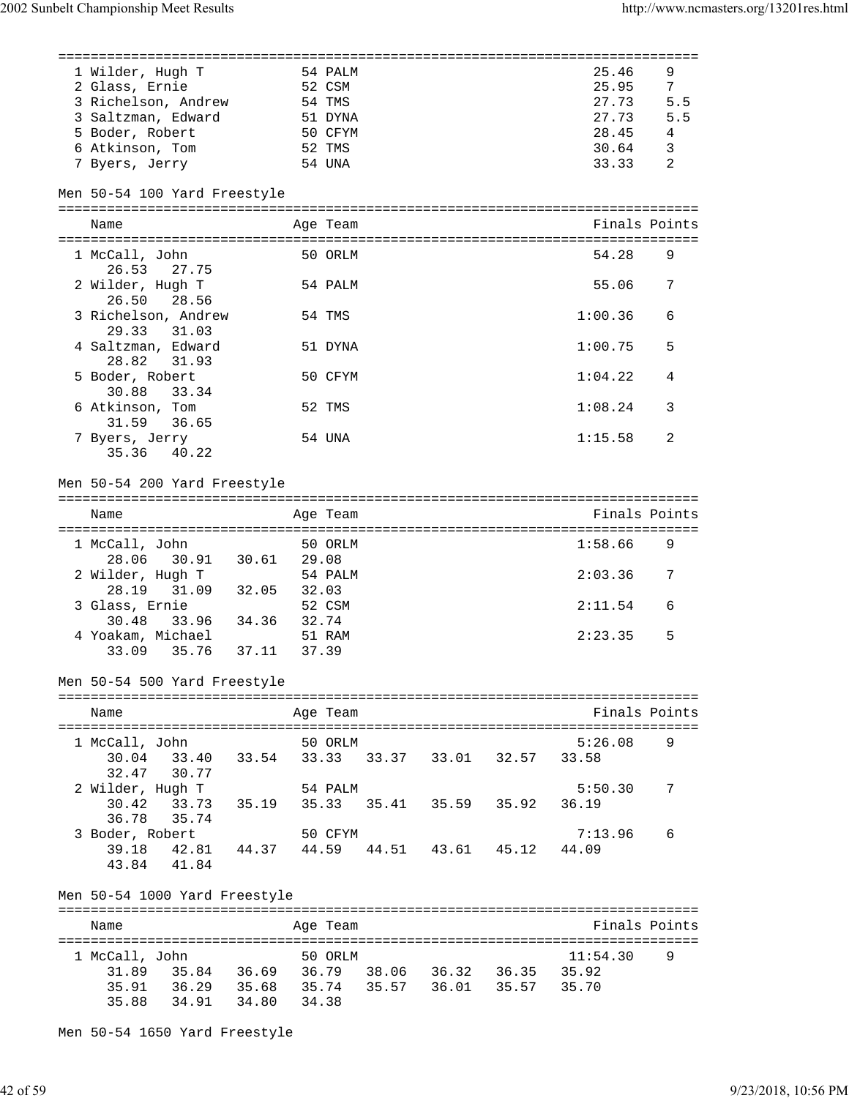| 1 Wilder, Hugh T                             |       |       | 54 PALM  |                         | 25.46          | 9              |
|----------------------------------------------|-------|-------|----------|-------------------------|----------------|----------------|
| 2 Glass, Ernie                               |       |       | 52 CSM   |                         | 25.95          | $7^{\circ}$    |
| 3 Richelson, Andrew                          |       |       | 54 TMS   |                         | 27.73          | 5.5            |
|                                              |       |       |          |                         |                |                |
| 3 Saltzman, Edward                           |       |       | 51 DYNA  |                         | 27.73<br>28.45 | 5.5            |
| 5 Boder, Robert                              |       |       | 50 CFYM  |                         |                | $\overline{4}$ |
| 6 Atkinson, Tom                              |       |       | 52 TMS   |                         | 30.64          | 3              |
| 7 Byers, Jerry                               |       |       | 54 UNA   |                         | 33.33          | 2              |
|                                              |       |       |          |                         |                |                |
| Men 50-54 100 Yard Freestyle                 |       |       |          |                         |                |                |
| Name                                         |       |       | Age Team |                         | Finals Points  |                |
|                                              |       |       |          |                         |                |                |
|                                              |       |       |          |                         |                |                |
| 1 McCall, John                               |       |       | 50 ORLM  |                         | 54.28          | 9              |
| 26.53<br>27.75                               |       |       |          |                         |                |                |
| 2 Wilder, Hugh T                             |       |       | 54 PALM  |                         | 55.06          | 7              |
| 26.50<br>28.56                               |       |       |          |                         |                |                |
| 3 Richelson, Andrew                          |       |       | 54 TMS   |                         | 1:00.36        | 6              |
| 29.33<br>31.03                               |       |       |          |                         |                |                |
| 4 Saltzman, Edward                           |       |       |          |                         |                | 5              |
|                                              |       |       | 51 DYNA  |                         | 1:00.75        |                |
| 28.82<br>31.93                               |       |       |          |                         |                |                |
| 5 Boder, Robert                              |       |       | 50 CFYM  |                         | 1:04.22        | 4              |
| 30.88<br>33.34                               |       |       |          |                         |                |                |
| 6 Atkinson, Tom                              |       |       | 52 TMS   |                         | 1:08.24        | 3              |
| 31.59<br>36.65                               |       |       |          |                         |                |                |
| 7 Byers, Jerry                               |       |       | 54 UNA   |                         | 1:15.58        | 2              |
| 40.22                                        |       |       |          |                         |                |                |
| 35.36                                        |       |       |          |                         |                |                |
|                                              |       |       |          |                         |                |                |
| Men 50-54 200 Yard Freestyle                 |       |       |          |                         |                |                |
|                                              |       |       |          |                         |                |                |
| Name                                         |       |       | Age Team |                         | Finals Points  |                |
|                                              |       |       |          |                         |                |                |
| 1 McCall, John                               |       |       | 50 ORLM  |                         | 1:58.66        | 9              |
| 28.06<br>30.91 30.61 29.08                   |       |       |          |                         |                |                |
|                                              |       |       |          |                         |                |                |
| 2 Wilder, Hugh T                             |       |       | 54 PALM  |                         | 2:03.36        | 7              |
| 28.19 31.09 32.05                            |       | 32.03 |          |                         |                |                |
| 3 Glass, Ernie                               |       |       | 52 CSM   |                         | 2:11.54        | 6              |
| 33.96 34.36 32.74<br>30.48                   |       |       |          |                         |                |                |
| 4 Yoakam, Michael                            |       |       | 51 RAM   |                         | 2:23.35        | 5              |
| 35.76<br>33.09                               | 37.11 | 37.39 |          |                         |                |                |
|                                              |       |       |          |                         |                |                |
|                                              |       |       |          |                         |                |                |
| Men 50-54 500 Yard Freestyle                 |       |       |          |                         |                |                |
|                                              |       |       |          |                         |                |                |
| Name                                         |       |       | Age Team |                         | Finals Points  |                |
|                                              |       |       |          |                         |                |                |
| 1 McCall, John                               |       |       | 50 ORLM  |                         | 5:26.08        | 9              |
| 33.40 33.54<br>30.04                         |       | 33.33 |          | 33.37 33.01 32.57       | 33.58          |                |
|                                              |       |       |          |                         |                |                |
| 30.77<br>32.47                               |       |       |          |                         |                |                |
| 2 Wilder, Hugh T                             |       |       | 54 PALM  |                         | 5:50.30        | 7              |
| 33.73 35.19<br>30.42                         |       |       |          | 35.33 35.41 35.59 35.92 | 36.19          |                |
| 36.78<br>35.74                               |       |       |          |                         |                |                |
| 3 Boder, Robert                              |       |       | 50 CFYM  |                         | 7:13.96        | 6              |
| 39.18<br>42.81  44.37  44.59                 |       |       |          | 44.51 43.61 45.12       | 44.09          |                |
| 41.84                                        |       |       |          |                         |                |                |
| 43.84                                        |       |       |          |                         |                |                |
|                                              |       |       |          |                         |                |                |
| Men 50-54 1000 Yard Freestyle                |       |       |          |                         |                |                |
|                                              |       |       |          |                         |                |                |
| Name                                         |       |       | Age Team |                         | Finals Points  |                |
|                                              |       |       |          |                         |                |                |
| 1 McCall, John                               |       |       | 50 ORLM  |                         | 11:54.30       | 9              |
| 35.84 36.69 36.79 38.06 36.32 36.35 35.92    |       |       |          |                         |                |                |
| 31.89                                        |       |       |          |                         |                |                |
| 36.29 35.68 35.74 35.57 36.01 35.57<br>35.91 |       |       |          |                         | 35.70          |                |
| 34.91 34.80 34.38<br>35.88                   |       |       |          |                         |                |                |
|                                              |       |       |          |                         |                |                |

Men 50-54 1650 Yard Freestyle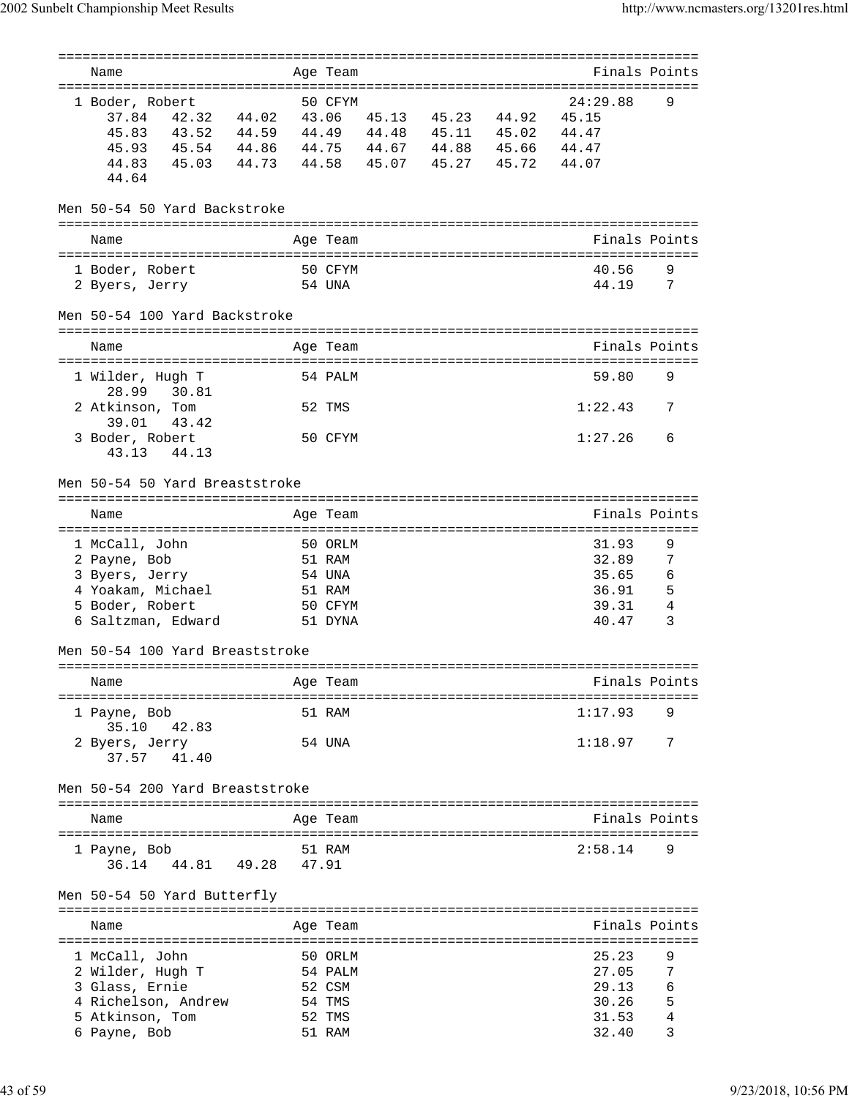|                                  |                   |                |       | ======== |                     |                                    |                |
|----------------------------------|-------------------|----------------|-------|----------|---------------------|------------------------------------|----------------|
| Name                             |                   |                |       | Age Team |                     | Finals Points                      |                |
| 1 Boder, Robert                  |                   |                |       | 50 CFYM  |                     | 24:29.88                           | 9              |
| 37.84                            | 42.32 44.02       |                | 43.06 |          | 45.13 45.23 44.92   | 45.15                              |                |
| 45.83                            | 43.52 44.59       |                |       | 44.49    | 44.48 45.11 45.02   | 44.47                              |                |
| 45.93                            | 45.54 44.86       |                | 44.75 |          | 44.67 44.88 45.66   | 44.47                              |                |
|                                  |                   |                |       |          |                     |                                    |                |
| 44.83                            | 45.03 44.73 44.58 |                |       |          | 45.07  45.27  45.72 | 44.07                              |                |
| 44.64                            |                   |                |       |          |                     |                                    |                |
| Men 50-54 50 Yard Backstroke     |                   |                |       |          |                     |                                    |                |
|                                  |                   |                |       |          |                     |                                    |                |
| Name                             |                   |                |       | Age Team |                     | Finals Points                      |                |
|                                  |                   | ============== |       |          |                     | ================================== |                |
| 1 Boder, Robert                  |                   |                |       | 50 CFYM  |                     | 40.56                              | 9              |
| 2 Byers, Jerry                   |                   |                |       | 54 UNA   |                     | 44.19                              | 7              |
|                                  |                   |                |       |          |                     |                                    |                |
| Men 50-54 100 Yard Backstroke    |                   |                |       |          |                     |                                    |                |
|                                  |                   |                |       |          |                     |                                    |                |
| Name                             |                   |                |       | Age Team |                     | Finals Points                      |                |
|                                  |                   |                |       |          |                     |                                    |                |
| 1 Wilder, Hugh T                 |                   |                |       | 54 PALM  |                     | 59.80                              | 9              |
| 28.99                            | 30.81             |                |       |          |                     |                                    |                |
| 2 Atkinson, Tom                  |                   |                |       | 52 TMS   |                     | 1:22.43                            | 7              |
| 39.01                            | 43.42             |                |       |          |                     |                                    |                |
| 3 Boder, Robert                  |                   |                |       | 50 CFYM  |                     | 1:27.26                            | 6              |
| 43.13                            | 44.13             |                |       |          |                     |                                    |                |
|                                  |                   |                |       |          |                     |                                    |                |
| Men 50-54 50 Yard Breaststroke   |                   |                |       |          |                     |                                    |                |
|                                  |                   |                |       |          |                     |                                    |                |
| Name                             |                   |                |       | Age Team |                     | Finals Points                      |                |
|                                  |                   |                |       |          |                     |                                    |                |
| 1 McCall, John                   |                   |                |       | 50 ORLM  |                     | 31.93                              | 9              |
| 2 Payne, Bob                     |                   |                |       | 51 RAM   |                     | 32.89                              | 7              |
| 3 Byers, Jerry                   |                   |                |       | 54 UNA   |                     | 35.65                              | 6              |
| 4 Yoakam, Michael                |                   |                |       | 51 RAM   |                     | 36.91                              | 5              |
| 5 Boder, Robert                  |                   |                |       | 50 CFYM  |                     | 39.31                              | 4              |
| 6 Saltzman, Edward               |                   |                |       | 51 DYNA  |                     | 40.47                              | 3              |
|                                  |                   |                |       |          |                     |                                    |                |
| Men 50-54 100 Yard Breaststroke  |                   |                |       |          |                     |                                    |                |
| ================================ |                   |                |       |          |                     |                                    |                |
| Name                             |                   |                |       | Age Team |                     | Finals Points                      |                |
| ===============================  |                   |                |       |          |                     | ========================           |                |
| 1 Payne, Bob                     |                   |                |       | 51 RAM   |                     | 1:17.93                            | 9              |
| 35.10                            | 42.83             |                |       |          |                     |                                    |                |
| 2 Byers, Jerry                   |                   |                |       | 54 UNA   |                     | 1:18.97                            | 7              |
| 37.57                            | 41.40             |                |       |          |                     |                                    |                |
|                                  |                   |                |       |          |                     |                                    |                |
| Men 50-54 200 Yard Breaststroke  |                   |                |       |          |                     |                                    |                |
|                                  |                   |                |       |          |                     |                                    |                |
| Name                             |                   |                |       | Age Team |                     | Finals Points                      |                |
|                                  |                   |                |       |          |                     |                                    |                |
| 1 Payne, Bob                     |                   |                |       | 51 RAM   |                     | 2:58.14                            | 9              |
| 36.14                            | 44.81 49.28       |                | 47.91 |          |                     |                                    |                |
|                                  |                   |                |       |          |                     |                                    |                |
| Men 50-54 50 Yard Butterfly      |                   |                |       |          |                     |                                    |                |
|                                  |                   |                |       |          |                     |                                    |                |
| Name                             |                   |                |       | Age Team |                     | Finals Points                      |                |
|                                  |                   |                |       |          |                     |                                    |                |
| 1 McCall, John                   |                   |                |       | 50 ORLM  |                     | 25.23                              | 9              |
| 2 Wilder, Hugh T                 |                   |                |       | 54 PALM  |                     | 27.05                              | 7              |
| 3 Glass, Ernie                   |                   |                |       | 52 CSM   |                     | 29.13                              | 6              |
| 4 Richelson, Andrew              |                   |                |       | 54 TMS   |                     | 30.26                              | 5              |
| 5 Atkinson, Tom                  |                   |                |       | 52 TMS   |                     | 31.53                              | $\overline{4}$ |
| 6 Payne, Bob                     |                   |                |       | 51 RAM   |                     | 32.40                              | 3              |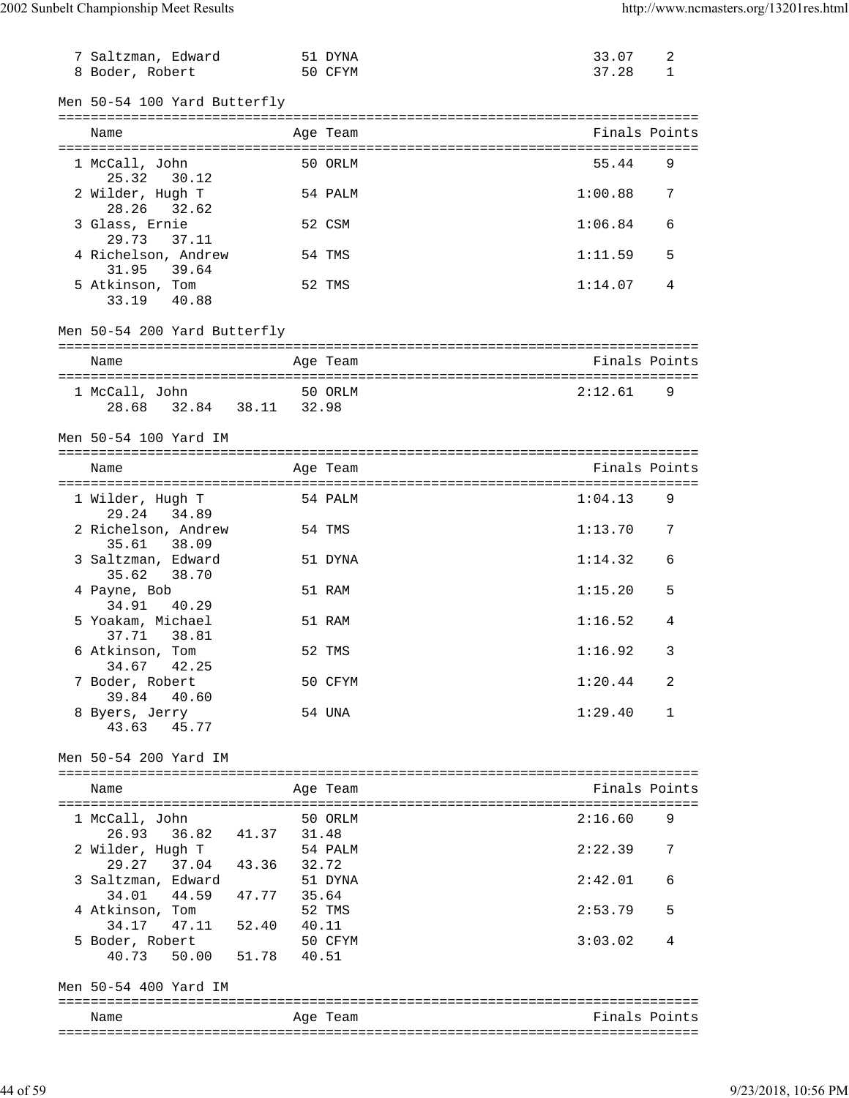| 7 Saltzman, Edward                         |             | 51 DYNA  | 33.07         | 2 |
|--------------------------------------------|-------------|----------|---------------|---|
| 8 Boder, Robert                            |             | 50 CFYM  | 37.28         | 1 |
| Men 50-54 100 Yard Butterfly               |             |          |               |   |
| Name                                       |             | Age Team | Finals Points |   |
|                                            |             |          |               |   |
| 1 McCall, John<br>25.32<br>30.12           |             | 50 ORLM  | 55.44         | 9 |
| 2 Wilder, Hugh T<br>28.26<br>32.62         |             | 54 PALM  | 1:00.88       | 7 |
| 3 Glass, Ernie<br>29.73<br>37.11           |             | 52 CSM   | 1:06.84       | 6 |
| 4 Richelson, Andrew<br>39.64<br>31.95      |             | 54 TMS   | 1:11.59       | 5 |
| 5 Atkinson, Tom<br>33.19 40.88             |             | 52 TMS   | 1:14.07       | 4 |
| Men 50-54 200 Yard Butterfly               |             |          |               |   |
| Name                                       |             | Age Team | Finals Points |   |
| 1 McCall, John<br>28.68 32.84 38.11 32.98  |             | 50 ORLM  | 2:12.61       | 9 |
| Men 50-54 100 Yard IM                      |             |          |               |   |
| Name                                       |             | Age Team | Finals Points |   |
| 1 Wilder, Hugh T<br>29.24<br>34.89         |             | 54 PALM  | 1:04.13       | 9 |
| 2 Richelson, Andrew<br>38.09<br>35.61      |             | 54 TMS   | 1:13.70       | 7 |
| 3 Saltzman, Edward<br>35.62<br>38.70       |             | 51 DYNA  | 1:14.32       | 6 |
| 4 Payne, Bob<br>34.91<br>40.29             |             | 51 RAM   | 1:15.20       | 5 |
| 5 Yoakam, Michael<br>38.81<br>37.71        |             | 51 RAM   | 1:16.52       | 4 |
| 6 Atkinson, Tom<br>42.25<br>34.67          |             | 52 TMS   | 1:16.92       | 3 |
| 7 Boder, Robert<br>39.84<br>40.60          |             | 50 CFYM  | 1:20.44       | 2 |
| 8 Byers, Jerry<br>43.63<br>45.77           |             | 54 UNA   | 1:29.40       | 1 |
| Men 50-54 200 Yard IM                      |             |          |               |   |
| Name                                       |             | Age Team | Finals Points |   |
| 1 McCall, John<br>26.93 36.82 41.37        | 31.48       | 50 ORLM  | 2:16.60       | 9 |
| 2 Wilder, Hugh T<br>29.27 37.04 43.36      | 32.72       | 54 PALM  | 2:22.39       | 7 |
| 3 Saltzman, Edward<br>44.59<br>34.01       | 47.77 35.64 | 51 DYNA  | 2:42.01       | 6 |
| 4 Atkinson, Tom<br>34.17 47.11 52.40 40.11 |             | 52 TMS   | 2:53.79       | 5 |
| 5 Boder, Robert<br>51.78<br>40.73<br>50.00 | 40.51       | 50 CFYM  | 3:03.02       | 4 |
| Men 50-54 400 Yard IM                      |             |          |               |   |
| Name                                       |             | Age Team | Finals Points |   |
|                                            |             |          |               |   |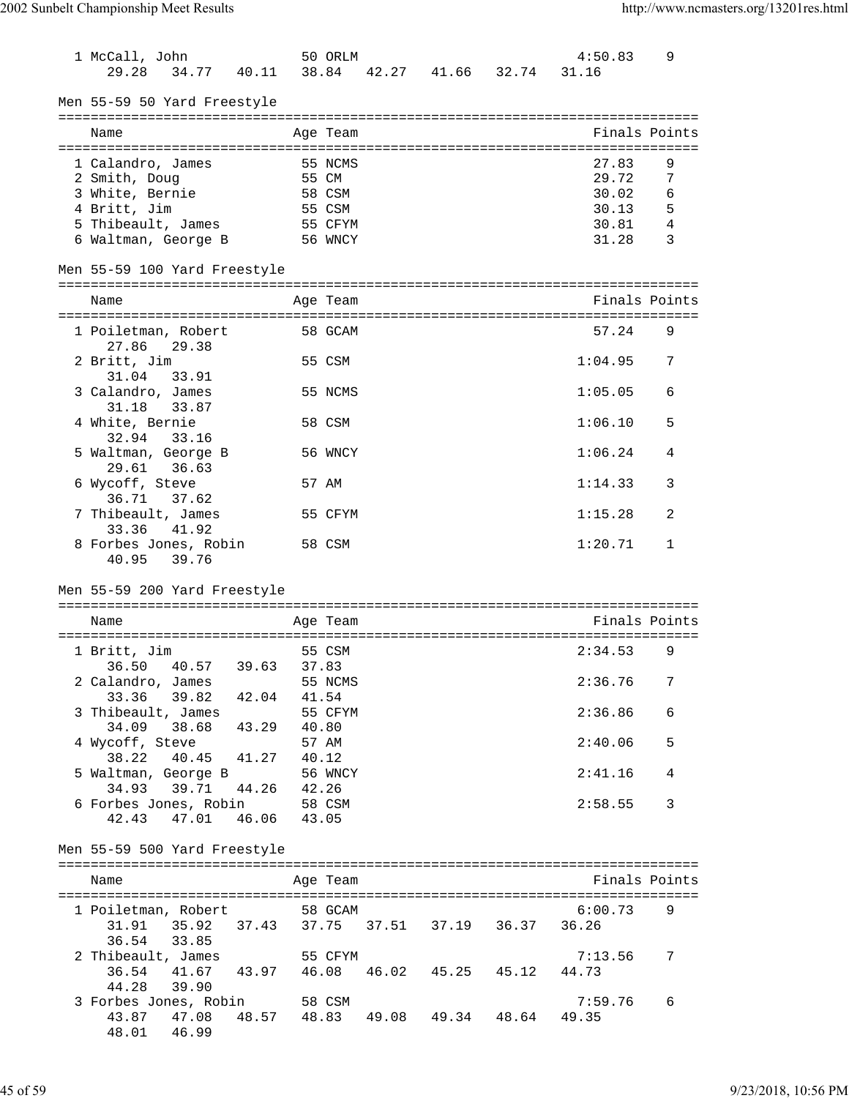| 1 McCall, John                                   | 50 ORLM                       |                            | 4:50.83          | 9 |
|--------------------------------------------------|-------------------------------|----------------------------|------------------|---|
| 29.28<br>34.77<br>40.11                          | 38.84                         | 42.27 41.66 32.74          | 31.16            |   |
| Men 55-59 50 Yard Freestyle                      |                               |                            |                  |   |
| Name                                             | Age Team                      |                            | Finals Points    |   |
|                                                  |                               |                            |                  |   |
| 1 Calandro, James                                | 55 NCMS                       |                            | 27.83            | 9 |
| 2 Smith, Doug                                    | 55 CM                         |                            | 29.72            | 7 |
| 3 White, Bernie                                  | 58 CSM                        |                            | 30.02            | 6 |
| 4 Britt, Jim                                     | 55 CSM                        |                            | 30.13            | 5 |
| 5 Thibeault, James                               | 55 CFYM                       |                            | 30.81            | 4 |
| 6 Waltman, George B                              | 56 WNCY                       |                            | 31.28            | 3 |
| Men 55-59 100 Yard Freestyle                     |                               |                            |                  |   |
| Name                                             | Age Team                      |                            | Finals Points    |   |
| 1 Poiletman, Robert<br>27.86<br>29.38            | 58 GCAM                       |                            | 57.24            | 9 |
| 2 Britt, Jim<br>31.04<br>33.91                   | 55 CSM                        |                            | 1:04.95          | 7 |
| 3 Calandro, James<br>31.18<br>33.87              | 55 NCMS                       |                            | 1:05.05          | 6 |
| 4 White, Bernie<br>32.94<br>33.16                | 58 CSM                        |                            | 1:06.10          | 5 |
| 5 Waltman, George B<br>29.61<br>36.63            | 56 WNCY                       |                            | 1:06.24          | 4 |
| 6 Wycoff, Steve<br>37.62<br>36.71                | 57 AM                         |                            | 1:14.33          | 3 |
| 7 Thibeault, James<br>41.92<br>33.36             | 55 CFYM                       |                            | 1:15.28          | 2 |
| 8 Forbes Jones, Robin<br>40.95<br>39.76          | 58 CSM                        |                            | 1:20.71          | 1 |
| Men 55-59 200 Yard Freestyle                     |                               |                            |                  |   |
| Name                                             | Age Team                      |                            | Finals Points    |   |
|                                                  |                               |                            |                  |   |
| 1 Britt, Jim<br>36.50<br>40.57<br>39.63          | 55 CSM<br>37.83               |                            | 2:34.53          | 9 |
| 2 Calandro, James<br>33.36 39.82 42.04           | 55 NCMS<br>41.54              |                            | 2:36.76          | 7 |
| 3 Thibeault, James<br>34.09 38.68 43.29          | 55 CFYM<br>40.80              |                            | 2:36.86          | 6 |
| 4 Wycoff, Steve<br>38.22<br>40.45 41.27          | 57 AM<br>40.12                |                            | 2:40.06          | 5 |
| 5 Waltman, George B<br>44.26<br>34.93<br>39.71   | 56 WNCY<br>42.26              |                            | 2:41.16          | 4 |
| 6 Forbes Jones, Robin<br>47.01<br>46.06<br>42.43 | 58 CSM<br>43.05               |                            | 2:58.55          | 3 |
| Men 55-59 500 Yard Freestyle                     |                               |                            |                  |   |
| Name                                             | Age Team                      |                            | Finals Points    |   |
|                                                  |                               |                            |                  |   |
| 1 Poiletman, Robert                              | 58 GCAM                       | 37.75 37.51 37.19 36.37    | 6:00.73<br>36.26 | 9 |
| 36.54<br>33.85                                   |                               |                            |                  |   |
| 2 Thibeault, James                               | 55 CFYM                       |                            | 7:13.56          | 7 |
| 36.54 41.67 43.97<br>44.28 39.90                 |                               | 46.08  46.02  45.25  45.12 | 44.73            |   |
| 3 Forbes Jones, Robin                            | 58 CSM                        |                            | 7:59.76          | 6 |
| 43.87<br>47.08                                   | 48.57 48.83 49.08 49.34 48.64 |                            | 49.35            |   |
| 48.01<br>46.99                                   |                               |                            |                  |   |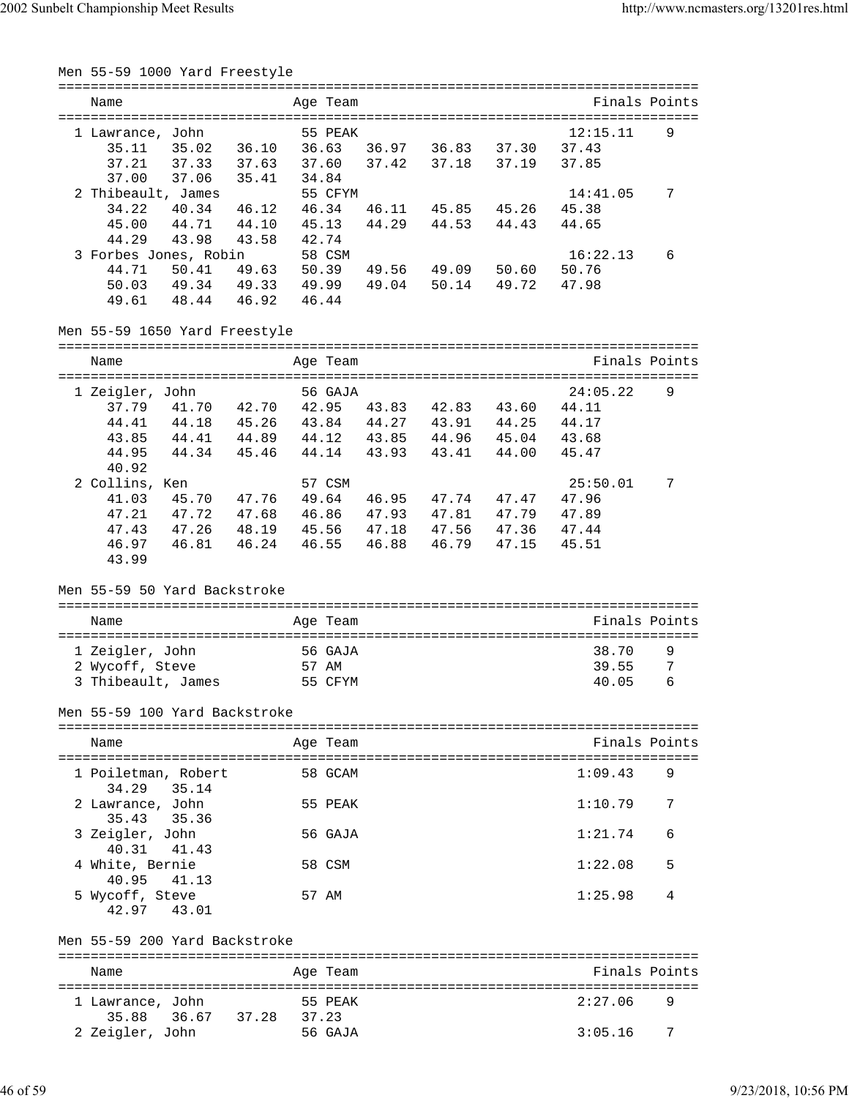| Men 55-59 1000 Yard Freestyle             |                                          |          |       |                               |       |               |   |
|-------------------------------------------|------------------------------------------|----------|-------|-------------------------------|-------|---------------|---|
| Name                                      |                                          | Age Team |       |                               |       | Finals Points |   |
| 1 Lawrance, John                          |                                          | 55 PEAK  |       |                               |       | 12:15.11      | 9 |
| 35.11 35.02 36.10 36.63 36.97 36.83 37.30 |                                          |          |       |                               |       | 37.43         |   |
| 37.33 37.63<br>37.21                      |                                          |          |       | 37.60 37.42 37.18 37.19       |       | 37.85         |   |
| 37.00<br>37.06 35.41                      |                                          | 34.84    |       |                               |       |               |   |
| 2 Thibeault, James                        |                                          | 55 CFYM  |       |                               |       | 14:41.05      | 7 |
| 34.22<br>40.34 46.12                      |                                          | 46.34    | 46.11 | 45.85 45.26                   |       | 45.38         |   |
| 44.71 44.10<br>45.00                      |                                          | 45.13    | 44.29 | 44.53 44.43                   |       | 44.65         |   |
| 44.29<br>43.98                            | 43.58                                    | 42.74    |       |                               |       |               |   |
| 3 Forbes Jones, Robin                     |                                          | 58 CSM   |       |                               |       | 16:22.13      | 6 |
| 44.71<br>50.41                            | 49.63 50.39 49.56 49.09 50.60            |          |       |                               |       | 50.76         |   |
| 50.03                                     | 49.34 49.33 49.99 49.04 50.14 49.72      |          |       |                               |       | 47.98         |   |
| 49.61<br>48.44 46.92                      | 46.44                                    |          |       |                               |       |               |   |
| Men 55-59 1650 Yard Freestyle             |                                          |          |       |                               |       |               |   |
|                                           |                                          |          |       |                               |       |               |   |
| Name                                      |                                          | Age Team |       |                               |       | Finals Points |   |
|                                           |                                          |          |       |                               |       |               |   |
| 1 Zeigler, John                           |                                          | 56 GAJA  |       |                               |       | 24:05.22      | 9 |
| 37.79<br>41.70 42.70                      |                                          |          |       | 42.95 43.83 42.83             | 43.60 | 44.11         |   |
| 44.18 45.26<br>44.41                      |                                          |          |       | 43.84 44.27 43.91 44.25 44.17 |       |               |   |
| 43.85                                     | 44.41 44.89 44.12 43.85 44.96 45.04      |          |       |                               |       | 43.68         |   |
| 44.95<br>44.34 45.46                      |                                          |          |       | 44.14 43.93 43.41 44.00       |       | 45.47         |   |
| 40.92                                     |                                          |          |       |                               |       |               |   |
| 2 Collins, Ken                            |                                          | 57 CSM   |       |                               |       | 25:50.01      | 7 |
| 45.70 47.76<br>41.03                      |                                          |          |       | 49.64 46.95 47.74 47.47       |       | 47.96         |   |
| 47.72 47.68<br>47.21                      |                                          |          |       | 46.86 47.93 47.81 47.79       |       | 47.89         |   |
| 47.43                                     | 47.26  48.19  45.56  47.18  47.56  47.36 |          |       |                               |       | 47.44         |   |
| 46.97<br>46.81 46.24<br>43.99             |                                          | 46.55    |       | 46.88 46.79 47.15             |       | 45.51         |   |
| Men 55-59 50 Yard Backstroke              |                                          |          |       |                               |       |               |   |
| Name                                      |                                          | Age Team |       |                               |       | Finals Points |   |
| 1 Zeigler, John                           |                                          | 56 GAJA  |       |                               |       | 38.70         | 9 |
| 2 Wycoff, Steve                           |                                          | 57 AM    |       |                               |       | 39.55         | 7 |
| 3 Thibeault, James                        |                                          | 55 CFYM  |       |                               |       | 40.05         | 6 |
|                                           |                                          |          |       |                               |       |               |   |
| Men 55-59 100 Yard Backstroke             |                                          |          |       |                               |       |               |   |
| Name                                      |                                          | Age Team |       |                               |       | Finals Points |   |
| 1 Poiletman, Robert<br>34.29<br>35.14     |                                          | 58 GCAM  |       |                               |       | 1:09.43       | 9 |
| 2 Lawrance, John                          |                                          | 55 PEAK  |       |                               |       | 1:10.79       | 7 |
| 35.43<br>35.36<br>3 Zeigler, John         |                                          | 56 GAJA  |       |                               |       | 1:21.74       | 6 |
| 40.31<br>41.43<br>4 White, Bernie         |                                          | 58 CSM   |       |                               |       | 1:22.08       | 5 |
| 40.95<br>41.13                            |                                          |          |       |                               |       |               |   |
| 5 Wycoff, Steve<br>42.97<br>43.01         |                                          | 57 AM    |       |                               |       | 1:25.98       | 4 |
| Men 55-59 200 Yard Backstroke             |                                          |          |       |                               |       |               |   |
| Name                                      |                                          | Age Team |       |                               |       | Finals Points |   |
|                                           |                                          |          |       |                               |       |               |   |
| 1 Lawrance, John                          |                                          | 55 PEAK  |       |                               |       | 2:27.06       | 9 |
| 35.88<br>36.67                            | 37.28                                    | 37.23    |       |                               |       |               |   |
| 2 Zeigler, John                           |                                          | 56 GAJA  |       |                               |       | 3:05.16       | 7 |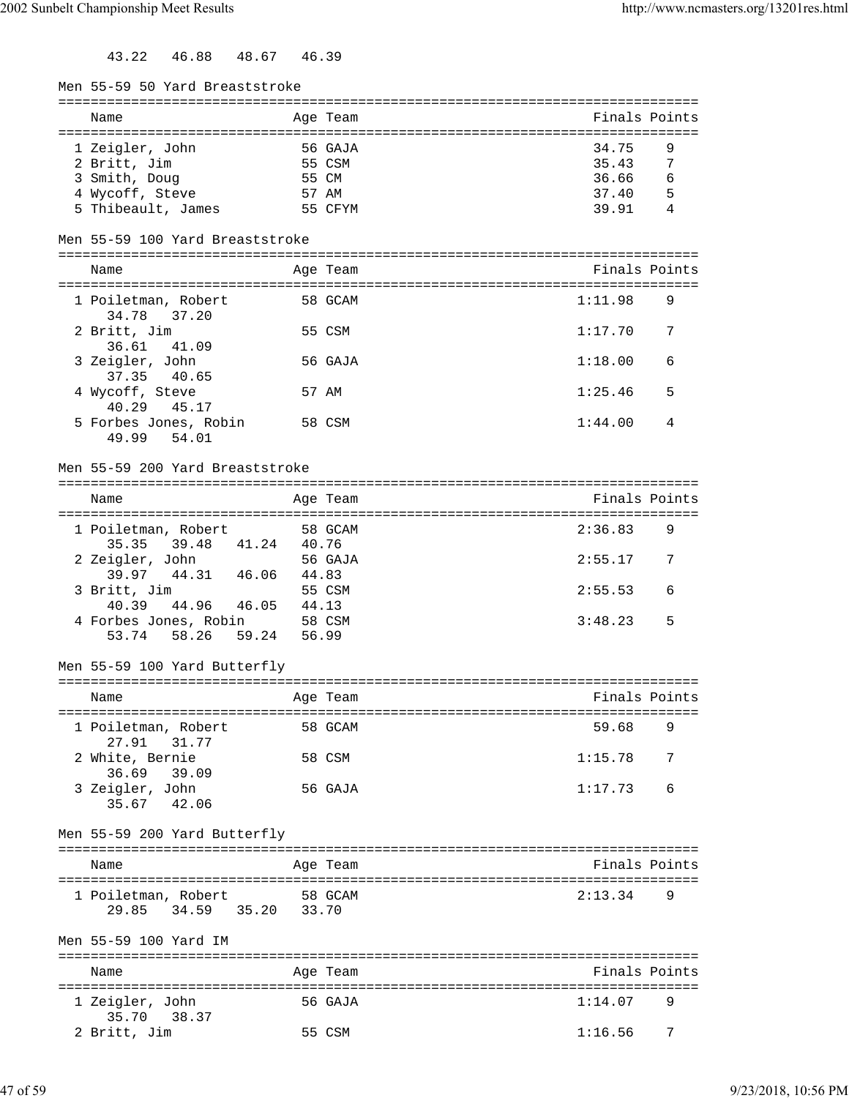43.22 46.88 48.67 46.39

| Men 55-59 50 Yard Breaststroke  |       |                                   |               |                |
|---------------------------------|-------|-----------------------------------|---------------|----------------|
| Name                            |       | Age Team                          | Finals Points |                |
|                                 |       |                                   |               |                |
| 1 Zeigler, John                 |       | 56 GAJA                           | 34.75         | 9              |
| 2 Britt, Jim                    |       | 55 CSM                            | 35.43         | $\overline{7}$ |
| 3 Smith, Doug                   |       | 55 CM                             | 36.66         | 6              |
| 4 Wycoff, Steve                 |       | 57 AM                             | 37.40         | -5             |
| 5 Thibeault, James              |       | 55 CFYM                           | 39.91         | 4              |
| Men 55-59 100 Yard Breaststroke |       |                                   |               |                |
|                                 |       |                                   |               |                |
| Name                            |       | Age Team                          | Finals Points |                |
| 1 Poiletman, Robert             |       | 58 GCAM                           | 1:11.98       | 9              |
| 37.20<br>34.78                  |       |                                   |               |                |
| 2 Britt, Jim                    |       | 55 CSM                            | 1:17.70       | 7              |
| 36.61<br>41.09                  |       |                                   |               |                |
| 3 Zeigler, John                 |       | 56 GAJA                           | 1:18.00       | 6              |
| 37.35<br>40.65                  |       |                                   |               |                |
| 4 Wycoff, Steve                 |       | 57 AM                             | 1:25.46       | 5              |
| 40.29<br>45.17                  |       |                                   |               |                |
| 5 Forbes Jones, Robin           |       | 58 CSM                            | 1:44.00       | 4              |
| 49.99<br>54.01                  |       |                                   |               |                |
|                                 |       |                                   |               |                |
| Men 55-59 200 Yard Breaststroke |       |                                   |               |                |
|                                 |       | ================================= |               |                |
| Name                            |       | Age Team                          | Finals Points |                |
|                                 |       |                                   |               |                |
| 1 Poiletman, Robert             |       | 58 GCAM                           | 2:36.83       | 9              |
| 39.48 41.24<br>35.35            | 40.76 |                                   |               |                |
| 2 Zeigler, John                 |       | 56 GAJA                           | 2:55.17       | 7              |
| 39.97<br>44.31 46.06            | 44.83 |                                   |               |                |
| 3 Britt, Jim                    |       | 55 CSM                            | 2:55.53       | 6              |
| 40.39<br>44.96<br>46.05         | 44.13 |                                   |               |                |
| 4 Forbes Jones, Robin           |       | 58 CSM                            | 3:48.23       | 5              |
| 58.26<br>59.24<br>53.74         |       | 56.99                             |               |                |
|                                 |       |                                   |               |                |
| Men 55-59 100 Yard Butterfly    |       |                                   |               |                |
|                                 |       |                                   |               |                |
| Name                            |       | Age Team                          | Finals Points |                |
|                                 |       |                                   |               |                |
| 1 Poiletman, Robert             |       | 58 GCAM                           | 59.68         | 9              |
| 27.91<br>31.77                  |       |                                   |               |                |
| 2 White, Bernie                 |       | 58 CSM                            | 1:15.78       | 7              |
| 36.69<br>39.09                  |       |                                   |               |                |
| 3 Zeigler, John                 |       | 56 GAJA                           | 1:17.73       | 6              |
| 42.06<br>35.67                  |       |                                   |               |                |
|                                 |       |                                   |               |                |
| Men 55-59 200 Yard Butterfly    |       |                                   |               |                |
| Name                            |       | Age Team                          | Finals Points |                |
|                                 |       |                                   |               |                |
| 1 Poiletman, Robert             |       | 58 GCAM                           | 2:13.34       | 9              |
| 34.59 35.20<br>29.85            | 33.70 |                                   |               |                |
|                                 |       |                                   |               |                |
| Men 55-59 100 Yard IM           |       |                                   |               |                |
|                                 |       |                                   |               |                |
| Name                            |       | Age Team                          | Finals Points |                |
|                                 |       |                                   |               |                |
| 1 Zeigler, John                 |       | 56 GAJA                           | 1:14.07       | 9              |
| 35.70<br>38.37                  |       |                                   |               |                |
| 2 Britt, Jim                    |       | 55 CSM                            | 1:16.56       | 7              |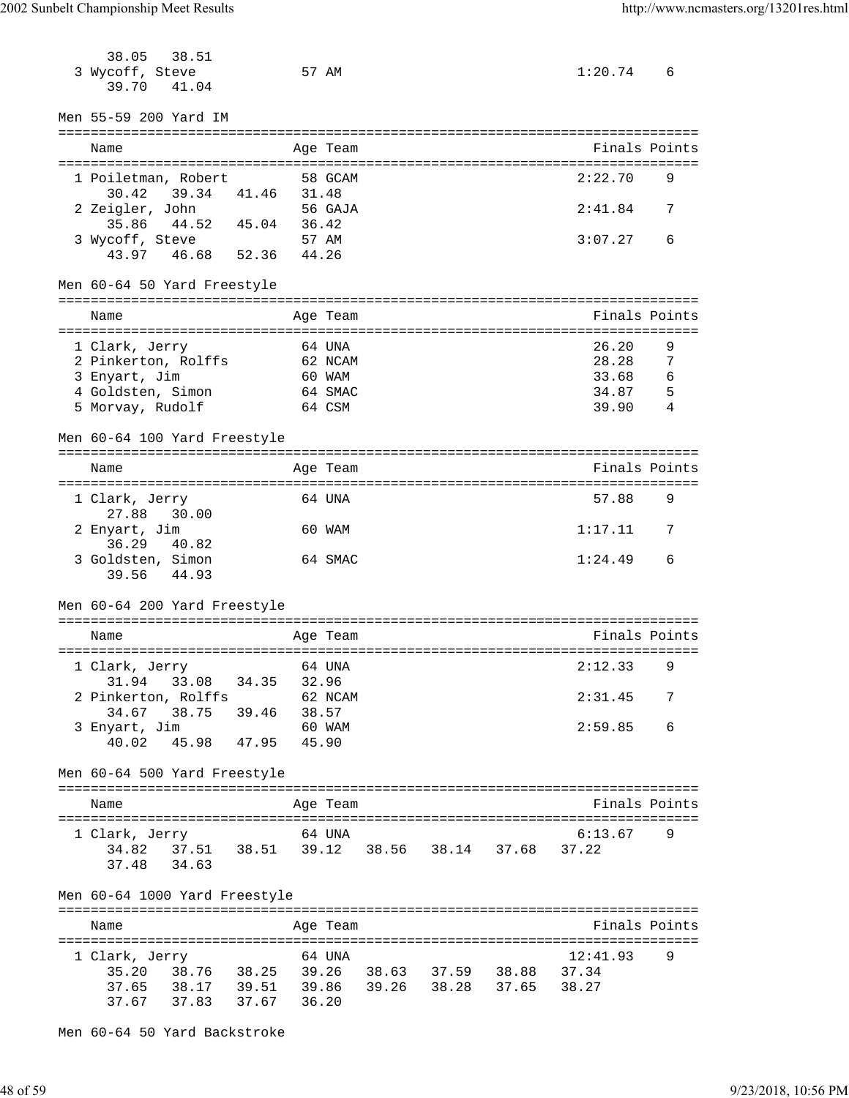| 38.51<br>38.05<br>3 Wycoff, Steve<br>39.70<br>41.04                     |                | 57 AM    |  | 1:20.74       | 6              |
|-------------------------------------------------------------------------|----------------|----------|--|---------------|----------------|
| Men 55-59 200 Yard IM                                                   |                |          |  |               |                |
| Name                                                                    |                | Age Team |  | Finals Points |                |
|                                                                         |                |          |  |               |                |
| 1 Poiletman, Robert<br>39.34 41.46<br>30.42                             | 31.48          | 58 GCAM  |  | 2:22.70       | 9              |
| 2 Zeigler, John                                                         |                | 56 GAJA  |  | 2:41.84       | 7              |
| 35.86 44.52 45.04 36.42                                                 |                | 57 AM    |  | 3:07.27       | 6              |
| 3 Wycoff, Steve<br>43.97  46.68  52.36  44.26                           |                |          |  |               |                |
|                                                                         |                |          |  |               |                |
| Men 60-64 50 Yard Freestyle                                             |                |          |  |               |                |
| Name                                                                    |                | Age Team |  | Finals Points |                |
| 1 Clark, Jerry                                                          |                | 64 UNA   |  | 26.20         | 9              |
| 2 Pinkerton, Rolffs                                                     |                | 62 NCAM  |  | 28.28         | $\overline{7}$ |
| 3 Enyart, Jim                                                           |                | 60 WAM   |  | 33.68         | 6              |
| 4 Goldsten, Simon                                                       |                | 64 SMAC  |  | 34.87         | - 5            |
| 5 Morvay, Rudolf                                                        |                | 64 CSM   |  | 39.90         | 4              |
| Men 60-64 100 Yard Freestyle                                            |                |          |  |               |                |
| Name                                                                    |                | Age Team |  | Finals Points |                |
|                                                                         |                |          |  |               |                |
| 1 Clark, Jerry<br>30.00<br>27.88                                        |                | 64 UNA   |  | 57.88         | 9              |
| 2 Enyart, Jim<br>36.29<br>40.82                                         |                | 60 WAM   |  | 1:17.11       | 7              |
| 3 Goldsten, Simon<br>39.56 44.93                                        |                | 64 SMAC  |  | 1:24.49       | 6              |
| Men 60-64 200 Yard Freestyle                                            |                |          |  |               |                |
|                                                                         |                |          |  |               |                |
| Name                                                                    |                | Age Team |  | Finals Points |                |
| 1 Clark, Jerry 64 UNA                                                   |                |          |  | $2:12.33$ 9   |                |
| 33.08 34.35<br>31.94                                                    | 32.96          |          |  |               |                |
| 2 Pinkerton, Rolffs                                                     |                | 62 NCAM  |  | 2:31.45       | 7              |
| 38.75<br>34.67                                                          | 39.46<br>38.57 |          |  |               |                |
| 3 Enyart, Jim 60 WA<br>40.02 45.98 47.95 45.90                          |                | 60 WAM   |  | 2:59.85       | 6              |
|                                                                         |                |          |  |               |                |
| Men 60-64 500 Yard Freestyle                                            |                |          |  |               |                |
| Name                                                                    |                | Age Team |  | Finals Points |                |
| 1 Clark, Jerry                                                          |                | 64 UNA   |  | 6:13.67       | 9              |
| 34.82  37.51  38.51  39.12  38.56  38.14  37.68                         |                |          |  | 37.22         |                |
| 37.48 34.63                                                             |                |          |  |               |                |
| Men 60-64 1000 Yard Freestyle                                           |                |          |  |               |                |
|                                                                         |                |          |  |               |                |
| Name                                                                    |                | Age Team |  | Finals Points |                |
| 1 Clark, Jerry                                                          |                | 64 UNA   |  | 12:41.93      | 9              |
| 38.76 38.25 39.26 38.63 37.59 38.88 37.34<br>35.20                      |                |          |  |               |                |
| 37.65   38.17   39.51   39.86   39.26   38.28   37.65<br>37.83<br>37.67 | 37.67 36.20    |          |  | 38.27         |                |
|                                                                         |                |          |  |               |                |

Men 60-64 50 Yard Backstroke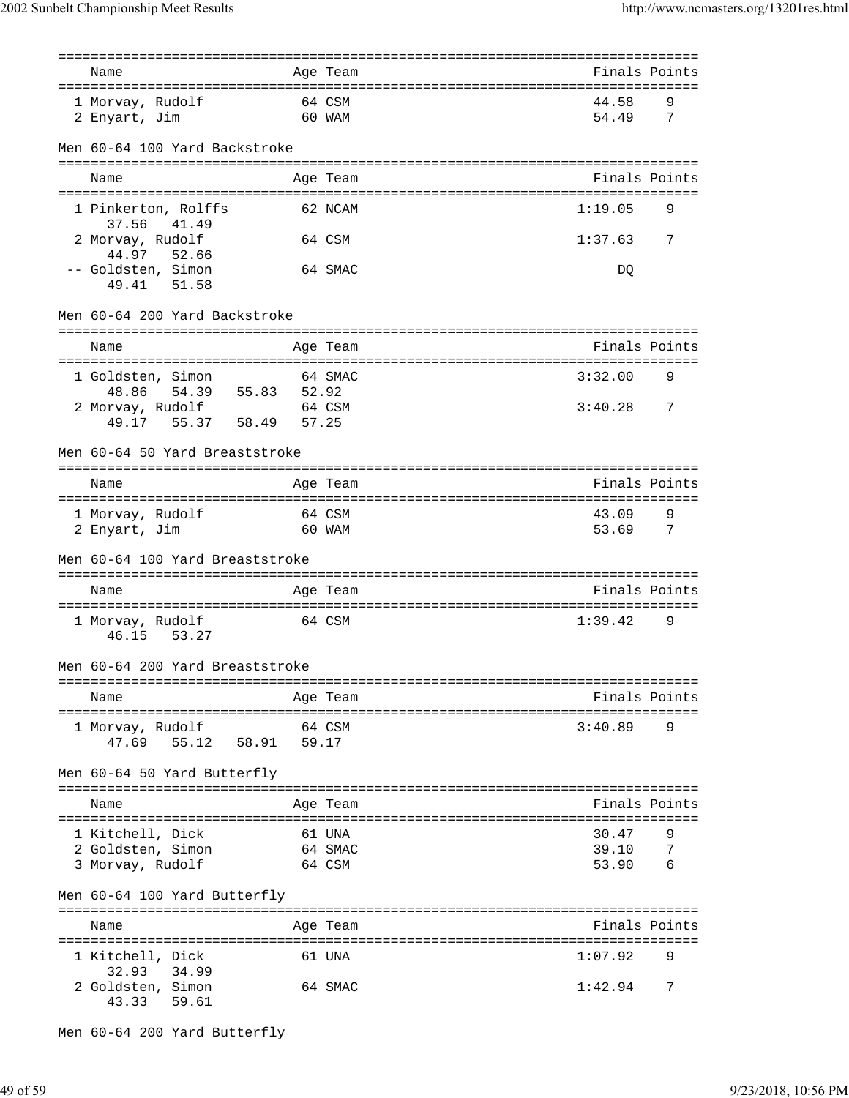|                                             |       | ========          |                                    |
|---------------------------------------------|-------|-------------------|------------------------------------|
| Name                                        |       | Age Team          | Finals Points                      |
| 1 Morvay, Rudolf                            |       | 64 CSM            | 44.58<br>9                         |
| 2 Enyart, Jim                               |       | 60 WAM            | 54.49<br>7                         |
|                                             |       |                   |                                    |
| Men 60-64 100 Yard Backstroke               |       |                   |                                    |
| Name                                        |       | Age Team          | Finals Points                      |
|                                             |       |                   |                                    |
| 1 Pinkerton, Rolffs<br>37.56<br>41.49       |       | 62 NCAM           | 1:19.05<br>9                       |
| 2 Morvay, Rudolf                            |       | 64 CSM            | 1:37.63<br>7                       |
| 44.97<br>52.66                              |       |                   |                                    |
| -- Goldsten, Simon                          |       | 64 SMAC           | DQ                                 |
| 51.58<br>49.41                              |       |                   |                                    |
| Men 60-64 200 Yard Backstroke               |       |                   |                                    |
| Name                                        |       | Age Team          | Finals Points                      |
|                                             |       |                   |                                    |
| 1 Goldsten, Simon                           |       | 64 SMAC           | 3:32.00<br>9                       |
| 48.86<br>54.39<br>55.83<br>2 Morvay, Rudolf | 52.92 | 64 CSM            | 3:40.28<br>7                       |
| 58.49<br>55.37<br>49.17                     | 57.25 |                   |                                    |
|                                             |       |                   |                                    |
| Men 60-64 50 Yard Breaststroke              |       |                   | --------------------------------   |
| Name                                        |       | Age Team          | Finals Points                      |
|                                             |       |                   |                                    |
| 1 Morvay, Rudolf                            |       | 64 CSM            | 43.09<br>9                         |
| 2 Enyart, Jim                               |       | 60 WAM            | 53.69<br>7                         |
| Men 60-64 100 Yard Breaststroke             |       |                   |                                    |
|                                             |       |                   |                                    |
| Name                                        |       | Age Team          | Finals Points                      |
| 1 Morvay, Rudolf                            |       | 64 CSM            | 1:39.42<br>9                       |
| 53.27<br>46.15                              |       |                   |                                    |
| Men 60-64 200 Yard Breaststroke             |       |                   |                                    |
|                                             |       |                   |                                    |
| Name                                        |       | Age Team          | Finals Points                      |
|                                             |       |                   |                                    |
| 1 Morvay, Rudolf<br>47.69<br>55.12<br>58.91 | 59.17 | 64 CSM            | 3:40.89<br>9                       |
|                                             |       |                   |                                    |
| Men 60-64 50 Yard Butterfly                 |       |                   |                                    |
| Name                                        |       | Age Team          | Finals Points                      |
|                                             |       |                   |                                    |
| 1 Kitchell, Dick<br>2 Goldsten, Simon       |       | 61 UNA<br>64 SMAC | 30.47<br>39.10<br>-7               |
| 3 Morvay, Rudolf                            |       | 64 CSM            | 53.90<br>6                         |
|                                             |       |                   |                                    |
| Men 60-64 100 Yard Butterfly                |       |                   | ---------------------------------- |
| Name                                        |       | Age Team          | Finals Points                      |
| 1 Kitchell, Dick                            |       | 61 UNA            | 1:07.92<br>9                       |
| 32.93<br>34.99                              |       |                   |                                    |
| 2 Goldsten, Simon                           |       | 64 SMAC           | 1:42.94<br>7                       |
| 43.33<br>59.61                              |       |                   |                                    |

```
Men 60-64 200 Yard Butterfly
```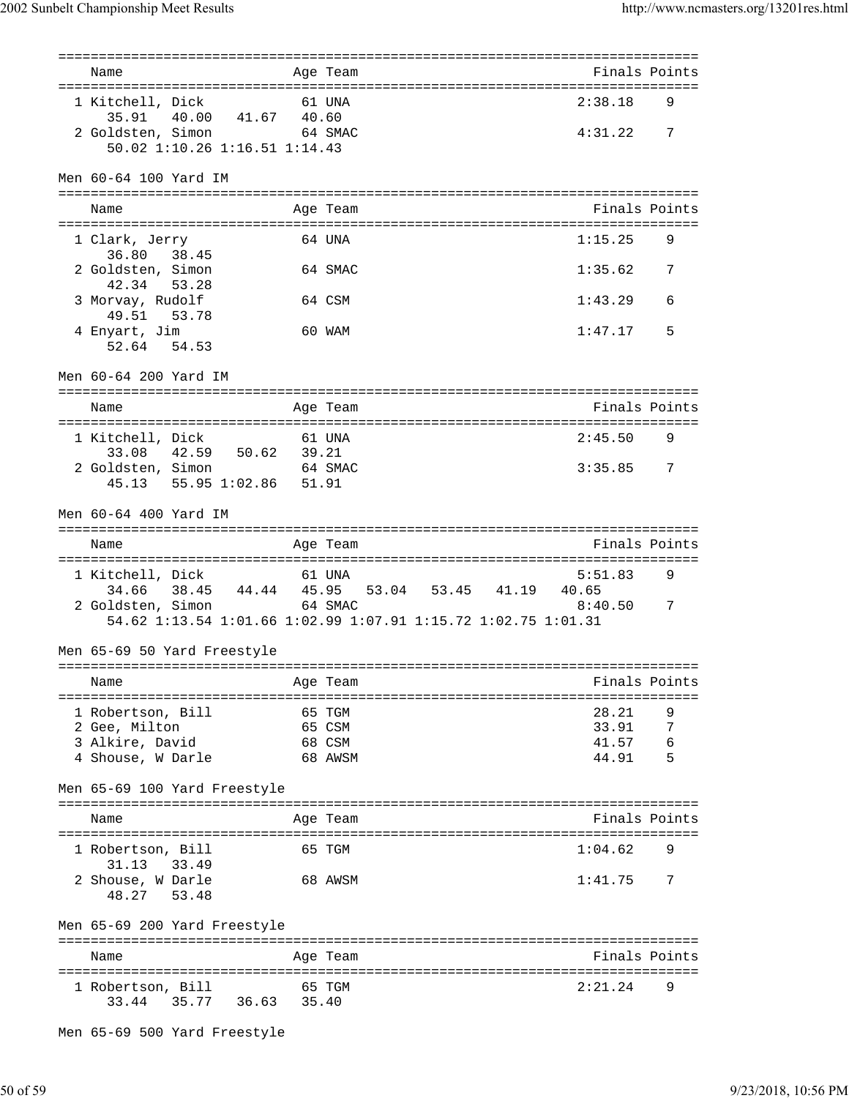| Name                                            |         | Age Team |                                                               | Finals Points |   |
|-------------------------------------------------|---------|----------|---------------------------------------------------------------|---------------|---|
| 1 Kitchell, Dick                                |         | 61 UNA   |                                                               | 2:38.18       | 9 |
| 35.91 40.00 41.67 40.60                         |         |          |                                                               |               |   |
| 2 Goldsten, Simon                               | 64 SMAC |          |                                                               | 4:31.22       | 7 |
| 50.02 1:10.26 1:16.51 1:14.43                   |         |          |                                                               |               |   |
|                                                 |         |          |                                                               |               |   |
| Men 60-64 100 Yard IM                           |         |          |                                                               |               |   |
|                                                 |         |          |                                                               |               |   |
| Name                                            |         | Age Team |                                                               | Finals Points |   |
| 1 Clark, Jerry                                  |         | 64 IINA  |                                                               | 1:15.25       | 9 |
| 38.45<br>36.80                                  |         |          |                                                               |               |   |
| 2 Goldsten, Simon                               |         | 64 SMAC  |                                                               | 1:35.62       | 7 |
| 42.34 53.28                                     |         |          |                                                               |               |   |
| 3 Morvay, Rudolf                                |         | 64 CSM   |                                                               | 1:43.29       | 6 |
| 49.51 53.78                                     |         |          |                                                               |               |   |
| 4 Enyart, Jim                                   |         | 60 WAM   |                                                               | 1:47.17       | 5 |
| 52.64 54.53                                     |         |          |                                                               |               |   |
|                                                 |         |          |                                                               |               |   |
| Men 60-64 200 Yard IM                           |         |          |                                                               |               |   |
|                                                 |         |          |                                                               |               |   |
| Name                                            |         | Age Team |                                                               | Finals Points |   |
|                                                 |         |          |                                                               |               |   |
| 1 Kitchell, Dick<br>61 UNA                      |         |          |                                                               | 2:45.50       | 9 |
| 42.59 50.62 39.21<br>33.08                      |         |          |                                                               |               |   |
| 2 Goldsten, Simon 64 SMAC                       |         |          |                                                               | 3:35.85       | 7 |
| 45.13 55.95 1:02.86                             | 51.91   |          |                                                               |               |   |
| Men 60-64 400 Yard IM                           |         |          |                                                               |               |   |
|                                                 |         |          |                                                               |               |   |
|                                                 |         |          |                                                               |               |   |
| Name                                            |         | Age Team |                                                               | Finals Points |   |
|                                                 |         |          |                                                               |               |   |
| 1 Kitchell, Dick                                |         | 61 UNA   |                                                               | 5:51.83       | 9 |
|                                                 |         |          | 34.66 38.45 44.44 45.95 53.04 53.45 41.19 40.65               |               |   |
| 2 Goldsten, Simon                               |         | 64 SMAC  |                                                               | 8:40.50       | 7 |
|                                                 |         |          | 54.62 1:13.54 1:01.66 1:02.99 1:07.91 1:15.72 1:02.75 1:01.31 |               |   |
| Men 65-69 50 Yard Freestyle                     |         |          |                                                               |               |   |
|                                                 |         |          |                                                               |               |   |
| Name                                            |         | Age Team |                                                               | Finals Points |   |
|                                                 |         |          |                                                               |               |   |
| 1 Robertson, Bill                               |         | 65 TGM   |                                                               | 28.21         | 9 |
| 2 Gee, Milton                                   |         | 65 CSM   |                                                               | 33.91         | 7 |
| 3 Alkire, David                                 |         | 68 CSM   |                                                               | 41.57         | 6 |
| 4 Shouse, W Darle                               |         | 68 AWSM  |                                                               | 44.91         | 5 |
|                                                 |         |          |                                                               |               |   |
| Men 65-69 100 Yard Freestyle                    |         |          |                                                               |               |   |
| Name                                            |         | Age Team |                                                               | Finals Points |   |
|                                                 |         |          |                                                               |               |   |
| 1 Robertson, Bill                               |         | 65 TGM   |                                                               | 1:04.62       | 9 |
| 33.49<br>31.13                                  |         |          |                                                               |               |   |
| 2 Shouse, W Darle                               |         | 68 AWSM  |                                                               | 1:41.75       | 7 |
| 48.27<br>53.48                                  |         |          |                                                               |               |   |
|                                                 |         |          |                                                               |               |   |
| Men 65-69 200 Yard Freestyle                    |         |          |                                                               |               |   |
|                                                 |         |          |                                                               |               |   |
| Name                                            |         | Age Team |                                                               | Finals Points |   |
|                                                 |         | 65 TGM   |                                                               | 2:21.24       | 9 |
| 1 Robertson, Bill<br>35.77 36.63 35.40<br>33.44 |         |          |                                                               |               |   |

Men 65-69 500 Yard Freestyle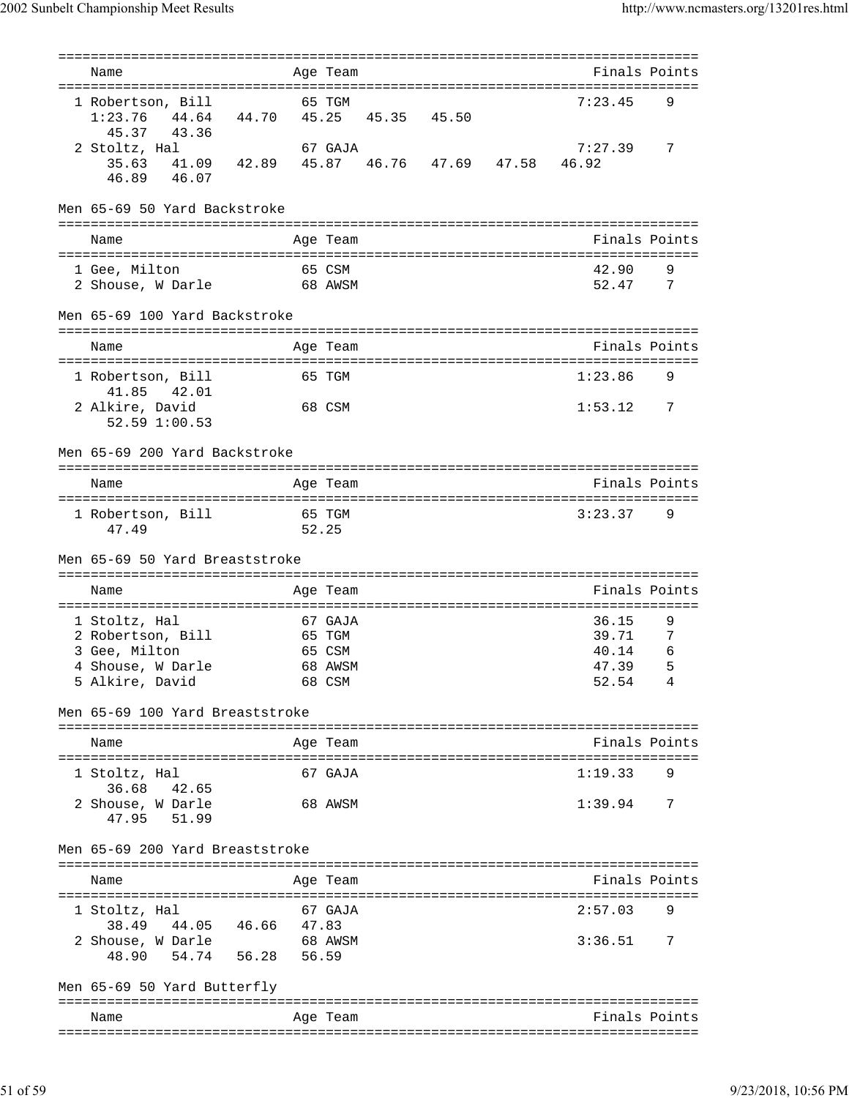|                                                   |                    | ==========        |             |       | ---------------------------------   |                |
|---------------------------------------------------|--------------------|-------------------|-------------|-------|-------------------------------------|----------------|
| Name                                              |                    | Age Team          |             |       | Finals Points                       |                |
| 1 Robertson, Bill                                 |                    | 65 TGM            |             |       | 7:23.45                             | 9              |
| 44.64 44.70<br>1:23.76                            |                    |                   | 45.25 45.35 | 45.50 |                                     |                |
| 45.37<br>43.36                                    |                    |                   |             |       |                                     |                |
| 2 Stoltz, Hal                                     |                    | 67 GAJA           |             |       | 7:27.39                             | 7              |
| 41.09  42.89  45.87  46.76  47.69  47.58<br>35.63 |                    |                   |             |       | 46.92                               |                |
| 46.89 46.07                                       |                    |                   |             |       |                                     |                |
|                                                   |                    |                   |             |       |                                     |                |
| Men 65-69 50 Yard Backstroke                      |                    |                   |             |       |                                     |                |
|                                                   |                    |                   |             |       |                                     |                |
| Name                                              |                    | Age Team          |             |       | Finals Points                       |                |
|                                                   | ================== |                   |             |       | =================================== |                |
| 1 Gee, Milton                                     |                    | 65 CSM            |             |       | 42.90                               | 9              |
| 2 Shouse, W Darle                                 |                    | 68 AWSM           |             |       | 52.47                               | $\overline{7}$ |
|                                                   |                    |                   |             |       |                                     |                |
| Men 65-69 100 Yard Backstroke                     |                    |                   |             |       |                                     |                |
|                                                   |                    |                   |             |       |                                     |                |
| Name                                              |                    | Age Team          |             |       | Finals Points                       |                |
| 1 Robertson, Bill                                 |                    | 65 TGM            |             |       | 1:23.86                             | 9              |
| 41.85  42.01                                      |                    |                   |             |       |                                     |                |
| 2 Alkire, David                                   |                    | 68 CSM            |             |       | 1:53.12                             | 7              |
| 52.59 1:00.53                                     |                    |                   |             |       |                                     |                |
|                                                   |                    |                   |             |       |                                     |                |
| Men 65-69 200 Yard Backstroke                     |                    |                   |             |       |                                     |                |
|                                                   |                    |                   |             |       |                                     |                |
| Name                                              |                    | Age Team          |             |       | Finals Points                       |                |
|                                                   |                    |                   |             |       |                                     |                |
| 1 Robertson, Bill                                 |                    | 65 TGM            |             |       | 3:23.37                             | 9              |
| 47.49                                             |                    | 52.25             |             |       |                                     |                |
|                                                   |                    |                   |             |       |                                     |                |
|                                                   |                    |                   |             |       |                                     |                |
| Men 65-69 50 Yard Breaststroke                    |                    |                   |             |       |                                     |                |
|                                                   |                    |                   |             |       |                                     |                |
| Name                                              |                    | Age Team          |             |       | Finals Points                       |                |
|                                                   |                    |                   |             |       |                                     |                |
| 1 Stoltz, Hal                                     |                    | 67 GAJA           |             |       | 36.15                               | 9              |
| 2 Robertson, Bill                                 |                    | 65 TGM            |             |       | 39.71                               | 7              |
| 3 Gee, Milton                                     |                    | 65 CSM            |             |       | 40.14                               | 6              |
| 4 Shouse, W Darle                                 |                    | 68 AWSM<br>68 CSM |             |       | 47.39                               | 5<br>4         |
| 5 Alkire, David                                   |                    |                   |             |       | 52.54                               |                |
| Men 65-69 100 Yard Breaststroke                   |                    |                   |             |       |                                     |                |
|                                                   |                    |                   |             |       |                                     |                |
| Name                                              |                    | Age Team          |             |       | Finals Points                       |                |
|                                                   |                    |                   |             |       |                                     |                |
| 1 Stoltz, Hal                                     |                    | 67 GAJA           |             |       | 1:19.33                             | 9              |
| 36.68 42.65                                       |                    |                   |             |       |                                     |                |
| 2 Shouse, W Darle                                 |                    | 68 AWSM           |             |       | 1:39.94                             | $\overline{7}$ |
| 47.95 51.99                                       |                    |                   |             |       |                                     |                |
|                                                   |                    |                   |             |       |                                     |                |
| Men 65-69 200 Yard Breaststroke                   |                    |                   |             |       |                                     |                |
|                                                   |                    |                   |             |       |                                     |                |
| Name                                              |                    | Age Team          |             |       | Finals Points                       |                |
|                                                   |                    |                   |             |       |                                     |                |
| 1 Stoltz, Hal                                     |                    | 67 GAJA           |             |       | 2:57.03                             | 9              |
| 38.49 44.05 46.66 47.83                           |                    |                   |             |       |                                     |                |
|                                                   |                    |                   |             |       | $3:36.51$ 7                         |                |
| 2 Shouse, W Darle<br>48.90 54.74 56.28            |                    | 68 AWSM<br>56.59  |             |       |                                     |                |
|                                                   |                    |                   |             |       |                                     |                |
| Men 65-69 50 Yard Butterfly                       |                    |                   |             |       |                                     |                |
| Name                                              |                    | Age Team          |             |       | Finals Points                       |                |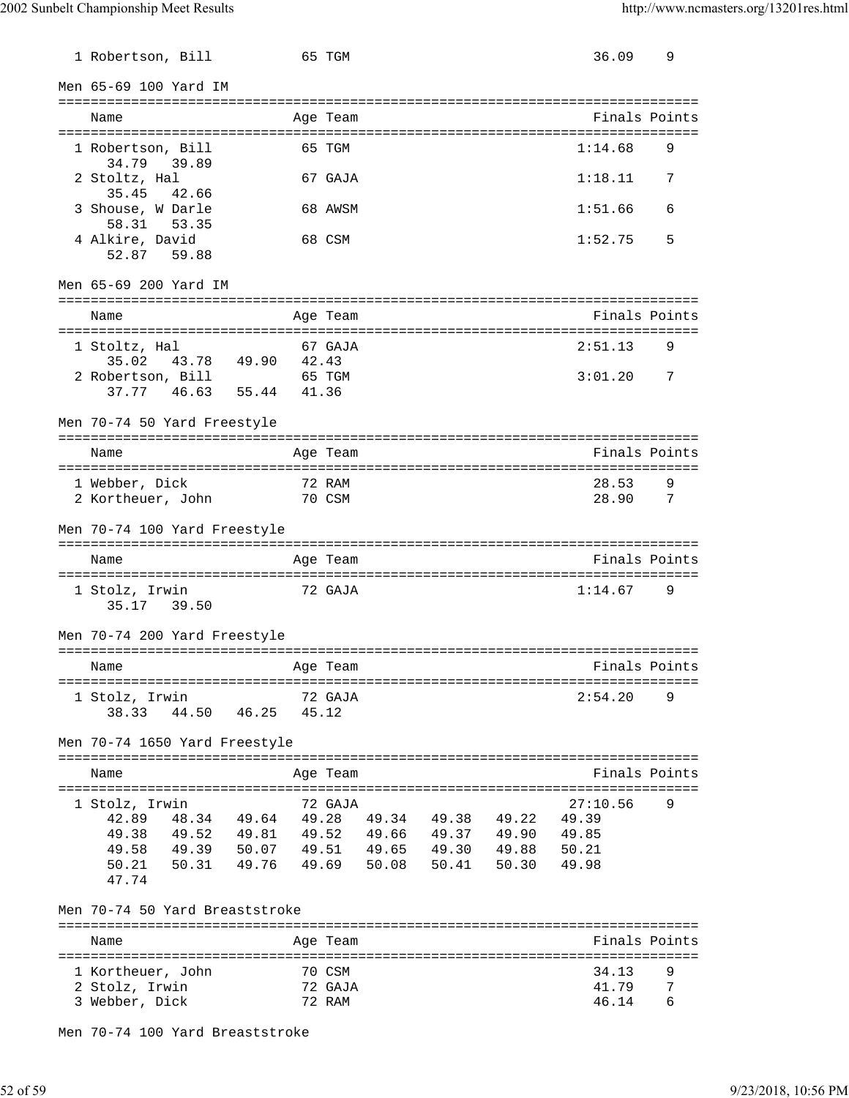| 1 Robertson, Bill                                                                                                                                                                                                             |          | 65 TGM                      |  | 36.09                   | 9                   |
|-------------------------------------------------------------------------------------------------------------------------------------------------------------------------------------------------------------------------------|----------|-----------------------------|--|-------------------------|---------------------|
| Men 65-69 100 Yard IM                                                                                                                                                                                                         |          |                             |  |                         |                     |
| Name                                                                                                                                                                                                                          |          | Age Team                    |  | Finals Points           |                     |
| 1 Robertson, Bill<br>34.79 39.89                                                                                                                                                                                              |          | 65 TGM                      |  | 1:14.68                 | 9                   |
| 2 Stoltz, Hal<br>35.45<br>42.66                                                                                                                                                                                               |          | 67 GAJA                     |  | 1:18.11                 | 7                   |
| 3 Shouse, W Darle<br>58.31 53.35                                                                                                                                                                                              |          | 68 AWSM                     |  | 1:51.66                 | 6                   |
| 4 Alkire, David<br>52.87 59.88                                                                                                                                                                                                |          | 68 CSM                      |  | 1:52.75                 | 5                   |
| Men 65-69 200 Yard IM                                                                                                                                                                                                         |          |                             |  |                         |                     |
| Name                                                                                                                                                                                                                          |          | Age Team                    |  | Finals Points           |                     |
| 1 Stoltz, Hal<br>43.78 49.90 42.43<br>35.02<br>2 Robertson, Bill                                                                                                                                                              |          | 67 GAJA<br>65 TGM           |  | 2:51.13<br>3:01.20      | 9<br>7              |
| 37.77  46.63  55.44  41.36                                                                                                                                                                                                    |          |                             |  |                         |                     |
| Men 70-74 50 Yard Freestyle                                                                                                                                                                                                   |          |                             |  |                         |                     |
| Name                                                                                                                                                                                                                          |          | Age Team                    |  | Finals Points           |                     |
| 1 Webber, Dick<br>2 Kortheuer, John                                                                                                                                                                                           |          | 72 RAM<br>70 CSM            |  | 28.53<br>28.90          | 9<br>$\overline{7}$ |
| Men 70-74 100 Yard Freestyle                                                                                                                                                                                                  |          |                             |  |                         |                     |
| Name                                                                                                                                                                                                                          |          | Age Team                    |  | Finals Points           |                     |
| 1 Stolz, Irwin<br>35.17 39.50                                                                                                                                                                                                 |          | 72 GAJA                     |  | 1:14.67                 | 9                   |
| Men 70-74 200 Yard Freestyle                                                                                                                                                                                                  |          |                             |  |                         |                     |
| Name                                                                                                                                                                                                                          | Age Team |                             |  | Finals Points           |                     |
| 1 Stolz, Irwin<br>38.33 44.50 46.25                                                                                                                                                                                           | 45.12    | 72 GAJA                     |  | 2:54.20                 | 9                   |
| Men 70-74 1650 Yard Freestyle                                                                                                                                                                                                 |          |                             |  |                         |                     |
| Name                                                                                                                                                                                                                          |          | Age Team                    |  | Finals Points           |                     |
| 1 Stolz, Irwin<br>42.89 48.34 49.64 49.28 49.34 49.38 49.22<br>49.38 49.52 49.81 49.52 49.66 49.37 49.90 49.85<br>49.58 49.39 50.07 49.51 49.65 49.30 49.88 50.21<br>50.21 50.31 49.76 49.69 50.08 50.41 50.30 49.98<br>47.74 |          | 72 GAJA                     |  | 27:10.56<br>49.39       | 9                   |
| Men 70-74 50 Yard Breaststroke                                                                                                                                                                                                |          |                             |  |                         |                     |
| Name                                                                                                                                                                                                                          |          | Age Team                    |  | Finals Points           |                     |
| 1 Kortheuer, John<br>2 Stolz, Irwin<br>3 Webber, Dick                                                                                                                                                                         |          | 70 CSM<br>72 GAJA<br>72 RAM |  | 34.13<br>41.79<br>46.14 | 9<br>7<br>6         |

Men 70-74 100 Yard Breaststroke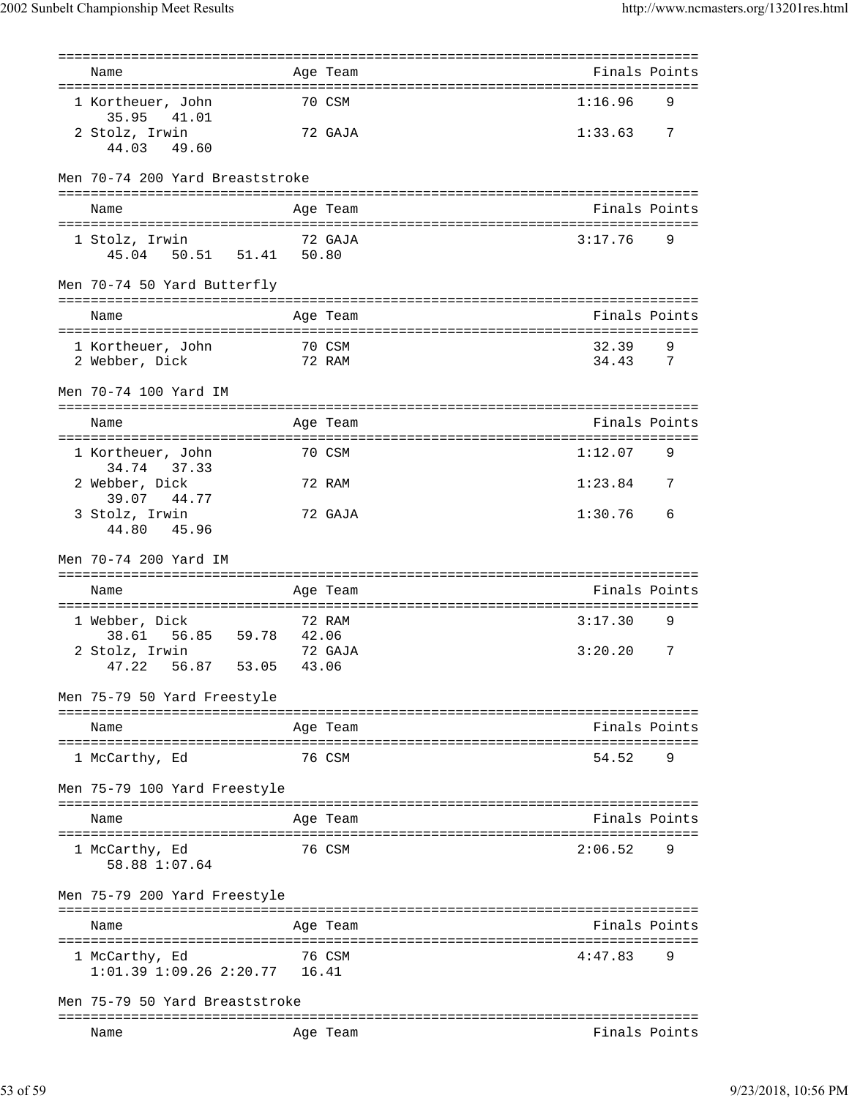| Name                                                                       |       | =============<br>Age Team  | =================================<br>Finals Points |        |
|----------------------------------------------------------------------------|-------|----------------------------|----------------------------------------------------|--------|
| 1 Kortheuer, John<br>35.95<br>41.01                                        |       | 70 CSM                     | 1:16.96                                            | 9      |
| 2 Stolz, Irwin<br>44.03 49.60                                              |       | 72 GAJA                    | 1:33.63                                            | 7      |
| Men 70-74 200 Yard Breaststroke                                            |       |                            |                                                    |        |
| Name                                                                       |       | Age Team                   | Finals Points                                      |        |
| 1 Stolz, Irwin<br>50.51 51.41 50.80<br>45.04                               |       | 72 GAJA                    | 3:17.76                                            | 9      |
| Men 70-74 50 Yard Butterfly                                                |       |                            |                                                    |        |
| Name                                                                       |       | Age Team                   | Finals Points                                      |        |
| 1 Kortheuer, John<br>2 Webber, Dick                                        |       | 70 CSM<br>72 RAM           | 32.39<br>34.43                                     | 9<br>7 |
| Men 70-74 100 Yard IM                                                      |       |                            |                                                    |        |
| Name                                                                       |       | Age Team                   | Finals Points                                      |        |
| 1 Kortheuer, John<br>34.74<br>37.33                                        |       | 70 CSM                     | 1:12.07                                            | 9      |
| 2 Webber, Dick<br>39.07 44.77                                              |       | 72 RAM                     | 1:23.84                                            | 7      |
| 3 Stolz, Irwin<br>44.80 45.96                                              |       | 72 GAJA                    | 1:30.76                                            | 6      |
| Men 70-74 200 Yard IM                                                      |       |                            |                                                    |        |
| Name                                                                       |       | Age Team                   | Finals Points                                      |        |
| 1 Webber, Dick<br>56.85<br>59.78 42.06<br>38.61                            |       | 72 RAM                     | 3:17.30                                            | 9      |
| 2 Stolz, Irwin<br>47.22<br>56.87<br>53.05                                  | 43.06 | 72 GAJA                    | 3:20.20                                            | 7      |
| Men 75-79 50 Yard Freestyle                                                |       |                            |                                                    |        |
| Name                                                                       |       | Age Team                   | Finals Points                                      |        |
| -----------------<br>1 McCarthy, Ed                                        |       | ===============<br>76 CSM  | -----------------<br>54.52                         | 9      |
| Men 75-79 100 Yard Freestyle                                               |       |                            |                                                    |        |
| Name                                                                       |       | Age Team                   | Finals Points                                      |        |
| 1 McCarthy, Ed<br>58.88 1:07.64                                            |       | 76 CSM                     | 2:06.52                                            | 9      |
| Men 75-79 200 Yard Freestyle                                               |       | -----------                |                                                    |        |
| Name                                                                       |       | Age Team                   | Finals Points                                      |        |
| -----------------<br>1 McCarthy, Ed<br>$1:01.39$ $1:09.26$ $2:20.77$ 16.41 |       | ================<br>76 CSM | :=========================<br>4:47.83              | 9      |
| Men 75-79 50 Yard Breaststroke                                             |       |                            |                                                    |        |
|                                                                            |       |                            | ==========================                         |        |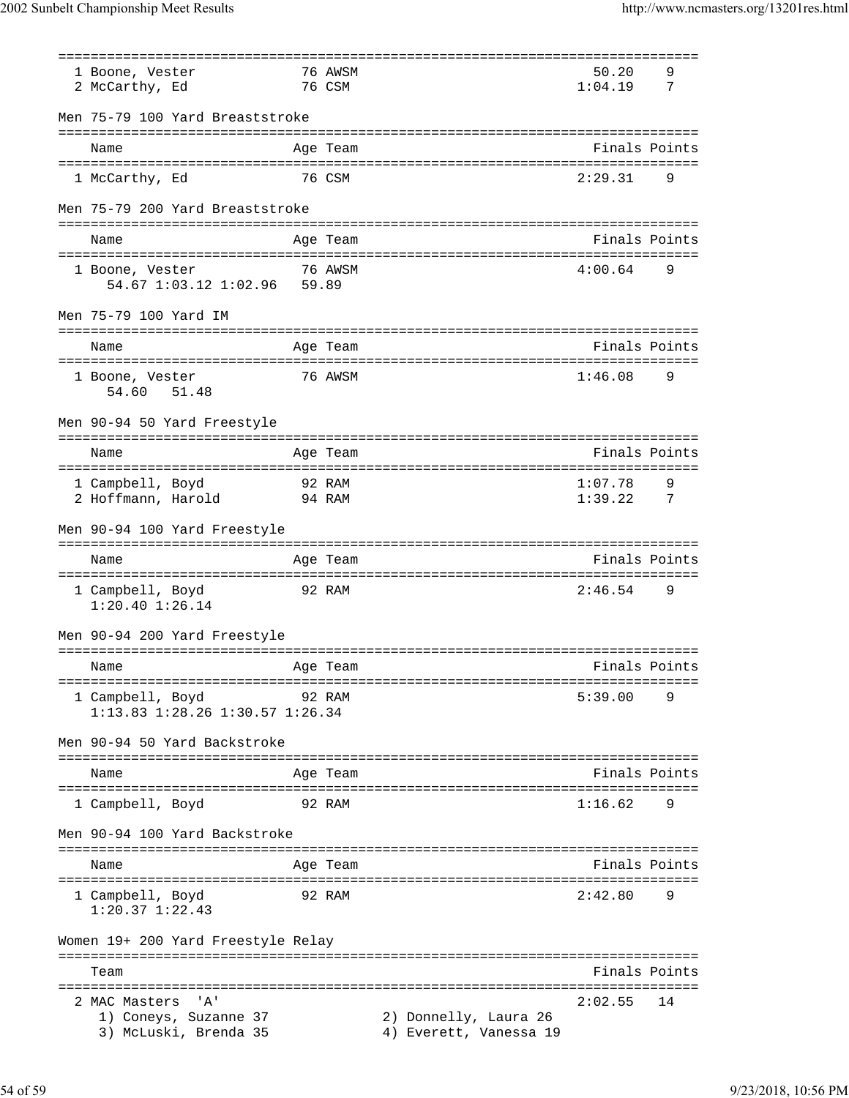2002 Sunbelt Championship Meet Results http://www.ncmasters.org/13201res.html

|                                                | ================ | ===================================             |               |                |
|------------------------------------------------|------------------|-------------------------------------------------|---------------|----------------|
| 1 Boone, Vester                                | 76 AWSM          |                                                 | 50.20         | 9              |
| 2 McCarthy, Ed                                 | 76 CSM           |                                                 | 1:04.19       | 7              |
|                                                |                  |                                                 |               |                |
| Men 75-79 100 Yard Breaststroke                |                  |                                                 |               |                |
|                                                |                  |                                                 |               |                |
| Name                                           | Age Team         |                                                 | Finals Points |                |
|                                                |                  |                                                 |               |                |
| 1 McCarthy, Ed                                 | 76 CSM           |                                                 | 2:29.31       | 9              |
|                                                |                  |                                                 |               |                |
| Men 75-79 200 Yard Breaststroke                |                  |                                                 |               |                |
| Name                                           | Age Team         |                                                 | Finals Points |                |
|                                                |                  |                                                 |               |                |
| 1 Boone, Vester                                | 76 AWSM          |                                                 | 4:00.64       | 9              |
| 54.67 1:03.12 1:02.96 59.89                    |                  |                                                 |               |                |
|                                                |                  |                                                 |               |                |
| Men 75-79 100 Yard IM                          |                  |                                                 |               |                |
|                                                |                  |                                                 |               |                |
| Name                                           | Age Team         |                                                 | Finals Points |                |
|                                                |                  |                                                 |               |                |
| 1 Boone, Vester                                | 76 AWSM          |                                                 | 1:46.08       | 9              |
| 54.60<br>51.48                                 |                  |                                                 |               |                |
|                                                |                  |                                                 |               |                |
| Men 90-94 50 Yard Freestyle                    |                  |                                                 |               |                |
| Name                                           |                  |                                                 | Finals Points |                |
| ======================================         | Age Team         |                                                 |               |                |
| 1 Campbell, Boyd                               | 92 RAM           |                                                 | 1:07.78       | 9              |
| 2 Hoffmann, Harold                             | 94 RAM           |                                                 | 1:39.22       | $\overline{7}$ |
|                                                |                  |                                                 |               |                |
| Men 90-94 100 Yard Freestyle                   |                  |                                                 |               |                |
|                                                |                  |                                                 |               |                |
|                                                |                  |                                                 |               |                |
| Name                                           | Age Team         |                                                 | Finals Points |                |
|                                                |                  |                                                 |               |                |
| 1 Campbell, Boyd                               | 92 RAM           |                                                 | 2:46.54       | 9              |
| $1:20.40$ $1:26.14$                            |                  |                                                 |               |                |
|                                                |                  |                                                 |               |                |
| Men 90-94 200 Yard Freestyle                   |                  |                                                 |               |                |
|                                                |                  |                                                 |               |                |
| Name<br>Age Team                               |                  |                                                 | Finals Points |                |
|                                                |                  |                                                 |               |                |
| 1 Campbell, Boyd                               | 92 RAM           |                                                 | 5:39.00       | 9              |
| 1:13.83 1:28.26 1:30.57 1:26.34                |                  |                                                 |               |                |
| Men 90-94 50 Yard Backstroke                   |                  |                                                 |               |                |
|                                                |                  |                                                 |               |                |
| Name                                           | Age Team         |                                                 | Finals Points |                |
|                                                |                  |                                                 |               |                |
| 1 Campbell, Boyd                               | 92 RAM           |                                                 | 1:16.62       | 9              |
|                                                |                  |                                                 |               |                |
| Men 90-94 100 Yard Backstroke                  |                  |                                                 |               |                |
|                                                |                  |                                                 |               |                |
| Name                                           | Age Team         |                                                 | Finals Points |                |
|                                                |                  |                                                 |               |                |
| 1 Campbell, Boyd                               | 92 RAM           |                                                 | 2:42.80       | 9              |
| $1:20.37$ $1:22.43$                            |                  |                                                 |               |                |
|                                                |                  |                                                 |               |                |
| Women 19+ 200 Yard Freestyle Relay             |                  |                                                 |               |                |
| Team                                           |                  |                                                 | Finals Points |                |
|                                                |                  |                                                 |               |                |
| י A י<br>2 MAC Masters                         |                  |                                                 | 2:02.55       | 14             |
| 1) Coneys, Suzanne 37<br>3) McLuski, Brenda 35 |                  | 2) Donnelly, Laura 26<br>4) Everett, Vanessa 19 |               |                |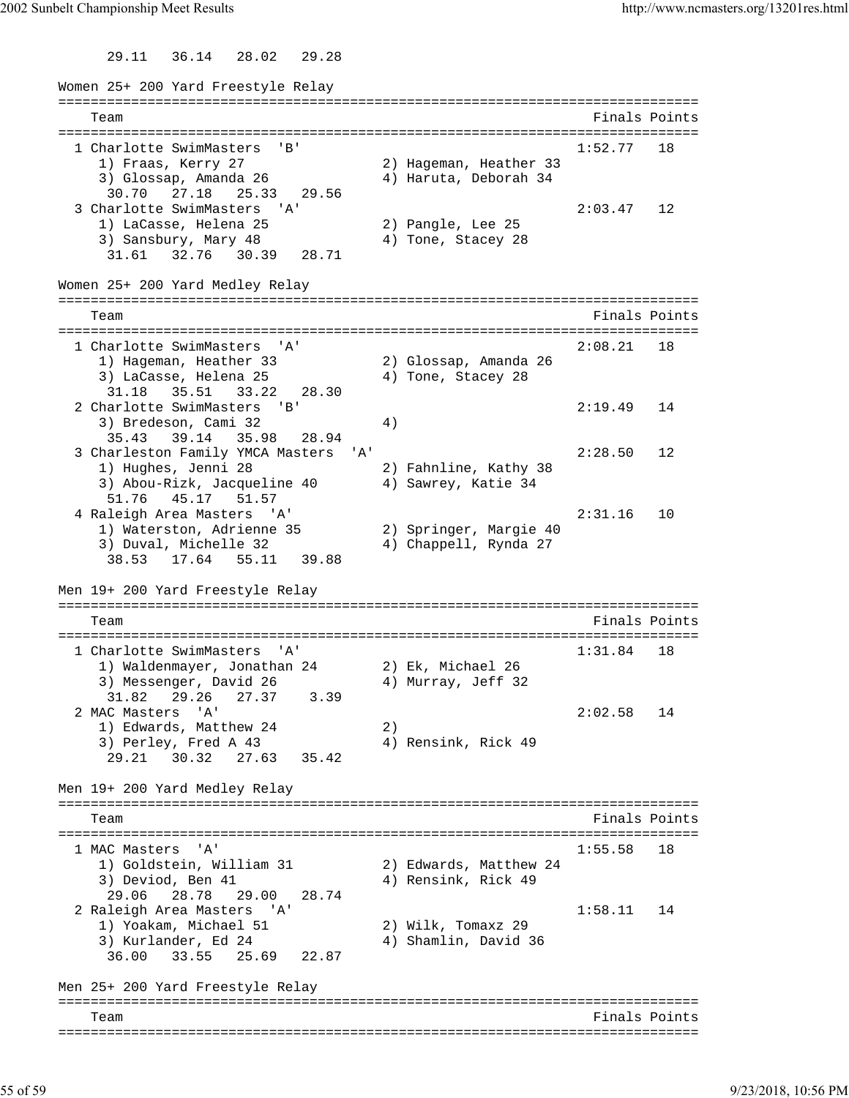29.11 36.14 28.02 29.28

Women 25+ 200 Yard Freestyle Relay =============================================================================== Team Finals Points =============================================================================== 1 Charlotte SwimMasters 'B' 1:52.77 18 1) Fraas, Kerry 27 2) Hageman, Heather 33 3) Glossap, Amanda 26 4) Haruta, Deborah 34 30.70 27.18 25.33 29.56 3 Charlotte SwimMasters 'A' 2:03.47 12 1) LaCasse, Helena 25 2) Pangle, Lee 25 3) Sansbury, Mary 48 4) Tone, Stacey 28 31.61 32.76 30.39 28.71 Women 25+ 200 Yard Medley Relay =============================================================================== Team Finals Points =============================================================================== 1 Charlotte SwimMasters 'A' 2:08.21 18 1) Hageman, Heather 33 2) Glossap, Amanda 26<br>1) Hageman, Heather 33 2) Glossap, Amanda 26 3) LaCasse, Helena 25 4) Tone, Stacey 28 31.18 35.51 33.22 28.30 2 Charlotte SwimMasters 'B' 2:19.49 14 3) Bredeson, Cami 32 (4) 35.43 39.14 35.98 28.94 3 Charleston Family YMCA Masters 'A' 2:28.50 12 1) Hughes, Jenni 28 2) Fahnline, Kathy 38 3) Abou-Rizk, Jacqueline 40 <br />
4) Sawrey, Katie 34 51.76 45.17 51.57 4 Raleigh Area Masters 'A' 2:31.16 10 1) Waterston, Adrienne 35 2) Springer, Margie 40 3) Duval, Michelle 32 4) Chappell, Rynda 27 38.53 17.64 55.11 39.88 Men 19+ 200 Yard Freestyle Relay =============================================================================== Team Finals Points =============================================================================== 1 Charlotte SwimMasters 'A' 1:31.84 18 1) Waldenmayer, Jonathan 24 2) Ek, Michael 26 3) Messenger, David 26 (4) Murray, Jeff 32 31.82 29.26 27.37 3.39 2 MAC Masters 'A' 2:02.58 14 1) Edwards, Matthew 24 2) 3) Perley, Fred A 43 49 4) Rensink, Rick 49 29.21 30.32 27.63 35.42 Men 19+ 200 Yard Medley Relay =============================================================================== Team Finals Points =============================================================================== 1 MAC Masters 'A' 1:55.58 18 1) Goldstein, William 31 2) Edwards, Matthew 24 3) Deviod, Ben 41 40 4) Rensink, Rick 49 29.06 28.78 29.00 28.74 2 Raleigh Area Masters 'A' 1:58.11 14 1) Yoakam, Michael 51 2) Wilk, Tomaxz 29 3) Kurlander, Ed 24 4) Shamlin, David 36 36.00 33.55 25.69 22.87 Men 25+ 200 Yard Freestyle Relay =============================================================================== Team Finals Points ===============================================================================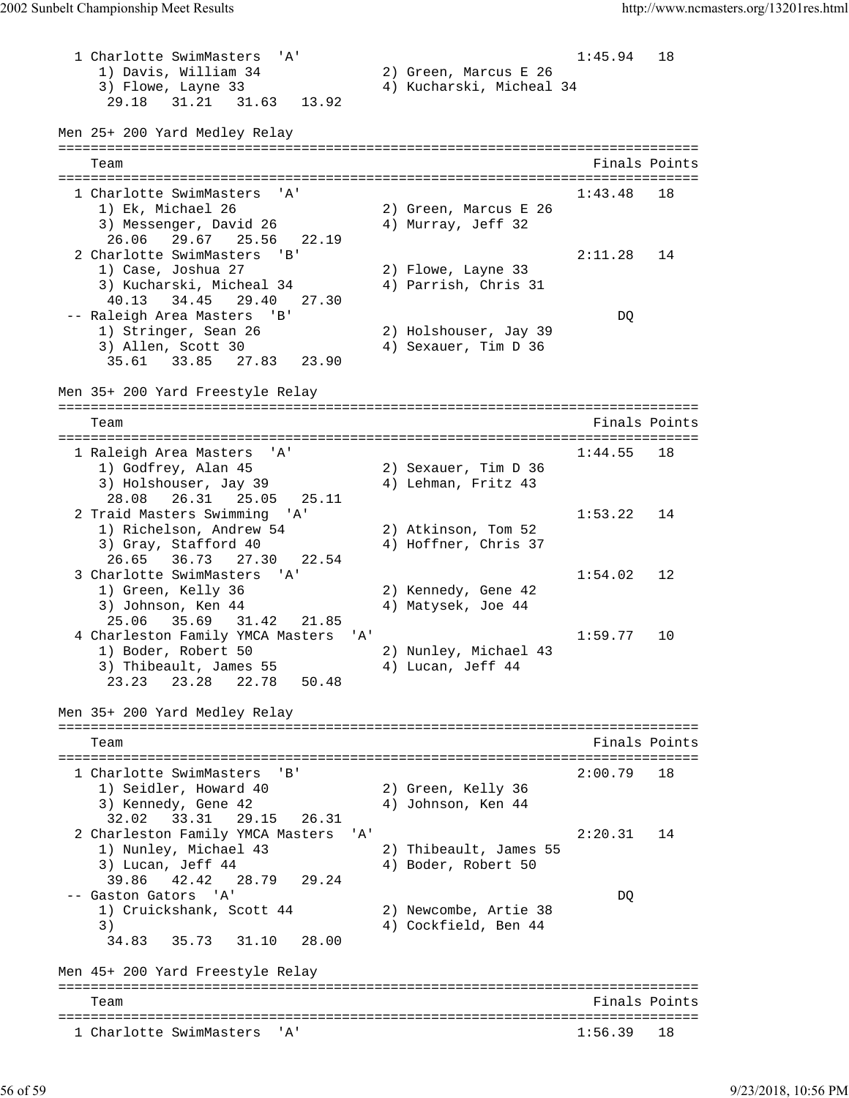1 Charlotte SwimMasters 'A' 1:45.94 18 1) Davis, William 34 2) Green, Marcus E 26 3) Flowe, Layne 33 4) Kucharski, Micheal 34 29.18 31.21 31.63 13.92 Men 25+ 200 Yard Medley Relay =============================================================================== Team Finals Points =============================================================================== 1 Charlotte SwimMasters 'A' 1:43.48 18 1) Ek, Michael 26 2) Green, Marcus E 26 3) Messenger, David 26 (4) Murray, Jeff 32 26.06 29.67 25.56 22.19 2 Charlotte SwimMasters 'B' 2:11.28 14 1) Case, Joshua 27 2) Flowe, Layne 33 3) Kucharski, Micheal 34 4) Parrish, Chris 31 40.13 34.45 29.40 27.30 -- Raleigh Area Masters 'B' DQ 1) Stringer, Sean 26 2) Holshouser, Jay 39 3) Allen, Scott 30 4) Sexauer, Tim D 36 35.61 33.85 27.83 23.90 Men 35+ 200 Yard Freestyle Relay =============================================================================== Team Finals Points =============================================================================== 1 Raleigh Area Masters 'A' 1:44.55 18 1) Godfrey, Alan 45 2) Sexauer, Tim D 36 3) Holshouser, Jay 39  $\hspace{1cm}$  4) Lehman, Fritz 43 28.08 26.31 25.05 25.11 2 Traid Masters Swimming 'A' 1:53.22 14 1) Richelson, Andrew 54 2) Atkinson, Tom 52 3) Gray, Stafford 40 4) Hoffner, Chris 37 26.65 36.73 27.30 22.54 3 Charlotte SwimMasters 'A' 1:54.02 12 1) Green, Kelly 36 2) Kennedy, Gene 42 3) Johnson, Ken 44 4) Matysek, Joe 44 25.06 35.69 31.42 21.85 4 Charleston Family YMCA Masters 'A' 1:59.77 10 1) Boder, Robert 50 2) Nunley, Michael 43 3) Thibeault, James 55 4) Lucan, Jeff 44 23.23 23.28 22.78 50.48 Men 35+ 200 Yard Medley Relay =============================================================================== Team Finals Points =============================================================================== 1 Charlotte SwimMasters 'B' 2:00.79 18 1) Seidler, Howard 40 2) Green, Kelly 36 3) Kennedy, Gene 42 4) Johnson, Ken 44 32.02 33.31 29.15 26.31 2 Charleston Family YMCA Masters 'A' 2:20.31 14 1) Nunley, Michael 43 2) Thibeault, James 55 3) Lucan, Jeff 44 4 4) Boder, Robert 50 39.86 42.42 28.79 29.24 -- Gaston Gators 'A' DQ 1) Cruickshank, Scott 44 2) Newcombe, Artie 38 3) 4) Cockfield, Ben 44 34.83 35.73 31.10 28.00 Men 45+ 200 Yard Freestyle Relay =============================================================================== Team Finals Points Points All and the Community of the Community Points Points Points Points Points Points Points All and the Community of the Community of the Community of the Community of the Community of the Community o =============================================================================== 1 Charlotte SwimMasters 'A'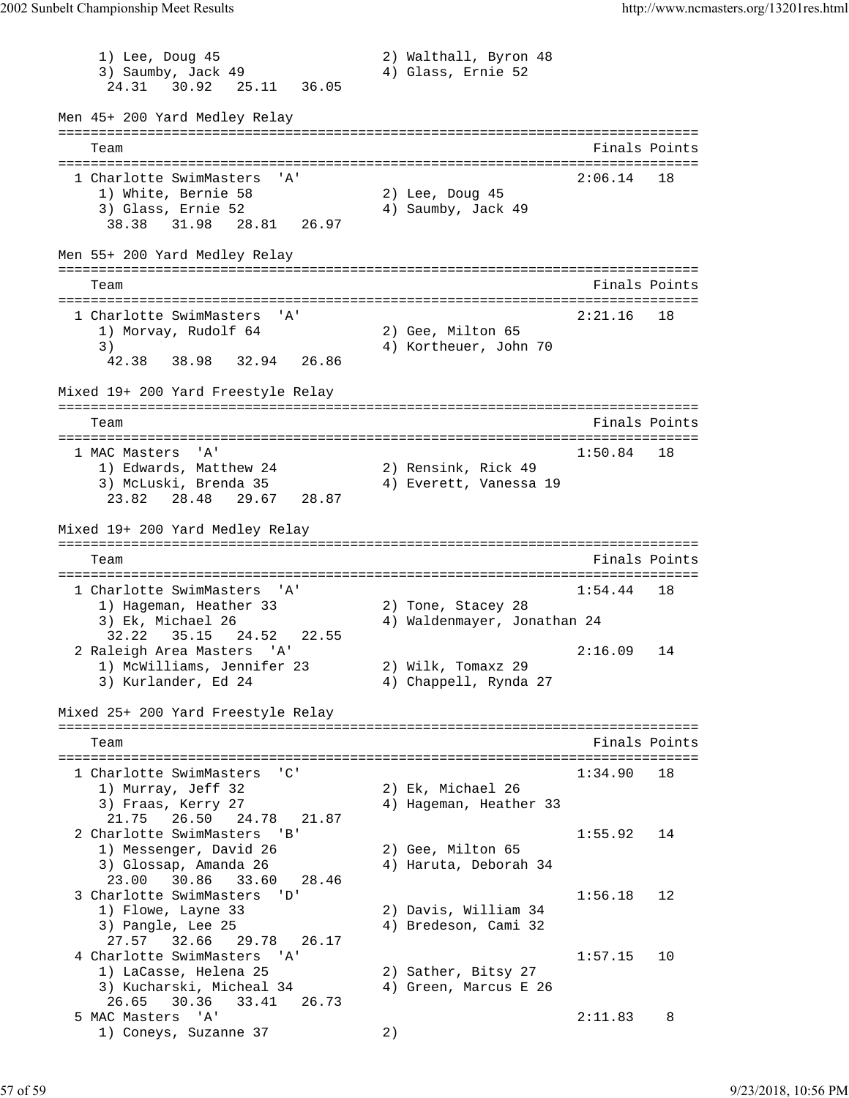1) Lee, Doug 45 2) Walthall, Byron 48 3) Saumby, Jack 49 (4) Glass, Ernie 52 24.31 30.92 25.11 36.05 Men 45+ 200 Yard Medley Relay =============================================================================== Team Finals Points =============================================================================== 1 Charlotte SwimMasters 'A' 2:06.14 18 1) White, Bernie 58 2) Lee, Doug 45 3) Glass, Ernie 52 4) Saumby, Jack 49 38.38 31.98 28.81 26.97 Men 55+ 200 Yard Medley Relay =============================================================================== Team Finals Points =============================================================================== 1 Charlotte SwimMasters 'A' 2:21.16 18 1) Morvay, Rudolf 64 2) Gee, Milton 65 3) 4) Kortheuer, John 70 42.38 38.98 32.94 26.86 Mixed 19+ 200 Yard Freestyle Relay =============================================================================== Team Finals Points and the Community of the Community of the Community of the Points Points of the Community of the Community of the Community of the Community of the Community of the Community of the Community of the Comm =============================================================================== 1 MAC Masters 'A' 1:50.84 18 1) Edwards, Matthew 24 2) Rensink, Rick 49 3) McLuski, Brenda 35 4) Everett, Vanessa 19 23.82 28.48 29.67 28.87 Mixed 19+ 200 Yard Medley Relay =============================================================================== Team Finals Points =============================================================================== 1 Charlotte SwimMasters 'A' 1:54.44 18 1) Hageman, Heather 33 2) Tone, Stacey 28 3) Ek, Michael 26 4) Waldenmayer, Jonathan 24 32.22 35.15 24.52 22.55 2 Raleigh Area Masters 'A' 2:16.09 14 1) McWilliams, Jennifer 23 2) Wilk, Tomaxz 29 3) Kurlander, Ed 24 4) Chappell, Rynda 27 Mixed 25+ 200 Yard Freestyle Relay =============================================================================== Team Finals Points =============================================================================== 1 Charlotte SwimMasters 'C' 1:34.90 18 1) Murray, Jeff 32 2) Ek, Michael 26 3) Fraas, Kerry 27 4) Hageman, Heather 33 21.75 26.50 24.78 21.87 2 Charlotte SwimMasters 'B' 1:55.92 14<br>
1) Messenger, David 26 2) Gee, Milton 65 1) Messenger, David 26<br>2) Glossen Amanda 26 3) Glossap, Amanda 26 4) Haruta, Deborah 34 23.00 30.86 33.60 28.46 3 Charlotte SwimMasters 'D' 1:56.18 12 1) Flowe, Layne 33 2) Davis, William 34 3) Pangle, Lee 25 4) Bredeson, Cami 32 27.57 32.66 29.78 26.17 4 Charlotte SwimMasters 'A' 1:57.15 10<br>1) LaCasse, Helena 25 2) Sather, Bitsy 27 1) LaCasse, Helena 25 2) Sather, Bitsy 27 3) Kucharski, Micheal 34 4) Green, Marcus E 26 26.65 30.36 33.41 26.73 5 MAC Masters 'A' 2:11.83 8 1) Coneys, Suzanne 37 2)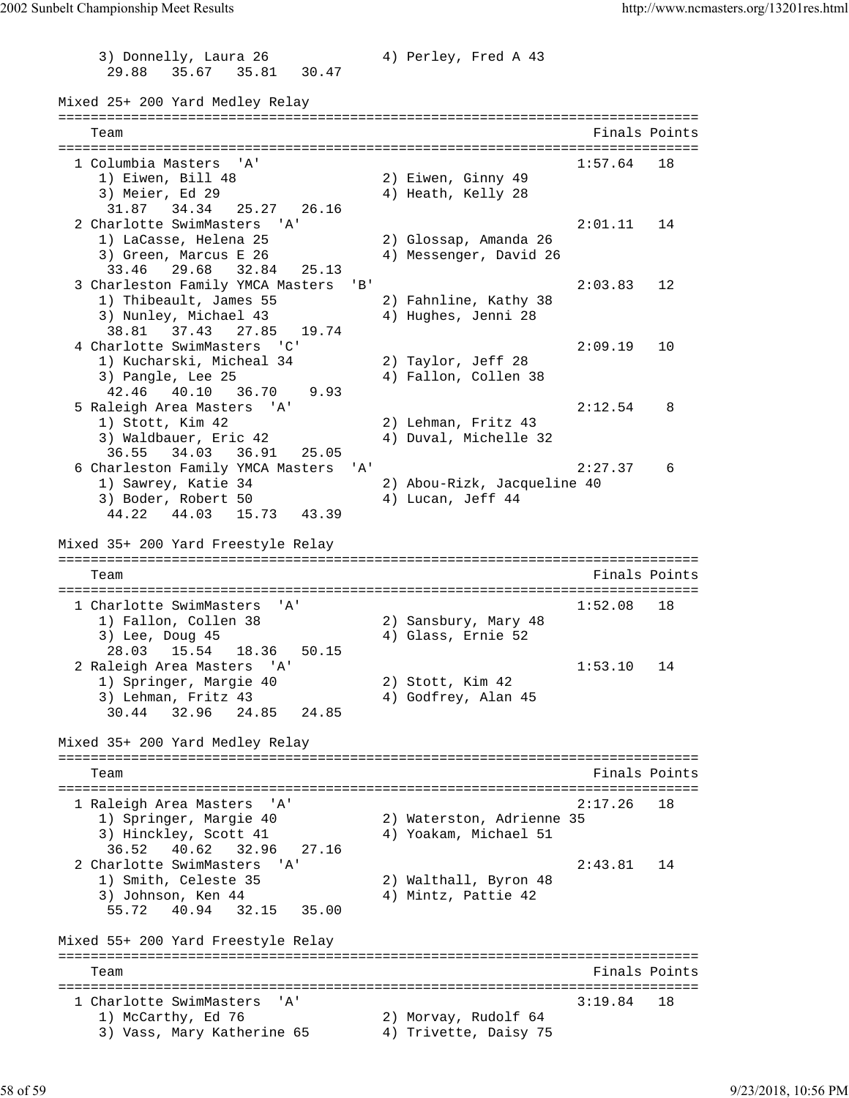3) Donnelly, Laura 26 4) Perley, Fred A 43 29.88 35.67 35.81 30.47 Mixed 25+ 200 Yard Medley Relay =============================================================================== Team Finals Points =============================================================================== 1 Columbia Masters 'A' 1:57.64 18 1) Eiwen, Bill 48 2) Eiwen, Ginny 49 3) Meier, Ed 29 (4) Heath, Kelly 28 31.87 34.34 25.27 26.16 2 Charlotte SwimMasters 'A' 2:01.11 14 1) LaCasse, Helena 25 2) Glossap, Amanda 26 3) Green, Marcus E 26 4) Messenger, David 26 33.46 29.68 32.84 25.13 3 Charleston Family YMCA Masters 'B' 2:03.83 12 1) Thibeault, James 55 2) Fahnline, Kathy 38 3) Nunley, Michael 43 4) Hughes, Jenni 28 38.81 37.43 27.85 19.74 4 Charlotte SwimMasters 'C' 2:09.19 10 1) Kucharski, Micheal 34 2) Taylor, Jeff 28<br>3) Pangle, Lee 25 39 4) Fallon, Collen 38 3) Pangle, Lee 25 4) Fallon, Collen 38 42.46 40.10 36.70 9.93 5 Raleigh Area Masters 'A' 2:12.54 8 1) Stott, Kim 42 2 2) Lehman, Fritz 43<br>3) Waldbauer, Eric 42 4) Duval, Michelle 32 3) Waldbauer, Eric 42 36.55 34.03 36.91 25.05 6 Charleston Family YMCA Masters 'A' 2:27.37 6 1) Sawrey, Katie 34 2) Abou-Rizk, Jacqueline 40 3) Boder, Robert 50 4) Lucan, Jeff 44 44.22 44.03 15.73 43.39 Mixed 35+ 200 Yard Freestyle Relay =============================================================================== Team Finals Points =============================================================================== 1 Charlotte SwimMasters 'A' 1) Fallon, Collen 38 2) Sansbury, Mary 48 1) Fallon, Collen 38 2) Sansbury, Mary 48 3) Lee, Doug 45 4) Glass, Ernie 52 28.03 15.54 18.36 50.15 2 Raleigh Area Masters 'A' 1:53.10 14 1) Springer, Margie 40 2) Stott, Kim 42 3) Lehman, Fritz 43 4) Godfrey, Alan 45 30.44 32.96 24.85 24.85 Mixed 35+ 200 Yard Medley Relay =============================================================================== Team Finals Points Communications of the Communication of the Points Points Points Points Points Points Points =============================================================================== 1 Raleigh Area Masters 'A' 2:17.26 18 1) Springer, Margie 40 2) Waterston, Adrienne 35 3) Hinckley, Scott 41 4) Yoakam, Michael 51 3) Hinckley, Scott 41<br>36.52 40.62 32.96 27.16 2 Charlotte SwimMasters 'A' 2:43.81 14 1) Smith, Celeste 35 2) Walthall, Byron 48 3) Johnson, Ken 44 4) Mintz, Pattie 42 55.72 40.94 32.15 35.00 Mixed 55+ 200 Yard Freestyle Relay =============================================================================== Team Finals Points =============================================================================== 1 Charlotte SwimMasters 'A' 3:19.84 18 1) McCarthy, Ed 76 2) Morvay, Rudolf 64 3) Vass, Mary Katherine 65 4) Trivette, Daisy 75